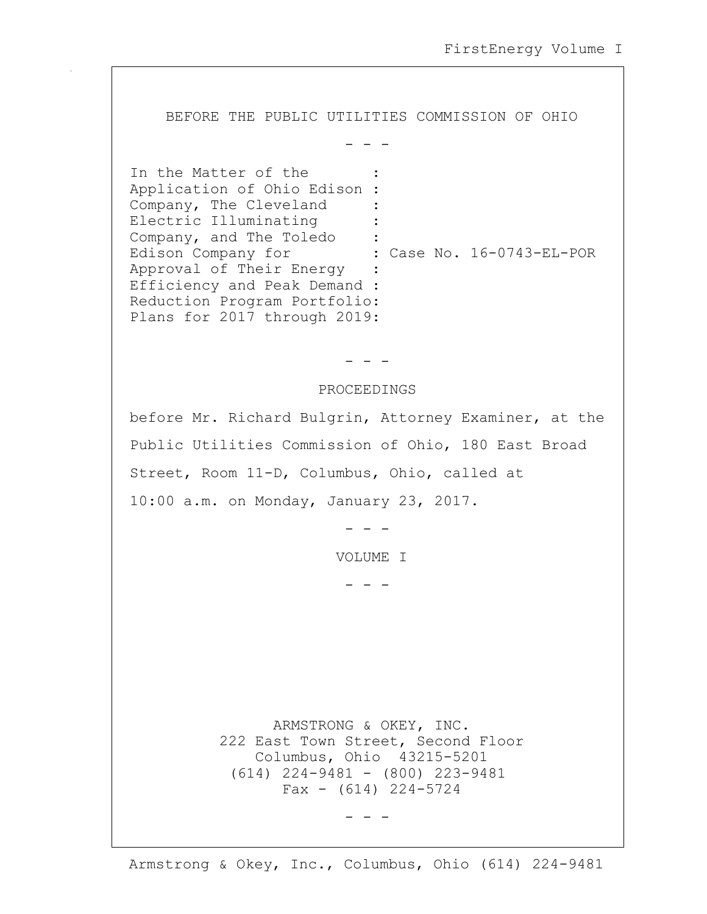BEFORE THE PUBLIC UTILITIES COMMISSION OF OHIO

- - -

In the Matter of the Application of Ohio Edison : Company, The Cleveland : Electric Illuminating Company, and The Toledo : Edison Company for : Case No. 16-0743-EL-POR Approval of Their Energy : Efficiency and Peak Demand : Reduction Program Portfolio: Plans for 2017 through 2019:

- - -

## PROCEEDINGS

before Mr. Richard Bulgrin, Attorney Examiner, at the Public Utilities Commission of Ohio, 180 East Broad Street, Room 11-D, Columbus, Ohio, called at 10:00 a.m. on Monday, January 23, 2017.

- - -

VOLUME I

- - -

 ARMSTRONG & OKEY, INC. 222 East Town Street, Second Floor Columbus, Ohio 43215-5201 (614) 224-9481 - (800) 223-9481  $Fax - (614) 224 - 5724$ 

- - -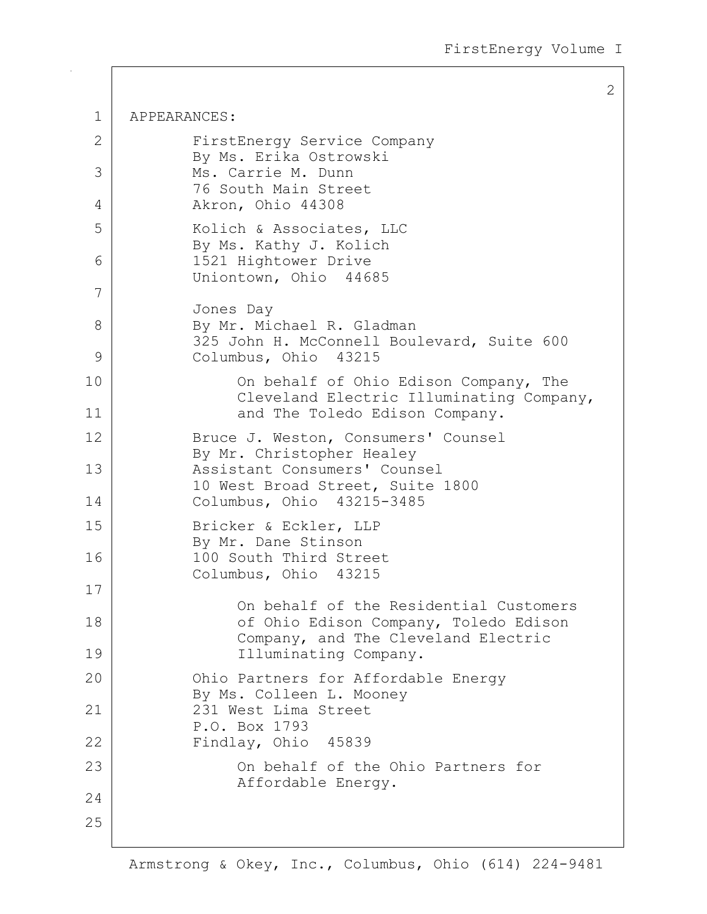1 APPEARANCES: 2 FirstEnergy Service Company By Ms. Erika Ostrowski 3 Ms. Carrie M. Dunn 76 South Main Street 4 Akron, Ohio 44308 5 | Kolich & Associates, LLC By Ms. Kathy J. Kolich 6 1521 Hightower Drive Uniontown, Ohio 44685 7 Jones Day 8 By Mr. Michael R. Gladman 325 John H. McConnell Boulevard, Suite 600 9 Columbus, Ohio 43215 10 On behalf of Ohio Edison Company, The Cleveland Electric Illuminating Company, 11 and The Toledo Edison Company. 12 | Bruce J. Weston, Consumers' Counsel By Mr. Christopher Healey 13 | Resistant Consumers' Counsel 10 West Broad Street, Suite 1800 14 Columbus, Ohio 43215-3485 15 Bricker & Eckler, LLP By Mr. Dane Stinson 16 100 South Third Street Columbus, Ohio 43215 17 On behalf of the Residential Customers 18 | Constanting Company, Toledo Edison Company, Toledo Edison Company, and The Cleveland Electric 19 | Illuminating Company. 20 | Chio Partners for Affordable Energy By Ms. Colleen L. Mooney 21 231 West Lima Street P.O. Box 1793 22 Findlay, Ohio 45839 23 | Con behalf of the Ohio Partners for Affordable Energy. 24 25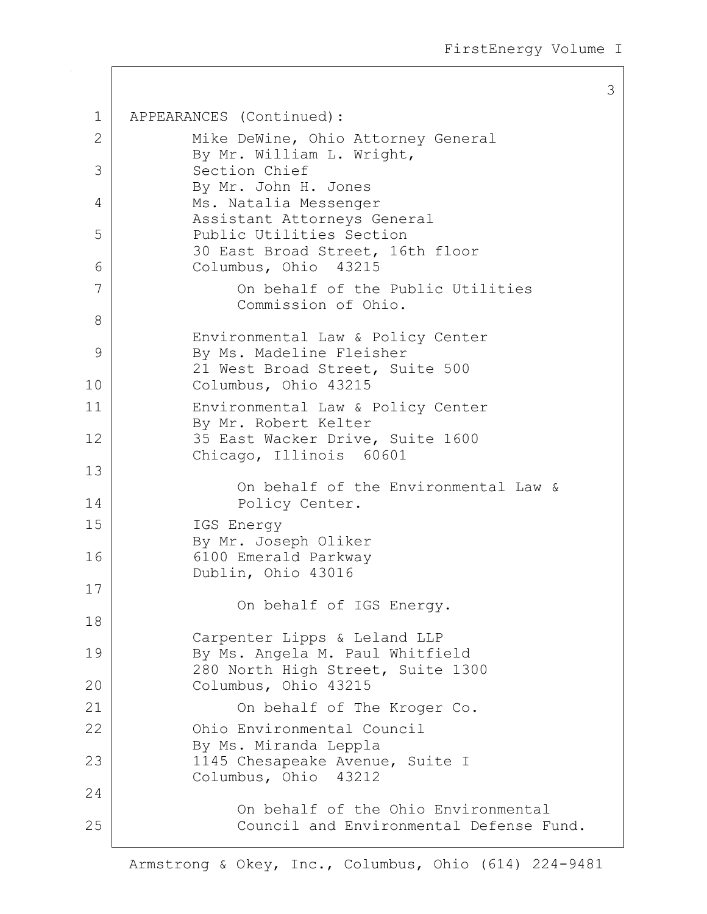```
1 APPEARANCES (Continued):
2 | Mike DeWine, Ohio Attorney General
           By Mr. William L. Wright,
3 Section Chief
           By Mr. John H. Jones
4 Ms. Natalia Messenger
           Assistant Attorneys General
5 Public Utilities Section
           30 East Broad Street, 16th floor
6 Columbus, Ohio 43215
7 On behalf of the Public Utilities
               Commission of Ohio.
8
           Environmental Law & Policy Center
9 By Ms. Madeline Fleisher
           21 West Broad Street, Suite 500
10 Columbus, Ohio 43215
11 Environmental Law & Policy Center
           By Mr. Robert Kelter
12 35 East Wacker Drive, Suite 1600
           Chicago, Illinois 60601
13
               On behalf of the Environmental Law &
14 Policy Center.
15 IGS Energy
           By Mr. Joseph Oliker
16 6100 Emerald Parkway
           Dublin, Ohio 43016
17
               On behalf of IGS Energy.
18
           Carpenter Lipps & Leland LLP
19 By Ms. Angela M. Paul Whitfield
           280 North High Street, Suite 1300
20 Columbus, Ohio 43215
21 On behalf of The Kroger Co.
22 Ohio Environmental Council
           By Ms. Miranda Leppla
23 | 1145 Chesapeake Avenue, Suite I
           Columbus, Ohio 43212
24
               On behalf of the Ohio Environmental
25 Council and Environmental Defense Fund.
```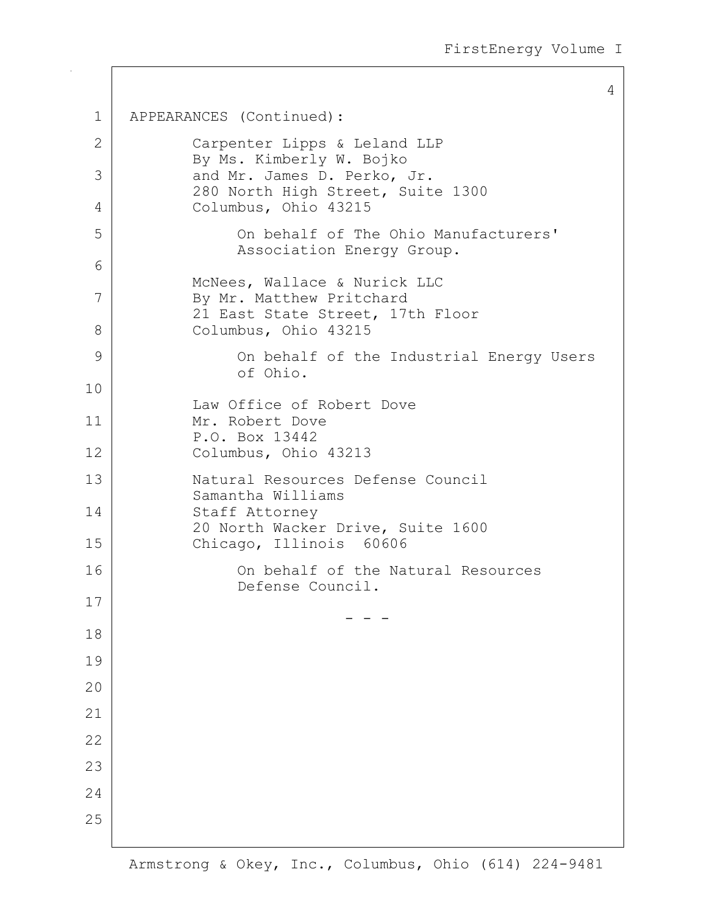```
1 APPEARANCES (Continued):
2 Carpenter Lipps & Leland LLP
           By Ms. Kimberly W. Bojko
3 and Mr. James D. Perko, Jr.
           280 North High Street, Suite 1300
4 Columbus, Ohio 43215
5 On behalf of The Ohio Manufacturers'
               Association Energy Group.
6
           McNees, Wallace & Nurick LLC
7 By Mr. Matthew Pritchard
           21 East State Street, 17th Floor
8 Columbus, Ohio 43215
9 On behalf of the Industrial Energy Users
               of Ohio.
10
           Law Office of Robert Dove
11 Mr. Robert Dove
           P.O. Box 13442
12 Columbus, Ohio 43213
13 Natural Resources Defense Council
           Samantha Williams
14 Staff Attorney
           20 North Wacker Drive, Suite 1600
15 Chicago, Illinois 60606
16 On behalf of the Natural Resources
               Defense Council.
17
     - - -
18
19
2021
22
23
24
25
```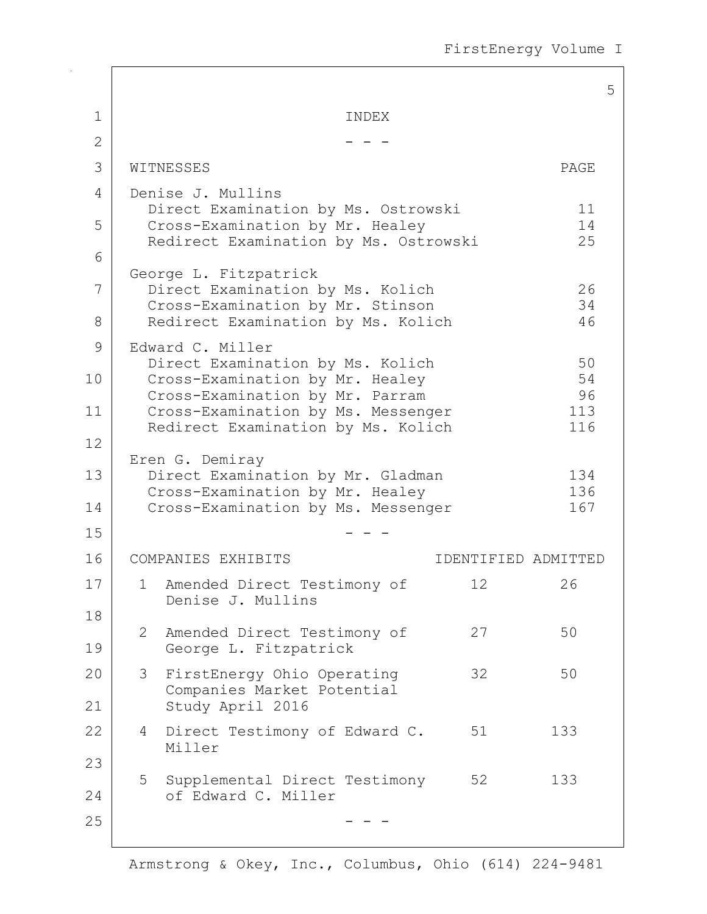5 1 I TNDEX 2  $-$  -  $-$ 3 WITNESSES PAGE 4 Denise J. Mullins Direct Examination by Ms. Ostrowski 11 5 Cross-Examination by Mr. Healey 14<br>Redirect Examination by Ms. Ostrowski 25 Redirect Examination by Ms. Ostrowski 6 George L. Fitzpatrick 7 Direct Examination by Ms. Kolich 26<br>Cross-Examination by Mr. Stinson 34 Cross-Examination by Mr. Stinson 8 Redirect Examination by Ms. Kolich 46 9 Edward C. Miller Direct Examination by Ms. Kolich 50<br>Cross-Examination by Mr. Healey 54 10 Cross-Examination by Mr. Healey 54<br>Cross-Examination by Mr. Parram 36 Cross-Examination by Mr. Parram 11 Cross-Examination by Ms. Messenger 113 Redirect Examination by Ms. Kolich 116 12 Eren G. Demiray 13 Direct Examination by Mr. Gladman 134 Cross-Examination by Mr. Healey 136<br>Cross-Examination by Ms. Messenger 167 14 | Cross-Examination by Ms. Messenger  $15$  - - -16 | COMPANIES EXHIBITS | IDENTIFIED ADMITTED 17 | 1 Amended Direct Testimony of 12 26 Denise J. Mullins 18 2 Amended Direct Testimony of 27 50 19 George L. Fitzpatrick 20 3 FirstEnergy Ohio Operating 32 50 Companies Market Potential 21 Study April 2016 22 4 Direct Testimony of Edward C. 51 133 Miller 23 5 Supplemental Direct Testimony 52 133 24 of Edward C. Miller  $25$  - - -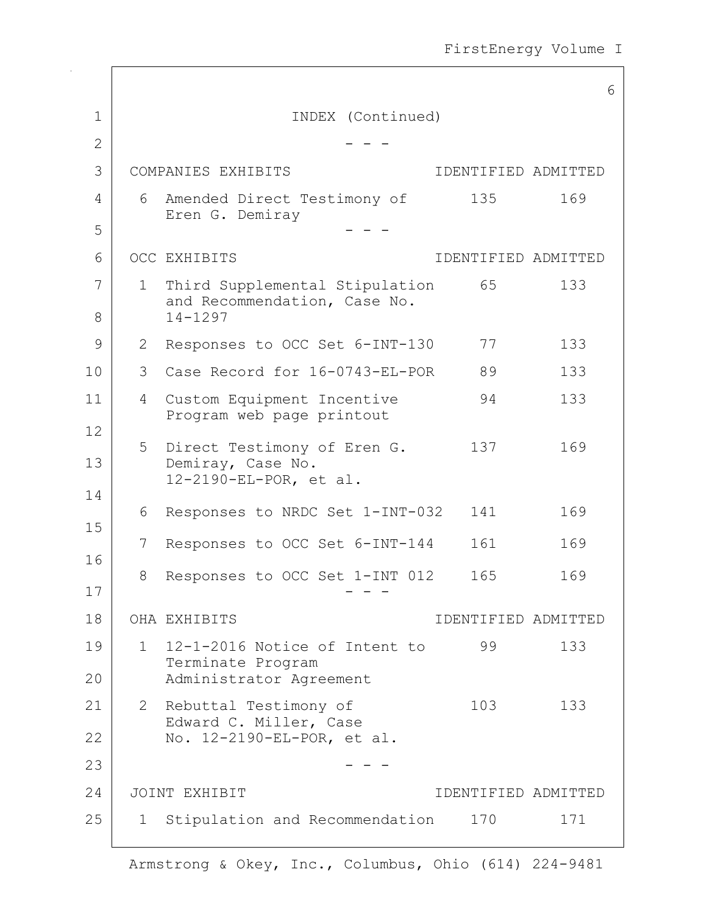FirstEnergy Volume I

|                |              |                                                                            |                     | 6   |
|----------------|--------------|----------------------------------------------------------------------------|---------------------|-----|
| $\mathbf 1$    |              | INDEX (Continued)                                                          |                     |     |
| $\mathbf{2}$   |              |                                                                            |                     |     |
| 3              |              | COMPANIES EXHIBITS                                                         | IDENTIFIED ADMITTED |     |
| $\overline{4}$ | 6            | Amended Direct Testimony of                                                | 135                 | 169 |
| 5              |              | Eren G. Demiray                                                            |                     |     |
| 6              |              | OCC EXHIBITS                                                               | IDENTIFIED ADMITTED |     |
| 7              | 1            | Third Supplemental Stipulation                                             | 65                  | 133 |
| 8              |              | and Recommendation, Case No.<br>$14 - 1297$                                |                     |     |
| 9              | 2            | Responses to OCC Set 6-INT-130                                             | 77                  | 133 |
| 10             | 3            | Case Record for 16-0743-EL-POR                                             | 89                  | 133 |
| 11             | 4            | Custom Equipment Incentive<br>Program web page printout                    | 94                  | 133 |
| 12<br>13<br>14 | 5            | Direct Testimony of Eren G.<br>Demiray, Case No.<br>12-2190-EL-POR, et al. | 137                 | 169 |
| 15             | 6            | Responses to NRDC Set 1-INT-032                                            | 141                 | 169 |
|                | 7            | Responses to OCC Set 6-INT-144                                             | 161                 | 169 |
| 16<br>17       | 8            | Responses to OCC Set 1-INT 012                                             | 165                 | 169 |
| 18             |              | OHA EXHIBITS                                                               | IDENTIFIED ADMITTED |     |
| 19             | $1 \quad$    | 12-1-2016 Notice of Intent to                                              | 99                  | 133 |
| 20             |              | Terminate Program<br>Administrator Agreement                               |                     |     |
| 21             | $\mathbf{2}$ | Rebuttal Testimony of                                                      | 103                 | 133 |
| 22             |              | Edward C. Miller, Case<br>No. 12-2190-EL-POR, et al.                       |                     |     |
| 23             |              |                                                                            |                     |     |
| 24             |              | JOINT EXHIBIT                                                              | IDENTIFIED ADMITTED |     |
| 25             | $\mathbf{1}$ | Stipulation and Recommendation                                             | 170                 | 171 |

 $\Gamma$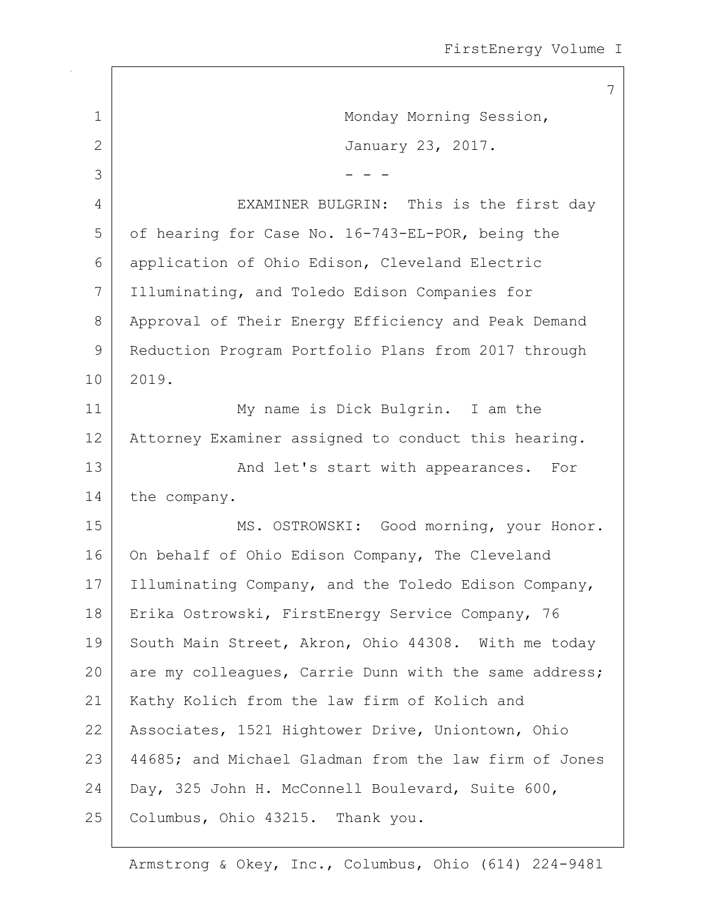|              | 7                                                     |
|--------------|-------------------------------------------------------|
| 1            | Monday Morning Session,                               |
| $\mathbf{2}$ | January 23, 2017.                                     |
| 3            |                                                       |
| 4            | EXAMINER BULGRIN: This is the first day               |
| 5            | of hearing for Case No. 16-743-EL-POR, being the      |
| 6            | application of Ohio Edison, Cleveland Electric        |
| 7            | Illuminating, and Toledo Edison Companies for         |
| 8            | Approval of Their Energy Efficiency and Peak Demand   |
| 9            | Reduction Program Portfolio Plans from 2017 through   |
| 10           | 2019.                                                 |
| 11           | My name is Dick Bulgrin. I am the                     |
| 12           | Attorney Examiner assigned to conduct this hearing.   |
| 13           | And let's start with appearances. For                 |
| 14           | the company.                                          |
| 15           | MS. OSTROWSKI: Good morning, your Honor.              |
| 16           | On behalf of Ohio Edison Company, The Cleveland       |
| 17           | Illuminating Company, and the Toledo Edison Company,  |
| 18           | Erika Ostrowski, FirstEnergy Service Company, 76      |
| 19           | South Main Street, Akron, Ohio 44308. With me today   |
| 20           | are my colleagues, Carrie Dunn with the same address; |
| 21           | Kathy Kolich from the law firm of Kolich and          |
| 22           | Associates, 1521 Hightower Drive, Uniontown, Ohio     |
| 23           | 44685; and Michael Gladman from the law firm of Jones |
| 24           | Day, 325 John H. McConnell Boulevard, Suite 600,      |
| 25           | Columbus, Ohio 43215. Thank you.                      |

 $\mathbf{I}$ 

 $\overline{\phantom{a}}$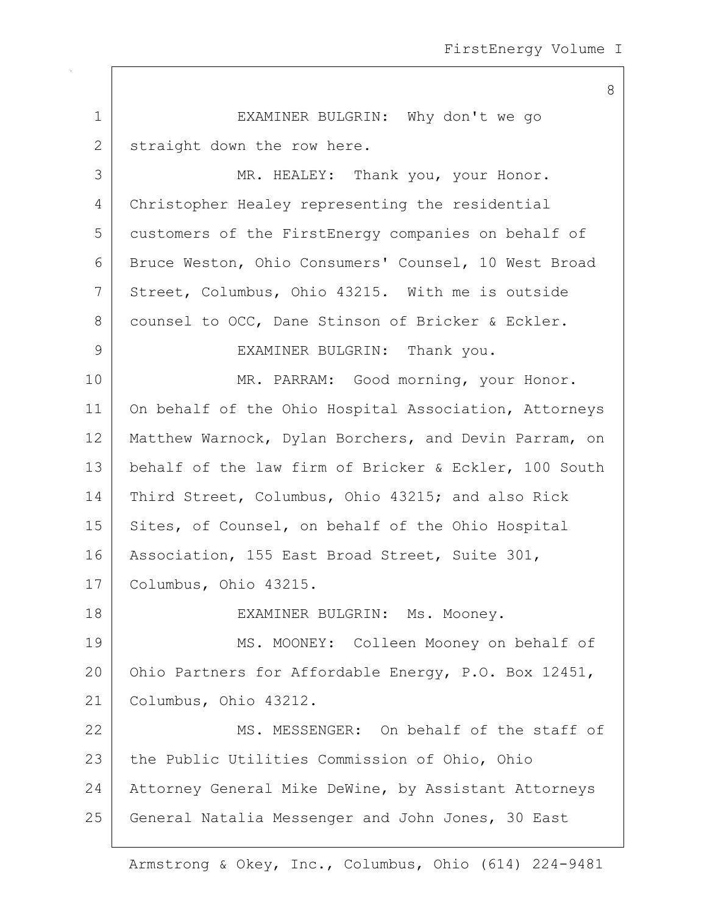|             | 8                                                     |
|-------------|-------------------------------------------------------|
| $\mathbf 1$ | EXAMINER BULGRIN: Why don't we go                     |
| 2           | straight down the row here.                           |
| 3           | MR. HEALEY: Thank you, your Honor.                    |
| 4           | Christopher Healey representing the residential       |
| 5           | customers of the FirstEnergy companies on behalf of   |
| 6           | Bruce Weston, Ohio Consumers' Counsel, 10 West Broad  |
| 7           | Street, Columbus, Ohio 43215. With me is outside      |
| 8           | counsel to OCC, Dane Stinson of Bricker & Eckler.     |
| 9           | EXAMINER BULGRIN: Thank you.                          |
| 10          | MR. PARRAM: Good morning, your Honor.                 |
| 11          | On behalf of the Ohio Hospital Association, Attorneys |
| 12          | Matthew Warnock, Dylan Borchers, and Devin Parram, on |
| 13          | behalf of the law firm of Bricker & Eckler, 100 South |
| 14          | Third Street, Columbus, Ohio 43215; and also Rick     |
| 15          | Sites, of Counsel, on behalf of the Ohio Hospital     |
| 16          | Association, 155 East Broad Street, Suite 301,        |
| 17          | Columbus, Ohio 43215.                                 |
| 18          | EXAMINER BULGRIN: Ms. Mooney.                         |
| 19          | MS. MOONEY: Colleen Mooney on behalf of               |
| 20          | Ohio Partners for Affordable Energy, P.O. Box 12451,  |
| 21          | Columbus, Ohio 43212.                                 |
| 22          | MS. MESSENGER: On behalf of the staff of              |
| 23          | the Public Utilities Commission of Ohio, Ohio         |
| 24          | Attorney General Mike DeWine, by Assistant Attorneys  |
| 25          | General Natalia Messenger and John Jones, 30 East     |
|             |                                                       |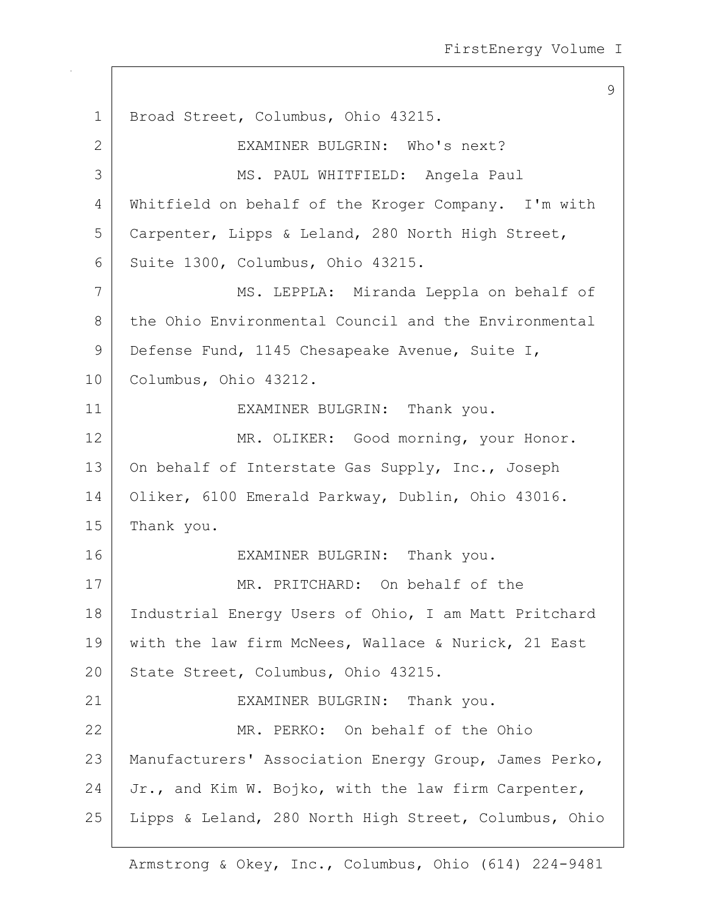9 1 | Broad Street, Columbus, Ohio 43215. 2 EXAMINER BULGRIN: Who's next? 3 MS. PAUL WHITFIELD: Angela Paul 4 Whitfield on behalf of the Kroger Company. I'm with 5 Carpenter, Lipps & Leland, 280 North High Street, 6 Suite 1300, Columbus, Ohio 43215. 7 MS. LEPPLA: Miranda Leppla on behalf of 8 the Ohio Environmental Council and the Environmental 9 | Defense Fund, 1145 Chesapeake Avenue, Suite I, 10 Columbus, Ohio 43212. 11 EXAMINER BULGRIN: Thank you. 12 MR. OLIKER: Good morning, your Honor. 13 On behalf of Interstate Gas Supply, Inc., Joseph 14 Oliker, 6100 Emerald Parkway, Dublin, Ohio 43016. 15 Thank you. 16 EXAMINER BULGRIN: Thank you. 17 MR. PRITCHARD: On behalf of the 18 | Industrial Energy Users of Ohio, I am Matt Pritchard 19 | with the law firm McNees, Wallace & Nurick, 21 East 20 State Street, Columbus, Ohio 43215. 21 EXAMINER BULGRIN: Thank you. 22 MR. PERKO: On behalf of the Ohio 23 | Manufacturers' Association Energy Group, James Perko, 24 Jr., and Kim W. Bojko, with the law firm Carpenter, 25 Lipps & Leland, 280 North High Street, Columbus, Ohio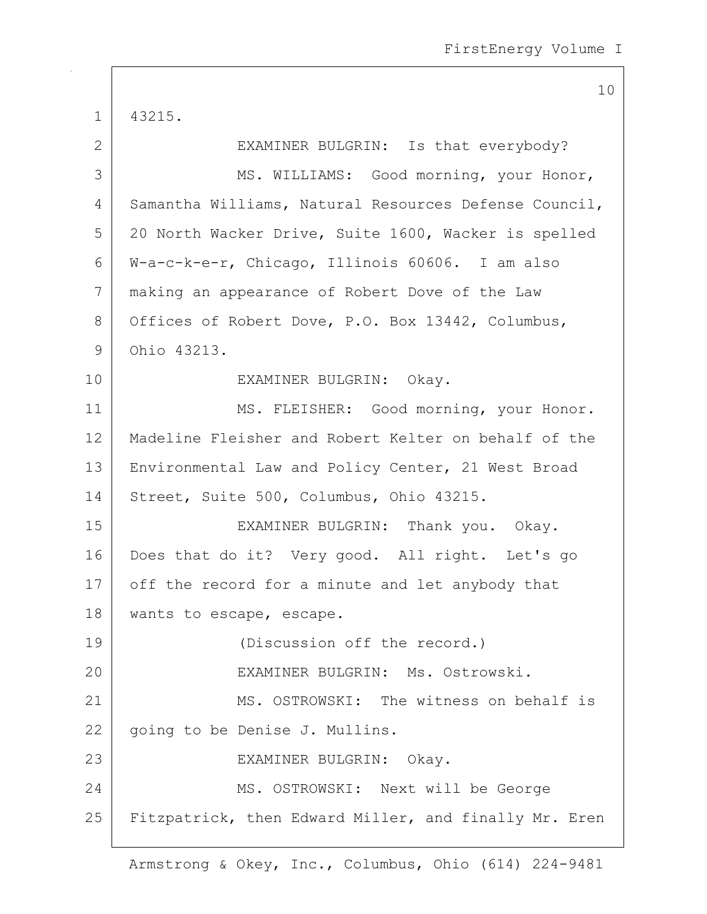1 43215. 2 EXAMINER BULGRIN: Is that everybody? 3 MS. WILLIAMS: Good morning, your Honor, 4 Samantha Williams, Natural Resources Defense Council, 5 20 North Wacker Drive, Suite 1600, Wacker is spelled 6 W-a-c-k-e-r, Chicago, Illinois 60606. I am also 7 making an appearance of Robert Dove of the Law 8 Offices of Robert Dove, P.O. Box 13442, Columbus, 9 Ohio 43213. 10 EXAMINER BULGRIN: Okay. 11 | MS. FLEISHER: Good morning, your Honor. 12 Madeline Fleisher and Robert Kelter on behalf of the 13 Environmental Law and Policy Center, 21 West Broad 14 Street, Suite 500, Columbus, Ohio 43215. 15 EXAMINER BULGRIN: Thank you. Okay. 16 Does that do it? Very good. All right. Let's go 17 off the record for a minute and let anybody that 18 | wants to escape, escape. 19 (Discussion off the record.) 20 EXAMINER BULGRIN: Ms. Ostrowski. 21 MS. OSTROWSKI: The witness on behalf is 22 | going to be Denise J. Mullins. 23 EXAMINER BULGRIN: Okay. 24 MS. OSTROWSKI: Next will be George 25 | Fitzpatrick, then Edward Miller, and finally Mr. Eren

Armstrong & Okey, Inc., Columbus, Ohio (614) 224-9481

10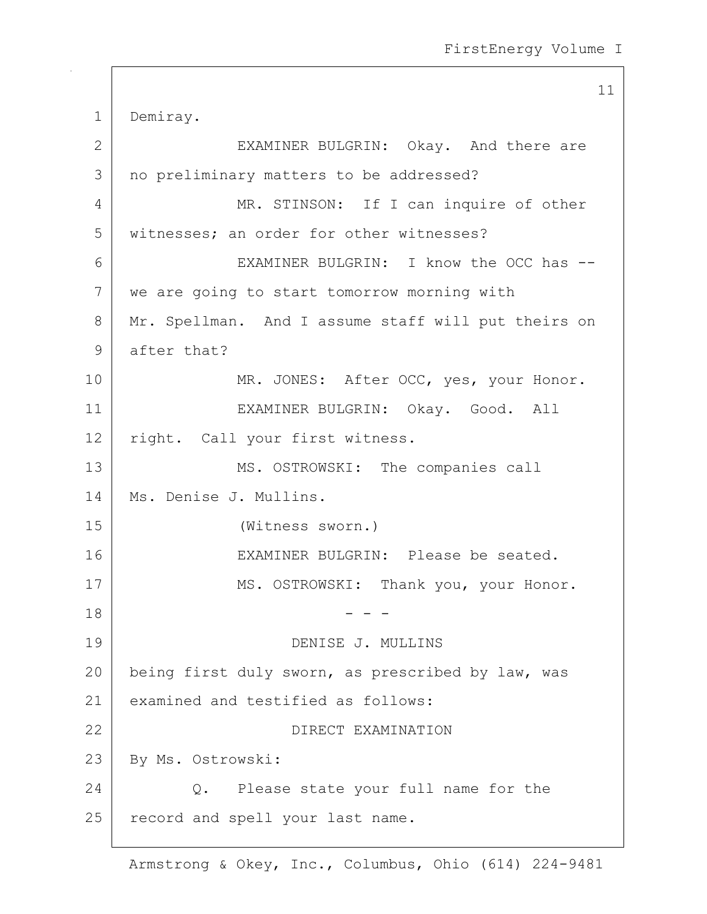11 1 Demiray. 2 EXAMINER BULGRIN: Okay. And there are 3 | no preliminary matters to be addressed? 4 MR. STINSON: If I can inquire of other 5 | witnesses; an order for other witnesses? 6 EXAMINER BULGRIN: I know the OCC has -- 7 we are going to start tomorrow morning with 8 Mr. Spellman. And I assume staff will put theirs on 9 after that? 10 | MR. JONES: After OCC, yes, your Honor. 11 EXAMINER BULGRIN: Okay. Good. All 12 right. Call your first witness. 13 MS. OSTROWSKI: The companies call 14 | Ms. Denise J. Mullins. 15 (Witness sworn.) 16 EXAMINER BULGRIN: Please be seated. 17 | MS. OSTROWSKI: Thank you, your Honor.  $18$  - - -19 DENISE J. MULLINS 20 being first duly sworn, as prescribed by law, was 21 examined and testified as follows: 22 DIRECT EXAMINATION 23 By Ms. Ostrowski: 24 Q. Please state your full name for the 25 record and spell your last name.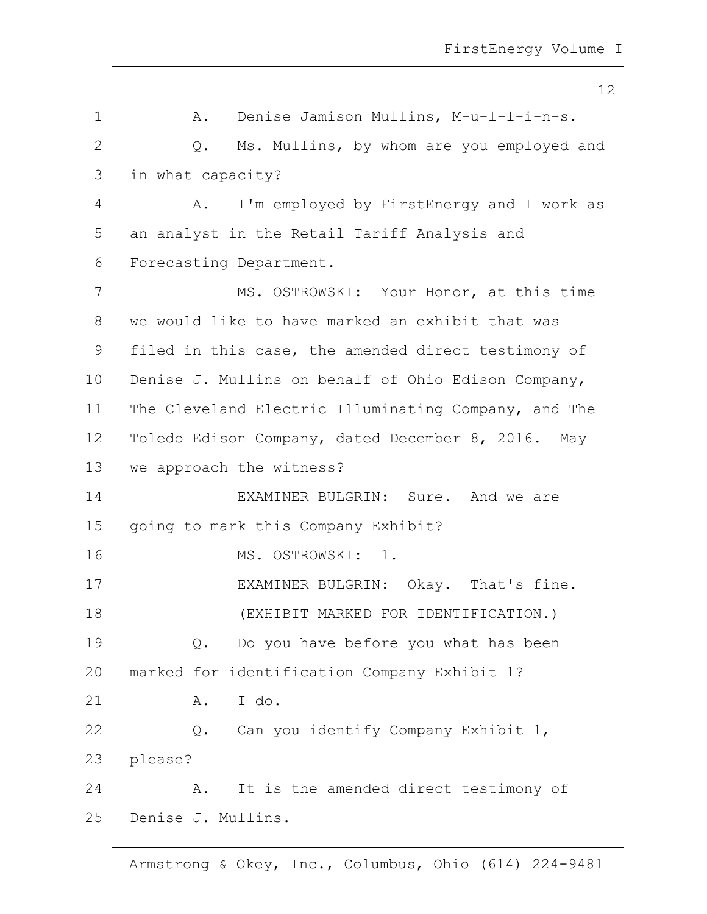|              | 12                                                   |
|--------------|------------------------------------------------------|
| $\mathbf 1$  | Denise Jamison Mullins, M-u-l-l-i-n-s.<br>Α.         |
| $\mathbf{2}$ | Ms. Mullins, by whom are you employed and<br>Q.      |
| 3            | in what capacity?                                    |
| 4            | I'm employed by FirstEnergy and I work as<br>Α.      |
| 5            | an analyst in the Retail Tariff Analysis and         |
| 6            | Forecasting Department.                              |
| 7            | MS. OSTROWSKI: Your Honor, at this time              |
| 8            | we would like to have marked an exhibit that was     |
| 9            | filed in this case, the amended direct testimony of  |
| 10           | Denise J. Mullins on behalf of Ohio Edison Company,  |
| 11           | The Cleveland Electric Illuminating Company, and The |
| 12           | Toledo Edison Company, dated December 8, 2016. May   |
| 13           | we approach the witness?                             |
| 14           | EXAMINER BULGRIN: Sure. And we are                   |
| 15           | going to mark this Company Exhibit?                  |
| 16           | MS. OSTROWSKI: 1.                                    |
| 17           | EXAMINER BULGRIN: Okay. That's fine.                 |
| 18           | (EXHIBIT MARKED FOR IDENTIFICATION.)                 |
| 19           | Do you have before you what has been<br>Q.           |
| 20           | marked for identification Company Exhibit 1?         |
| 21           | I do.<br>Α.                                          |
| 22           | Can you identify Company Exhibit 1,<br>Q.            |
| 23           | please?                                              |
| 24           | It is the amended direct testimony of<br>Α.          |
| 25           | Denise J. Mullins.                                   |

 $\mathsf{I}$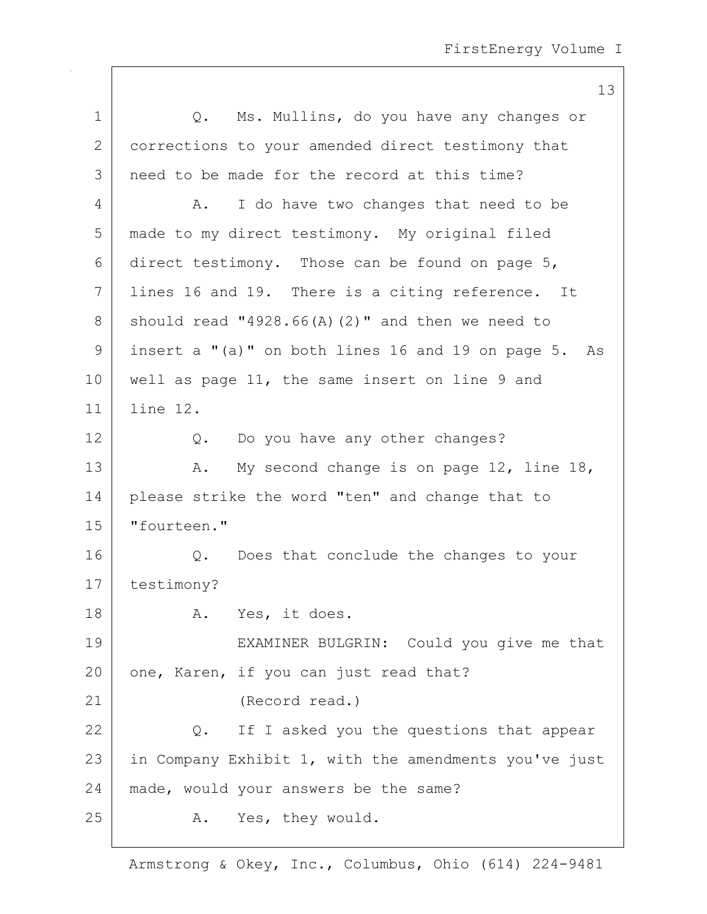|             | 13                                                    |
|-------------|-------------------------------------------------------|
| $\mathbf 1$ | Q. Ms. Mullins, do you have any changes or            |
| 2           | corrections to your amended direct testimony that     |
| 3           | need to be made for the record at this time?          |
| 4           | I do have two changes that need to be<br>Α.           |
| 5           | made to my direct testimony. My original filed        |
| 6           | direct testimony. Those can be found on page 5,       |
| 7           | lines 16 and 19. There is a citing reference. It      |
| 8           | should read "4928.66(A)(2)" and then we need to       |
| 9           | insert a "(a)" on both lines 16 and 19 on page 5. As  |
| 10          | well as page 11, the same insert on line 9 and        |
| 11          | line 12.                                              |
| 12          | Q. Do you have any other changes?                     |
| 13          | My second change is on page 12, line 18,<br>Α.        |
| 14          | please strike the word "ten" and change that to       |
| 15          | "fourteen."                                           |
| 16          | Q. Does that conclude the changes to your             |
| 17          | testimony?                                            |
| 18          | A. Yes, it does.                                      |
| 19          | EXAMINER BULGRIN: Could you give me that              |
| 20          | one, Karen, if you can just read that?                |
| 21          | (Record read.)                                        |
| 22          | Q. If I asked you the questions that appear           |
| 23          | in Company Exhibit 1, with the amendments you've just |
| 24          | made, would your answers be the same?                 |
| 25          | A. Yes, they would.                                   |
|             |                                                       |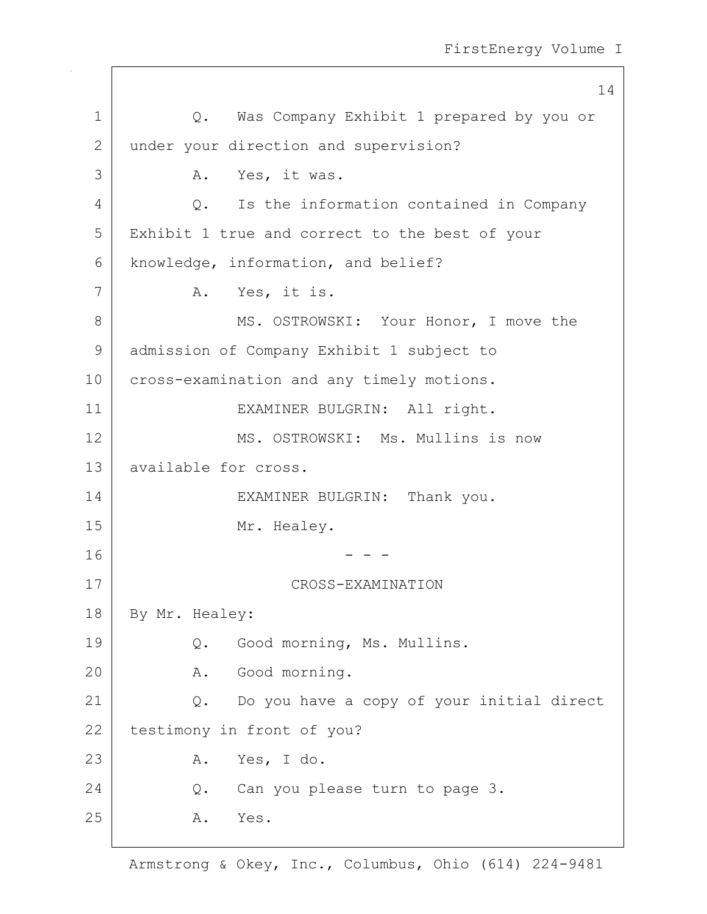|             | 14                                                 |
|-------------|----------------------------------------------------|
| $\mathbf 1$ | Q. Was Company Exhibit 1 prepared by you or        |
| 2           | under your direction and supervision?              |
| 3           | A. Yes, it was.                                    |
| 4           | Is the information contained in Company<br>$Q$ .   |
| 5           | Exhibit 1 true and correct to the best of your     |
| 6           | knowledge, information, and belief?                |
| 7           | A. Yes, it is.                                     |
| 8           | MS. OSTROWSKI: Your Honor, I move the              |
| 9           | admission of Company Exhibit 1 subject to          |
| 10          | cross-examination and any timely motions.          |
| 11          | EXAMINER BULGRIN: All right.                       |
| 12          | MS. OSTROWSKI: Ms. Mullins is now                  |
| 13          | available for cross.                               |
| 14          | EXAMINER BULGRIN: Thank you.                       |
| 15          | Mr. Healey.                                        |
| 16          |                                                    |
| 17          | CROSS-EXAMINATION                                  |
| 18          | By Mr. Healey:                                     |
| 19          | Good morning, Ms. Mullins.<br>Q.                   |
| 20          | Good morning.<br>Α.                                |
| 21          | Do you have a copy of your initial direct<br>$Q$ . |
| 22          | testimony in front of you?                         |
| 23          | Yes, I do.<br>Α.                                   |
| 24          | Can you please turn to page 3.<br>Q.               |
| 25          | Α.<br>Yes.                                         |
|             |                                                    |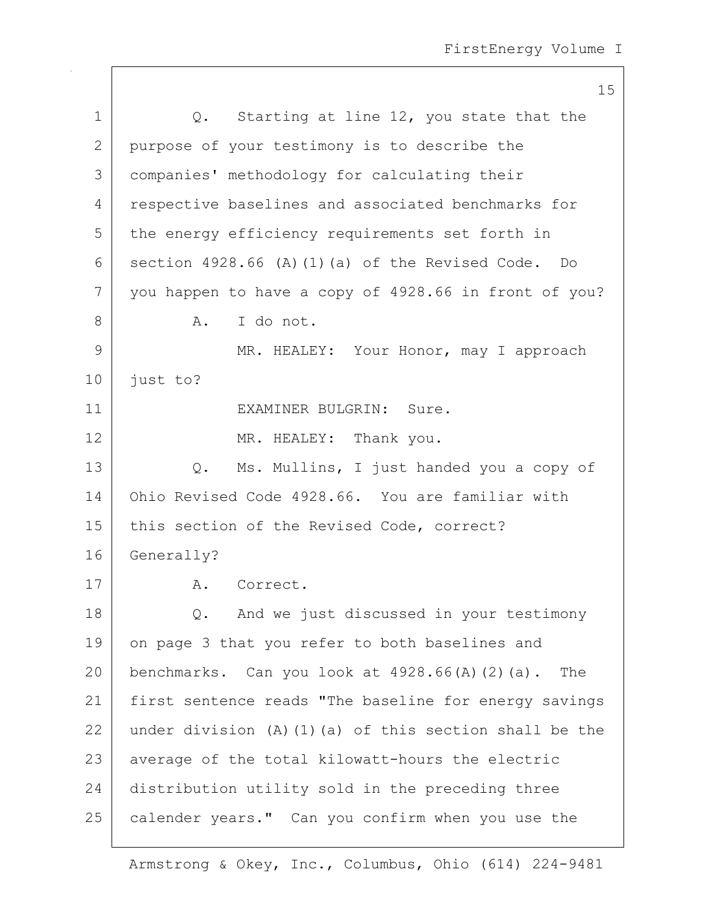|              | 15                                                            |
|--------------|---------------------------------------------------------------|
| $\mathbf 1$  | Starting at line 12, you state that the<br>$Q$ .              |
| $\mathbf{2}$ | purpose of your testimony is to describe the                  |
| 3            | companies' methodology for calculating their                  |
| 4            | respective baselines and associated benchmarks for            |
| 5            | the energy efficiency requirements set forth in               |
| 6            | section 4928.66 (A) (1) (a) of the Revised Code. Do           |
| 7            | you happen to have a copy of 4928.66 in front of you?         |
| 8            | I do not.<br>Α.                                               |
| 9            | MR. HEALEY: Your Honor, may I approach                        |
| 10           | just to?                                                      |
| 11           | EXAMINER BULGRIN: Sure.                                       |
| 12           | MR. HEALEY: Thank you.                                        |
| 13           | Ms. Mullins, I just handed you a copy of<br>Q.                |
| 14           | Ohio Revised Code 4928.66. You are familiar with              |
| 15           | this section of the Revised Code, correct?                    |
| 16           | Generally?                                                    |
| 17           | A. Correct.                                                   |
| 18           | And we just discussed in your testimony<br>Q.                 |
| 19           | on page 3 that you refer to both baselines and                |
| 20           | benchmarks. Can you look at $4928.66(A)(2)(a)$ . The          |
| 21           | first sentence reads "The baseline for energy savings         |
| 22           | under division $(A)$ $(1)$ $(a)$ of this section shall be the |
| 23           | average of the total kilowatt-hours the electric              |
| 24           | distribution utility sold in the preceding three              |
| 25           | calender years." Can you confirm when you use the             |

 $\mathsf{I}$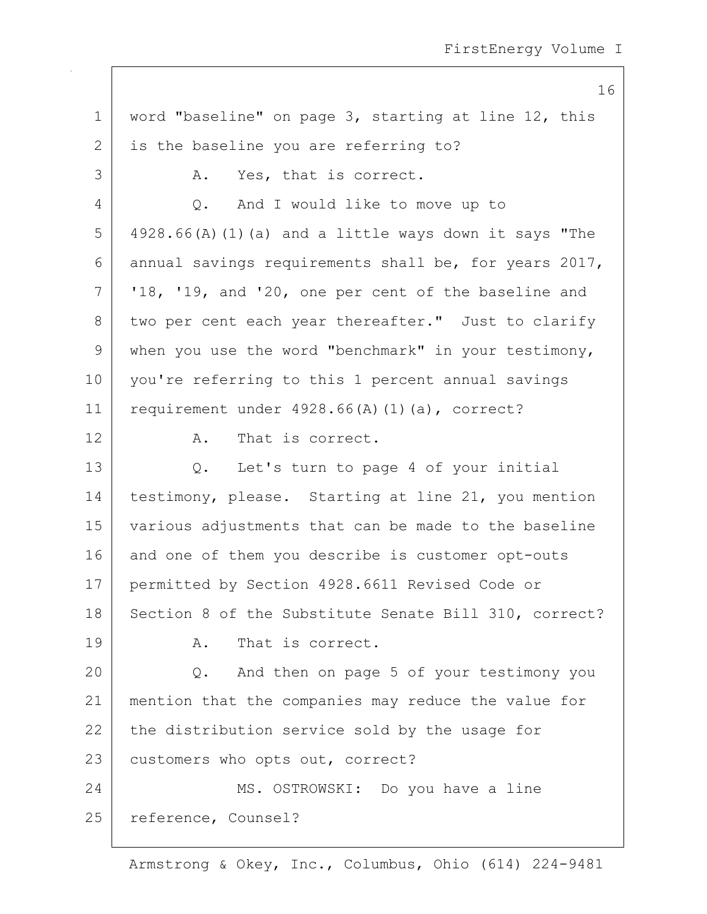1 | word "baseline" on page 3, starting at line 12, this 2 is the baseline you are referring to? 3 A. Yes, that is correct. 4 Q. And I would like to move up to  $5$  4928.66(A)(1)(a) and a little ways down it says "The 6 annual savings requirements shall be, for years 2017,  $7$   $\mid$   $18$ ,  $19$ , and  $20$ , one per cent of the baseline and 8 two per cent each year thereafter." Just to clarify 9 when you use the word "benchmark" in your testimony, 10 you're referring to this 1 percent annual savings 11 | requirement under  $4928.66(A)(1)(a)$ , correct? 12 A. That is correct. 13 Q. Let's turn to page 4 of your initial 14 | testimony, please. Starting at line 21, you mention 15 various adjustments that can be made to the baseline 16 and one of them you describe is customer opt-outs 17 permitted by Section 4928.6611 Revised Code or 18 | Section 8 of the Substitute Senate Bill 310, correct? 19 A. That is correct. 20 Q. And then on page 5 of your testimony you 21 mention that the companies may reduce the value for  $22$  the distribution service sold by the usage for 23 customers who opts out, correct? 24 MS. OSTROWSKI: Do you have a line 25 reference, Counsel?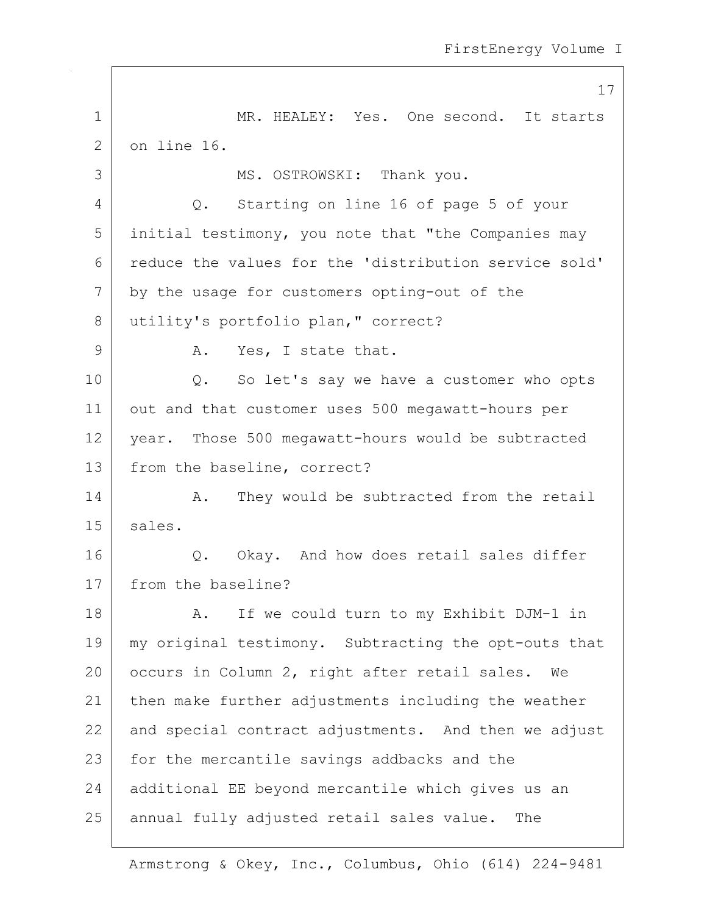17 1 MR. HEALEY: Yes. One second. It starts 2 on line 16. 3 | MS. OSTROWSKI: Thank you. 4 Q. Starting on line 16 of page 5 of your  $5$  initial testimony, you note that "the Companies may 6 reduce the values for the 'distribution service sold' 7 by the usage for customers opting-out of the 8 utility's portfolio plan, " correct? 9 A. Yes, I state that. 10 | Q. So let's say we have a customer who opts 11 | out and that customer uses 500 megawatt-hours per 12 | year. Those 500 megawatt-hours would be subtracted 13 from the baseline, correct? 14 A. They would be subtracted from the retail 15 | sales. 16 O. Okay. And how does retail sales differ 17 from the baseline? 18 | A. If we could turn to my Exhibit DJM-1 in 19 | my original testimony. Subtracting the opt-outs that 20 | occurs in Column 2, right after retail sales. We 21 | then make further adjustments including the weather 22 and special contract adjustments. And then we adjust 23 for the mercantile savings addbacks and the 24 additional EE beyond mercantile which gives us an 25 annual fully adjusted retail sales value. The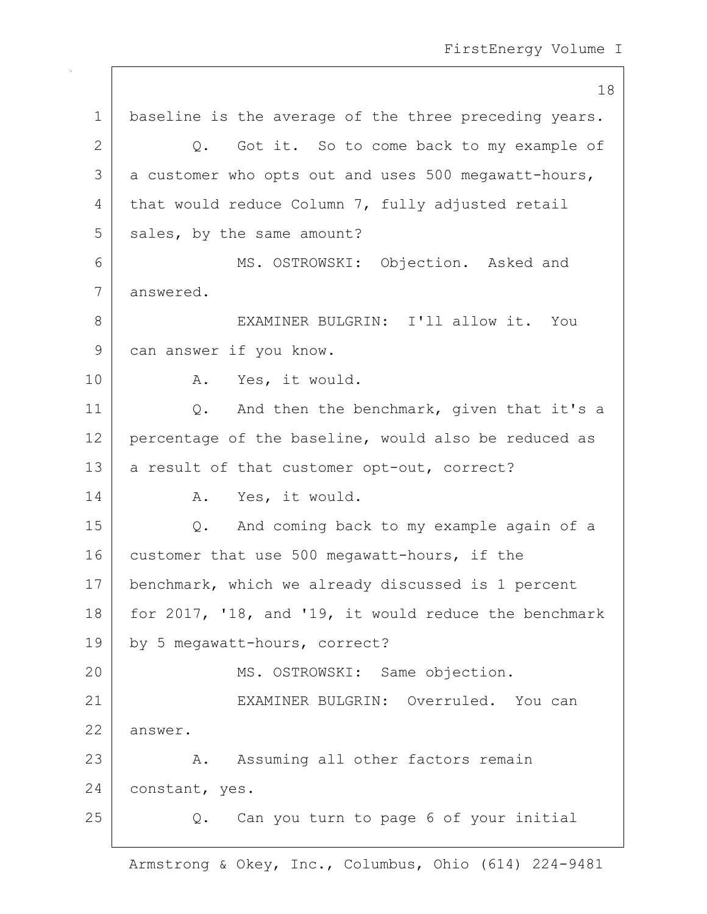18 1 | baseline is the average of the three preceding years.  $2$  Q. Got it. So to come back to my example of  $3$  a customer who opts out and uses 500 megawatt-hours, 4 that would reduce Column 7, fully adjusted retail 5 sales, by the same amount? 6 MS. OSTROWSKI: Objection. Asked and 7 answered. 8 EXAMINER BULGRIN: I'll allow it. You 9 can answer if you know. 10 | A. Yes, it would. 11 | Q. And then the benchmark, given that it's a  $12$  percentage of the baseline, would also be reduced as 13 | a result of that customer opt-out, correct? 14 A. Yes, it would. 15 Q. And coming back to my example again of a 16 customer that use 500 megawatt-hours, if the 17 | benchmark, which we already discussed is 1 percent 18 | for 2017, '18, and '19, it would reduce the benchmark 19 by 5 megawatt-hours, correct? 20 MS. OSTROWSKI: Same objection. 21 EXAMINER BULGRIN: Overruled. You can 22 answer. 23 A. Assuming all other factors remain 24 constant, yes. 25 Q. Can you turn to page 6 of your initial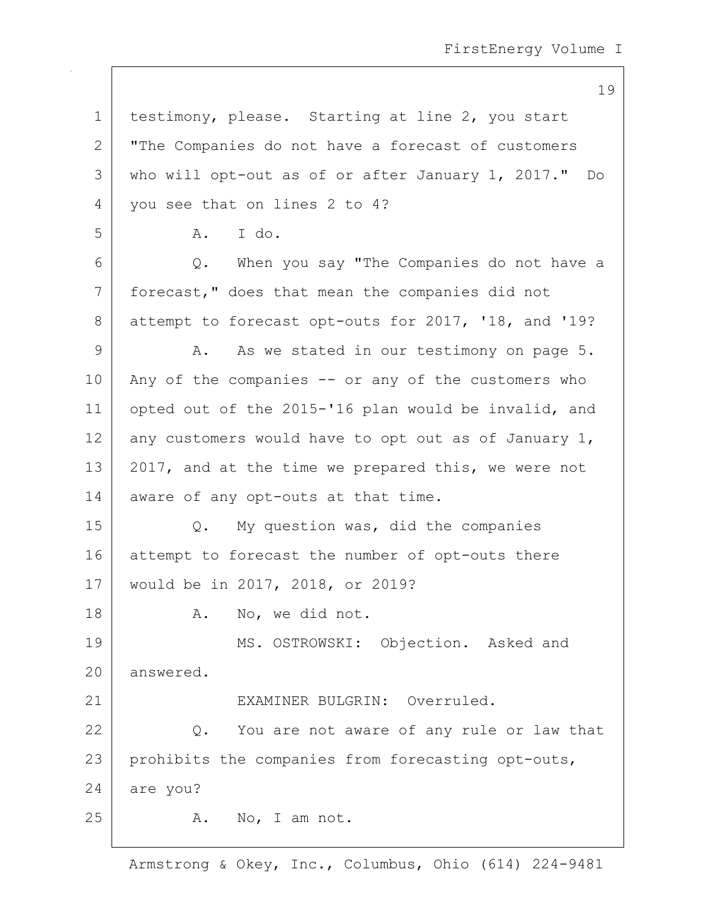1 | testimony, please. Starting at line 2, you start 2 | "The Companies do not have a forecast of customers 3 who will opt-out as of or after January 1, 2017." Do 4 vou see that on lines 2 to 4? 5 A. I do. 6 Q. When you say "The Companies do not have a 7 forecast," does that mean the companies did not 8 attempt to forecast opt-outs for 2017, '18, and '19? 9 A. As we stated in our testimony on page 5.  $10$  Any of the companies  $-$  or any of the customers who 11 opted out of the 2015-'16 plan would be invalid, and 12 any customers would have to opt out as of January 1, 13 | 2017, and at the time we prepared this, we were not 14 aware of any opt-outs at that time. 15 Q. My question was, did the companies 16 attempt to forecast the number of opt-outs there 17 would be in 2017, 2018, or 2019? 18 | A. No, we did not. 19 MS. OSTROWSKI: Objection. Asked and 20 answered. 21 EXAMINER BULGRIN: Overruled. 22 Q. You are not aware of any rule or law that 23 prohibits the companies from forecasting opt-outs, 24 are you?  $25$  A. No, I am not.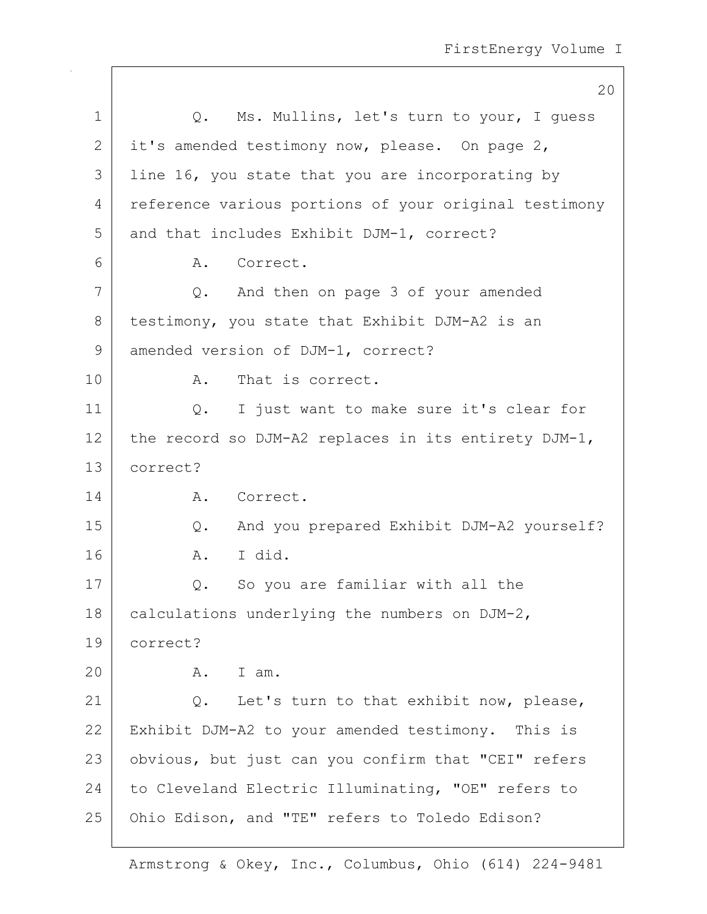|    | 20                                                    |
|----|-------------------------------------------------------|
| 1  | Q. Ms. Mullins, let's turn to your, I guess           |
| 2  | it's amended testimony now, please. On page 2,        |
| 3  | line 16, you state that you are incorporating by      |
| 4  | reference various portions of your original testimony |
| 5  | and that includes Exhibit DJM-1, correct?             |
| 6  | Correct.<br>Α.                                        |
| 7  | Q. And then on page 3 of your amended                 |
| 8  | testimony, you state that Exhibit DJM-A2 is an        |
| 9  | amended version of DJM-1, correct?                    |
| 10 | That is correct.<br>Α.                                |
| 11 | I just want to make sure it's clear for<br>Q.         |
| 12 | the record so DJM-A2 replaces in its entirety DJM-1,  |
| 13 | correct?                                              |
| 14 | A. Correct.                                           |
| 15 | And you prepared Exhibit DJM-A2 yourself?<br>Q.       |
| 16 | I did.<br>Α.                                          |
| 17 | So you are familiar with all the<br>Q.                |
| 18 | calculations underlying the numbers on DJM-2,         |
| 19 | correct?                                              |
| 20 | I am.<br>A.                                           |
| 21 | Let's turn to that exhibit now, please,<br>Q.         |
| 22 | Exhibit DJM-A2 to your amended testimony. This is     |
| 23 | obvious, but just can you confirm that "CEI" refers   |
| 24 | to Cleveland Electric Illuminating, "OE" refers to    |
| 25 | Ohio Edison, and "TE" refers to Toledo Edison?        |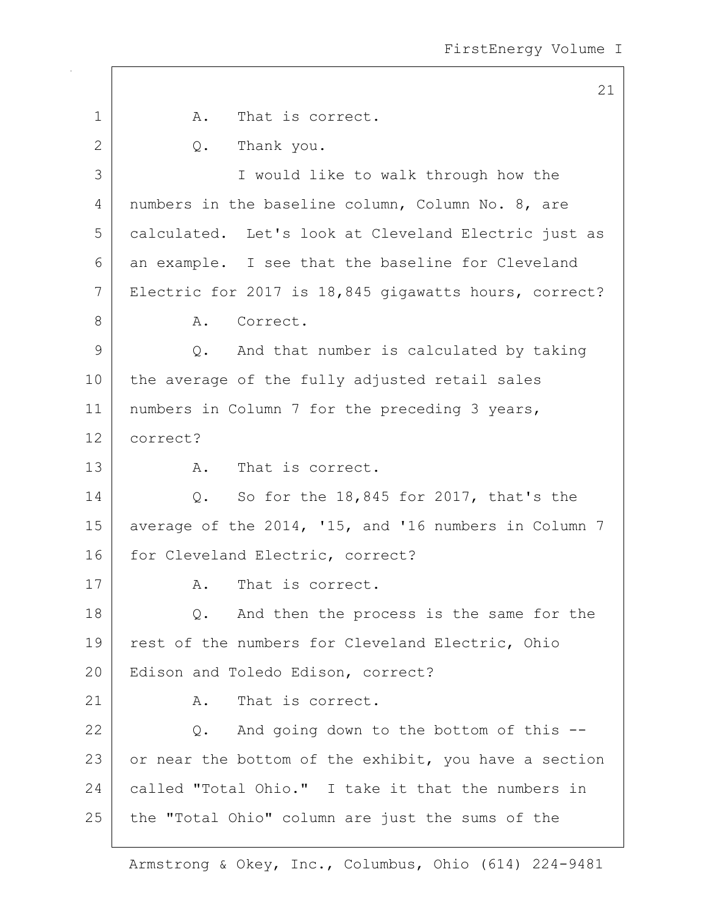21 1 a. That is correct. 2 Q. Thank you. 3 I would like to walk through how the 4 numbers in the baseline column, Column No. 8, are 5 calculated. Let's look at Cleveland Electric just as 6 an example. I see that the baseline for Cleveland 7 Electric for 2017 is 18,845 gigawatts hours, correct? 8 A. Correct. 9 Q. And that number is calculated by taking 10 the average of the fully adjusted retail sales 11 | numbers in Column 7 for the preceding 3 years, 12 correct? 13 A. That is correct. 14 Q. So for the 18,845 for 2017, that's the 15 average of the 2014, '15, and '16 numbers in Column 7 16 for Cleveland Electric, correct? 17 A. That is correct. 18 Q. And then the process is the same for the 19 | rest of the numbers for Cleveland Electric, Ohio 20 | Edison and Toledo Edison, correct? 21 A. That is correct. 22 Q. And going down to the bottom of this --23 or near the bottom of the exhibit, you have a section 24 called "Total Ohio." I take it that the numbers in 25 the "Total Ohio" column are just the sums of the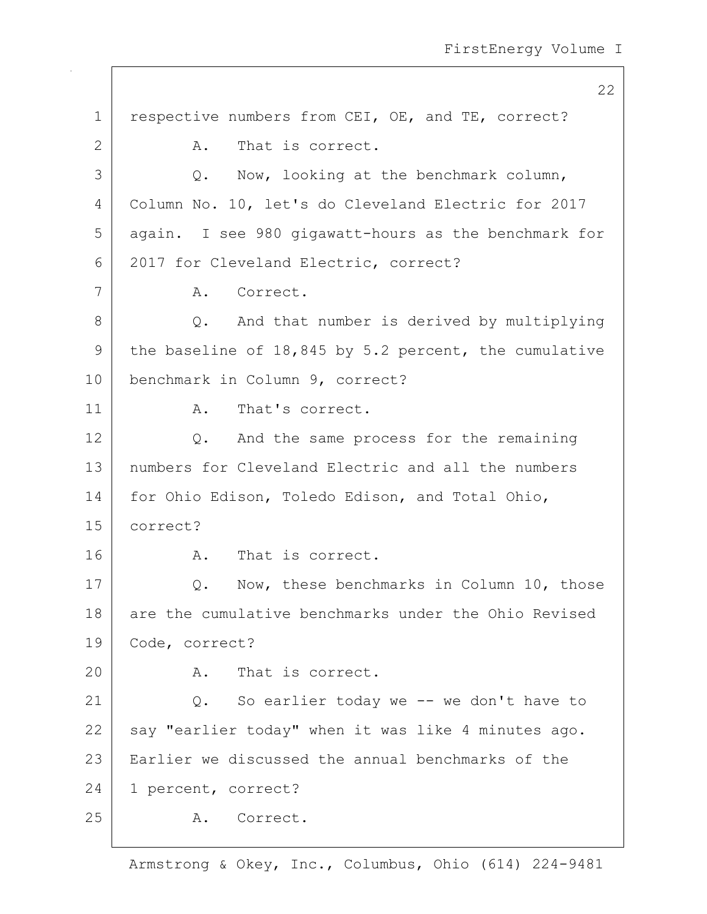22 1 | respective numbers from CEI, OE, and TE, correct? 2 A. That is correct.  $3$   $\qquad$   $\qquad$   $\qquad$   $\qquad$   $\qquad$   $\qquad$   $\qquad$   $\qquad$   $\qquad$   $\qquad$   $\qquad$   $\qquad$   $\qquad$   $\qquad$   $\qquad$   $\qquad$   $\qquad$   $\qquad$   $\qquad$   $\qquad$   $\qquad$   $\qquad$   $\qquad$   $\qquad$   $\qquad$   $\qquad$   $\qquad$   $\qquad$   $\qquad$   $\qquad$   $\qquad$   $\qquad$   $\qquad$   $\qquad$   $\qquad$   $\qquad$  4 Column No. 10, let's do Cleveland Electric for 2017 5 again. I see 980 gigawatt-hours as the benchmark for 6 2017 for Cleveland Electric, correct? 7 | A. Correct. 8 Q. And that number is derived by multiplying 9 the baseline of 18,845 by 5.2 percent, the cumulative 10 benchmark in Column 9, correct? 11 A. That's correct. 12 Q. And the same process for the remaining 13 numbers for Cleveland Electric and all the numbers 14 for Ohio Edison, Toledo Edison, and Total Ohio, 15 correct? 16 A. That is correct. 17 | Q. Now, these benchmarks in Column 10, those 18 are the cumulative benchmarks under the Ohio Revised 19 Code, correct? 20 A. That is correct. 21 | Q. So earlier today we -- we don't have to  $22$  say "earlier today" when it was like 4 minutes ago. 23 Earlier we discussed the annual benchmarks of the 24 1 percent, correct? 25 A. Correct.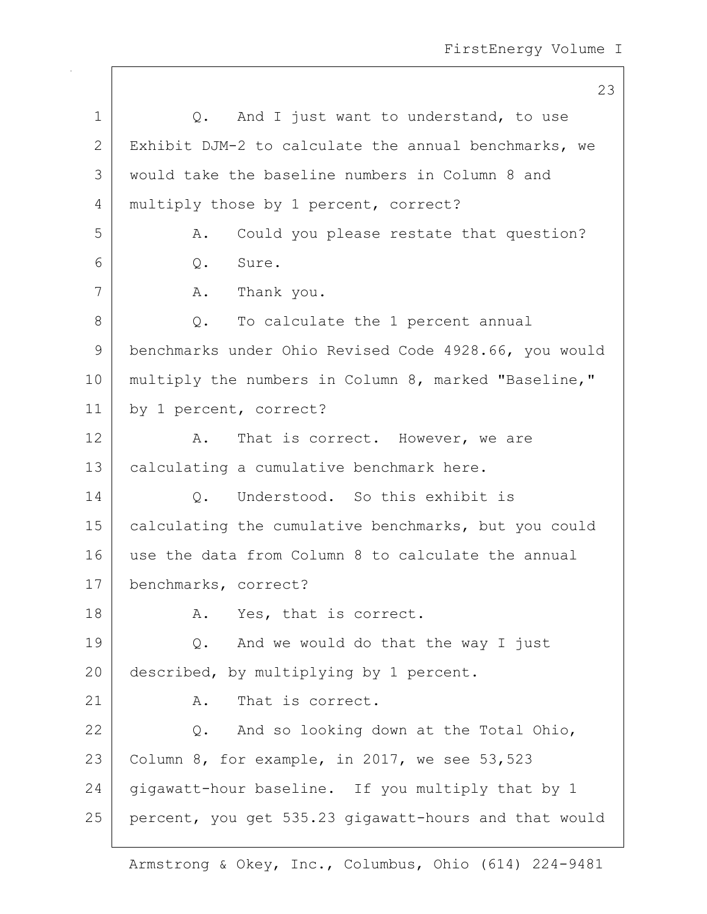23 1 |  $Q$ . And I just want to understand, to use 2 Exhibit DJM-2 to calculate the annual benchmarks, we 3 would take the baseline numbers in Column 8 and 4 | multiply those by 1 percent, correct? 5 A. Could you please restate that question? 6 Q. Sure. 7 | A. Thank you. 8 Q. To calculate the 1 percent annual 9 benchmarks under Ohio Revised Code 4928.66, you would 10 | multiply the numbers in Column 8, marked "Baseline," 11 by 1 percent, correct? 12 A. That is correct. However, we are 13 | calculating a cumulative benchmark here. 14 O. Understood. So this exhibit is 15 | calculating the cumulative benchmarks, but you could 16 use the data from Column 8 to calculate the annual 17 benchmarks, correct? 18 A. Yes, that is correct. 19 Q. And we would do that the way I just 20 described, by multiplying by 1 percent.  $21$   $\lambda$ . That is correct. 22  $\vert$  Q. And so looking down at the Total Ohio, 23 Column 8, for example, in 2017, we see  $53,523$  $24$  gigawatt-hour baseline. If you multiply that by 1 25 percent, you get 535.23 gigawatt-hours and that would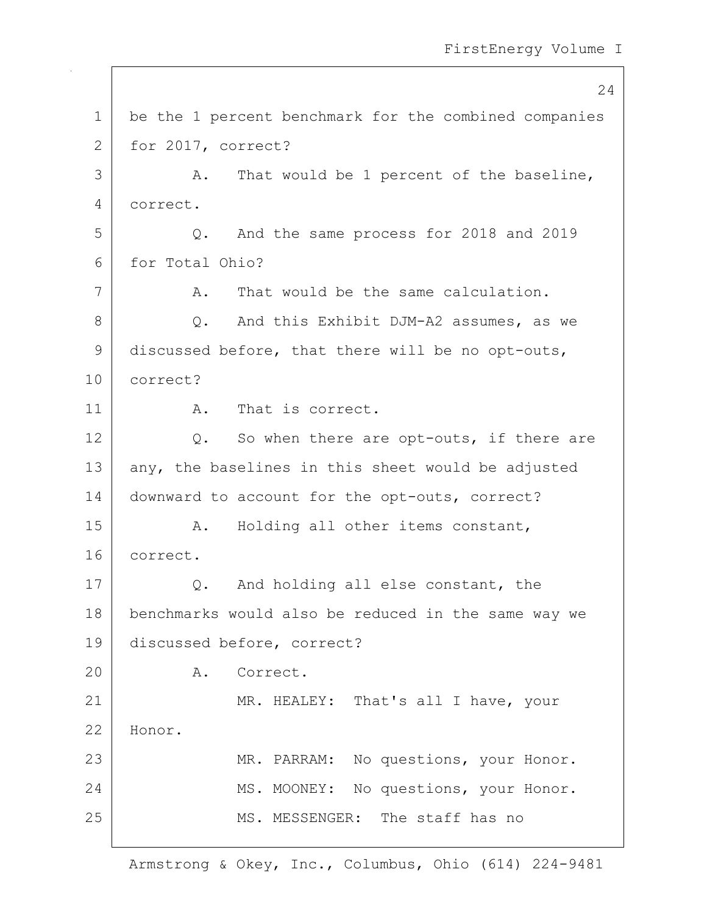24 1 be the 1 percent benchmark for the combined companies 2 for 2017, correct? 3 | A. That would be 1 percent of the baseline, 4 correct. 5 Q. And the same process for 2018 and 2019 6 for Total Ohio? 7 A. That would be the same calculation. 8 Q. And this Exhibit DJM-A2 assumes, as we 9 discussed before, that there will be no opt-outs, 10 correct? 11 A. That is correct. 12  $\vert$  Q. So when there are opt-outs, if there are  $13$  any, the baselines in this sheet would be adjusted 14 | downward to account for the opt-outs, correct? 15 | A. Holding all other items constant, 16 correct. 17 Q. And holding all else constant, the 18 benchmarks would also be reduced in the same way we 19 discussed before, correct? 20 A. Correct. 21 MR. HEALEY: That's all I have, your 22 Honor. 23 | MR. PARRAM: No questions, your Honor. 24 MS. MOONEY: No questions, your Honor. 25 | MS. MESSENGER: The staff has no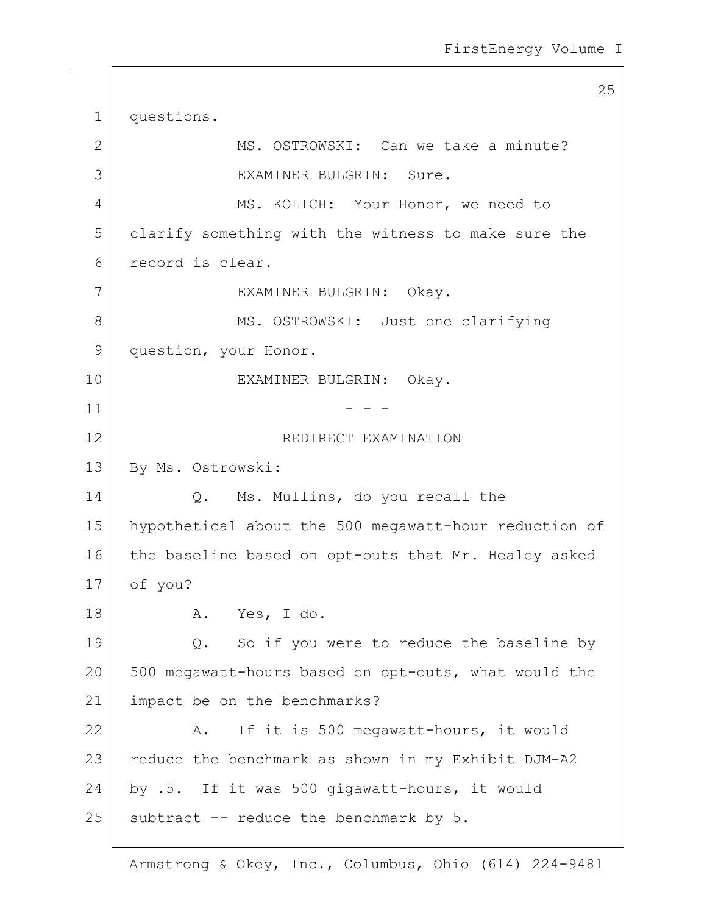25 1 questions. 2 MS. OSTROWSKI: Can we take a minute? 3 EXAMINER BULGRIN: Sure. 4 MS. KOLICH: Your Honor, we need to 5 clarify something with the witness to make sure the 6 record is clear. 7 EXAMINER BULGRIN: Okay. 8 | MS. OSTROWSKI: Just one clarifying 9 question, your Honor. 10 EXAMINER BULGRIN: Okay.  $11$  - - -12 REDIRECT EXAMINATION 13 By Ms. Ostrowski: 14 Q. Ms. Mullins, do you recall the 15 hypothetical about the 500 megawatt-hour reduction of 16 the baseline based on opt-outs that Mr. Healey asked 17 of you? 18 | A. Yes, I do. 19 | Q. So if you were to reduce the baseline by 20 | 500 megawatt-hours based on opt-outs, what would the 21 | impact be on the benchmarks? 22 A. If it is 500 megawatt-hours, it would 23 | reduce the benchmark as shown in my Exhibit DJM-A2 24 by .5. If it was 500 gigawatt-hours, it would  $25$  subtract  $-$ - reduce the benchmark by 5.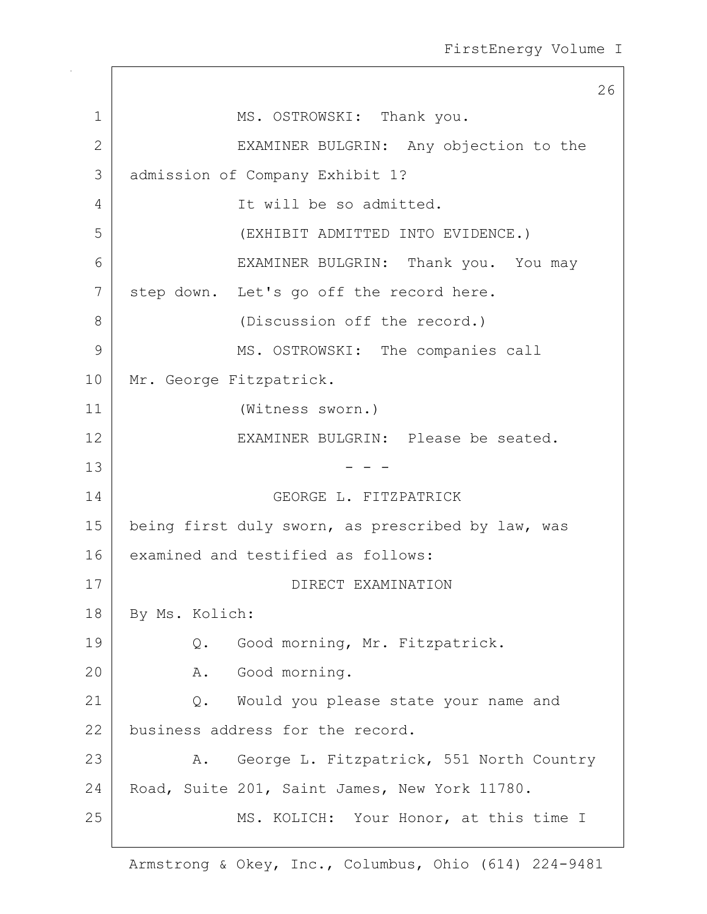26 1 MS. OSTROWSKI: Thank you. 2 | EXAMINER BULGRIN: Any objection to the 3 admission of Company Exhibit 1? 4 It will be so admitted. 5 (EXHIBIT ADMITTED INTO EVIDENCE.) 6 EXAMINER BULGRIN: Thank you. You may 7 | step down. Let's go off the record here. 8 (Discussion off the record.) 9 MS. OSTROWSKI: The companies call 10 | Mr. George Fitzpatrick. 11 (Witness sworn.) 12 EXAMINER BULGRIN: Please be seated.  $13$  - - -14 GEORGE L. FITZPATRICK 15 | being first duly sworn, as prescribed by law, was 16 examined and testified as follows: 17 DIRECT EXAMINATION 18 By Ms. Kolich: 19 | Q. Good morning, Mr. Fitzpatrick. 20 A. Good morning. 21 Q. Would you please state your name and 22 business address for the record. 23 | A. George L. Fitzpatrick, 551 North Country 24 Road, Suite 201, Saint James, New York 11780. 25 | MS. KOLICH: Your Honor, at this time I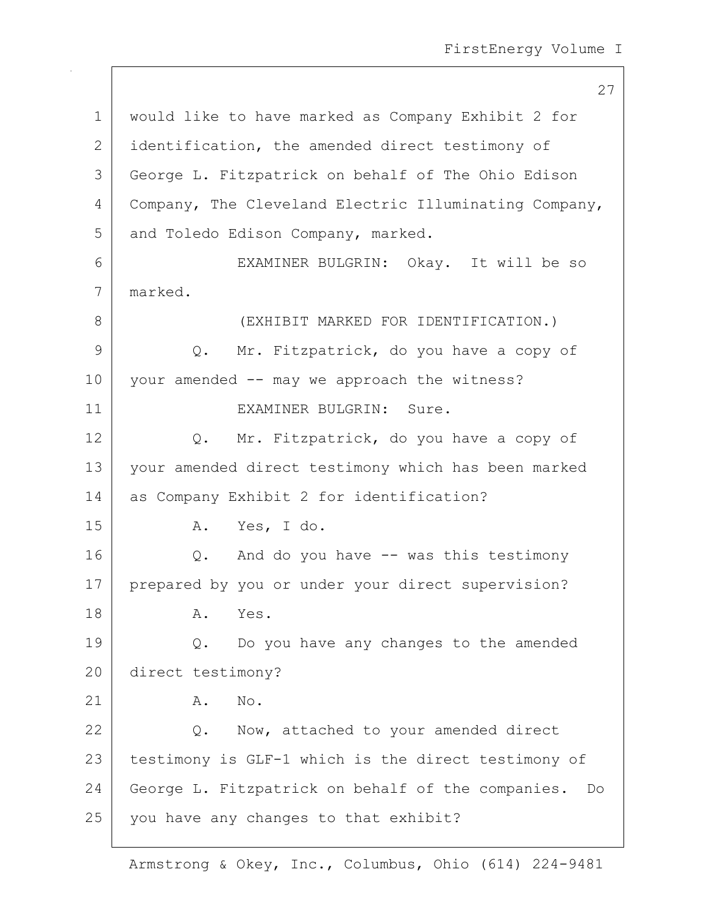1 would like to have marked as Company Exhibit 2 for 2 | identification, the amended direct testimony of 3 George L. Fitzpatrick on behalf of The Ohio Edison 4 | Company, The Cleveland Electric Illuminating Company, 5 and Toledo Edison Company, marked. 6 EXAMINER BULGRIN: Okay. It will be so 7 marked. 8 GEXHIBIT MARKED FOR IDENTIFICATION. 9 Q. Mr. Fitzpatrick, do you have a copy of 10 | your amended -- may we approach the witness? 11 EXAMINER BULGRIN: Sure. 12 | Q. Mr. Fitzpatrick, do you have a copy of 13 your amended direct testimony which has been marked 14 as Company Exhibit 2 for identification? 15 A. Yes, I do. 16 Q. And do you have -- was this testimony 17 | prepared by you or under your direct supervision? 18 A. Yes. 19 Q. Do you have any changes to the amended 20 direct testimony? 21 | A. No. 22 Q. Now, attached to your amended direct 23 | testimony is GLF-1 which is the direct testimony of 24 George L. Fitzpatrick on behalf of the companies. Do  $25$  you have any changes to that exhibit?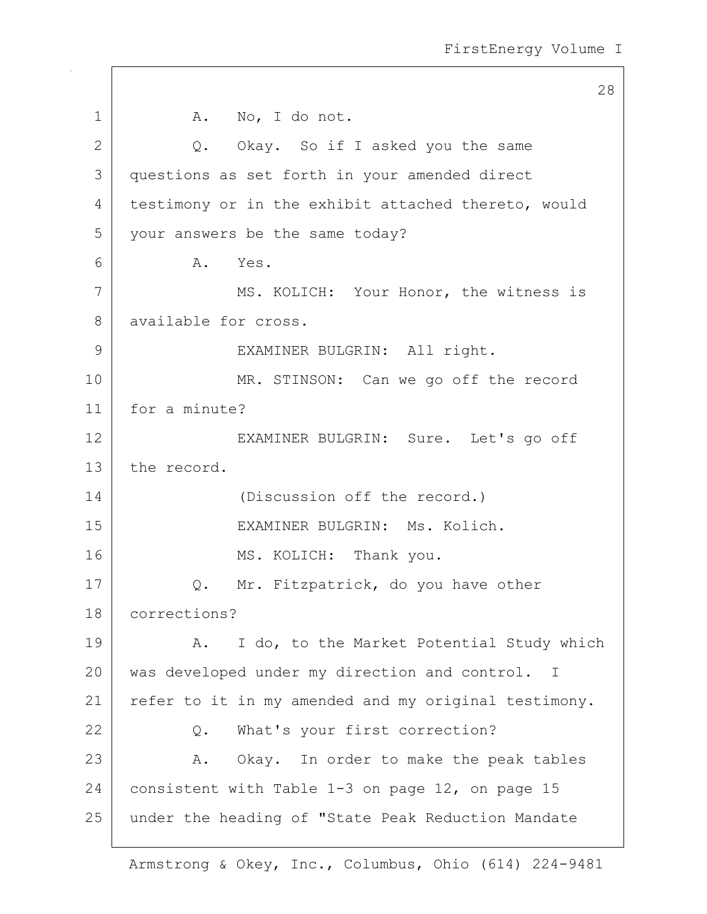|              | 28                                                   |
|--------------|------------------------------------------------------|
| 1            | A. No, I do not.                                     |
| $\mathbf{2}$ | Q. Okay. So if I asked you the same                  |
| 3            | questions as set forth in your amended direct        |
| 4            | testimony or in the exhibit attached thereto, would  |
| 5            | your answers be the same today?                      |
| 6            | A. Yes.                                              |
| 7            | MS. KOLICH: Your Honor, the witness is               |
| 8            | available for cross.                                 |
| 9            | EXAMINER BULGRIN: All right.                         |
| 10           | MR. STINSON: Can we go off the record                |
| 11           | for a minute?                                        |
| 12           | EXAMINER BULGRIN: Sure. Let's go off                 |
| 13           | the record.                                          |
| 14           | (Discussion off the record.)                         |
| 15           | EXAMINER BULGRIN: Ms. Kolich.                        |
| 16           | MS. KOLICH: Thank you.                               |
| 17           | Mr. Fitzpatrick, do you have other<br>Q.             |
| 18           | corrections?                                         |
| 19           | I do, to the Market Potential Study which<br>Α.      |
| 20           | was developed under my direction and control. I      |
| 21           | refer to it in my amended and my original testimony. |
| 22           | What's your first correction?<br>Q.                  |
| 23           | Okay. In order to make the peak tables<br>Α.         |
| 24           | consistent with Table 1-3 on page 12, on page 15     |
| 25           | under the heading of "State Peak Reduction Mandate   |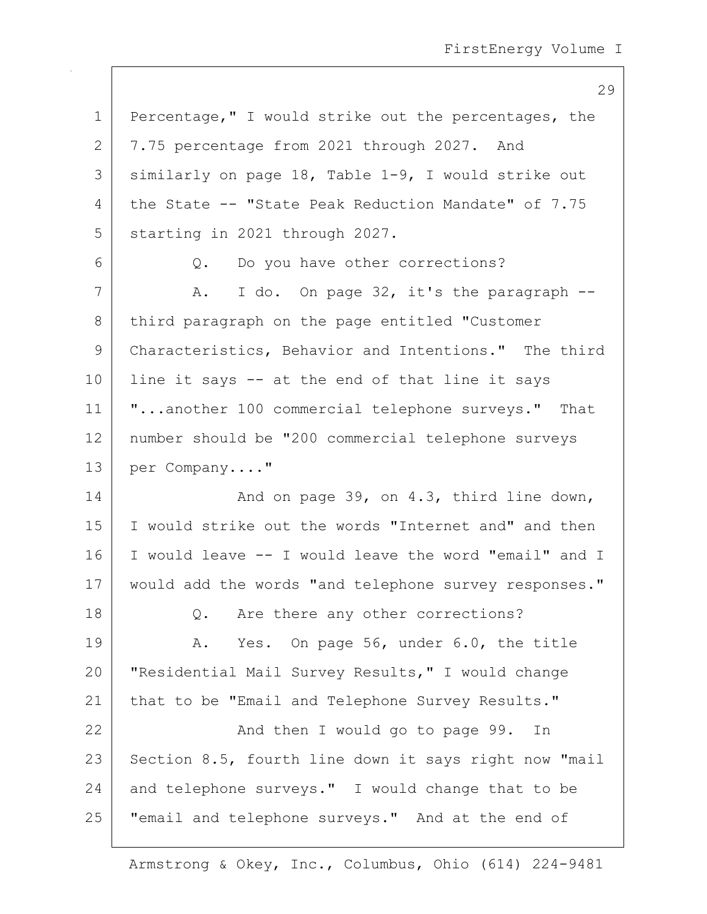| $\mathbf 1$ | Percentage," I would strike out the percentages, the  |
|-------------|-------------------------------------------------------|
| 2           | 7.75 percentage from 2021 through 2027. And           |
| 3           | similarly on page 18, Table 1-9, I would strike out   |
| 4           | the State -- "State Peak Reduction Mandate" of 7.75   |
| 5           | starting in 2021 through 2027.                        |
| 6           | Q. Do you have other corrections?                     |
| 7           | I do. On page 32, it's the paragraph --<br>A.         |
| 8           | third paragraph on the page entitled "Customer        |
| 9           | Characteristics, Behavior and Intentions." The third  |
| 10          | line it says -- at the end of that line it says       |
| 11          | "another 100 commercial telephone surveys." That      |
| 12          | number should be "200 commercial telephone surveys    |
| 13          | per Company"                                          |
| 14          | And on page 39, on 4.3, third line down,              |
| 15          | I would strike out the words "Internet and" and then  |
| 16          | I would leave -- I would leave the word "email" and I |
| 17          | would add the words "and telephone survey responses." |
| 18          | Q. Are there any other corrections?                   |
| 19          | Yes. On page 56, under 6.0, the title<br>Α.           |
| 20          | "Residential Mail Survey Results," I would change     |
| 21          | that to be "Email and Telephone Survey Results."      |
| 22          | And then I would go to page 99.<br>In                 |
| 23          | Section 8.5, fourth line down it says right now "mail |
| 24          | and telephone surveys." I would change that to be     |
| 25          | "email and telephone surveys." And at the end of      |
|             |                                                       |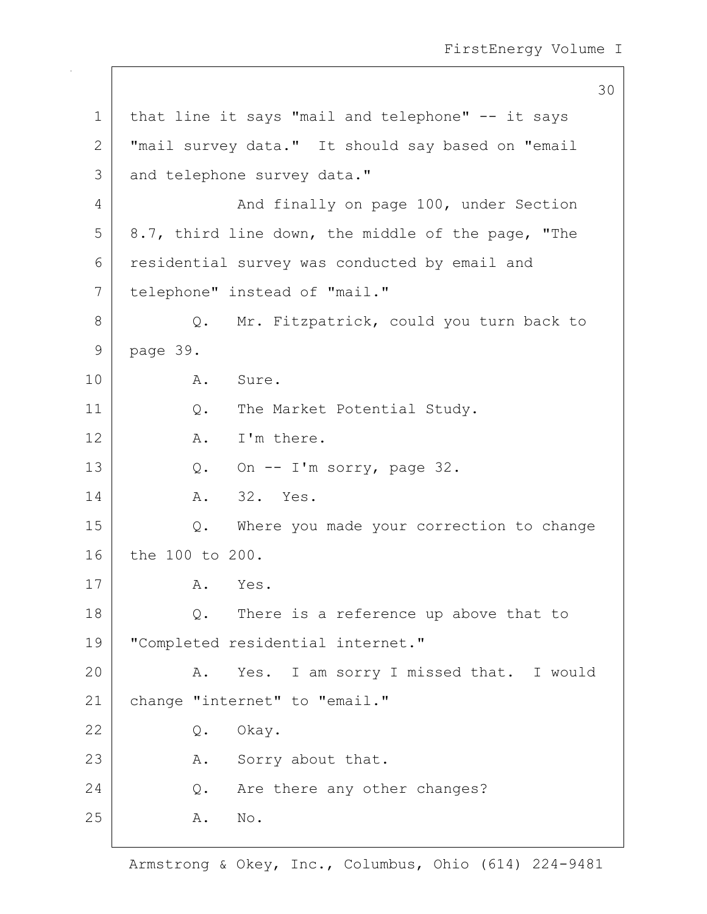30 1 | that line it says "mail and telephone" -- it says 2 | "mail survey data." It should say based on "email 3 and telephone survey data." 4 And finally on page 100, under Section  $5$  | 8.7, third line down, the middle of the page, "The 6 residential survey was conducted by email and 7 telephone" instead of "mail." 8 Q. Mr. Fitzpatrick, could you turn back to 9 page 39. 10 A. Sure. 11 | Q. The Market Potential Study. 12 A. I'm there. 13  $Q.$  On  $-$  I'm sorry, page 32. 14 A. 32. Yes. 15 Q. Where you made your correction to change 16 the 100 to 200. 17 A. Yes. 18 Q. There is a reference up above that to 19 "Completed residential internet." 20 A. Yes. I am sorry I missed that. I would 21 | change "internet" to "email." 22 Q. Okay. 23 A. Sorry about that. 24 Q. Are there any other changes? 25 A. No.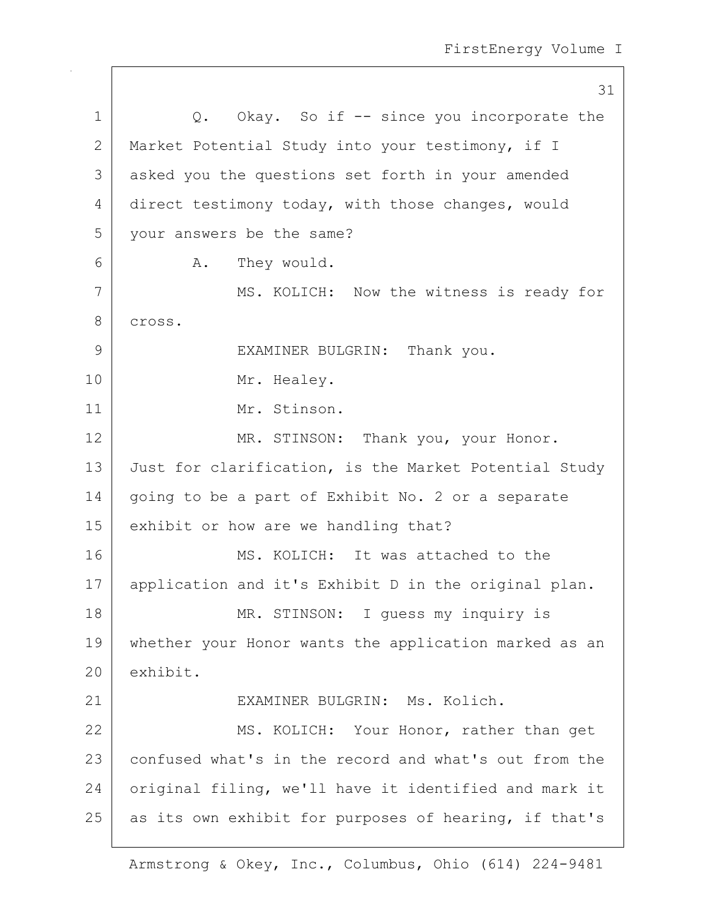31 1 | Q. Okay. So if -- since you incorporate the 2 | Market Potential Study into your testimony, if I 3 asked you the questions set forth in your amended 4 direct testimony today, with those changes, would 5 your answers be the same? 6 A. They would. 7 | MS. KOLICH: Now the witness is ready for 8 cross. 9 EXAMINER BULGRIN: Thank you. 10 Mr. Healey. 11 Mr. Stinson. 12 MR. STINSON: Thank you, your Honor. 13 Just for clarification, is the Market Potential Study 14 | going to be a part of Exhibit No. 2 or a separate 15 exhibit or how are we handling that? 16 MS. KOLICH: It was attached to the 17 | application and it's Exhibit D in the original plan. 18 MR. STINSON: I guess my inquiry is 19 whether your Honor wants the application marked as an 20 exhibit. 21 | EXAMINER BULGRIN: Ms. Kolich. 22 MS. KOLICH: Your Honor, rather than get 23 confused what's in the record and what's out from the 24 original filing, we'll have it identified and mark it 25 as its own exhibit for purposes of hearing, if that's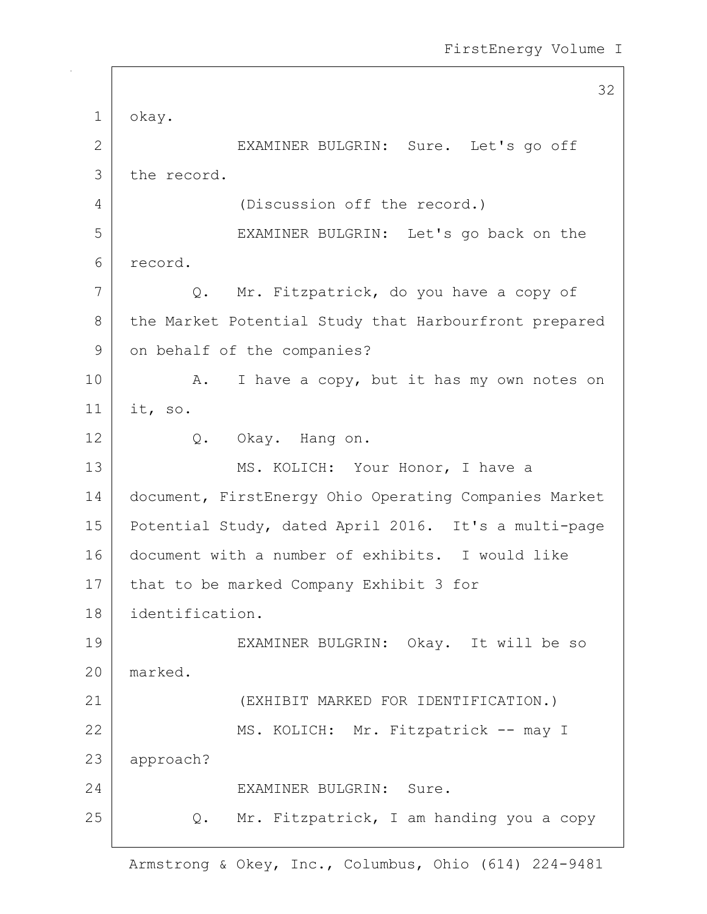|             | 32                                                    |
|-------------|-------------------------------------------------------|
| $\mathbf 1$ | okay.                                                 |
| 2           | EXAMINER BULGRIN: Sure. Let's go off                  |
| 3           | the record.                                           |
| 4           | (Discussion off the record.)                          |
| 5           | EXAMINER BULGRIN: Let's go back on the                |
| 6           | record.                                               |
| 7           | Q. Mr. Fitzpatrick, do you have a copy of             |
| 8           | the Market Potential Study that Harbourfront prepared |
| 9           | on behalf of the companies?                           |
| 10          | I have a copy, but it has my own notes on<br>Α.       |
| 11          | it, so.                                               |
| 12          | Q. Okay. Hang on.                                     |
| 13          | MS. KOLICH: Your Honor, I have a                      |
| 14          | document, FirstEnergy Ohio Operating Companies Market |
| 15          | Potential Study, dated April 2016. It's a multi-page  |
| 16          | document with a number of exhibits. I would like      |
| 17          | that to be marked Company Exhibit 3 for               |
| 18          | identification.                                       |
| 19          | EXAMINER BULGRIN: Okay. It will be so                 |
| 20          | marked.                                               |
| 21          | (EXHIBIT MARKED FOR IDENTIFICATION.)                  |
| 22          | MS. KOLICH: Mr. Fitzpatrick -- may I                  |
| 23          | approach?                                             |
| 24          | EXAMINER BULGRIN: Sure.                               |
| 25          | Mr. Fitzpatrick, I am handing you a copy<br>Q.        |
|             |                                                       |

 $\mathbf{I}$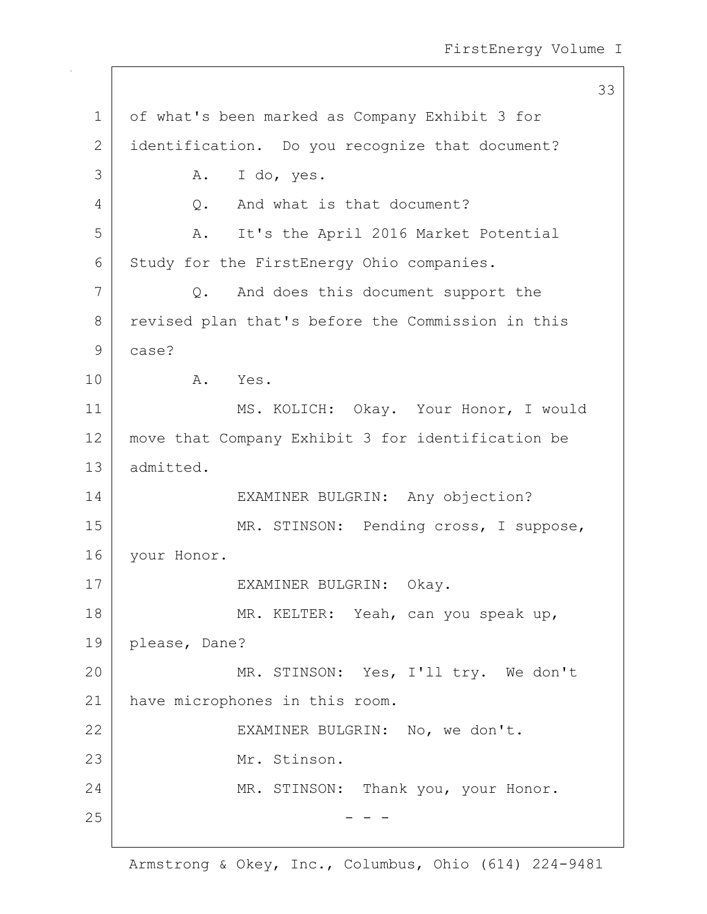33 1 of what's been marked as Company Exhibit 3 for 2 identification. Do you recognize that document? 3 A. I do, yes. 4 Q. And what is that document? 5 | A. It's the April 2016 Market Potential 6 Study for the FirstEnergy Ohio companies. 7 Q. And does this document support the 8 revised plan that's before the Commission in this 9 case? 10 A. Yes. 11 | MS. KOLICH: Okay. Your Honor, I would 12 move that Company Exhibit 3 for identification be 13 admitted. 14 EXAMINER BULGRIN: Any objection? 15 | MR. STINSON: Pending cross, I suppose, 16 | your Honor. 17 | EXAMINER BULGRIN: Okay. 18 | MR. KELTER: Yeah, can you speak up, 19 please, Dane? 20 MR. STINSON: Yes, I'll try. We don't 21 have microphones in this room. 22 EXAMINER BULGRIN: No, we don't. 23 Mr. Stinson. 24 MR. STINSON: Thank you, your Honor.  $25$  - - -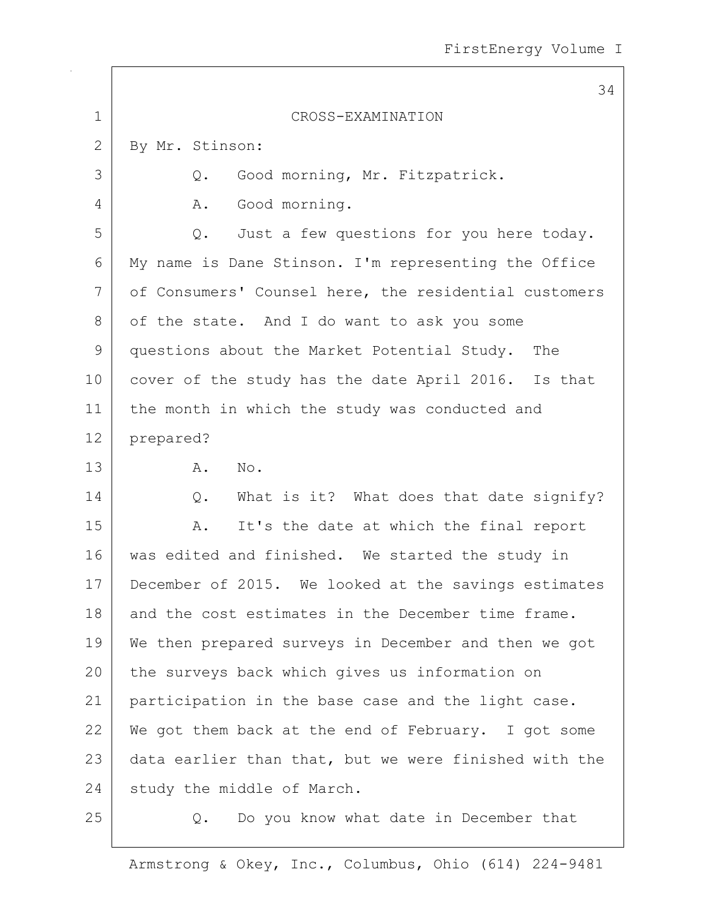|               | 34                                                    |
|---------------|-------------------------------------------------------|
| $\mathbf 1$   | CROSS-EXAMINATION                                     |
| $\mathbf{2}$  | By Mr. Stinson:                                       |
| 3             | Good morning, Mr. Fitzpatrick.<br>Q.                  |
| 4             | Good morning.<br>Α.                                   |
| 5             | Just a few questions for you here today.<br>Q.        |
| 6             | My name is Dane Stinson. I'm representing the Office  |
| 7             | of Consumers' Counsel here, the residential customers |
| 8             | of the state. And I do want to ask you some           |
| $\mathcal{G}$ | questions about the Market Potential Study. The       |
| 10            | cover of the study has the date April 2016. Is that   |
| 11            | the month in which the study was conducted and        |
| 12            | prepared?                                             |
| 13            | Α.<br>No.                                             |
| 14            | What is it? What does that date signify?<br>Q.        |
| 15            | It's the date at which the final report<br>Α.         |
| 16            | was edited and finished. We started the study in      |
| 17            | December of 2015. We looked at the savings estimates  |
| 18            | and the cost estimates in the December time frame.    |
| 19            | We then prepared surveys in December and then we got  |
| 20            | the surveys back which gives us information on        |
| 21            | participation in the base case and the light case.    |
| 22            | We got them back at the end of February. I got some   |
| 23            | data earlier than that, but we were finished with the |
| 24            | study the middle of March.                            |
| 25            | Do you know what date in December that<br>Q.          |

 $\overline{\phantom{a}}$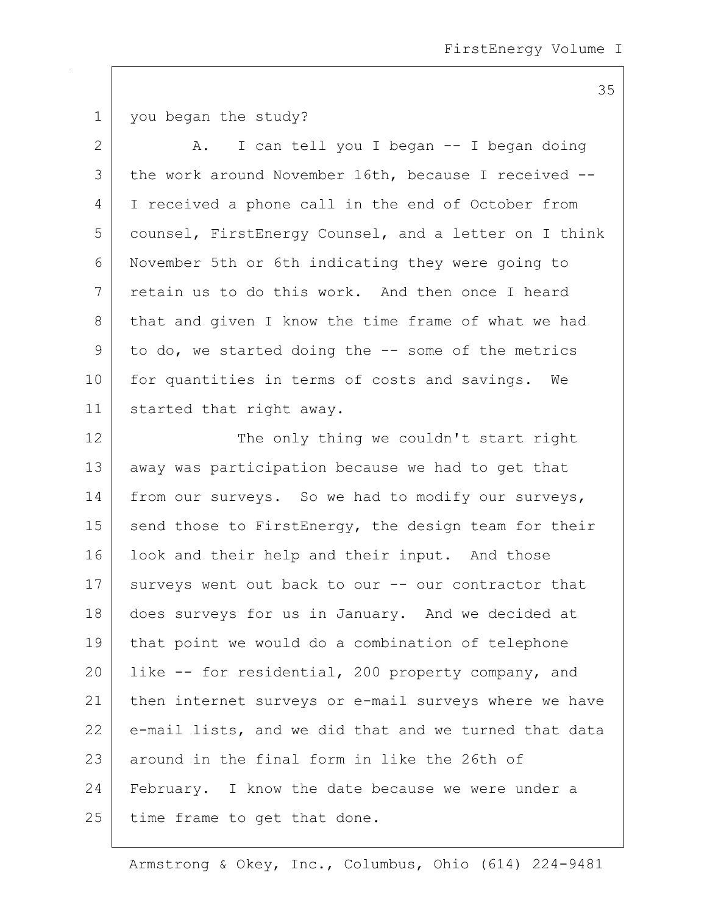1 you began the study?

| 2             | I can tell you I began -- I began doing<br>Α.         |
|---------------|-------------------------------------------------------|
| 3             | the work around November 16th, because I received --  |
| 4             | I received a phone call in the end of October from    |
| 5             | counsel, FirstEnergy Counsel, and a letter on I think |
| 6             | November 5th or 6th indicating they were going to     |
| 7             | retain us to do this work. And then once I heard      |
| $8\,$         | that and given I know the time frame of what we had   |
| $\mathcal{G}$ | to do, we started doing the -- some of the metrics    |
| 10            | for quantities in terms of costs and savings. We      |
| 11            | started that right away.                              |
| 12            | The only thing we couldn't start right                |
| 13            | away was participation because we had to get that     |
| 14            | from our surveys. So we had to modify our surveys,    |
| 15            | send those to FirstEnergy, the design team for their  |
| 16            | look and their help and their input. And those        |
| 17            | surveys went out back to our -- our contractor that   |
| 18            | does surveys for us in January. And we decided at     |
| 19            | that point we would do a combination of telephone     |
| 20            | like -- for residential, 200 property company, and    |
| 21            | then internet surveys or e-mail surveys where we have |
| 22            | e-mail lists, and we did that and we turned that data |
| 23            | around in the final form in like the 26th of          |
| 24            | February. I know the date because we were under a     |
| 25            | time frame to get that done.                          |

Armstrong & Okey, Inc., Columbus, Ohio (614) 224-9481

35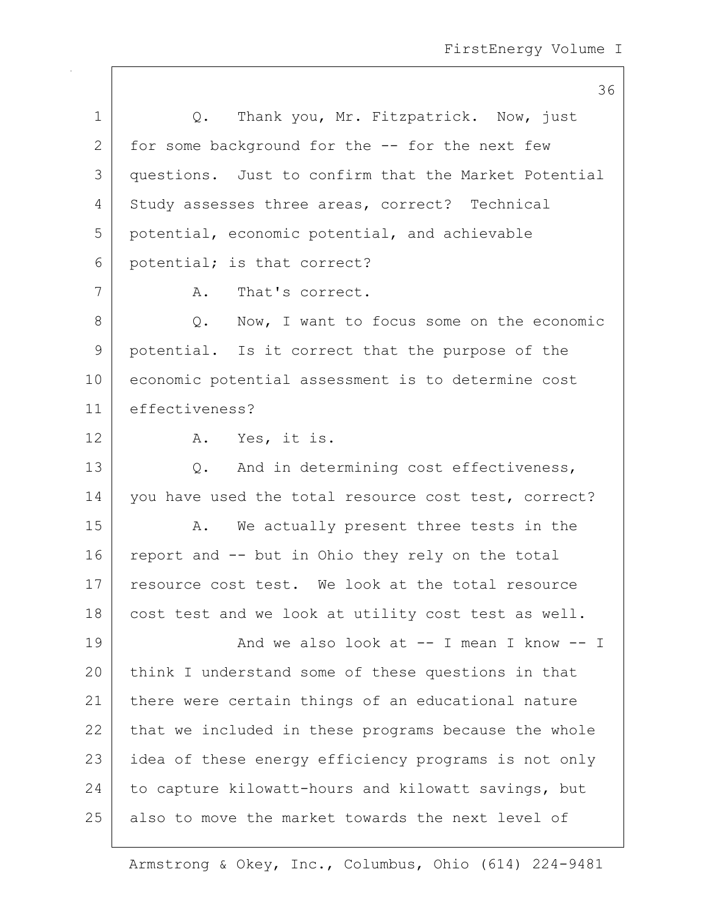|             | 36                                                   |
|-------------|------------------------------------------------------|
| $\mathbf 1$ | Thank you, Mr. Fitzpatrick. Now, just<br>Q.          |
| 2           | for some background for the -- for the next few      |
| 3           | questions. Just to confirm that the Market Potential |
| 4           | Study assesses three areas, correct? Technical       |
| 5           | potential, economic potential, and achievable        |
| 6           | potential; is that correct?                          |
| 7           | A.<br>That's correct.                                |
| 8           | Now, I want to focus some on the economic<br>$Q$ .   |
| 9           | potential. Is it correct that the purpose of the     |
| 10          | economic potential assessment is to determine cost   |
| 11          | effectiveness?                                       |
| 12          | A. Yes, it is.                                       |
| 13          | Q. And in determining cost effectiveness,            |
| 14          | you have used the total resource cost test, correct? |
| 15          | We actually present three tests in the<br>Α.         |
| 16          | report and -- but in Ohio they rely on the total     |
| 17          | resource cost test. We look at the total resource    |
| 18          | cost test and we look at utility cost test as well.  |
| 19          | And we also look at $--$ I mean I know $--$ I        |
| 20          | think I understand some of these questions in that   |
| 21          | there were certain things of an educational nature   |
| 22          | that we included in these programs because the whole |
| 23          | idea of these energy efficiency programs is not only |
| 24          | to capture kilowatt-hours and kilowatt savings, but  |
| 25          | also to move the market towards the next level of    |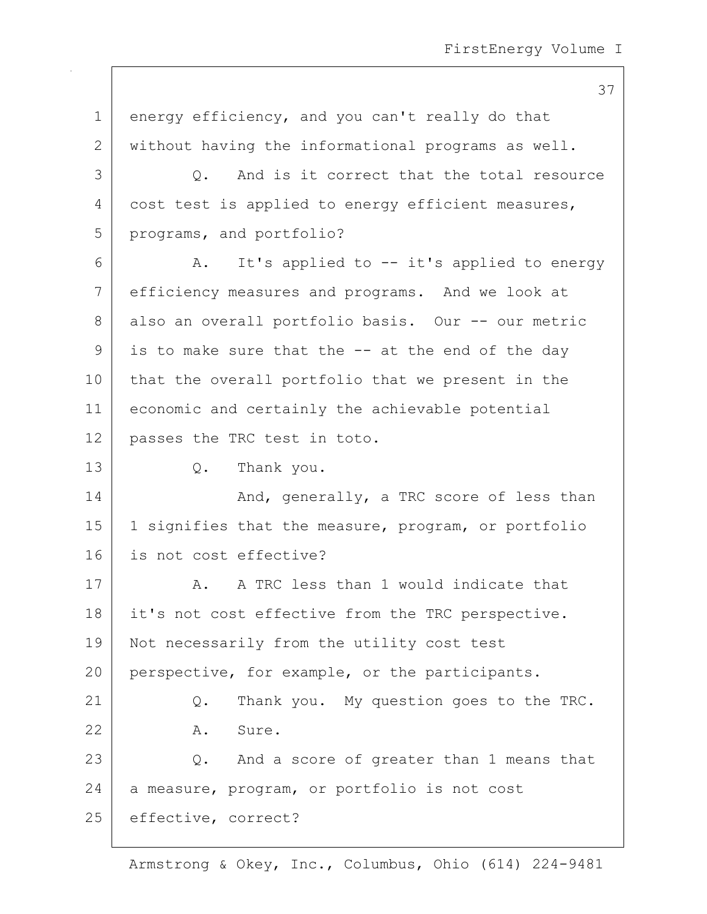37

1 energy efficiency, and you can't really do that 2 without having the informational programs as well. 3 0. And is it correct that the total resource 4 cost test is applied to energy efficient measures, 5 programs, and portfolio? 6 A. It's applied to -- it's applied to energy 7 efficiency measures and programs. And we look at 8 also an overall portfolio basis. Our -- our metric  $9$  is to make sure that the  $-$  at the end of the day 10 that the overall portfolio that we present in the 11 economic and certainly the achievable potential 12 passes the TRC test in toto. 13 Q. Thank you. 14 And, generally, a TRC score of less than 15 | 1 signifies that the measure, program, or portfolio 16 is not cost effective? 17 A. A TRC less than 1 would indicate that 18 | it's not cost effective from the TRC perspective. 19 Not necessarily from the utility cost test 20 perspective, for example, or the participants. 21 | Q. Thank you. My question goes to the TRC. 22 A. Sure. 23 Q. And a score of greater than 1 means that  $24$  a measure, program, or portfolio is not cost 25 effective, correct?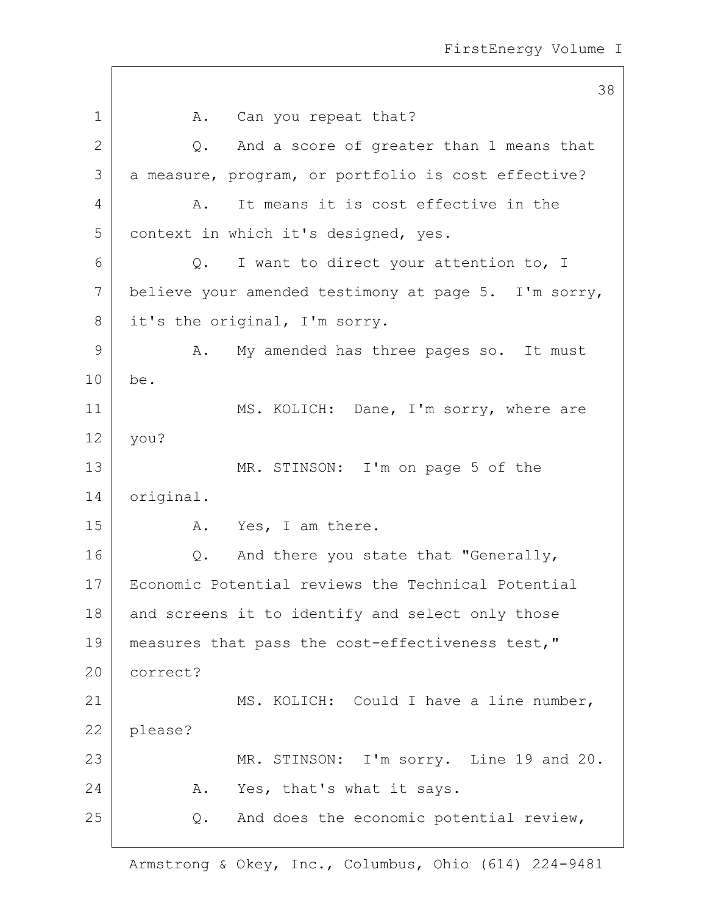|              | 38                                                   |
|--------------|------------------------------------------------------|
| $\mathbf 1$  | A. Can you repeat that?                              |
| $\mathbf{2}$ | And a score of greater than 1 means that<br>$Q$ .    |
| 3            | a measure, program, or portfolio is cost effective?  |
| 4            | It means it is cost effective in the<br>Α.           |
| 5            | context in which it's designed, yes.                 |
| 6            | I want to direct your attention to, I<br>Q.          |
| 7            | believe your amended testimony at page 5. I'm sorry, |
| 8            | it's the original, I'm sorry.                        |
| $\mathsf 9$  | My amended has three pages so. It must<br>Α.         |
| 10           | be.                                                  |
| 11           | MS. KOLICH: Dane, I'm sorry, where are               |
| 12           | you?                                                 |
| 13           | MR. STINSON: I'm on page 5 of the                    |
| 14           | original.                                            |
| 15           | A. Yes, I am there.                                  |
| 16           | And there you state that "Generally,<br>Q.           |
| 17           | Economic Potential reviews the Technical Potential   |
| 18           | and screens it to identify and select only those     |
| 19           | measures that pass the cost-effectiveness test,"     |
| 20           | correct?                                             |
| 21           | MS. KOLICH: Could I have a line number,              |
| 22           | please?                                              |
| 23           | MR. STINSON: I'm sorry. Line 19 and 20.              |
| 24           | Yes, that's what it says.<br>Α.                      |
| 25           | And does the economic potential review,<br>Q.        |
|              |                                                      |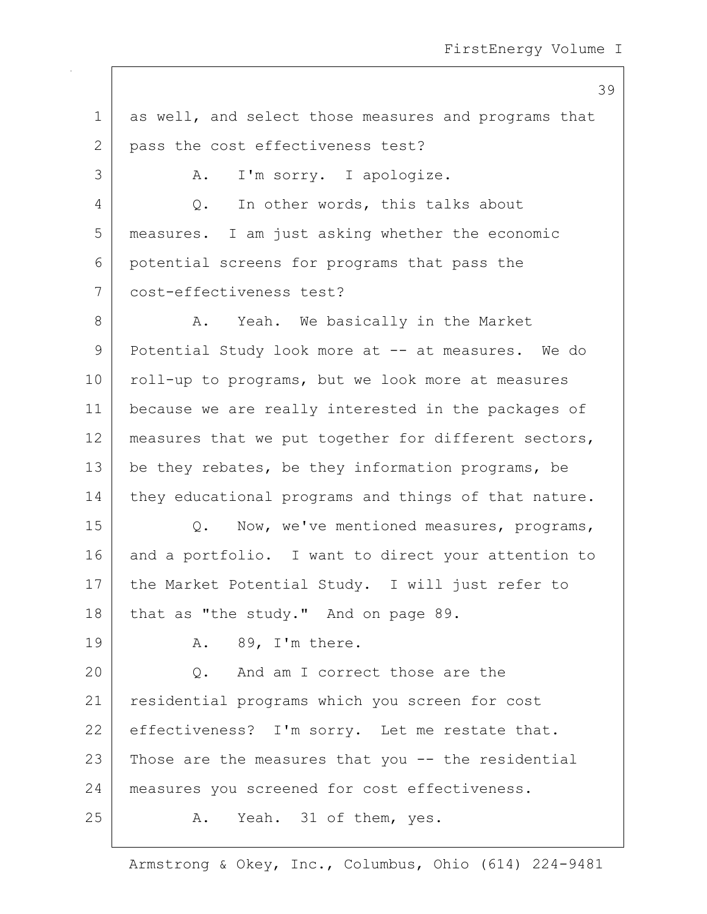39

1 as well, and select those measures and programs that 2 pass the cost effectiveness test? 3 A. I'm sorry. I apologize. 4 Q. In other words, this talks about 5 measures. I am just asking whether the economic 6 potential screens for programs that pass the 7 cost-effectiveness test? 8 A. Yeah. We basically in the Market 9 Potential Study look more at -- at measures. We do 10 | roll-up to programs, but we look more at measures 11 because we are really interested in the packages of 12 measures that we put together for different sectors, 13 be they rebates, be they information programs, be 14 they educational programs and things of that nature. 15 Q. Now, we've mentioned measures, programs, 16 and a portfolio. I want to direct your attention to 17 | the Market Potential Study. I will just refer to  $18$  that as "the study." And on page 89. 19 A. 89, I'm there. 20 Q. And am I correct those are the 21 residential programs which you screen for cost 22 effectiveness? I'm sorry. Let me restate that.  $23$  Those are the measures that you  $-$  the residential 24 measures you screened for cost effectiveness. 25 A. Yeah. 31 of them, yes.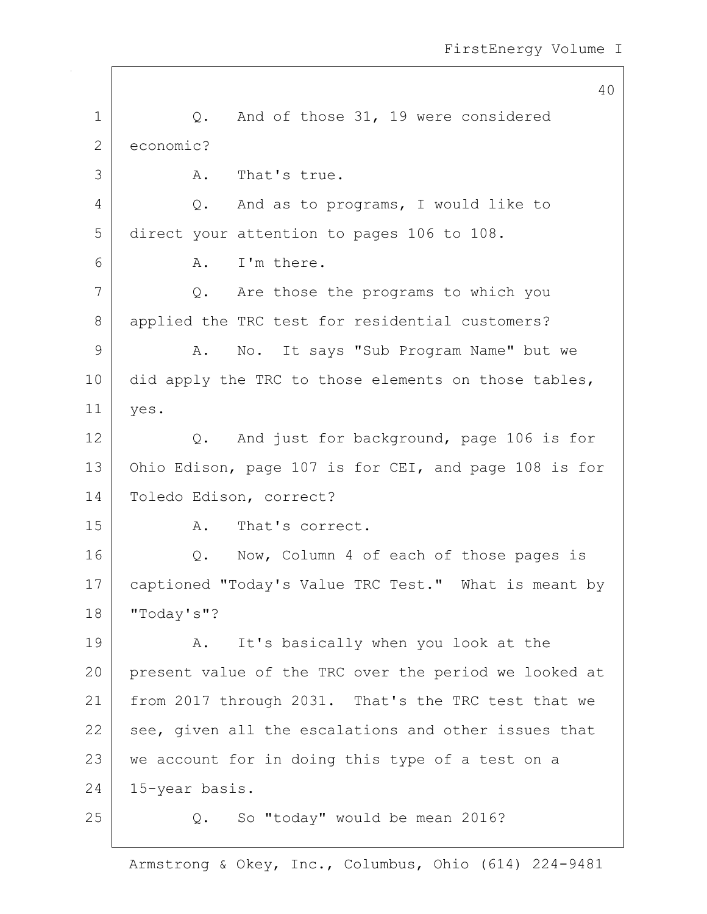40 1 |  $Q$ . And of those 31, 19 were considered 2 economic? 3 A. That's true. 4 Q. And as to programs, I would like to 5 direct your attention to pages 106 to 108. 6 A. I'm there. 7 Q. Are those the programs to which you 8 applied the TRC test for residential customers? 9 A. No. It says "Sub Program Name" but we 10 did apply the TRC to those elements on those tables, 11 yes. 12 Q. And just for background, page 106 is for 13 Ohio Edison, page 107 is for CEI, and page 108 is for 14 Toledo Edison, correct? 15 A. That's correct. 16 | Q. Now, Column 4 of each of those pages is 17 | captioned "Today's Value TRC Test." What is meant by 18 "Today's"? 19 | A. It's basically when you look at the 20 present value of the TRC over the period we looked at 21 from 2017 through 2031. That's the TRC test that we  $22$  see, given all the escalations and other issues that 23 | we account for in doing this type of a test on a 24 15-year basis. 25 Q. So "today" would be mean 2016?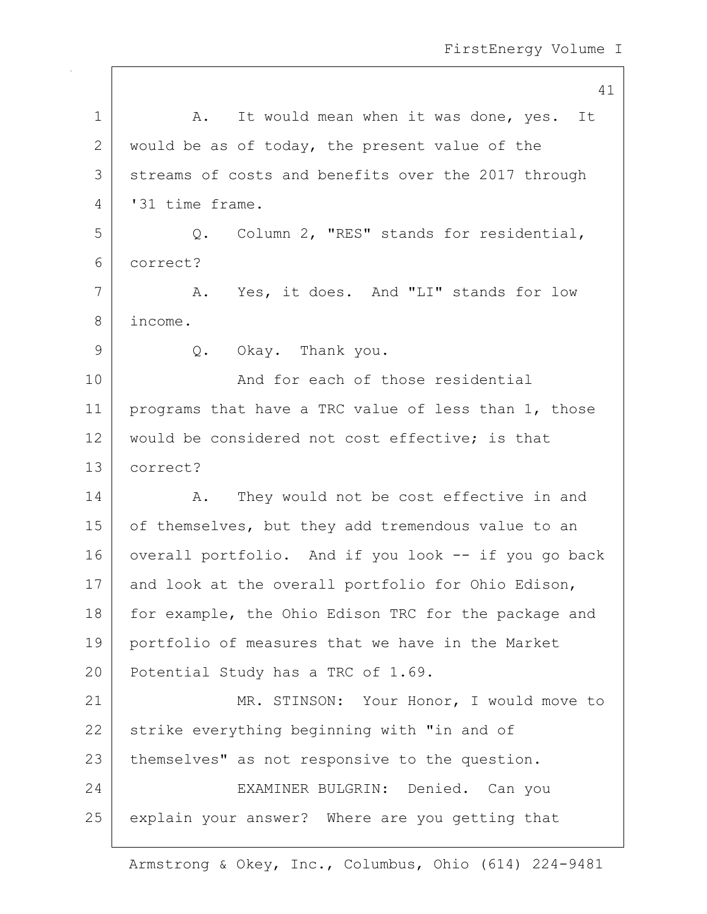|    | 41                                                   |
|----|------------------------------------------------------|
| 1  | A. It would mean when it was done, yes. It           |
| 2  | would be as of today, the present value of the       |
| 3  | streams of costs and benefits over the 2017 through  |
| 4  | '31 time frame.                                      |
| 5  | Q. Column 2, "RES" stands for residential,           |
| 6  | correct?                                             |
| 7  | A. Yes, it does. And "LI" stands for low             |
| 8  | income.                                              |
| 9  | Q. Okay. Thank you.                                  |
| 10 | And for each of those residential                    |
| 11 | programs that have a TRC value of less than 1, those |
| 12 | would be considered not cost effective; is that      |
| 13 | correct?                                             |
| 14 | They would not be cost effective in and<br>Α.        |
| 15 | of themselves, but they add tremendous value to an   |
| 16 | overall portfolio. And if you look -- if you go back |
| 17 | and look at the overall portfolio for Ohio Edison,   |
| 18 | for example, the Ohio Edison TRC for the package and |
| 19 | portfolio of measures that we have in the Market     |
| 20 | Potential Study has a TRC of 1.69.                   |
| 21 | MR. STINSON: Your Honor, I would move to             |
| 22 | strike everything beginning with "in and of          |
| 23 | themselves" as not responsive to the question.       |
| 24 | EXAMINER BULGRIN: Denied. Can you                    |
| 25 | explain your answer? Where are you getting that      |
|    |                                                      |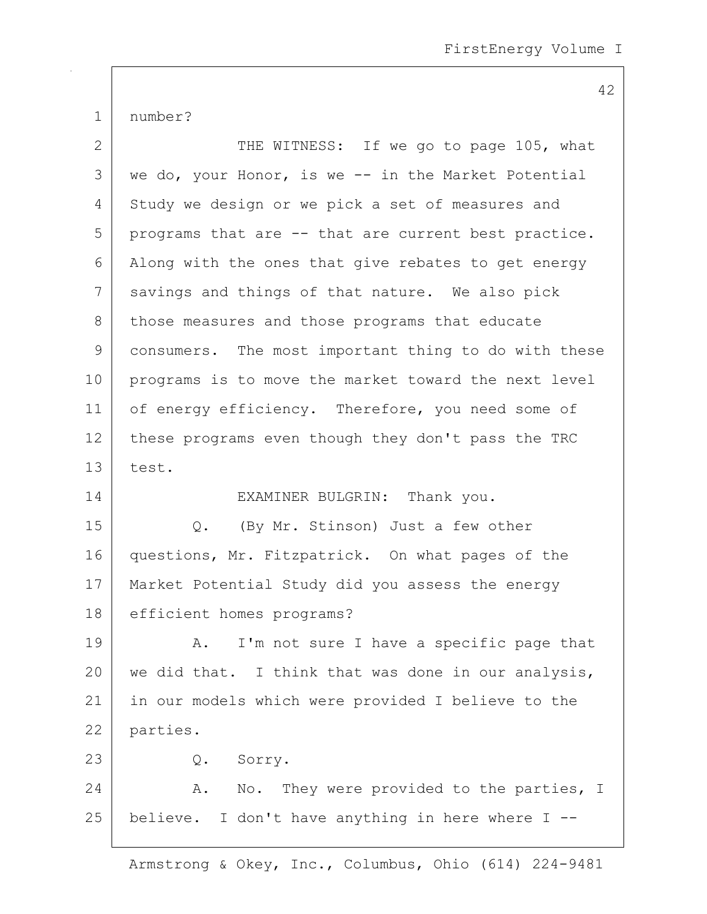42

1 | number?

| $\overline{2}$ | THE WITNESS: If we go to page 105, what              |
|----------------|------------------------------------------------------|
| 3              | we do, your Honor, is we -- in the Market Potential  |
| 4              | Study we design or we pick a set of measures and     |
| 5              | programs that are -- that are current best practice. |
| 6              | Along with the ones that give rebates to get energy  |
| 7              | savings and things of that nature. We also pick      |
| 8              | those measures and those programs that educate       |
| 9              | consumers. The most important thing to do with these |
| 10             | programs is to move the market toward the next level |
| 11             | of energy efficiency. Therefore, you need some of    |
| 12             | these programs even though they don't pass the TRC   |
| 13             | test.                                                |
| 14             | EXAMINER BULGRIN: Thank you.                         |
| 15             | (By Mr. Stinson) Just a few other<br>Q.              |
| 16             | questions, Mr. Fitzpatrick. On what pages of the     |
| 17             | Market Potential Study did you assess the energy     |
| 18             | efficient homes programs?                            |
| 19             | I'm not sure I have a specific page that<br>Α.       |
| 20             | we did that. I think that was done in our analysis,  |
| 21             | in our models which were provided I believe to the   |
| 22             | parties.                                             |
| 23             | Q. Sorry.                                            |
| 24             | No. They were provided to the parties, I<br>Α.       |
| 25             | believe. I don't have anything in here where I --    |
|                |                                                      |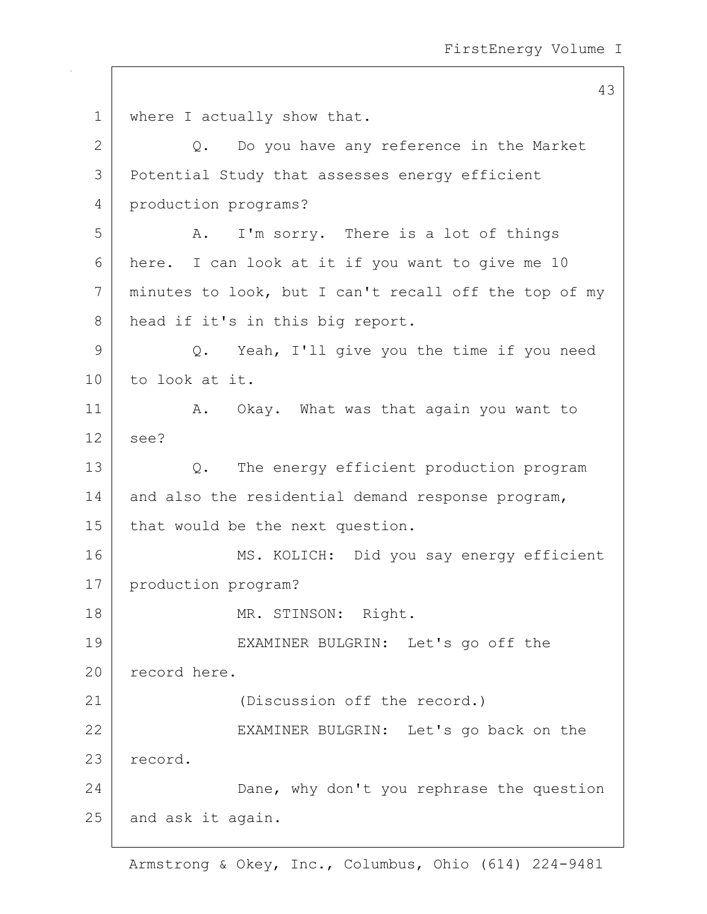1 where I actually show that.  $2$  Q. Do you have any reference in the Market 3 Potential Study that assesses energy efficient 4 production programs? 5 A. I'm sorry. There is a lot of things 6 here. I can look at it if you want to give me 10 7 minutes to look, but I can't recall off the top of my 8 head if it's in this big report. 9 Q. Yeah, I'll give you the time if you need 10 to look at it. 11 | A. Okay. What was that again you want to  $12$  see? 13 Q. The energy efficient production program 14 and also the residential demand response program, 15 | that would be the next question. 16 MS. KOLICH: Did you say energy efficient 17 | production program? 18 MR. STINSON: Right. 19 EXAMINER BULGRIN: Let's go off the 20 record here. 21 (Discussion off the record.) 22 EXAMINER BULGRIN: Let's go back on the 23 record. 24 Dane, why don't you rephrase the question 25 and ask it again.

Armstrong & Okey, Inc., Columbus, Ohio (614) 224-9481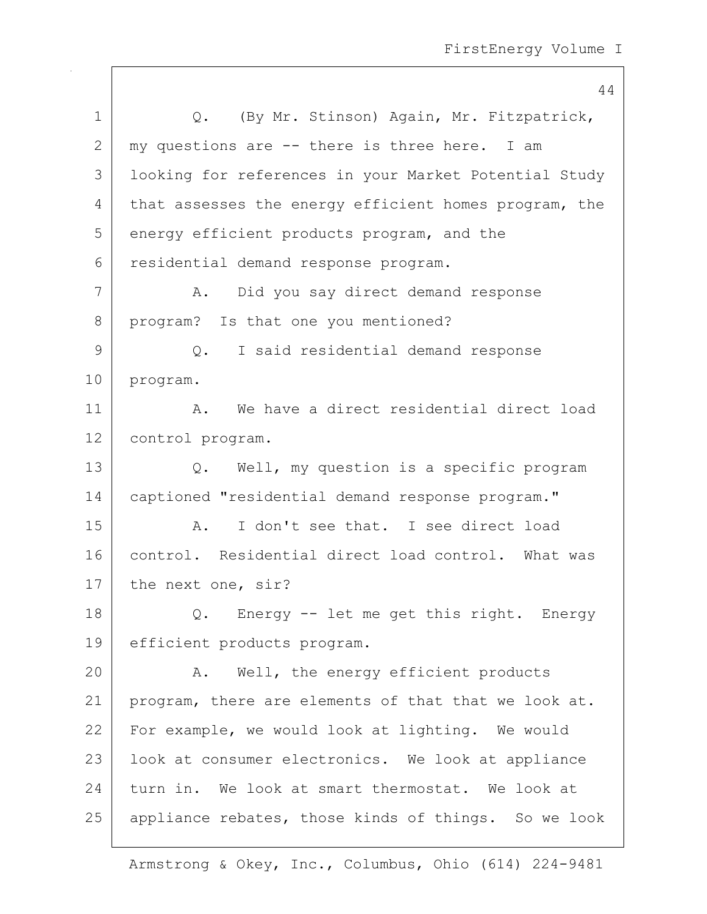|              | 44                                                    |
|--------------|-------------------------------------------------------|
| $\mathbf 1$  | Q. (By Mr. Stinson) Again, Mr. Fitzpatrick,           |
| $\mathbf{2}$ | my questions are -- there is three here. I am         |
| 3            | looking for references in your Market Potential Study |
| 4            | that assesses the energy efficient homes program, the |
| 5            | energy efficient products program, and the            |
| 6            | residential demand response program.                  |
| 7            | Did you say direct demand response<br>A.              |
| 8            | program? Is that one you mentioned?                   |
| 9            | I said residential demand response<br>$\circ$ .       |
| 10           | program.                                              |
| 11           | We have a direct residential direct load<br>Α.        |
| 12           | control program.                                      |
| 13           | Q. Well, my question is a specific program            |
| 14           | captioned "residential demand response program."      |
| 15           | I don't see that. I see direct load<br>Α.             |
| 16           | control. Residential direct load control. What was    |
| 17           | the next one, sir?                                    |
| 18           | Q. Energy -- let me get this right. Energy            |
| 19           | efficient products program.                           |
| 20           | Well, the energy efficient products<br>Α.             |
| 21           | program, there are elements of that that we look at.  |
| 22           | For example, we would look at lighting. We would      |
| 23           | look at consumer electronics. We look at appliance    |
| 24           | turn in. We look at smart thermostat. We look at      |
| 25           | appliance rebates, those kinds of things. So we look  |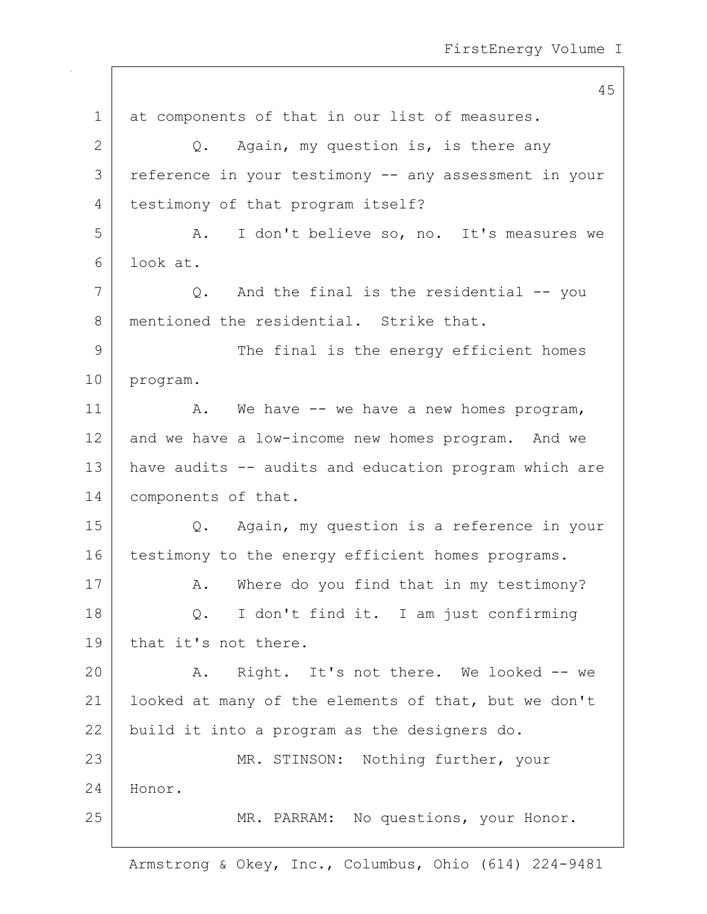45 1 at components of that in our list of measures.  $2$  Q. Again, my question is, is there any 3 reference in your testimony -- any assessment in your 4 testimony of that program itself? 5 A. I don't believe so, no. It's measures we 6 look at. 7 |  $Q.$  And the final is the residential -- you 8 mentioned the residential. Strike that. 9 The final is the energy efficient homes 10 program. 11 | A. We have -- we have a new homes program, 12 and we have a low-income new homes program. And we 13 have audits -- audits and education program which are 14 | components of that. 15 Q. Again, my question is a reference in your 16 testimony to the energy efficient homes programs. 17 | A. Where do you find that in my testimony? 18 Q. I don't find it. I am just confirming 19 that it's not there. 20 A. Right. It's not there. We looked -- we 21 | looked at many of the elements of that, but we don't 22 build it into a program as the designers do. 23 | MR. STINSON: Nothing further, your 24 Honor. 25 | MR. PARRAM: No questions, your Honor.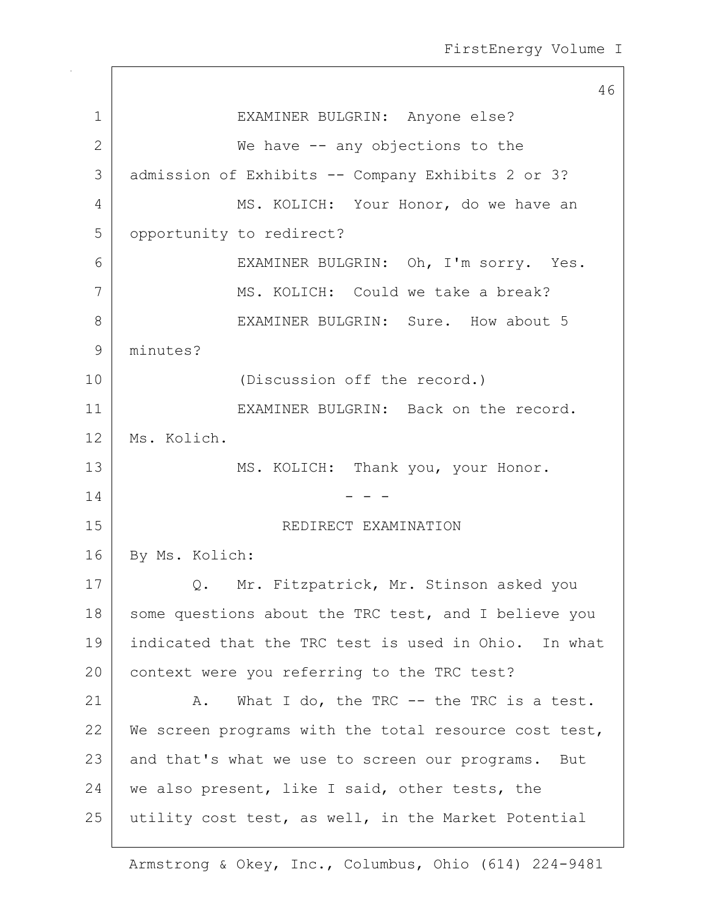46 1 EXAMINER BULGRIN: Anyone else? 2 We have -- any objections to the 3 admission of Exhibits -- Company Exhibits 2 or 3? 4 MS. KOLICH: Your Honor, do we have an 5 | opportunity to redirect? 6 EXAMINER BULGRIN: Oh, I'm sorry. Yes. 7 MS. KOLICH: Could we take a break? 8 EXAMINER BULGRIN: Sure. How about 5 9 minutes? 10 (Discussion off the record.) 11 EXAMINER BULGRIN: Back on the record. 12 Ms. Kolich. 13 | MS. KOLICH: Thank you, your Honor.  $14$  - - -15 | REDIRECT EXAMINATION 16 By Ms. Kolich: 17 | Q. Mr. Fitzpatrick, Mr. Stinson asked you 18 some questions about the TRC test, and I believe you 19 indicated that the TRC test is used in Ohio. In what 20 context were you referring to the TRC test? 21 A. What I do, the TRC -- the TRC is a test. 22 We screen programs with the total resource cost test, 23 and that's what we use to screen our programs. But 24 | we also present, like I said, other tests, the 25 utility cost test, as well, in the Market Potential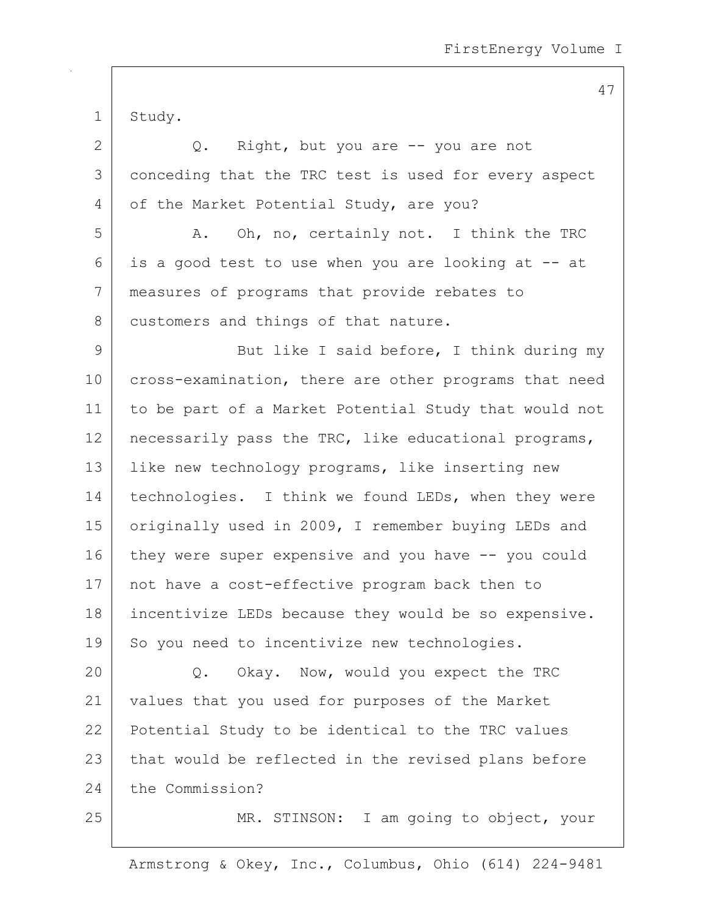1 Study.

| $\overline{2}$ | Right, but you are -- you are not<br>Q.               |
|----------------|-------------------------------------------------------|
| 3              | conceding that the TRC test is used for every aspect  |
| 4              | of the Market Potential Study, are you?               |
| 5              | Oh, no, certainly not. I think the TRC<br>Α.          |
| 6              | is a good test to use when you are looking at -- at   |
| 7              | measures of programs that provide rebates to          |
| 8              | customers and things of that nature.                  |
| $\mathsf 9$    | But like I said before, I think during my             |
| 10             | cross-examination, there are other programs that need |
| 11             | to be part of a Market Potential Study that would not |
| 12             | necessarily pass the TRC, like educational programs,  |
| 13             | like new technology programs, like inserting new      |
| 14             | technologies. I think we found LEDs, when they were   |
| 15             | originally used in 2009, I remember buying LEDs and   |
| 16             | they were super expensive and you have -- you could   |
| 17             | not have a cost-effective program back then to        |
| 18             | incentivize LEDs because they would be so expensive.  |
| 19             | So you need to incentivize new technologies.          |
| 20             | Okay. Now, would you expect the TRC<br>Q.             |
| 21             | values that you used for purposes of the Market       |
| 22             | Potential Study to be identical to the TRC values     |
| 23             | that would be reflected in the revised plans before   |
| 24             | the Commission?                                       |
| 25             | MR. STINSON: I am going to object, your               |

Armstrong & Okey, Inc., Columbus, Ohio (614) 224-9481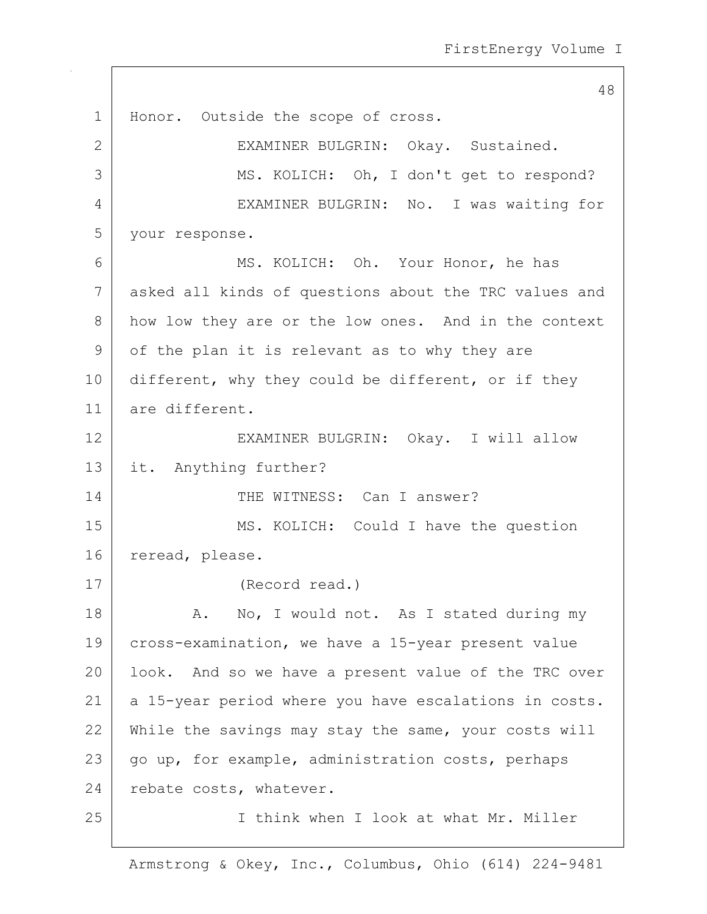48 1 | Honor. Outside the scope of cross. 2 EXAMINER BULGRIN: Okay. Sustained. 3 | MS. KOLICH: Oh, I don't get to respond? 4 EXAMINER BULGRIN: No. I was waiting for 5 your response. 6 MS. KOLICH: Oh. Your Honor, he has 7 asked all kinds of questions about the TRC values and 8 how low they are or the low ones. And in the context 9 of the plan it is relevant as to why they are 10 different, why they could be different, or if they 11 are different. 12 EXAMINER BULGRIN: Okay. I will allow 13 it. Anything further? 14 THE WITNESS: Can I answer? 15 | MS. KOLICH: Could I have the question 16 reread, please. 17 (Record read.) 18 | A. No, I would not. As I stated during my 19 cross-examination, we have a 15-year present value 20 | look. And so we have a present value of the TRC over 21 | a 15-year period where you have escalations in costs. 22 While the savings may stay the same, your costs will  $23$  go up, for example, administration costs, perhaps 24 rebate costs, whatever. 25 I think when I look at what Mr. Miller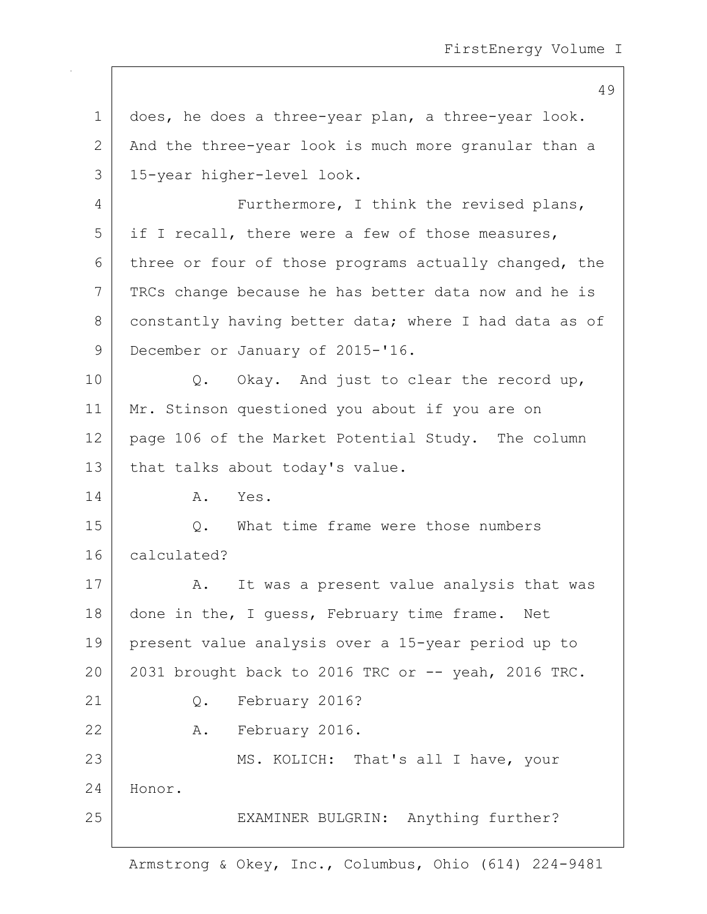49 1 does, he does a three-year plan, a three-year look. 2 And the three-year look is much more granular than a 3 15-year higher-level look. 4 Furthermore, I think the revised plans,  $5$  if I recall, there were a few of those measures, 6 three or four of those programs actually changed, the 7 | TRCs change because he has better data now and he is 8 constantly having better data; where I had data as of 9 December or January of 2015-'16. 10 | Q. Okay. And just to clear the record up, 11 Mr. Stinson questioned you about if you are on 12 page 106 of the Market Potential Study. The column 13 | that talks about today's value. 14 A. Yes. 15 | C. What time frame were those numbers 16 calculated? 17 | A. It was a present value analysis that was 18 done in the, I quess, February time frame. Net 19 present value analysis over a 15-year period up to 20 2031 brought back to 2016 TRC or -- yeah, 2016 TRC. 21 Q. February 2016? 22 A. February 2016. 23 | MS. KOLICH: That's all I have, your 24 Honor. 25 | EXAMINER BULGRIN: Anything further?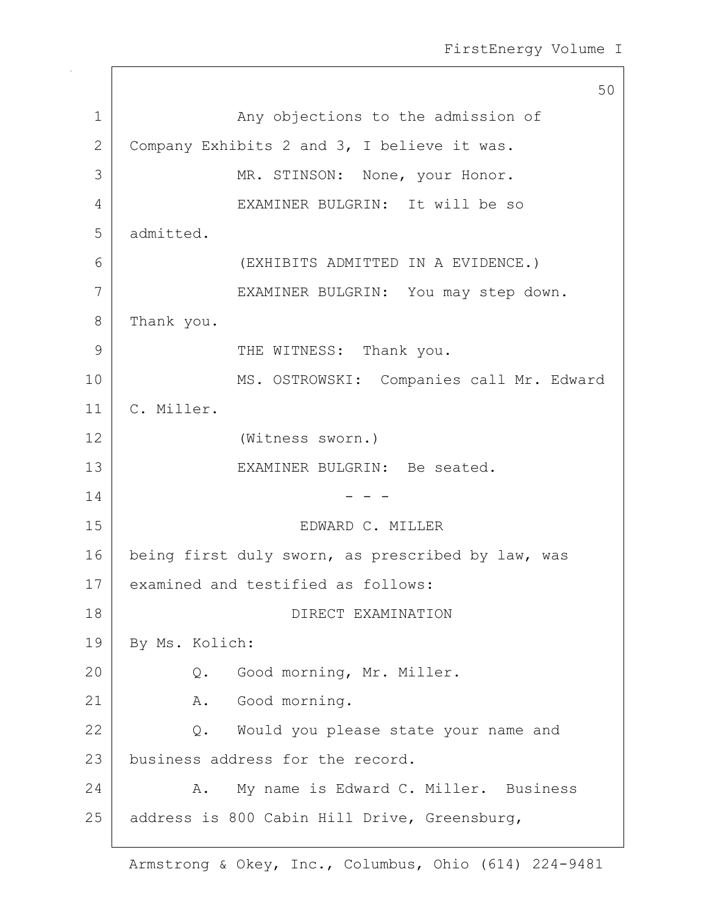50 1 | Any objections to the admission of 2 Company Exhibits 2 and 3, I believe it was. 3 MR. STINSON: None, your Honor. 4 EXAMINER BULGRIN: It will be so 5 admitted. 6 (EXHIBITS ADMITTED IN A EVIDENCE.) 7 EXAMINER BULGRIN: You may step down. 8 Thank you. 9 THE WITNESS: Thank you. 10 | MS. OSTROWSKI: Companies call Mr. Edward 11 C. Miller. 12 (Witness sworn.) 13 EXAMINER BULGRIN: Be seated.  $14$  - - -15 EDWARD C. MILLER 16 being first duly sworn, as prescribed by law, was 17 examined and testified as follows: 18 DIRECT EXAMINATION 19 | By Ms. Kolich: 20 Q. Good morning, Mr. Miller. 21 A. Good morning. 22 | Q. Would you please state your name and 23 business address for the record. 24 A. My name is Edward C. Miller. Business 25 | address is 800 Cabin Hill Drive, Greensburg,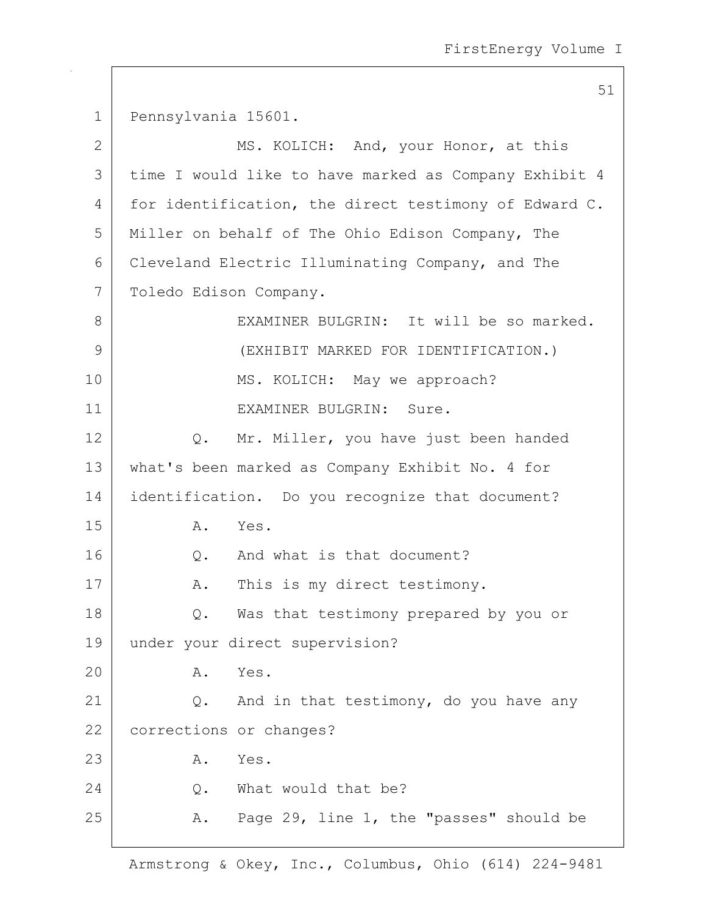51

1 Pennsylvania 15601. 2 | MS. KOLICH: And, your Honor, at this 3 time I would like to have marked as Company Exhibit 4 4 for identification, the direct testimony of Edward C. 5 Miller on behalf of The Ohio Edison Company, The 6 Cleveland Electric Illuminating Company, and The 7 | Toledo Edison Company. 8 EXAMINER BULGRIN: It will be so marked. 9 (EXHIBIT MARKED FOR IDENTIFICATION.) 10 | MS. KOLICH: May we approach? 11 EXAMINER BULGRIN: Sure. 12 | Q. Mr. Miller, you have just been handed 13 what's been marked as Company Exhibit No. 4 for 14 | identification. Do you recognize that document? 15 A. Yes. 16 O. And what is that document? 17 | A. This is my direct testimony. 18 | Q. Was that testimony prepared by you or 19 under your direct supervision? 20 A. Yes. 21  $\bigcup$  2. And in that testimony, do you have any 22 corrections or changes? 23 A. Yes. 24 O. What would that be? 25  $\vert$  A. Page 29, line 1, the "passes" should be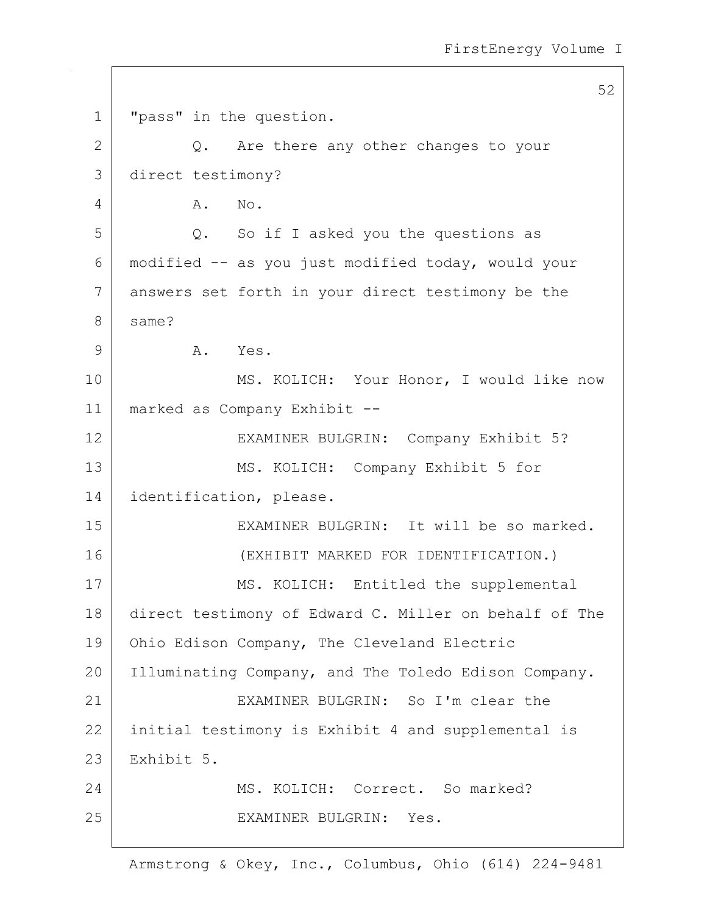52 1 "pass" in the question. 2 Q. Are there any other changes to your 3 direct testimony? 4 A. No. 5 Q. So if I asked you the questions as 6 modified -- as you just modified today, would your 7 answers set forth in your direct testimony be the 8 same? 9 A. Yes. 10 | MS. KOLICH: Your Honor, I would like now 11 marked as Company Exhibit -- 12 EXAMINER BULGRIN: Company Exhibit 5? 13 MS. KOLICH: Company Exhibit 5 for 14 | identification, please. 15 EXAMINER BULGRIN: It will be so marked. 16 (EXHIBIT MARKED FOR IDENTIFICATION.) 17 MS. KOLICH: Entitled the supplemental 18 direct testimony of Edward C. Miller on behalf of The 19 | Ohio Edison Company, The Cleveland Electric 20 | Illuminating Company, and The Toledo Edison Company. 21 EXAMINER BULGRIN: So I'm clear the 22 initial testimony is Exhibit 4 and supplemental is 23 Exhibit 5. 24 MS. KOLICH: Correct. So marked? 25 EXAMINER BULGRIN: Yes.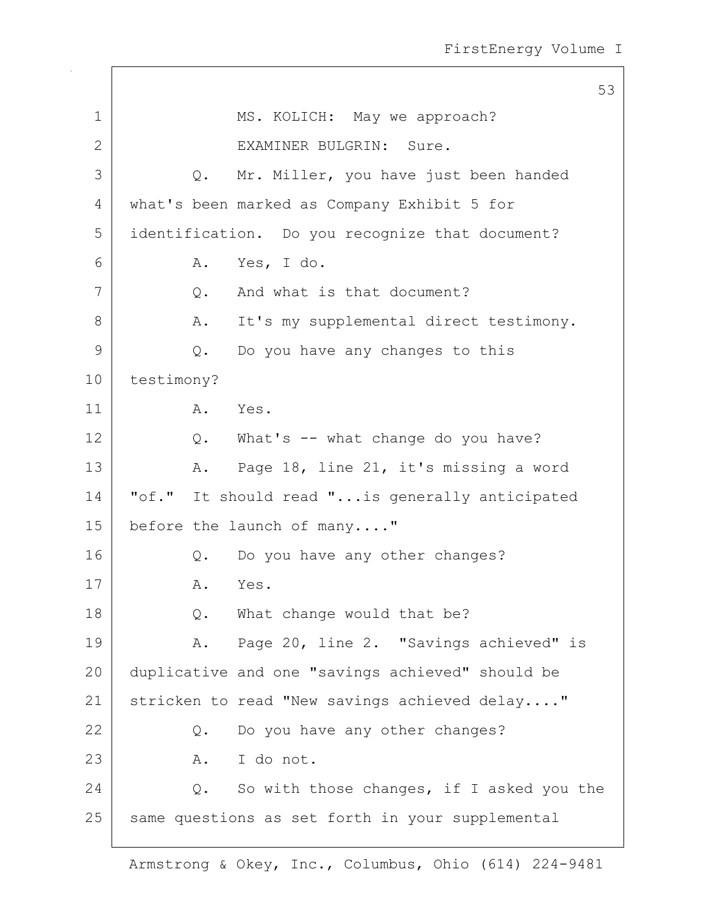|              |                                                  | 53 |
|--------------|--------------------------------------------------|----|
| $\mathbf 1$  | MS. KOLICH: May we approach?                     |    |
| $\mathbf{2}$ | EXAMINER BULGRIN: Sure.                          |    |
| 3            | Mr. Miller, you have just been handed<br>Q.      |    |
| 4            | what's been marked as Company Exhibit 5 for      |    |
| 5            | identification. Do you recognize that document?  |    |
| 6            | Yes, I do.<br>Α.                                 |    |
| 7            | And what is that document?<br>Q.                 |    |
| 8            | It's my supplemental direct testimony.<br>Α.     |    |
| 9            | Do you have any changes to this<br>Q.            |    |
| 10           | testimony?                                       |    |
| 11           | A. Yes.                                          |    |
| 12           | Q. What's -- what change do you have?            |    |
| 13           | Page 18, line 21, it's missing a word<br>Α.      |    |
| 14           | "of." It should read " is generally anticipated  |    |
| 15           | before the launch of many"                       |    |
| 16           | Do you have any other changes?<br>Q.             |    |
| 17           | A. Yes.                                          |    |
| 18           | What change would that be?<br>Q.                 |    |
| 19           | Page 20, line 2. "Savings achieved" is<br>Α.     |    |
| 20           | duplicative and one "savings achieved" should be |    |
| 21           | stricken to read "New savings achieved delay"    |    |
| 22           | Do you have any other changes?<br>Q.             |    |
| 23           | A. I do not.                                     |    |
| 24           | So with those changes, if I asked you the<br>Q.  |    |
| 25           | same questions as set forth in your supplemental |    |

 $\mathsf{I}$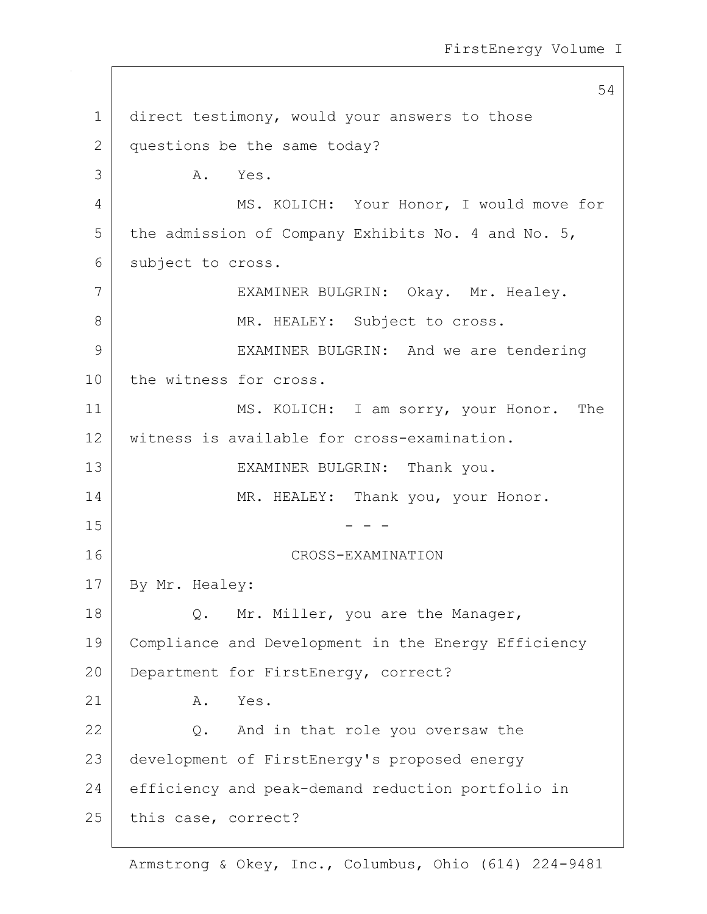54 1 direct testimony, would your answers to those 2 questions be the same today? 3 A. Yes. 4 MS. KOLICH: Your Honor, I would move for  $5$  the admission of Company Exhibits No. 4 and No. 5, 6 subject to cross. 7 | EXAMINER BULGRIN: Okay. Mr. Healey. 8 MR. HEALEY: Subject to cross. 9 EXAMINER BULGRIN: And we are tendering 10 the witness for cross. 11 MS. KOLICH: I am sorry, your Honor. The 12 witness is available for cross-examination. 13 | EXAMINER BULGRIN: Thank you. 14 MR. HEALEY: Thank you, your Honor.  $15$  - - -16 CROSS-EXAMINATION 17 By Mr. Healey: 18 | Q. Mr. Miller, you are the Manager, 19 Compliance and Development in the Energy Efficiency 20 Department for FirstEnergy, correct?  $21$  A. Yes. 22 Q. And in that role you oversaw the 23 development of FirstEnergy's proposed energy 24 efficiency and peak-demand reduction portfolio in 25 this case, correct?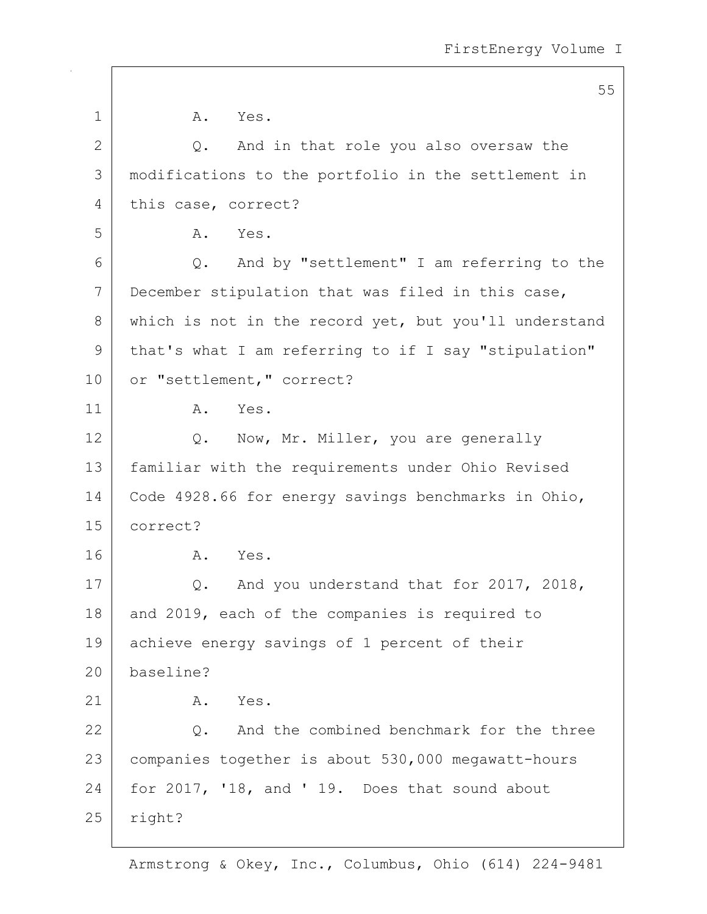|              | 55                                                    |
|--------------|-------------------------------------------------------|
| 1            | Α.<br>Yes.                                            |
| $\mathbf{2}$ | And in that role you also oversaw the<br>Q.           |
| 3            | modifications to the portfolio in the settlement in   |
| 4            | this case, correct?                                   |
| 5            | Yes.<br>Α.                                            |
| 6            | And by "settlement" I am referring to the<br>Q.       |
| 7            | December stipulation that was filed in this case,     |
| 8            | which is not in the record yet, but you'll understand |
| 9            | that's what I am referring to if I say "stipulation"  |
| 10           | or "settlement, " correct?                            |
| 11           | Α.<br>Yes.                                            |
| 12           | Now, Mr. Miller, you are generally<br>Q.              |
| 13           | familiar with the requirements under Ohio Revised     |
| 14           | Code 4928.66 for energy savings benchmarks in Ohio,   |
| 15           | correct?                                              |
| 16           | Α.<br>Yes.                                            |
| 17           | And you understand that for 2017, 2018,<br>Q.         |
| 18           | and 2019, each of the companies is required to        |
| 19           | achieve energy savings of 1 percent of their          |
| 20           | baseline?                                             |
| 21           | Yes.<br>Α.                                            |
| 22           | And the combined benchmark for the three<br>Q.        |
| 23           | companies together is about 530,000 megawatt-hours    |
| 24           | for 2017, '18, and '19. Does that sound about         |
| 25           | right?                                                |
|              |                                                       |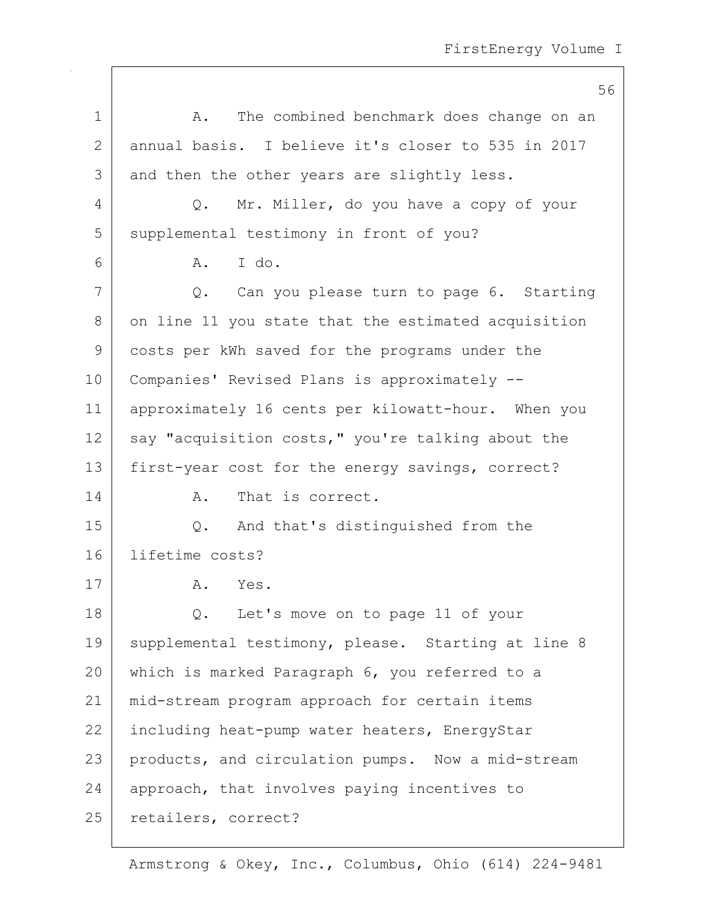|              | 56                                                      |
|--------------|---------------------------------------------------------|
| $\mathbf 1$  | The combined benchmark does change on an<br>Α.          |
| $\mathbf{2}$ | annual basis. I believe it's closer to 535 in 2017      |
| 3            | and then the other years are slightly less.             |
| 4            | Mr. Miller, do you have a copy of your<br>$Q_{\bullet}$ |
| 5            | supplemental testimony in front of you?                 |
| 6            | I do.<br>Α.                                             |
| 7            | Q. Can you please turn to page 6. Starting              |
| 8            | on line 11 you state that the estimated acquisition     |
| 9            | costs per kWh saved for the programs under the          |
| 10           | Companies' Revised Plans is approximately --            |
| 11           | approximately 16 cents per kilowatt-hour. When you      |
| 12           | say "acquisition costs," you're talking about the       |
| 13           | first-year cost for the energy savings, correct?        |
| 14           | That is correct.<br>Α.                                  |
| 15           | And that's distinguished from the<br>Q.                 |
| 16           | lifetime costs?                                         |
| 17           | A.<br>Yes.                                              |
| 18           | Q. Let's move on to page 11 of your                     |
| 19           | supplemental testimony, please. Starting at line 8      |
| 20           | which is marked Paragraph 6, you referred to a          |
| 21           | mid-stream program approach for certain items           |
| 22           | including heat-pump water heaters, EnergyStar           |
| 23           | products, and circulation pumps. Now a mid-stream       |
| 24           | approach, that involves paying incentives to            |
| 25           | retailers, correct?                                     |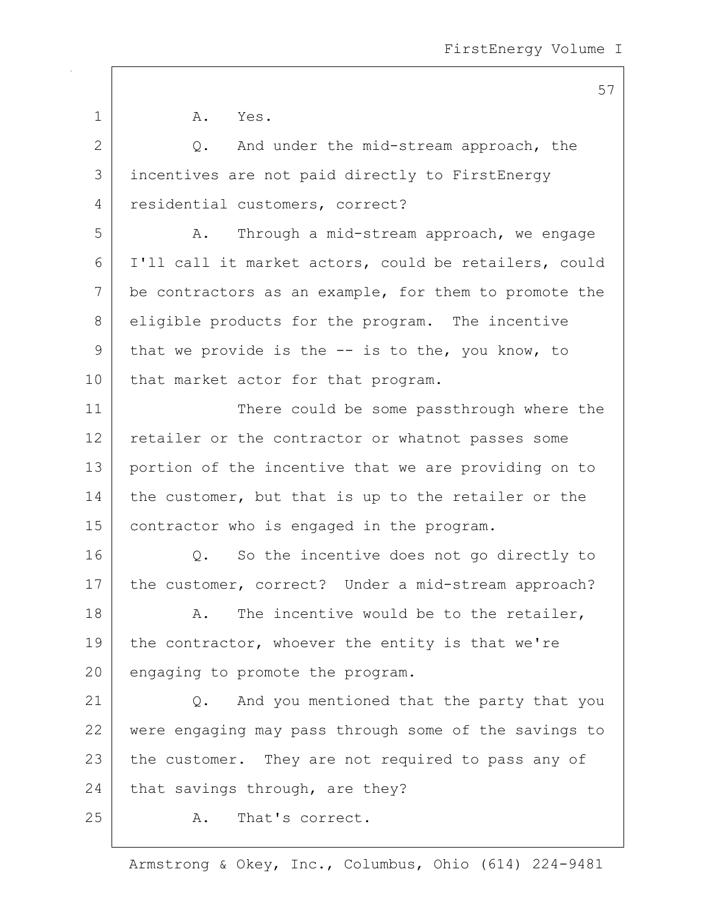1 A. Yes. 2 Q. And under the mid-stream approach, the 3 incentives are not paid directly to FirstEnergy 4 residential customers, correct? 5 A. Through a mid-stream approach, we engage 6 I'll call it market actors, could be retailers, could 7 be contractors as an example, for them to promote the 8 eligible products for the program. The incentive 9 that we provide is the -- is to the, you know, to 10 | that market actor for that program. 11 There could be some passthrough where the 12 retailer or the contractor or whatnot passes some 13 portion of the incentive that we are providing on to 14 the customer, but that is up to the retailer or the 15 | contractor who is engaged in the program. 16 | Q. So the incentive does not go directly to 17 | the customer, correct? Under a mid-stream approach?  $18$  A. The incentive would be to the retailer, 19 the contractor, whoever the entity is that we're  $20$  engaging to promote the program. 21 | Q. And you mentioned that the party that you 22 were engaging may pass through some of the savings to 23 the customer. They are not required to pass any of  $24$  that savings through, are they? 25 | R. That's correct.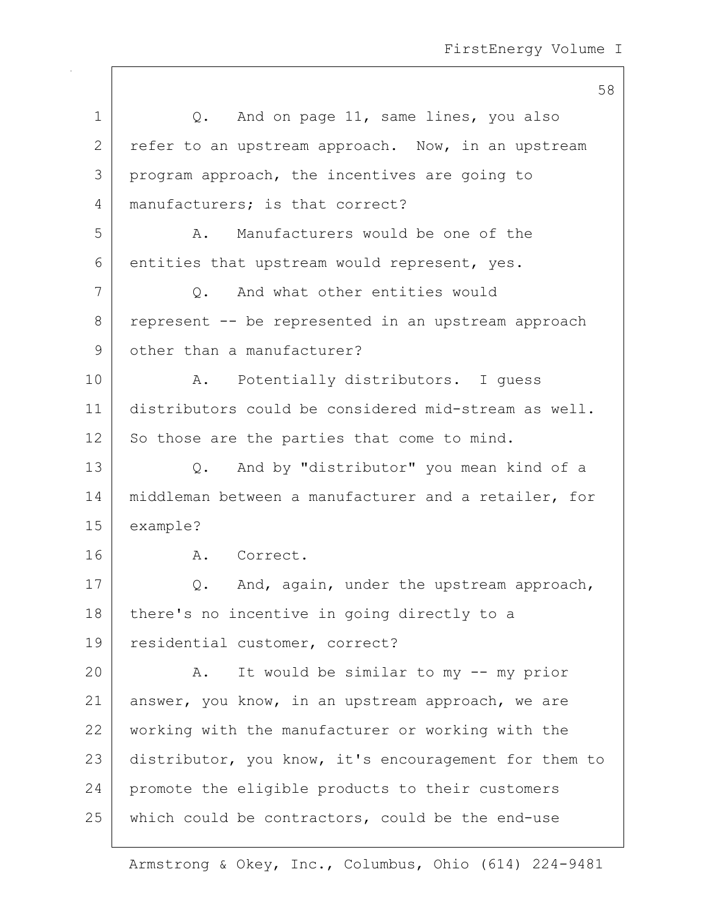| $\mathbf 1$ | And on page 11, same lines, you also<br>Q.            |
|-------------|-------------------------------------------------------|
| 2           | refer to an upstream approach. Now, in an upstream    |
| 3           | program approach, the incentives are going to         |
| 4           | manufacturers; is that correct?                       |
| 5           | Manufacturers would be one of the<br>Α.               |
| 6           | entities that upstream would represent, yes.          |
| 7           | And what other entities would<br>Q.                   |
| 8           | represent -- be represented in an upstream approach   |
| 9           | other than a manufacturer?                            |
| 10          | Potentially distributors. I guess<br>A.               |
| 11          | distributors could be considered mid-stream as well.  |
| 12          | So those are the parties that come to mind.           |
| 13          | And by "distributor" you mean kind of a<br>Q.         |
| 14          | middleman between a manufacturer and a retailer, for  |
| 15          | example?                                              |
| 16          | A. Correct.                                           |
| 17          | And, again, under the upstream approach,<br>Q.        |
| 18          | there's no incentive in going directly to a           |
| 19          | residential customer, correct?                        |
| 20          | It would be similar to my -- my prior<br>Α.           |
| 21          | answer, you know, in an upstream approach, we are     |
| 22          | working with the manufacturer or working with the     |
| 23          | distributor, you know, it's encouragement for them to |
| 24          | promote the eligible products to their customers      |
| 25          | which could be contractors, could be the end-use      |
|             |                                                       |

Armstrong & Okey, Inc., Columbus, Ohio (614) 224-9481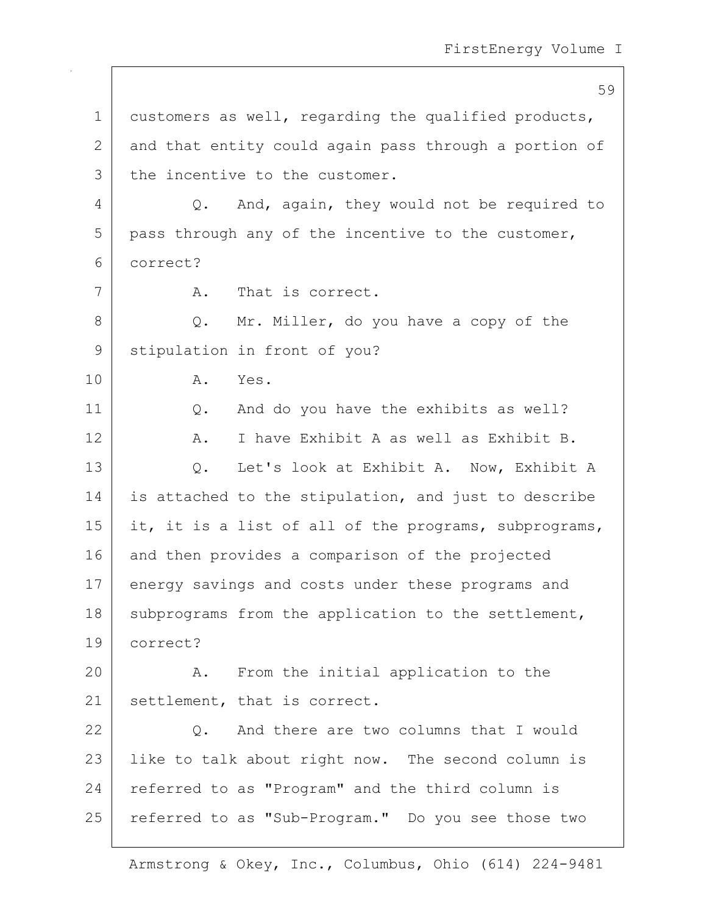59 1 customers as well, regarding the qualified products, 2 and that entity could again pass through a portion of 3 the incentive to the customer. 4 Q. And, again, they would not be required to  $5$  pass through any of the incentive to the customer, 6 correct? 7 A. That is correct. 8 Q. Mr. Miller, do you have a copy of the 9 stipulation in front of you? 10 A. Yes. 11 Q. And do you have the exhibits as well? 12 A. I have Exhibit A as well as Exhibit B. 13 Q. Let's look at Exhibit A. Now, Exhibit A 14 is attached to the stipulation, and just to describe 15 | it, it is a list of all of the programs, subprograms, 16 and then provides a comparison of the projected 17 energy savings and costs under these programs and 18 subprograms from the application to the settlement, 19 correct? 20 A. From the initial application to the 21 | settlement, that is correct. 22 Q. And there are two columns that I would 23 | like to talk about right now. The second column is 24 referred to as "Program" and the third column is 25 | referred to as "Sub-Program." Do you see those two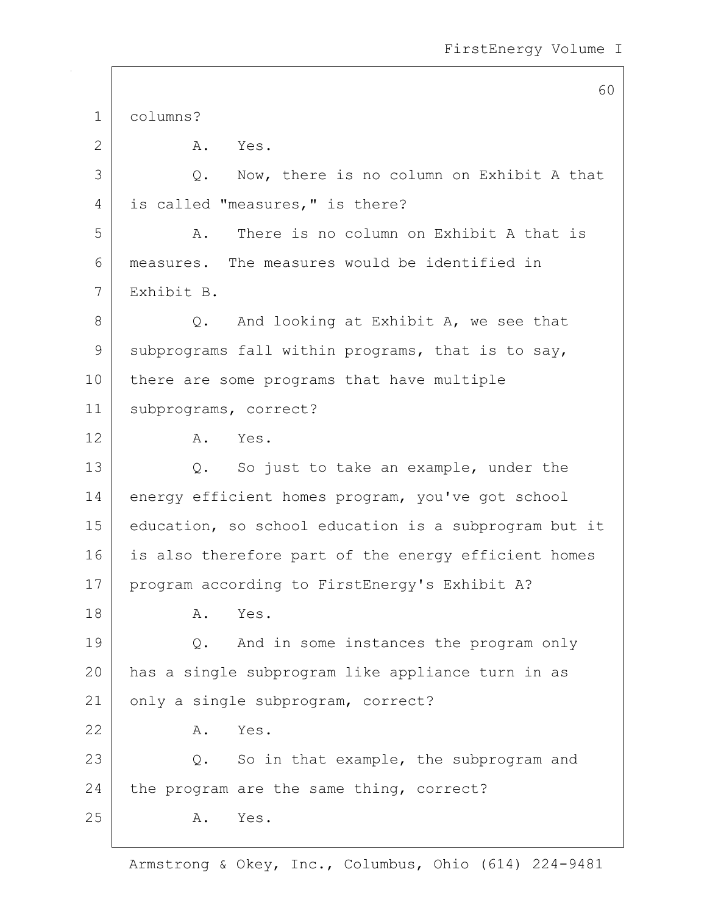60 1 columns? 2 A. Yes. 3 Q. Now, there is no column on Exhibit A that 4 | is called "measures," is there? 5 A. There is no column on Exhibit A that is 6 measures. The measures would be identified in 7 Exhibit B.  $8$  Q. And looking at Exhibit A, we see that 9 subprograms fall within programs, that is to say, 10 there are some programs that have multiple 11 subprograms, correct? 12 A. Yes. 13 Q. So just to take an example, under the 14 energy efficient homes program, you've got school 15 education, so school education is a subprogram but it 16 is also therefore part of the energy efficient homes 17 | program according to FirstEnergy's Exhibit A? 18 A. Yes. 19 Q. And in some instances the program only 20 has a single subprogram like appliance turn in as 21 only a single subprogram, correct? 22 A. Yes. 23 Q. So in that example, the subprogram and 24 the program are the same thing, correct? 25 A. Yes.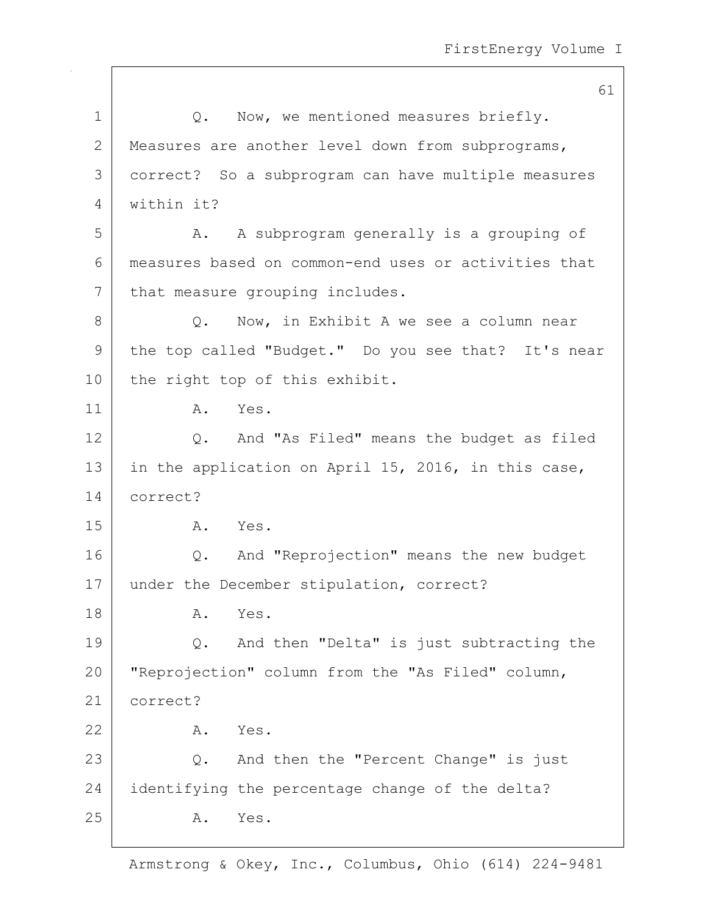1 |  $Q.$  Now, we mentioned measures briefly. 2 Measures are another level down from subprograms, 3 correct? So a subprogram can have multiple measures 4 within it? 5 A. A subprogram generally is a grouping of 6 measures based on common-end uses or activities that 7 that measure grouping includes. 8 Q. Now, in Exhibit A we see a column near 9 | the top called "Budget." Do you see that? It's near 10 | the right top of this exhibit. 11 A. Yes. 12 Q. And "As Filed" means the budget as filed 13 in the application on April 15, 2016, in this case, 14 correct? 15 A. Yes. 16 Q. And "Reprojection" means the new budget 17 under the December stipulation, correct? 18 A. Yes. 19 | Q. And then "Delta" is just subtracting the 20 | "Reprojection" column from the "As Filed" column, 21 correct? 22 A. Yes. 23 Q. And then the "Percent Change" is just 24 identifying the percentage change of the delta? 25 A. Yes.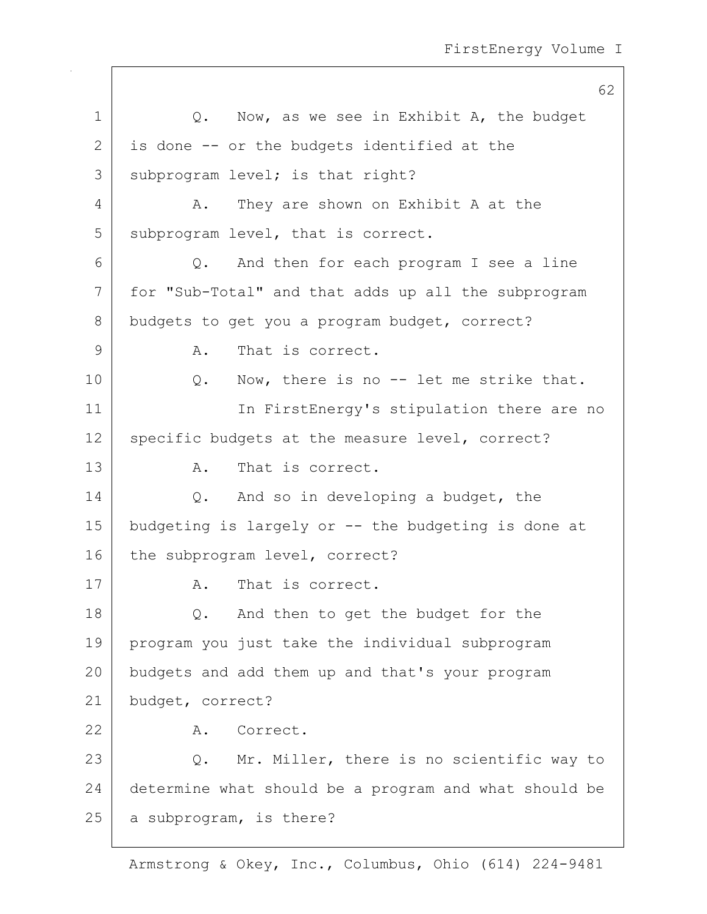62 1 | O. Now, as we see in Exhibit A, the budget  $2$  is done  $-$  or the budgets identified at the 3 subprogram level; is that right? 4 A. They are shown on Exhibit A at the 5 subprogram level, that is correct. 6 Q. And then for each program I see a line 7 for "Sub-Total" and that adds up all the subprogram 8 budgets to get you a program budget, correct? 9 A. That is correct. 10 | Q. Now, there is no -- let me strike that. 11 | The First Energy's stipulation there are no 12 | specific budgets at the measure level, correct? 13 A. That is correct. 14 | Q. And so in developing a budget, the 15 budgeting is largely or -- the budgeting is done at 16 the subprogram level, correct? 17 A. That is correct. 18 Q. And then to get the budget for the 19 program you just take the individual subprogram 20 budgets and add them up and that's your program 21 budget, correct? 22 A. Correct. 23 Q. Mr. Miller, there is no scientific way to 24 determine what should be a program and what should be 25 a subprogram, is there?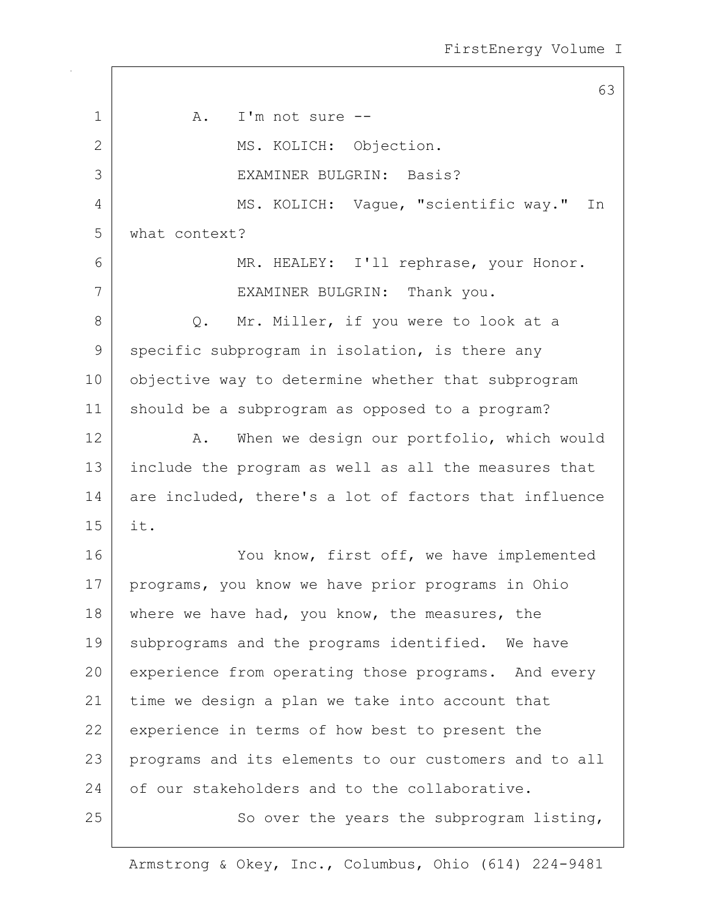63 1 A. I'm not sure --2 MS. KOLICH: Objection. 3 EXAMINER BULGRIN: Basis? 4 MS. KOLICH: Vaque, "scientific way." In 5 what context? 6 MR. HEALEY: I'll rephrase, your Honor. 7 | EXAMINER BULGRIN: Thank you. 8 Q. Mr. Miller, if you were to look at a 9 specific subprogram in isolation, is there any 10 | objective way to determine whether that subprogram 11 should be a subprogram as opposed to a program? 12 A. When we design our portfolio, which would 13 include the program as well as all the measures that 14 are included, there's a lot of factors that influence 15 it. 16 You know, first off, we have implemented 17 | programs, you know we have prior programs in Ohio 18 where we have had, you know, the measures, the 19 | subprograms and the programs identified. We have 20 experience from operating those programs. And every 21 time we design a plan we take into account that 22 experience in terms of how best to present the 23 programs and its elements to our customers and to all 24 of our stakeholders and to the collaborative. 25 | So over the years the subprogram listing,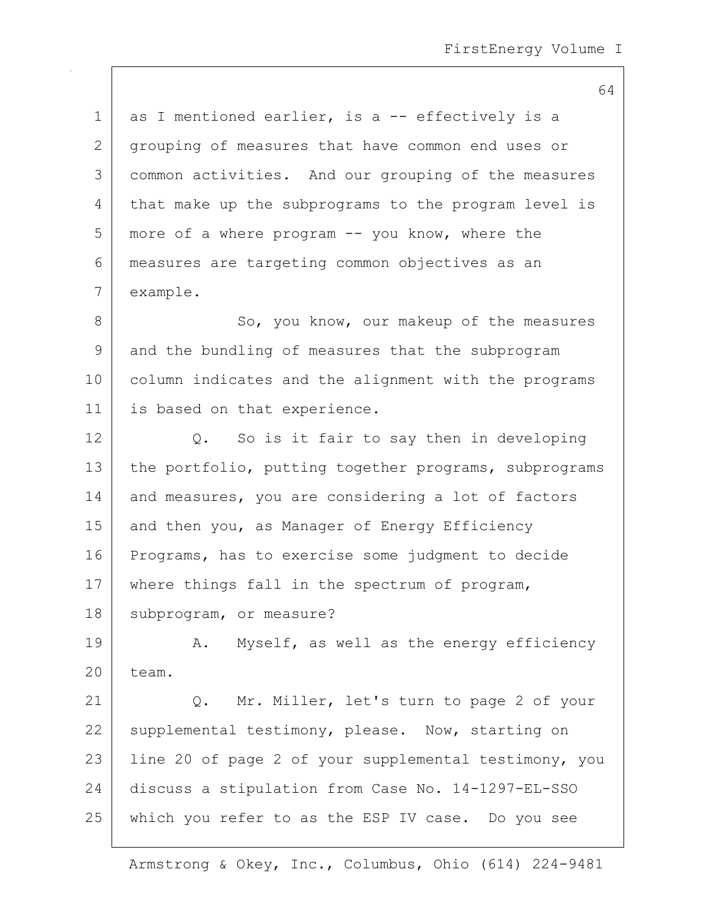1 as I mentioned earlier, is a -- effectively is a 2 grouping of measures that have common end uses or 3 common activities. And our grouping of the measures 4 that make up the subprograms to the program level is 5 more of a where program -- you know, where the 6 measures are targeting common objectives as an 7 example.

8 So, you know, our makeup of the measures 9 and the bundling of measures that the subprogram 10 column indicates and the alignment with the programs 11 | is based on that experience.

 $12$  Q. So is it fair to say then in developing 13 the portfolio, putting together programs, subprograms 14 and measures, you are considering a lot of factors 15 and then you, as Manager of Energy Efficiency 16 Programs, has to exercise some judgment to decide 17 | where things fall in the spectrum of program, 18 | subprogram, or measure?

19 A. Myself, as well as the energy efficiency 20 team.

21 | Q. Mr. Miller, let's turn to page 2 of your 22 supplemental testimony, please. Now, starting on 23 | line 20 of page 2 of your supplemental testimony, you 24 discuss a stipulation from Case No. 14-1297-EL-SSO 25 which you refer to as the ESP IV case. Do you see

Armstrong & Okey, Inc., Columbus, Ohio (614) 224-9481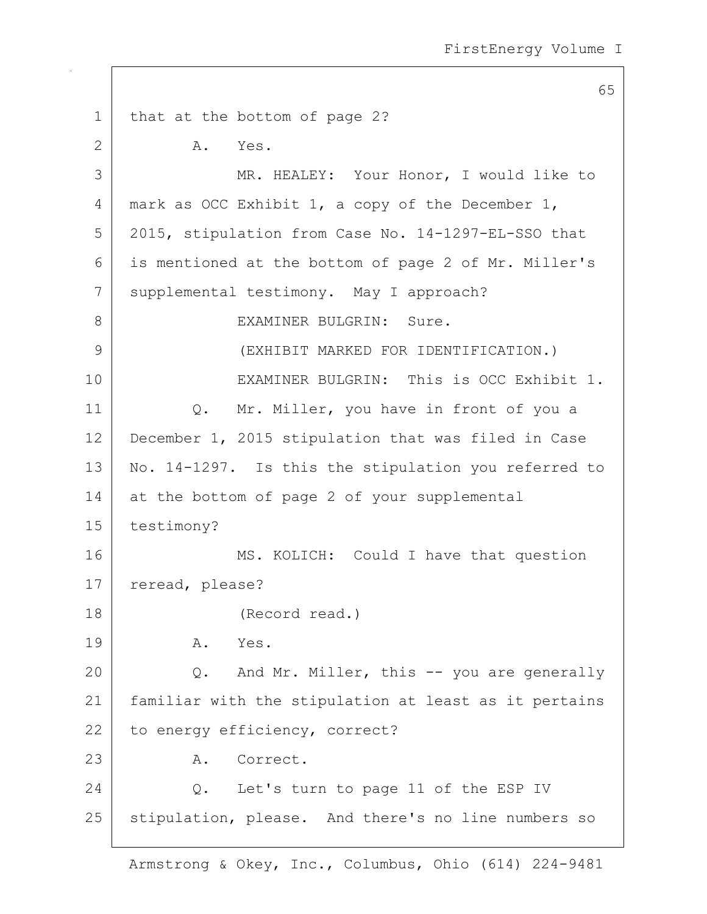65 1 | that at the bottom of page 2? 2 A. Yes. 3 MR. HEALEY: Your Honor, I would like to 4 | mark as OCC Exhibit 1, a copy of the December 1, 5 2015, stipulation from Case No. 14-1297-EL-SSO that 6 is mentioned at the bottom of page 2 of Mr. Miller's 7 | supplemental testimony. May I approach? 8 BULGRIN: Sure. 9 (EXHIBIT MARKED FOR IDENTIFICATION.) 10 EXAMINER BULGRIN: This is OCC Exhibit 1. 11 | Q. Mr. Miller, you have in front of you a 12 December 1, 2015 stipulation that was filed in Case 13 | No. 14-1297. Is this the stipulation you referred to 14 at the bottom of page 2 of your supplemental 15 testimony? 16 MS. KOLICH: Could I have that question 17 | reread, please? 18 (Record read.) 19 A. Yes. 20 Q. And Mr. Miller, this -- you are generally 21 familiar with the stipulation at least as it pertains 22 to energy efficiency, correct? 23 A. Correct. 24 | C. Let's turn to page 11 of the ESP IV 25 | stipulation, please. And there's no line numbers so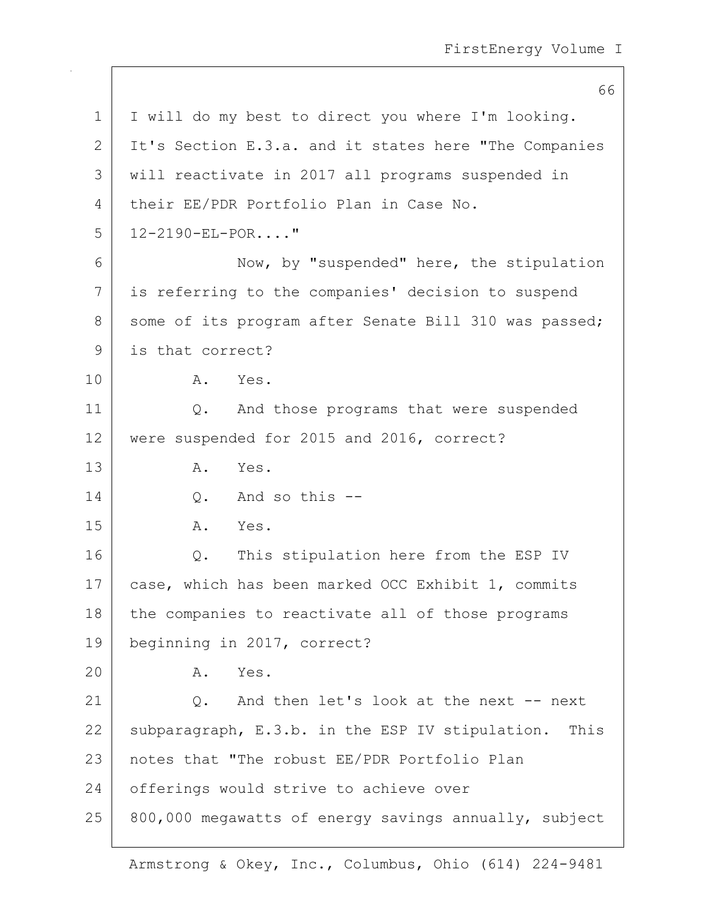66

1 | I will do my best to direct you where I'm looking. 2 It's Section E.3.a. and it states here "The Companies" 3 will reactivate in 2017 all programs suspended in 4 their EE/PDR Portfolio Plan in Case No. 5 12-2190-EL-POR...." 6 Now, by "suspended" here, the stipulation 7 is referring to the companies' decision to suspend 8 some of its program after Senate Bill 310 was passed; 9 is that correct? 10 A. Yes. 11 | Q. And those programs that were suspended 12 were suspended for 2015 and 2016, correct? 13 A. Yes.  $14$  O. And so this  $-$ 15 A. Yes. 16 | Q. This stipulation here from the ESP IV 17 | case, which has been marked OCC Exhibit 1, commits 18 the companies to reactivate all of those programs 19 beginning in 2017, correct? 20 A. Yes. 21 Q. And then let's look at the next -- next 22 subparagraph, E.3.b. in the ESP IV stipulation. This 23 notes that "The robust EE/PDR Portfolio Plan 24 offerings would strive to achieve over  $25$  800,000 megawatts of energy savings annually, subject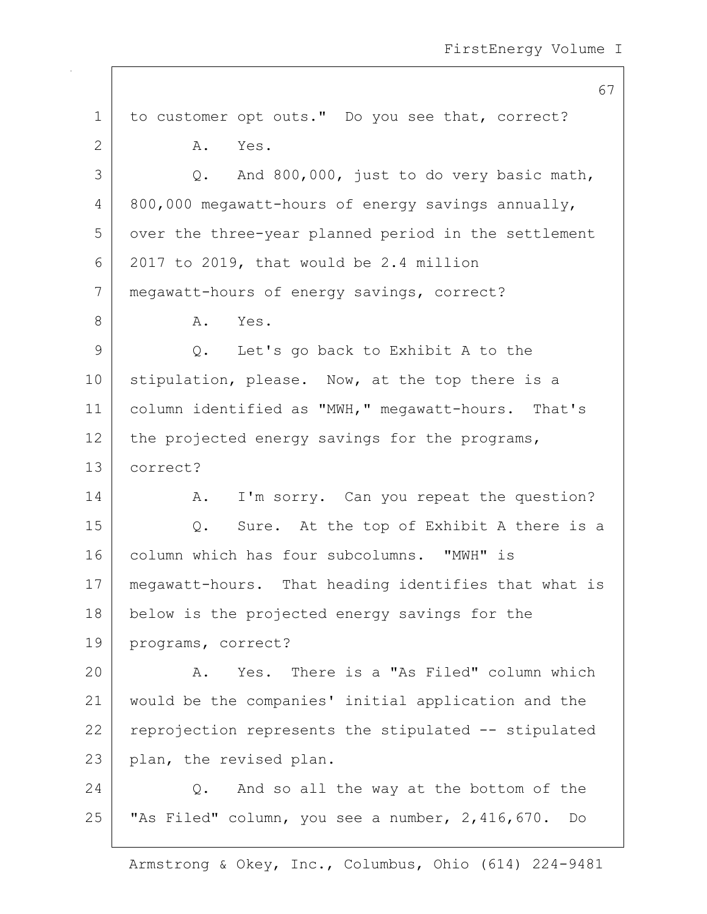67 1 to customer opt outs." Do you see that, correct? 2 A. Yes.  $3$  |  $Q.$  And 800,000, just to do very basic math,  $4 \mid 800,000$  megawatt-hours of energy savings annually, 5 over the three-year planned period in the settlement  $6$  2017 to 2019, that would be 2.4 million 7 megawatt-hours of energy savings, correct? 8 A. Yes. 9 Q. Let's go back to Exhibit A to the 10 stipulation, please. Now, at the top there is a 11 | column identified as "MWH," megawatt-hours. That's  $12$  the projected energy savings for the programs, 13 correct? 14 A. I'm sorry. Can you repeat the question? 15 Q. Sure. At the top of Exhibit A there is a 16 column which has four subcolumns. "MWH" is 17 | megawatt-hours. That heading identifies that what is 18 below is the projected energy savings for the 19 programs, correct? 20 A. Yes. There is a "As Filed" column which 21 would be the companies' initial application and the  $22$  reprojection represents the stipulated  $-$  stipulated 23 plan, the revised plan. 24 Q. And so all the way at the bottom of the 25 "As Filed" column, you see a number, 2,416,670. Do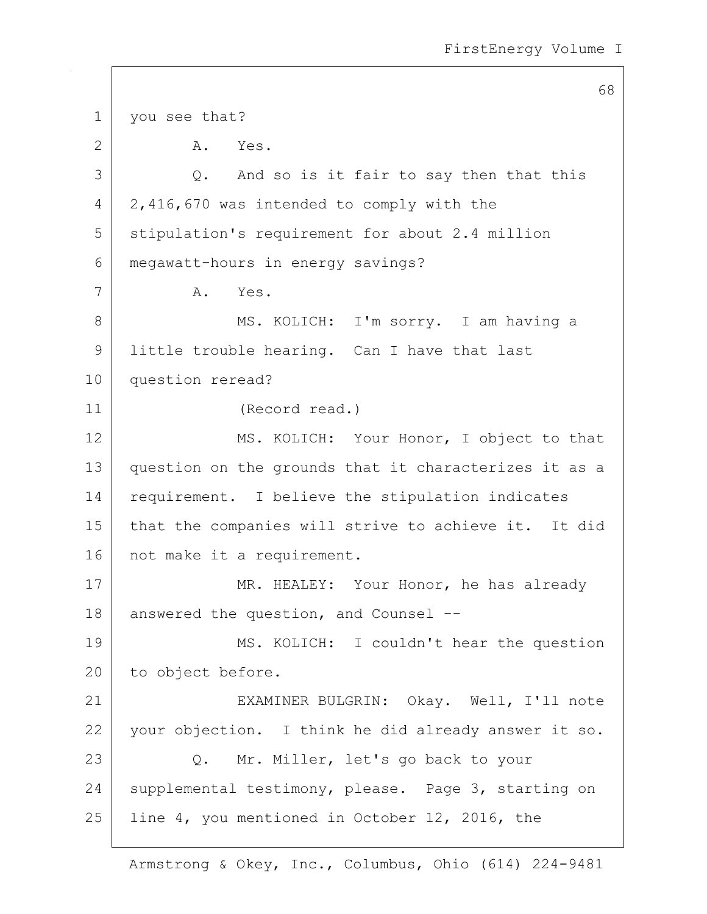68 1 | you see that? 2 A. Yes. 3 Q. And so is it fair to say then that this 4 2,416,670 was intended to comply with the 5 Stipulation's requirement for about 2.4 million 6 megawatt-hours in energy savings? 7 A. Yes. 8 | MS. KOLICH: I'm sorry. I am having a 9 | little trouble hearing. Can I have that last 10 question reread? 11 (Record read.) 12 MS. KOLICH: Your Honor, I object to that 13 question on the grounds that it characterizes it as a 14 requirement. I believe the stipulation indicates 15 | that the companies will strive to achieve it. It did 16 | not make it a requirement. 17 MR. HEALEY: Your Honor, he has already 18 answered the question, and Counsel --19 | MS. KOLICH: I couldn't hear the question 20 to object before. 21 EXAMINER BULGRIN: Okay. Well, I'll note 22 | your objection. I think he did already answer it so. 23 Q. Mr. Miller, let's go back to your 24 supplemental testimony, please. Page 3, starting on 25 | line 4, you mentioned in October 12, 2016, the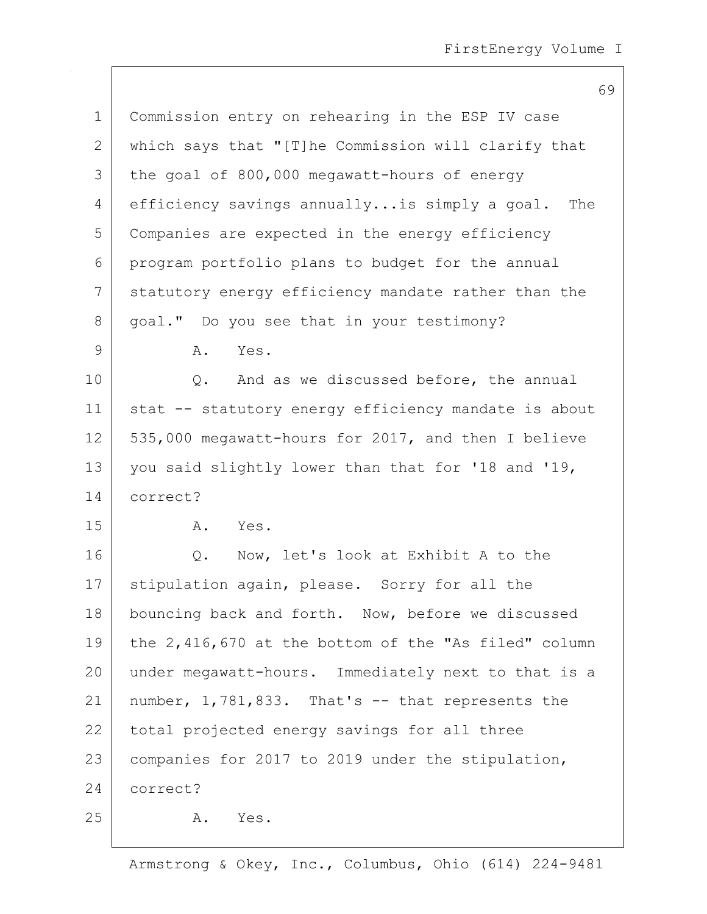| $\mathbf 1$  | Commission entry on rehearing in the ESP IV case     |
|--------------|------------------------------------------------------|
| $\mathbf{2}$ | which says that "[T]he Commission will clarify that  |
| 3            | the goal of 800,000 megawatt-hours of energy         |
| 4            | efficiency savings annuallyis simply a goal.<br>The  |
| 5            | Companies are expected in the energy efficiency      |
| 6            | program portfolio plans to budget for the annual     |
| 7            | statutory energy efficiency mandate rather than the  |
| $8\,$        | goal." Do you see that in your testimony?            |
| $\mathsf 9$  | Yes.<br>Α.                                           |
| 10           | And as we discussed before, the annual<br>Q.         |
| 11           | stat -- statutory energy efficiency mandate is about |
| 12           | 535,000 megawatt-hours for 2017, and then I believe  |
| 13           | you said slightly lower than that for '18 and '19,   |
| 14           | correct?                                             |
| 15           | Yes.<br>Α.                                           |
| 16           | Now, let's look at Exhibit A to the<br>Q.            |
| 17           | stipulation again, please. Sorry for all the         |
| 18           | bouncing back and forth. Now, before we discussed    |
| 19           | the 2,416,670 at the bottom of the "As filed" column |
| 20           | under megawatt-hours. Immediately next to that is a  |
| 21           | number, 1,781,833. That's -- that represents the     |
| 22           | total projected energy savings for all three         |
| 23           | companies for 2017 to 2019 under the stipulation,    |
| 24           | correct?                                             |
| 25           | Yes.<br>Α.                                           |
|              |                                                      |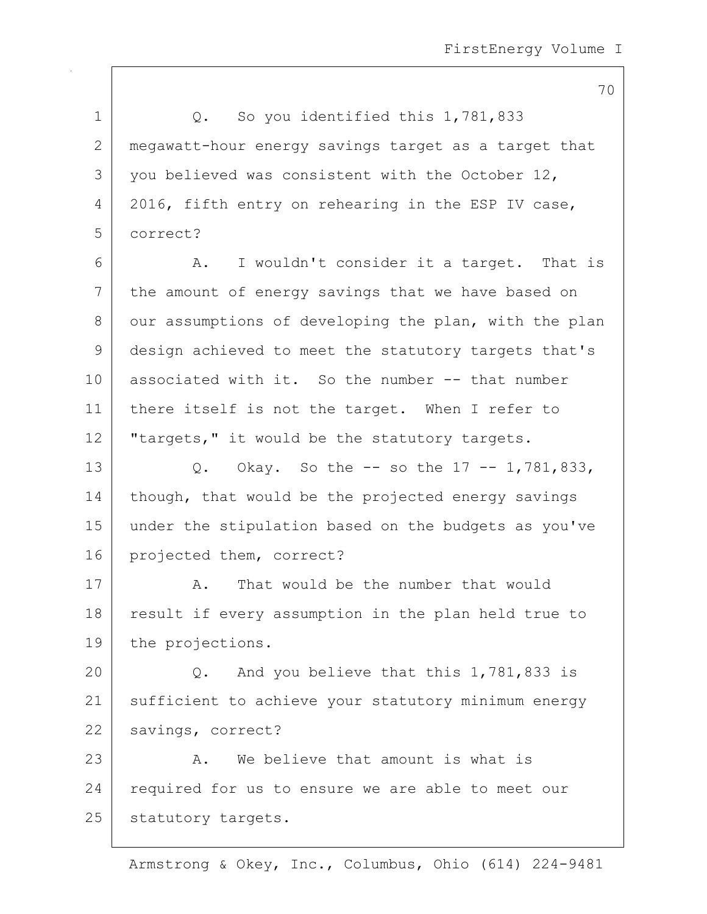1 | Q. So you identified this 1,781,833 2 megawatt-hour energy savings target as a target that  $3$  you believed was consistent with the October 12, 4 2016, fifth entry on rehearing in the ESP IV case, 5 correct? 6 A. I wouldn't consider it a target. That is 7 the amount of energy savings that we have based on 8 our assumptions of developing the plan, with the plan 9 design achieved to meet the statutory targets that's 10 associated with it. So the number -- that number 11 there itself is not the target. When I refer to 12 | "targets," it would be the statutory targets. 13 Q. Okay. So the -- so the 17 -- 1,781,833, 14 | though, that would be the projected energy savings 15 under the stipulation based on the budgets as you've 16 projected them, correct? 17 A. That would be the number that would 18 | result if every assumption in the plan held true to 19 the projections. 20  $\vert$  Q. And you believe that this 1,781,833 is 21 | sufficient to achieve your statutory minimum energy 22 savings, correct? 23 A. We believe that amount is what is 24 required for us to ensure we are able to meet our 25 | statutory targets.

Armstrong & Okey, Inc., Columbus, Ohio (614) 224-9481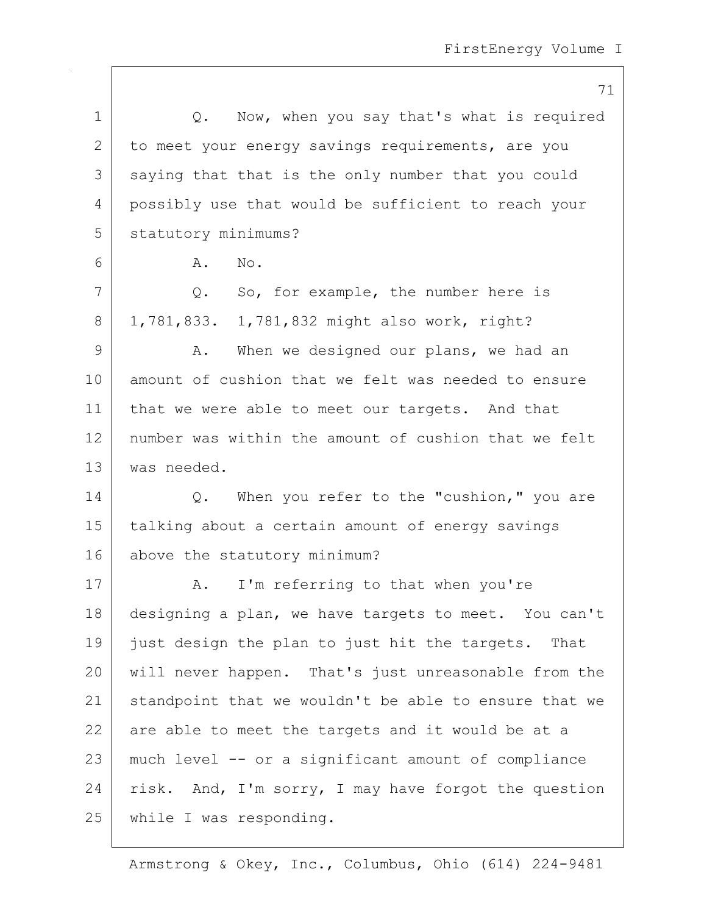|    | 71                                                    |
|----|-------------------------------------------------------|
| 1  | Q. Now, when you say that's what is required          |
| 2  | to meet your energy savings requirements, are you     |
| 3  | saying that that is the only number that you could    |
| 4  | possibly use that would be sufficient to reach your   |
| 5  | statutory minimums?                                   |
| 6  | No.<br>Α.                                             |
| 7  | So, for example, the number here is<br>Q.             |
| 8  | 1,781,833. 1,781,832 might also work, right?          |
| 9  | When we designed our plans, we had an<br>Α.           |
| 10 | amount of cushion that we felt was needed to ensure   |
| 11 | that we were able to meet our targets. And that       |
| 12 | number was within the amount of cushion that we felt  |
| 13 | was needed.                                           |
| 14 | When you refer to the "cushion," you are<br>Q.        |
| 15 | talking about a certain amount of energy savings      |
| 16 | above the statutory minimum?                          |
| 17 | I'm referring to that when you're<br>Α.               |
| 18 | designing a plan, we have targets to meet. You can't  |
| 19 | just design the plan to just hit the targets. That    |
| 20 | will never happen. That's just unreasonable from the  |
| 21 | standpoint that we wouldn't be able to ensure that we |
| 22 | are able to meet the targets and it would be at a     |
| 23 | much level -- or a significant amount of compliance   |
| 24 | risk. And, I'm sorry, I may have forgot the question  |
| 25 | while I was responding.                               |
|    |                                                       |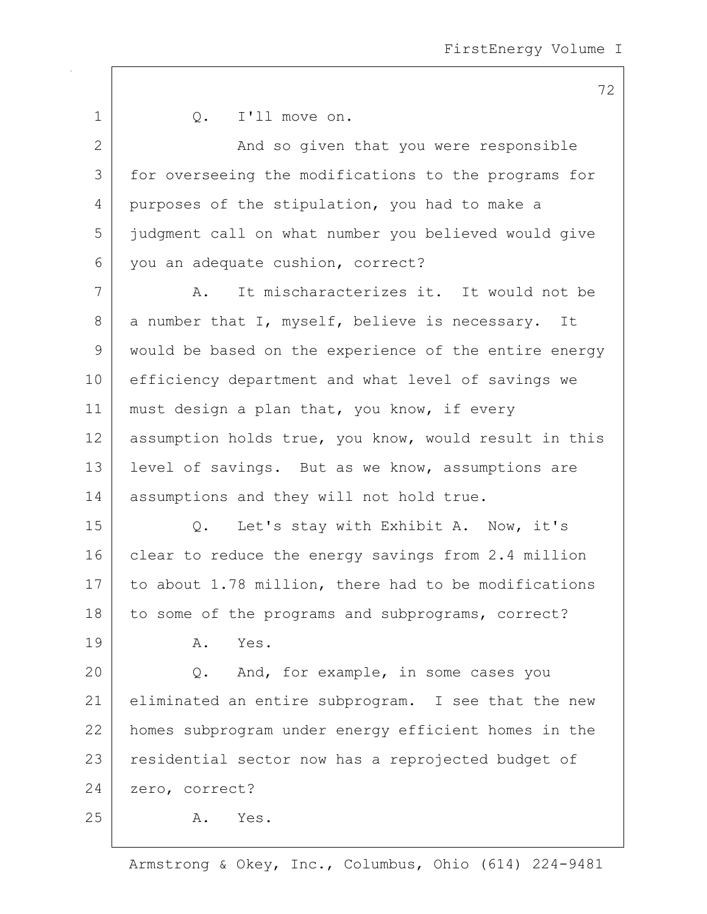| $\mathbf 1$    | I'll move on.<br>Q.                                   |
|----------------|-------------------------------------------------------|
| $\overline{2}$ | And so given that you were responsible                |
| 3              | for overseeing the modifications to the programs for  |
| 4              | purposes of the stipulation, you had to make a        |
| 5              | judgment call on what number you believed would give  |
| 6              | you an adequate cushion, correct?                     |
| 7              | It mischaracterizes it. It would not be<br>Α.         |
| 8              | a number that I, myself, believe is necessary. It     |
| 9              | would be based on the experience of the entire energy |
| 10             | efficiency department and what level of savings we    |
| 11             | must design a plan that, you know, if every           |
| 12             | assumption holds true, you know, would result in this |
| 13             | level of savings. But as we know, assumptions are     |
| 14             | assumptions and they will not hold true.              |
| 15             | Let's stay with Exhibit A. Now, it's<br>Q.            |
| 16             | clear to reduce the energy savings from 2.4 million   |
| 17             | to about 1.78 million, there had to be modifications  |
| 18             | to some of the programs and subprograms, correct?     |
| 19             | Α.<br>Yes.                                            |
| 20             | And, for example, in some cases you<br>Q.             |
| 21             | eliminated an entire subprogram. I see that the new   |
| 22             | homes subprogram under energy efficient homes in the  |
| 23             | residential sector now has a reprojected budget of    |
| 24             | zero, correct?                                        |
| 25             | Yes.<br>Α.                                            |

Armstrong & Okey, Inc., Columbus, Ohio (614) 224-9481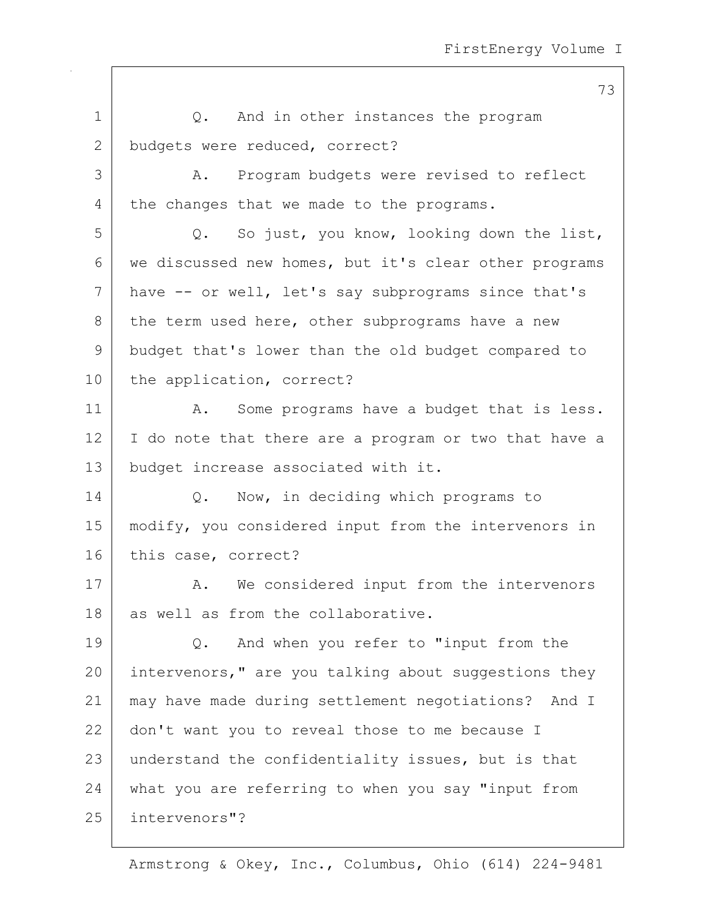1 | Q. And in other instances the program 2 budgets were reduced, correct? 3 A. Program budgets were revised to reflect 4 the changes that we made to the programs. 5 Q. So just, you know, looking down the list, 6 we discussed new homes, but it's clear other programs 7 have -- or well, let's say subprograms since that's  $8$  the term used here, other subprograms have a new 9 budget that's lower than the old budget compared to 10 the application, correct? 11 | A. Some programs have a budget that is less. 12 I do note that there are a program or two that have a 13 budget increase associated with it. 14 Q. Now, in deciding which programs to 15 modify, you considered input from the intervenors in 16 this case, correct? 17 A. We considered input from the intervenors 18 as well as from the collaborative. 19 Q. And when you refer to "input from the 20 intervenors," are you talking about suggestions they 21 may have made during settlement negotiations? And I 22 | don't want you to reveal those to me because I 23 understand the confidentiality issues, but is that 24 what you are referring to when you say "input from 25 intervenors"?

Armstrong & Okey, Inc., Columbus, Ohio (614) 224-9481

## 73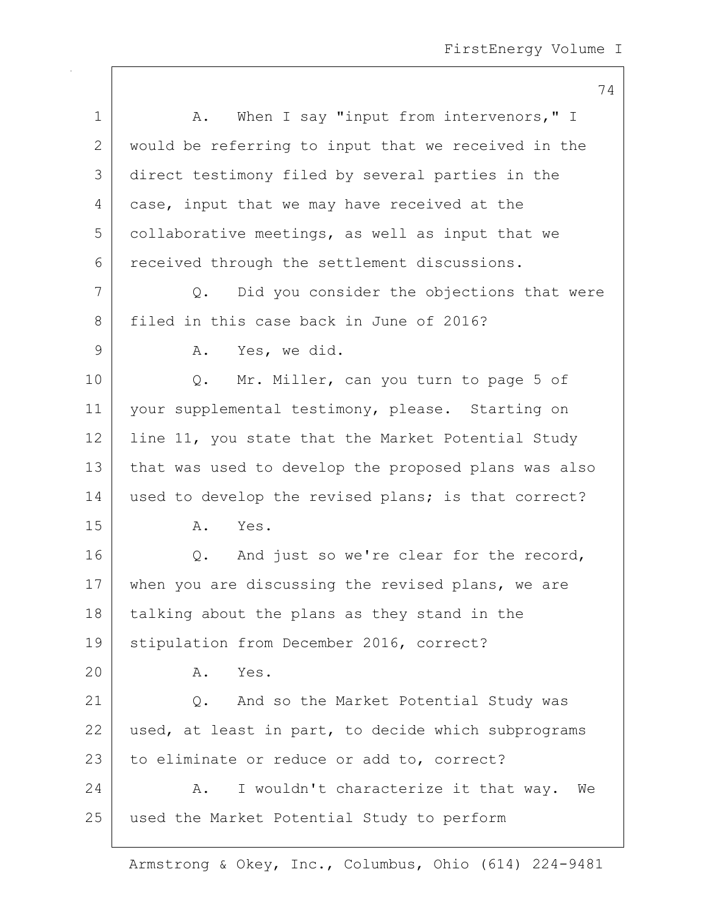|                 | 74                                                   |
|-----------------|------------------------------------------------------|
| $\mathbf 1$     | A. When I say "input from intervenors," I            |
| 2               | would be referring to input that we received in the  |
| 3               | direct testimony filed by several parties in the     |
| 4               | case, input that we may have received at the         |
| 5               | collaborative meetings, as well as input that we     |
| 6               | received through the settlement discussions.         |
| 7               | Did you consider the objections that were<br>Q.      |
| 8               | filed in this case back in June of 2016?             |
| 9               | Yes, we did.<br>Α.                                   |
| 10 <sub>o</sub> | Mr. Miller, can you turn to page 5 of<br>$Q$ .       |
| 11              | your supplemental testimony, please. Starting on     |
| 12              | line 11, you state that the Market Potential Study   |
| 13              | that was used to develop the proposed plans was also |
| 14              | used to develop the revised plans; is that correct?  |
| 15              | Α.<br>Yes.                                           |
| 16              | Q. And just so we're clear for the record,           |
| 17              | when you are discussing the revised plans, we are    |
| 18              | talking about the plans as they stand in the         |
| 19              | stipulation from December 2016, correct?             |
| 20              | Yes.<br>Α.                                           |
| 21              | And so the Market Potential Study was<br>$Q$ .       |
| 22              | used, at least in part, to decide which subprograms  |
| 23              | to eliminate or reduce or add to, correct?           |
| 24              | I wouldn't characterize it that way.<br>Α.<br>We     |
| 25              | used the Market Potential Study to perform           |
|                 |                                                      |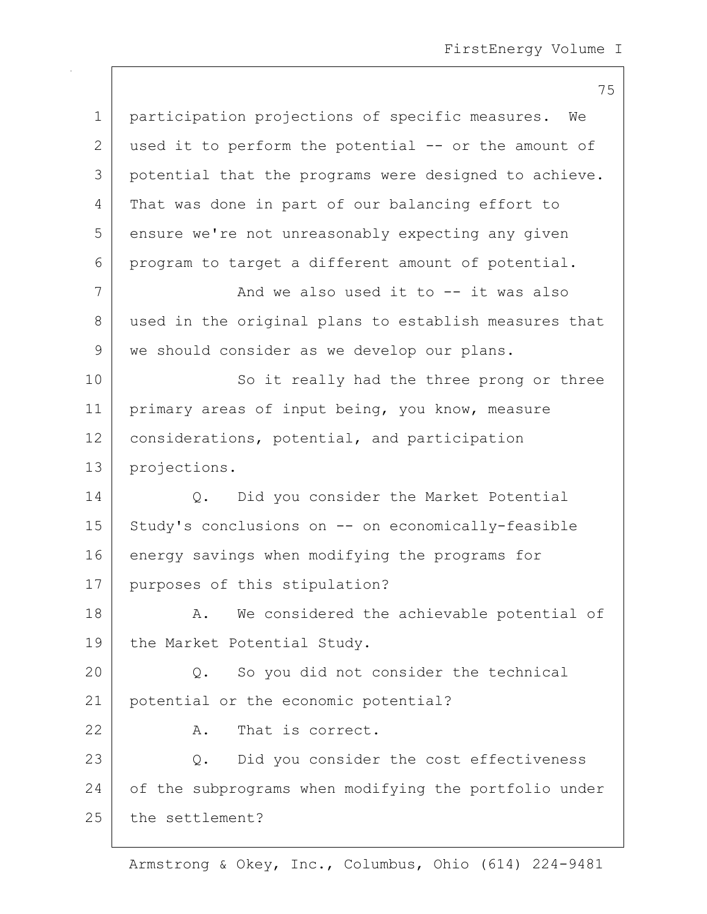|    | 75                                                     |
|----|--------------------------------------------------------|
| 1  | participation projections of specific measures.<br>We  |
| 2  | used it to perform the potential -- or the amount of   |
| 3  | potential that the programs were designed to achieve.  |
| 4  | That was done in part of our balancing effort to       |
| 5  | ensure we're not unreasonably expecting any given      |
| 6  | program to target a different amount of potential.     |
| 7  | And we also used it to $--$ it was also                |
| 8  | used in the original plans to establish measures that  |
| 9  | we should consider as we develop our plans.            |
| 10 | So it really had the three prong or three              |
| 11 | primary areas of input being, you know, measure        |
| 12 | considerations, potential, and participation           |
| 13 | projections.                                           |
| 14 | Did you consider the Market Potential<br>Q.            |
| 15 | Study's conclusions on -- on economically-feasible     |
| 16 | energy savings when modifying the programs for         |
| 17 | purposes of this stipulation?                          |
| 18 | We considered the achievable potential of<br>A.        |
| 19 | the Market Potential Study.                            |
| 20 | $Q_{\bullet}$<br>So you did not consider the technical |
| 21 | potential or the economic potential?                   |
| 22 | That is correct.<br>Α.                                 |
| 23 | Did you consider the cost effectiveness<br>Q.          |
| 24 | of the subprograms when modifying the portfolio under  |
| 25 | the settlement?                                        |
|    |                                                        |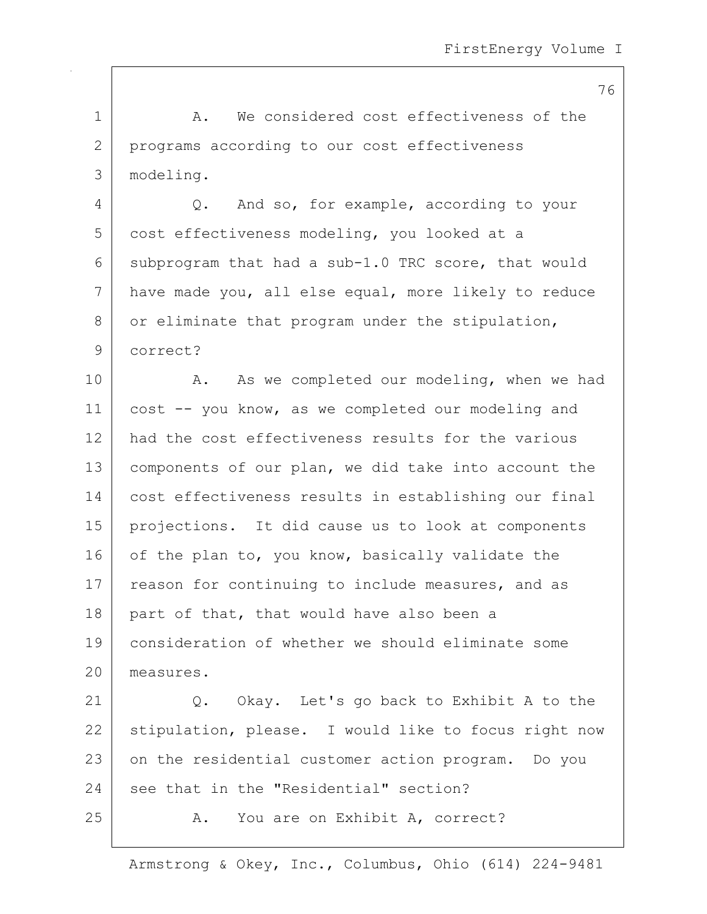1 1 A. We considered cost effectiveness of the 2 programs according to our cost effectiveness 3 modeling. 4 Q. And so, for example, according to your 5 cost effectiveness modeling, you looked at a 6 subprogram that had a sub-1.0 TRC score, that would 7 have made you, all else equal, more likely to reduce  $8$  or eliminate that program under the stipulation, 9 correct? 10 A. As we completed our modeling, when we had 11 cost -- you know, as we completed our modeling and 12 had the cost effectiveness results for the various 13 | components of our plan, we did take into account the 14 cost effectiveness results in establishing our final 15 projections. It did cause us to look at components 16 of the plan to, you know, basically validate the 17 reason for continuing to include measures, and as 18 part of that, that would have also been a 19 consideration of whether we should eliminate some 20 measures. 21 Q. Okay. Let's go back to Exhibit A to the 22 stipulation, please. I would like to focus right now 23 on the residential customer action program. Do you

24 see that in the "Residential" section?

25 A. You are on Exhibit A, correct?

Armstrong & Okey, Inc., Columbus, Ohio (614) 224-9481

76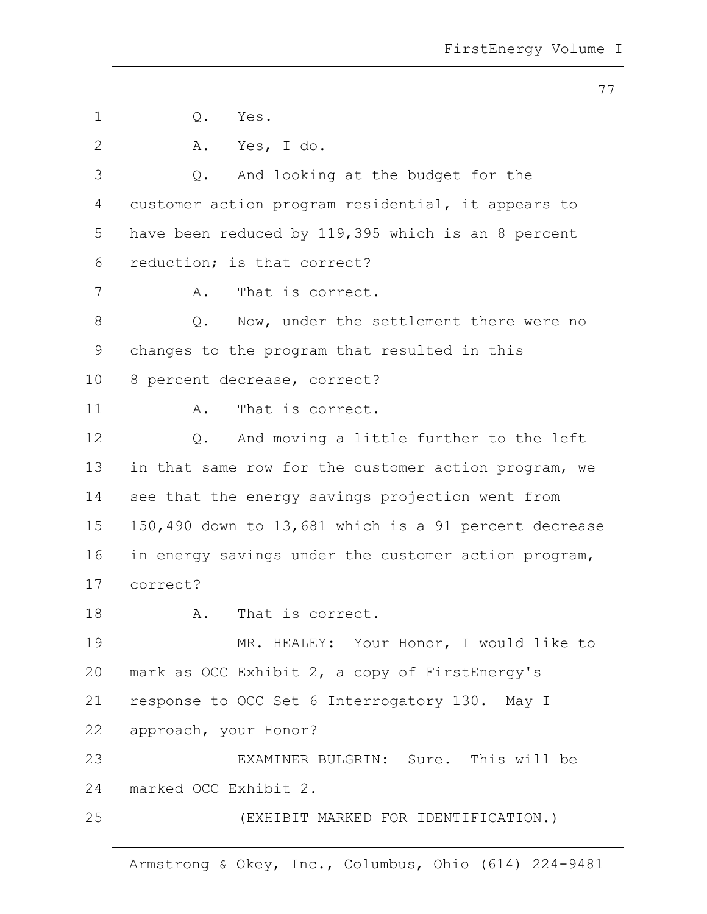|              | 77                                                    |
|--------------|-------------------------------------------------------|
| $\mathbf 1$  | Q.<br>Yes.                                            |
| $\mathbf{2}$ | Yes, I do.<br>A.                                      |
| 3            | And looking at the budget for the<br>Q.               |
| 4            | customer action program residential, it appears to    |
| 5            | have been reduced by 119,395 which is an 8 percent    |
| 6            | reduction; is that correct?                           |
| 7            | That is correct.<br>Α.                                |
| 8            | Now, under the settlement there were no<br>$Q$ .      |
| 9            | changes to the program that resulted in this          |
| 10           | 8 percent decrease, correct?                          |
| 11           | That is correct.<br>Α.                                |
| 12           | And moving a little further to the left<br>Q.         |
| 13           | in that same row for the customer action program, we  |
| 14           | see that the energy savings projection went from      |
| 15           | 150,490 down to 13,681 which is a 91 percent decrease |
| 16           | in energy savings under the customer action program,  |
| 17           | correct?                                              |
| 18           | That is correct.<br>A.                                |
| 19           | MR. HEALEY: Your Honor, I would like to               |
| 20           | mark as OCC Exhibit 2, a copy of FirstEnergy's        |
| 21           | response to OCC Set 6 Interrogatory 130. May I        |
| 22           | approach, your Honor?                                 |
| 23           | EXAMINER BULGRIN: Sure. This will be                  |
| 24           | marked OCC Exhibit 2.                                 |
| 25           | (EXHIBIT MARKED FOR IDENTIFICATION.)                  |
|              |                                                       |

 $\mathsf{I}$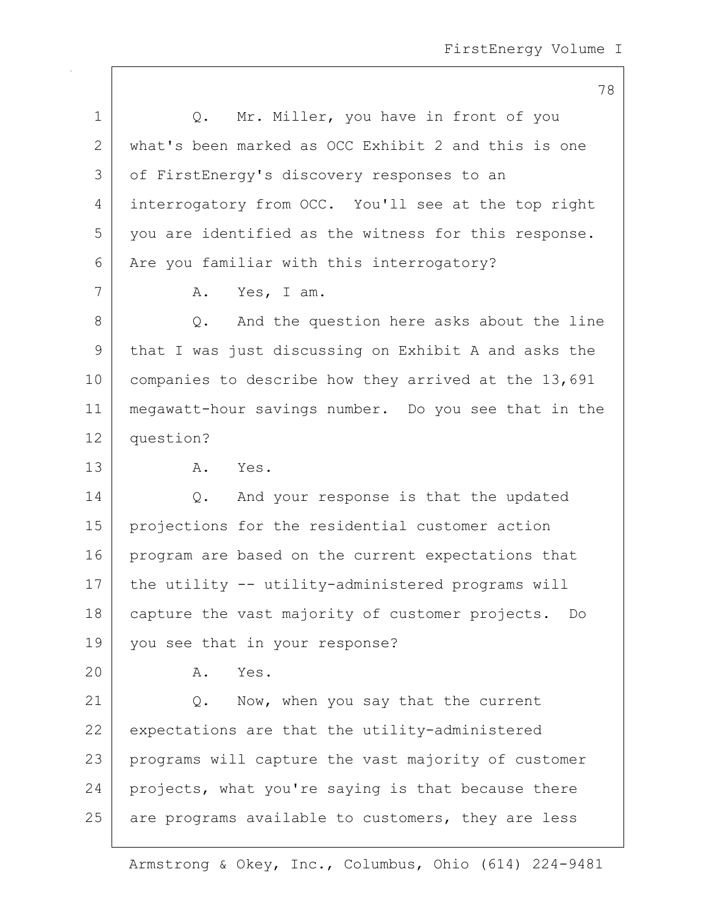78

| $\mathbf 1$ | Mr. Miller, you have in front of you<br>Q.           |
|-------------|------------------------------------------------------|
| 2           | what's been marked as OCC Exhibit 2 and this is one  |
| 3           | of FirstEnergy's discovery responses to an           |
| 4           | interrogatory from OCC. You'll see at the top right  |
| 5           | you are identified as the witness for this response. |
| 6           | Are you familiar with this interrogatory?            |
| 7           | Yes, I am.<br>Α.                                     |
| 8           | Q. And the question here asks about the line         |
| 9           | that I was just discussing on Exhibit A and asks the |
| 10          | companies to describe how they arrived at the 13,691 |
| 11          | megawatt-hour savings number. Do you see that in the |
| 12          | question?                                            |
| 13          | Α.<br>Yes.                                           |
| 14          | And your response is that the updated<br>$Q$ .       |
| 15          | projections for the residential customer action      |
| 16          | program are based on the current expectations that   |
| 17          | the utility -- utility-administered programs will    |
| 18          | capture the vast majority of customer projects. Do   |
| 19          | you see that in your response?                       |
| 20          | Α.<br>Yes.                                           |
| 21          | Now, when you say that the current<br>Q.             |
| 22          | expectations are that the utility-administered       |
| 23          | programs will capture the vast majority of customer  |
| 24          | projects, what you're saying is that because there   |
| 25          | are programs available to customers, they are less   |
|             |                                                      |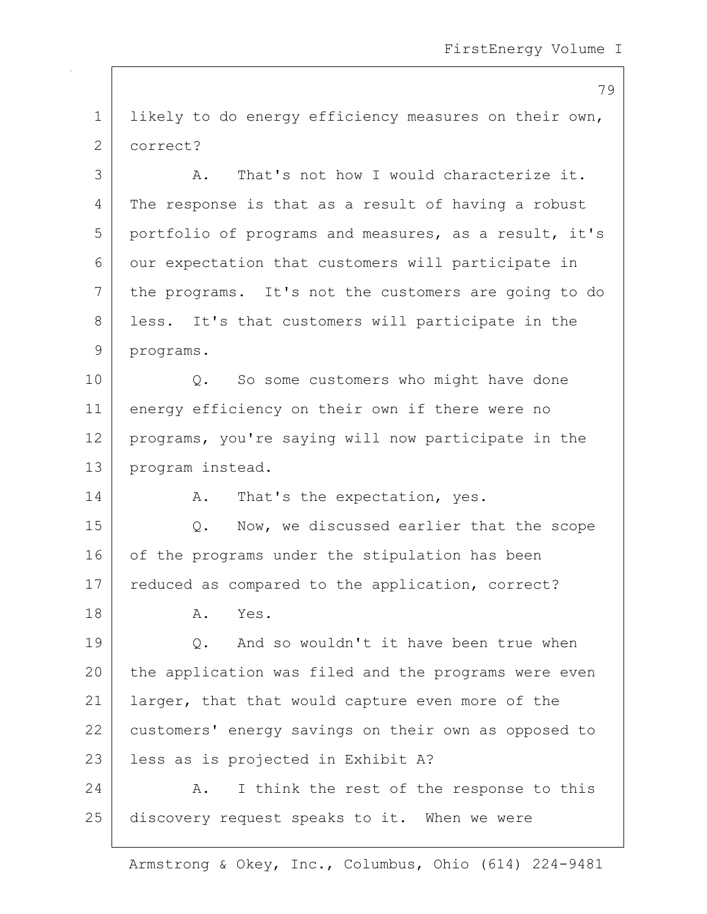1 likely to do energy efficiency measures on their own, 2 correct?

3 A. That's not how I would characterize it. 4 The response is that as a result of having a robust 5 portfolio of programs and measures, as a result, it's 6 our expectation that customers will participate in 7 the programs. It's not the customers are going to do 8 | less. It's that customers will participate in the 9 programs. 10 | Q. So some customers who might have done 11 energy efficiency on their own if there were no 12 programs, you're saying will now participate in the 13 | program instead. 14 A. That's the expectation, yes. 15 Q. Now, we discussed earlier that the scope 16 of the programs under the stipulation has been 17 | reduced as compared to the application, correct? 18 A. Yes. 19 Q. And so wouldn't it have been true when 20 the application was filed and the programs were even

22 customers' energy savings on their own as opposed to 23 less as is projected in Exhibit A?

21 | larger, that that would capture even more of the

24 A. I think the rest of the response to this 25 discovery request speaks to it. When we were

Armstrong & Okey, Inc., Columbus, Ohio (614) 224-9481

79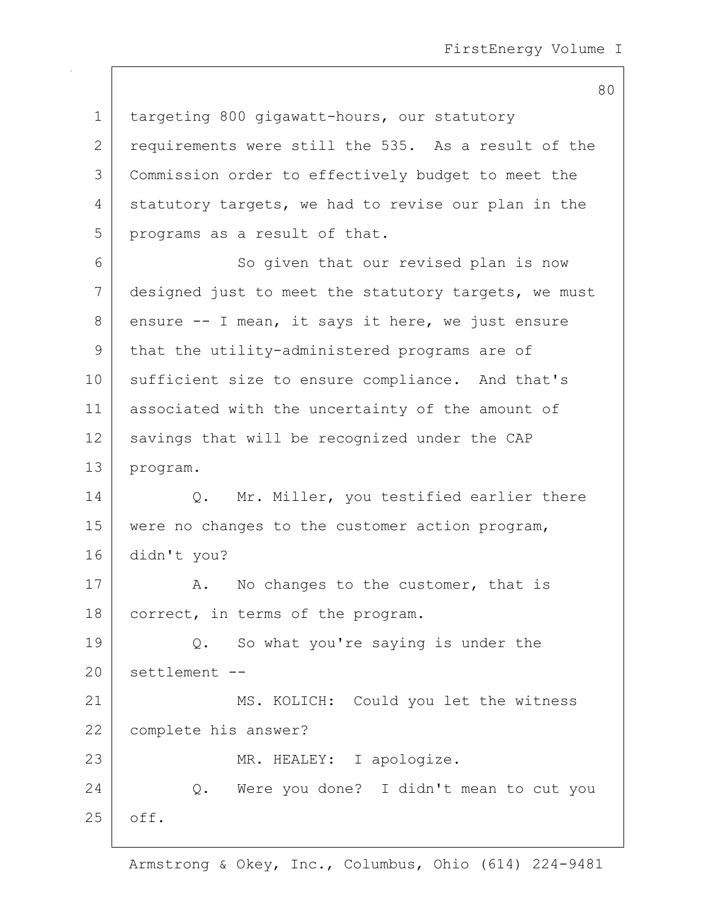80

| $\mathbf 1$  | targeting 800 gigawatt-hours, our statutory          |
|--------------|------------------------------------------------------|
| $\mathbf{2}$ | requirements were still the 535. As a result of the  |
| 3            | Commission order to effectively budget to meet the   |
| 4            | statutory targets, we had to revise our plan in the  |
| 5            | programs as a result of that.                        |
| 6            | So given that our revised plan is now                |
| 7            | designed just to meet the statutory targets, we must |
| 8            | ensure -- I mean, it says it here, we just ensure    |
| 9            | that the utility-administered programs are of        |
| 10           | sufficient size to ensure compliance. And that's     |
| 11           | associated with the uncertainty of the amount of     |
| 12           | savings that will be recognized under the CAP        |
| 13           | program.                                             |
| 14           | Q. Mr. Miller, you testified earlier there           |
| 15           | were no changes to the customer action program,      |
| 16           | didn't you?                                          |
| 17           | No changes to the customer, that is<br>Α.            |
| 18           | correct, in terms of the program.                    |
| 19           | Q. So what you're saying is under the                |
| 20           | settlement --                                        |
| 21           | MS. KOLICH: Could you let the witness                |
| 22           | complete his answer?                                 |
| 23           | MR. HEALEY: I apologize.                             |
| 24           | Q. Were you done? I didn't mean to cut you           |
| 25           | off.                                                 |
|              |                                                      |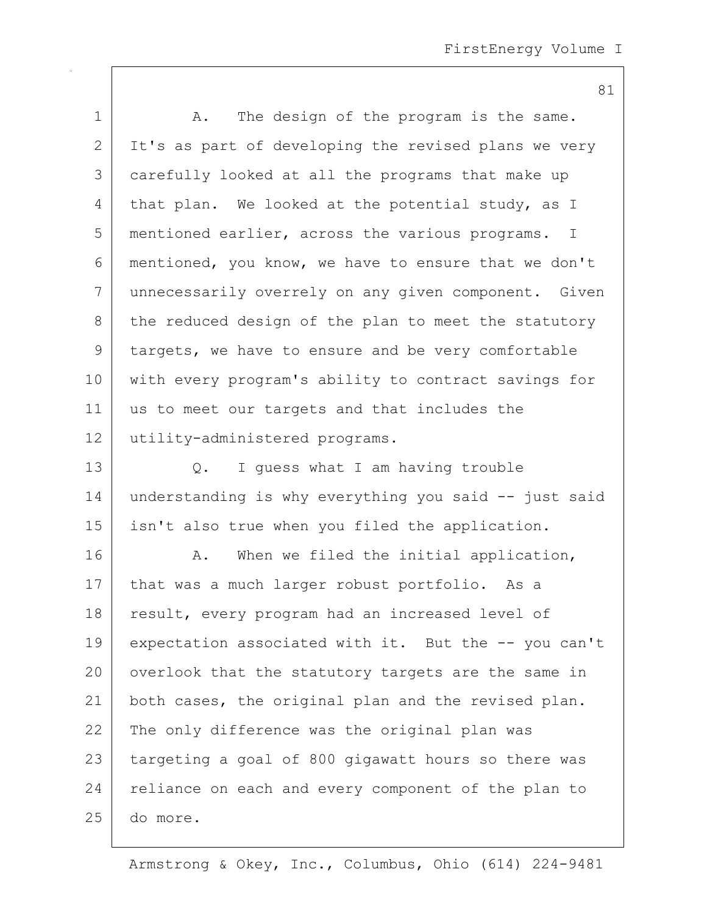|              | 81                                                              |
|--------------|-----------------------------------------------------------------|
| $\mathbf 1$  | The design of the program is the same.<br>Α.                    |
| $\mathbf{2}$ | It's as part of developing the revised plans we very            |
| 3            | carefully looked at all the programs that make up               |
| 4            | that plan. We looked at the potential study, as I               |
| 5            | mentioned earlier, across the various programs.<br>$\mathbb{I}$ |
| 6            | mentioned, you know, we have to ensure that we don't            |
| 7            | unnecessarily overrely on any given component. Given            |
| 8            | the reduced design of the plan to meet the statutory            |
| 9            | targets, we have to ensure and be very comfortable              |
| 10           | with every program's ability to contract savings for            |
| 11           | us to meet our targets and that includes the                    |
| 12           | utility-administered programs.                                  |
| 13           | I quess what I am having trouble<br>Q.                          |
| 14           | understanding is why everything you said -- just said           |
| 15           | isn't also true when you filed the application.                 |
| 16           | When we filed the initial application,<br>Α.                    |
| 17           | that was a much larger robust portfolio. As a                   |
| 18           | result, every program had an increased level of                 |
| 19           | expectation associated with it. But the -- you can't            |
| 20           | overlook that the statutory targets are the same in             |
| 21           | both cases, the original plan and the revised plan.             |
| 22           | The only difference was the original plan was                   |
| 23           | targeting a goal of 800 gigawatt hours so there was             |
| 24           | reliance on each and every component of the plan to             |
| 25           | do more.                                                        |

 $\overline{\phantom{a}}$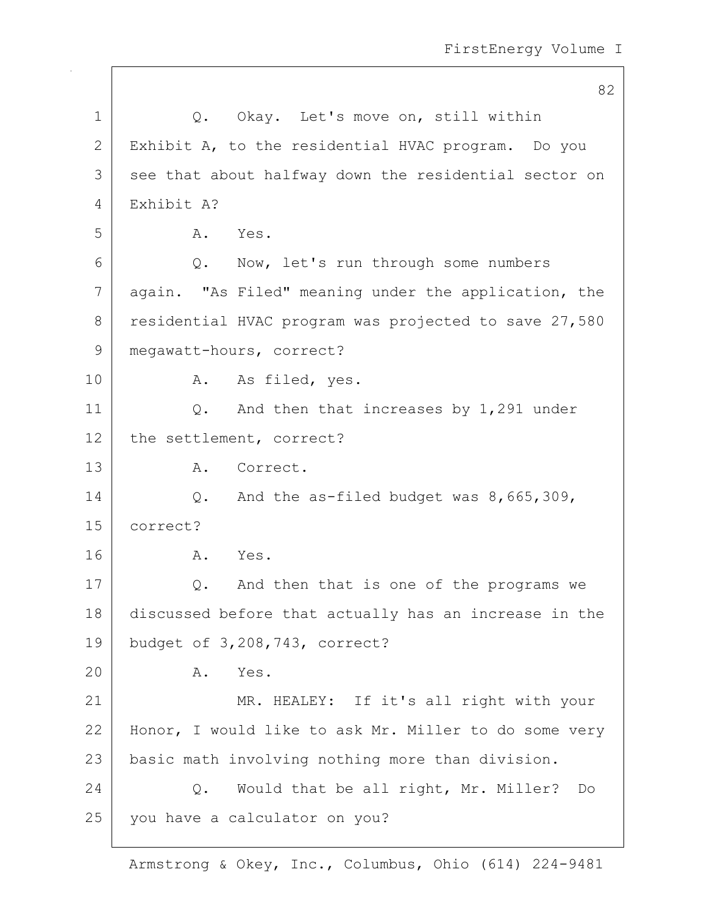|              | 82                                                    |
|--------------|-------------------------------------------------------|
| $\mathbf 1$  | Q. Okay. Let's move on, still within                  |
| $\mathbf{2}$ | Exhibit A, to the residential HVAC program. Do you    |
| 3            | see that about halfway down the residential sector on |
| 4            | Exhibit A?                                            |
| 5            | Yes.<br>A.                                            |
| 6            | Now, let's run through some numbers<br>Q.             |
| 7            | again. "As Filed" meaning under the application, the  |
| 8            | residential HVAC program was projected to save 27,580 |
| $\mathsf 9$  | megawatt-hours, correct?                              |
| 10           | A. As filed, yes.                                     |
| 11           | And then that increases by 1,291 under<br>Q.          |
| 12           | the settlement, correct?                              |
| 13           | A. Correct.                                           |
| 14           | And the as-filed budget was 8,665,309,<br>Q.          |
| 15           | correct?                                              |
| 16           | Α.<br>Yes.                                            |
| 17           | And then that is one of the programs we<br>Q.         |
| 18           | discussed before that actually has an increase in the |
| 19           | budget of 3,208,743, correct?                         |
| 20           | Yes.<br>Α.                                            |
| 21           | MR. HEALEY: If it's all right with your               |
| 22           | Honor, I would like to ask Mr. Miller to do some very |
| 23           | basic math involving nothing more than division.      |
| 24           | Would that be all right, Mr. Miller?<br>Q.<br>Do      |
| 25           | you have a calculator on you?                         |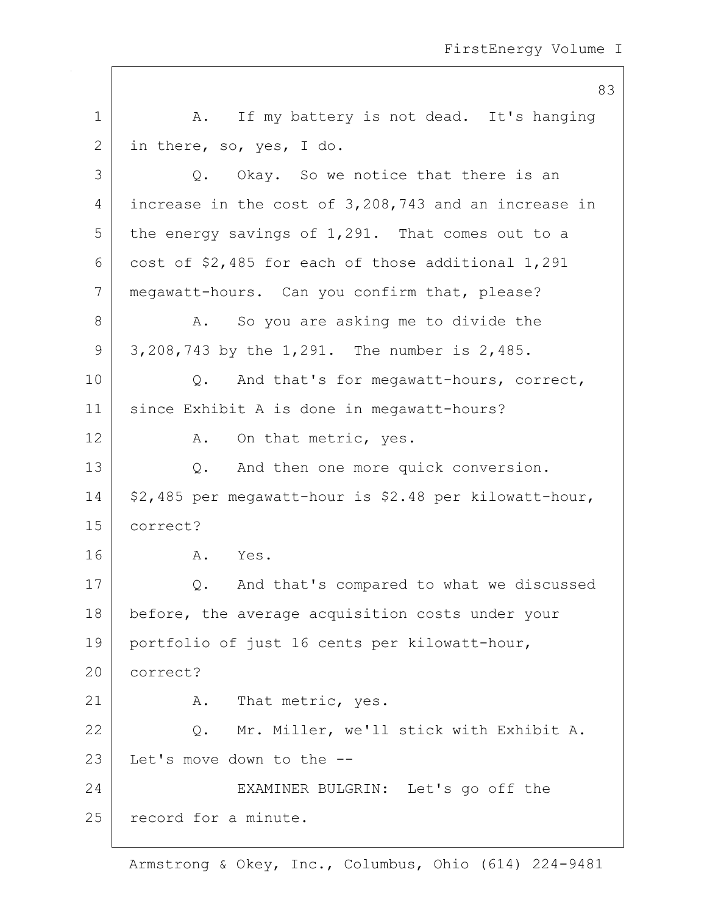|    | 83                                                       |
|----|----------------------------------------------------------|
| 1  | A. If my battery is not dead. It's hanging               |
| 2  | in there, so, yes, I do.                                 |
| 3  | Okay. So we notice that there is an<br>Q.                |
| 4  | increase in the cost of 3,208,743 and an increase in     |
| 5  | the energy savings of 1,291. That comes out to a         |
| 6  | cost of \$2,485 for each of those additional 1,291       |
| 7  | megawatt-hours. Can you confirm that, please?            |
| 8  | So you are asking me to divide the<br>Α.                 |
| 9  | 3,208,743 by the 1,291. The number is 2,485.             |
| 10 | And that's for megawatt-hours, correct,<br>$Q_{\bullet}$ |
| 11 | since Exhibit A is done in megawatt-hours?               |
| 12 | A. On that metric, yes.                                  |
| 13 | And then one more quick conversion.<br>Q.                |
| 14 | \$2,485 per megawatt-hour is \$2.48 per kilowatt-hour,   |
| 15 | correct?                                                 |
| 16 | Yes.<br>Α.                                               |
| 17 | And that's compared to what we discussed<br>Q.           |
| 18 | before, the average acquisition costs under your         |
| 19 | portfolio of just 16 cents per kilowatt-hour,            |
| 20 | correct?                                                 |
| 21 | A. That metric, yes.                                     |
| 22 | Q. Mr. Miller, we'll stick with Exhibit A.               |
| 23 | Let's move down to the --                                |
| 24 | EXAMINER BULGRIN: Let's go off the                       |
| 25 | record for a minute.                                     |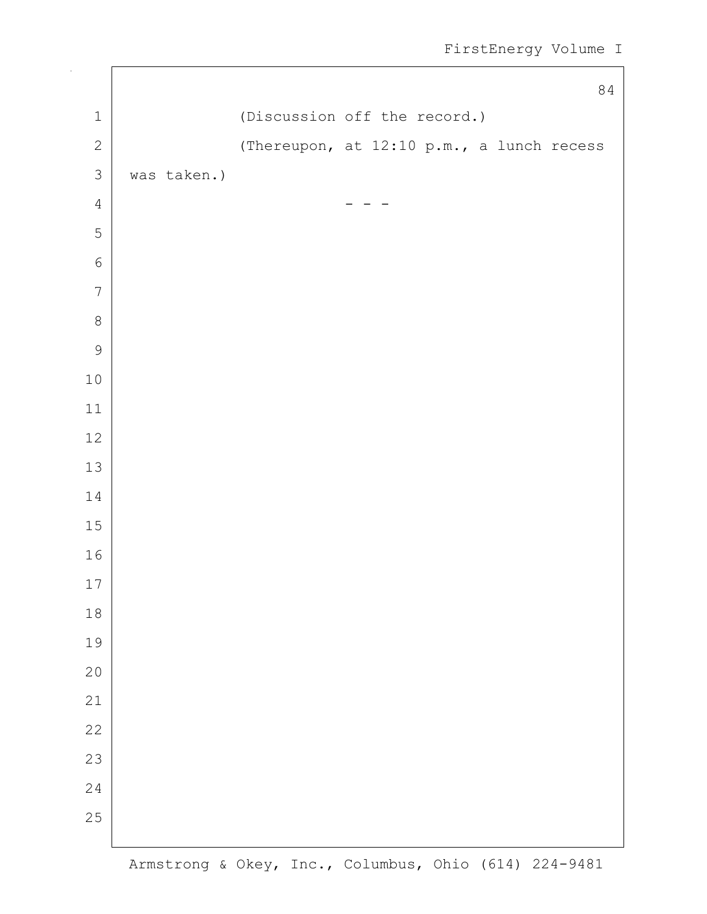```
84
1 (Discussion off the record.)
2 (Thereupon, at 12:10 p.m., a lunch recess
3 was taken.)
 4 - - -
5
6
7
8
9
10
11
12
13
14
15
16
17
18
19
20
21
22
23
24
25
```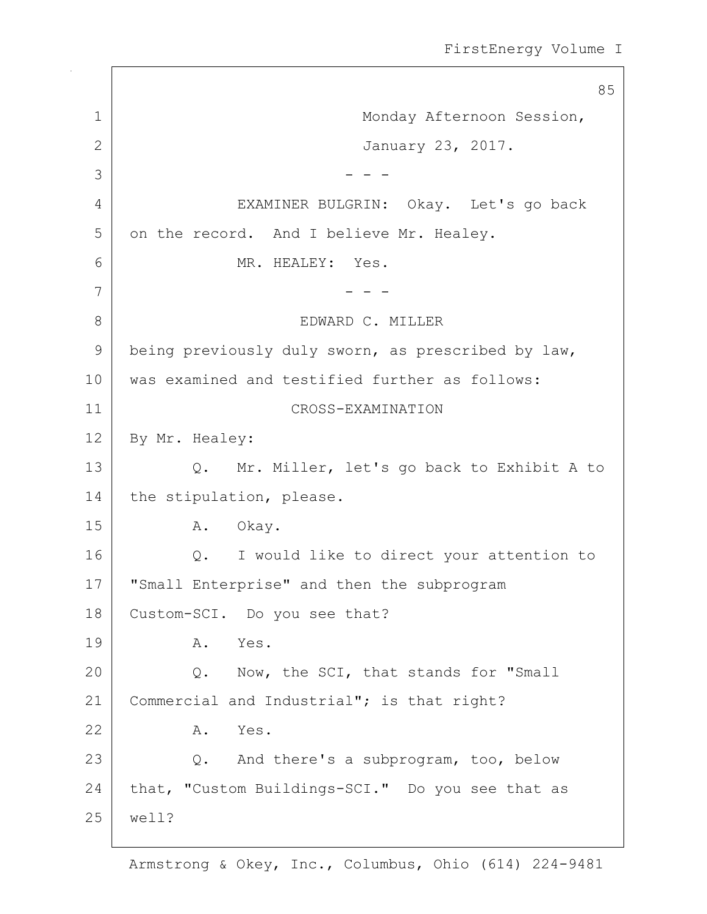85 1 | Monday Afternoon Session, 2 January 23, 2017.  $3 \mid - - -$ 4 EXAMINER BULGRIN: Okay. Let's go back 5 on the record. And I believe Mr. Healey. 6 MR. HEALEY: Yes. 7 - - - 8 EDWARD C. MILLER 9 being previously duly sworn, as prescribed by law, 10 was examined and testified further as follows: 11 CROSS-EXAMINATION 12 By Mr. Healey: 13 Q. Mr. Miller, let's go back to Exhibit A to 14 the stipulation, please. 15 A. Okay. 16 | Q. I would like to direct your attention to 17 | "Small Enterprise" and then the subprogram 18 Custom-SCI. Do you see that? 19 A. Yes. 20 Q. Now, the SCI, that stands for "Small 21 | Commercial and Industrial"; is that right? 22 A. Yes. 23 Q. And there's a subprogram, too, below 24 that, "Custom Buildings-SCI." Do you see that as 25 well?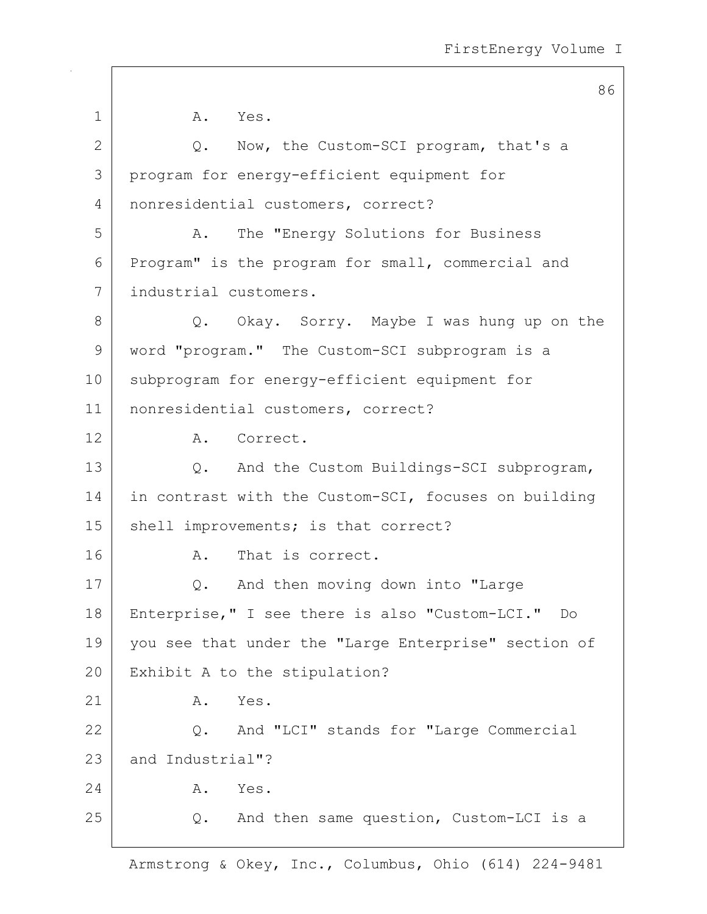|              | 86                                                   |
|--------------|------------------------------------------------------|
| 1            | A. Yes.                                              |
| $\mathbf{2}$ | Now, the Custom-SCI program, that's a<br>Q.          |
| 3            | program for energy-efficient equipment for           |
| 4            | nonresidential customers, correct?                   |
| 5            | The "Energy Solutions for Business<br>A.             |
| 6            | Program" is the program for small, commercial and    |
| 7            | industrial customers.                                |
| 8            | Q. Okay. Sorry. Maybe I was hung up on the           |
| $\mathsf 9$  | word "program." The Custom-SCI subprogram is a       |
| 10           | subprogram for energy-efficient equipment for        |
| 11           | nonresidential customers, correct?                   |
| 12           | A. Correct.                                          |
| 13           | Q. And the Custom Buildings-SCI subprogram,          |
| 14           | in contrast with the Custom-SCI, focuses on building |
| 15           | shell improvements; is that correct?                 |
| 16           | That is correct.<br>Α.                               |
| 17           | Q. And then moving down into "Large                  |
| 18           | Enterprise," I see there is also "Custom-LCI." Do    |
| 19           | you see that under the "Large Enterprise" section of |
| 20           | Exhibit A to the stipulation?                        |
| 21           | Yes.<br>Α.                                           |
| 22           | Q. And "LCI" stands for "Large Commercial            |
| 23           | and Industrial"?                                     |
| 24           | Α.<br>Yes.                                           |
| 25           | And then same question, Custom-LCI is a<br>Q.        |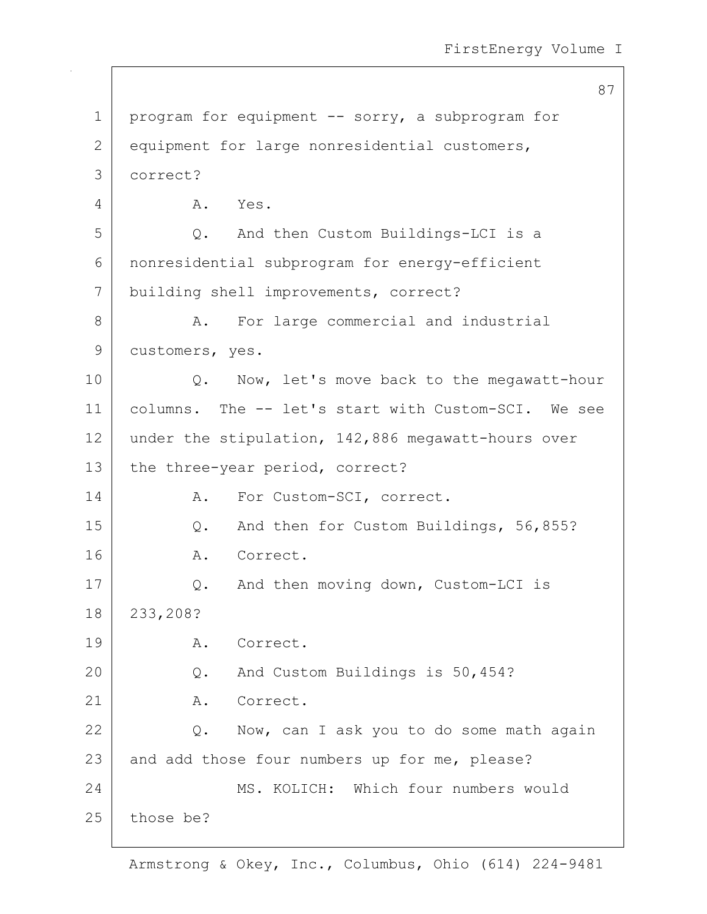87 1 | program for equipment -- sorry, a subprogram for 2 equipment for large nonresidential customers, 3 correct? 4 A. Yes. 5 Q. And then Custom Buildings-LCI is a 6 nonresidential subprogram for energy-efficient 7 building shell improvements, correct? 8 A. For large commercial and industrial 9 customers, yes. 10 | Q. Now, let's move back to the megawatt-hour 11 columns. The -- let's start with Custom-SCI. We see 12 under the stipulation, 142,886 megawatt-hours over 13 the three-year period, correct? 14 A. For Custom-SCI, correct. 15 Q. And then for Custom Buildings, 56,855? 16 A. Correct. 17 | Q. And then moving down, Custom-LCI is 18 233,208? 19 A. Correct. 20 Q. And Custom Buildings is 50,454? 21 A. Correct. 22 Q. Now, can I ask you to do some math again 23 and add those four numbers up for me, please? 24 MS. KOLICH: Which four numbers would 25 those be?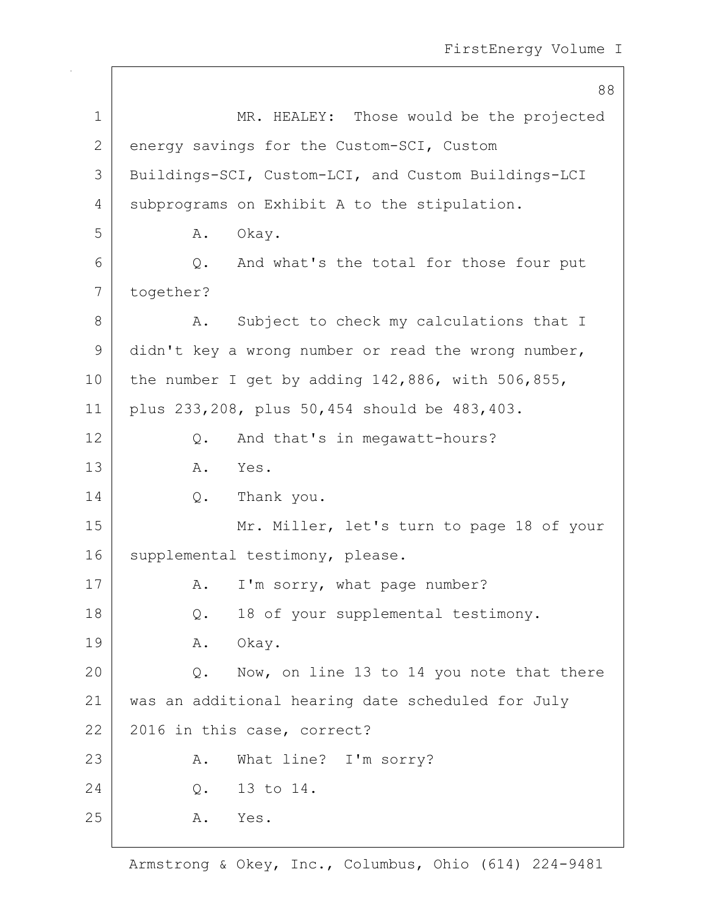88 1 MR. HEALEY: Those would be the projected 2 energy savings for the Custom-SCI, Custom 3 Buildings-SCI, Custom-LCI, and Custom Buildings-LCI 4 subprograms on Exhibit A to the stipulation. 5 A. Okay. 6 Q. And what's the total for those four put 7 together? 8 A. Subject to check my calculations that I 9 didn't key a wrong number or read the wrong number, 10 | the number I get by adding  $142,886$ , with  $506,855$ , 11 plus 233,208, plus 50,454 should be 483,403. 12 Q. And that's in megawatt-hours? 13 A. Yes. 14 O. Thank you. 15 | Mr. Miller, let's turn to page 18 of your 16 | supplemental testimony, please. 17 | A. I'm sorry, what page number? 18 Q. 18 of your supplemental testimony. 19 | A. Okay. 20 Q. Now, on line 13 to 14 you note that there 21 was an additional hearing date scheduled for July 22 2016 in this case, correct? 23 A. What line? I'm sorry? 24 Q. 13 to 14. 25 A. Yes.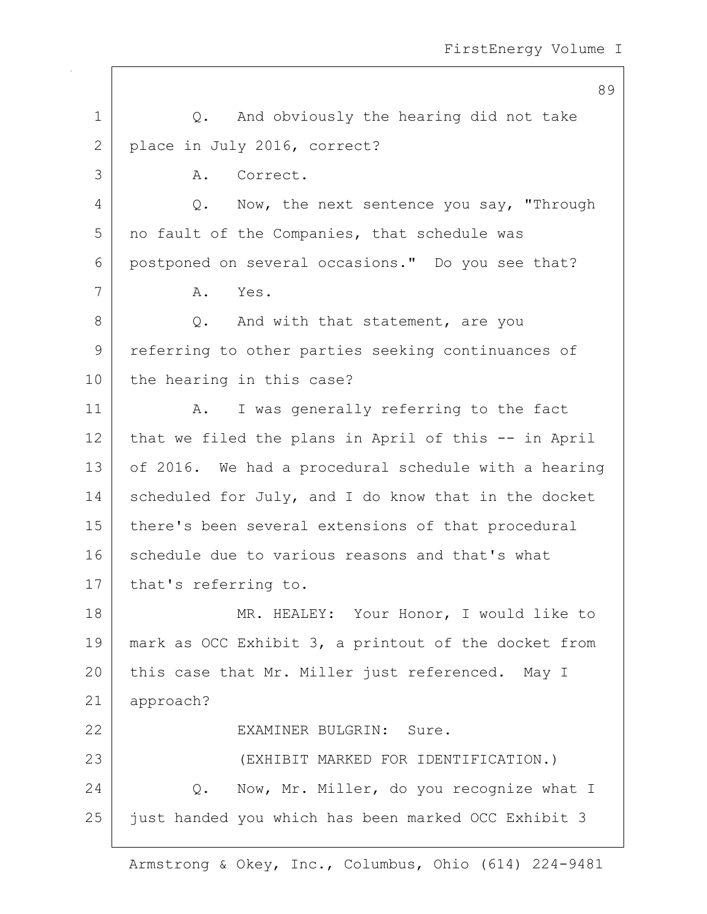89 1 |  $Q$ . And obviously the hearing did not take 2 place in July 2016, correct? 3 A. Correct. 4 Q. Now, the next sentence you say, "Through 5 | no fault of the Companies, that schedule was 6 postponed on several occasions." Do you see that? 7 A. Yes. 8 Q. And with that statement, are you 9 referring to other parties seeking continuances of 10 the hearing in this case? 11 | A. I was generally referring to the fact  $12$  that we filed the plans in April of this  $-$  in April 13 of 2016. We had a procedural schedule with a hearing 14 scheduled for July, and I do know that in the docket 15 there's been several extensions of that procedural 16 schedule due to various reasons and that's what 17 | that's referring to. 18 | MR. HEALEY: Your Honor, I would like to 19 mark as OCC Exhibit 3, a printout of the docket from 20 this case that Mr. Miller just referenced. May I 21 approach? 22 EXAMINER BULGRIN: Sure. 23 (EXHIBIT MARKED FOR IDENTIFICATION.) 24 | C. Now, Mr. Miller, do you recognize what I 25 just handed you which has been marked OCC Exhibit 3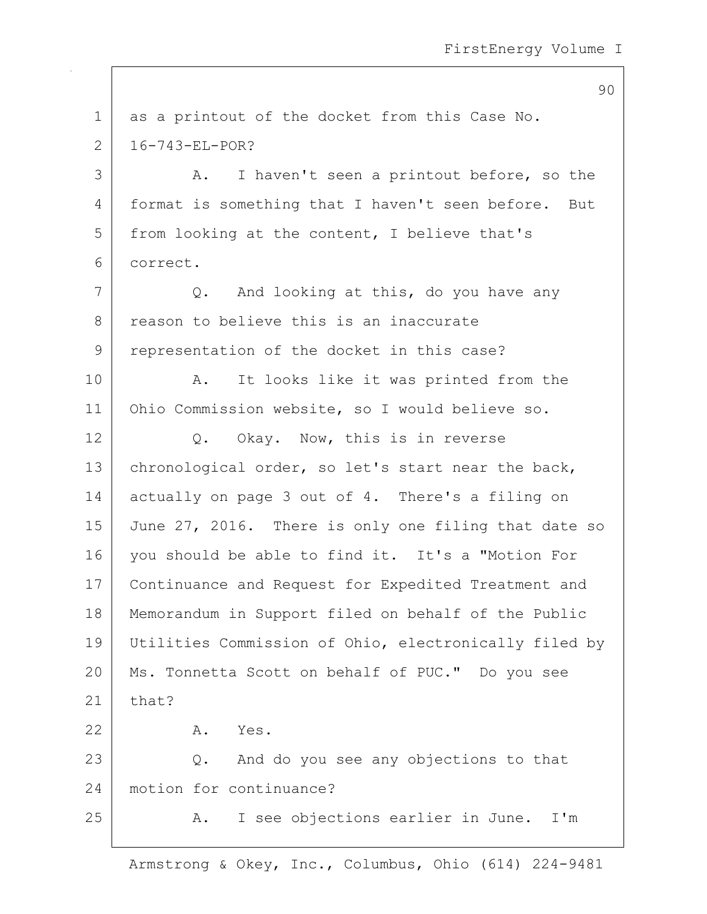90

| $\mathbf 1$  | as a printout of the docket from this Case No.         |
|--------------|--------------------------------------------------------|
| $\mathbf{2}$ | $16 - 743 - E L - POR?$                                |
| 3            | I haven't seen a printout before, so the<br>Α.         |
| 4            | format is something that I haven't seen before.<br>But |
| 5            | from looking at the content, I believe that's          |
| 6            | correct.                                               |
| 7            | And looking at this, do you have any<br>Q.             |
| 8            | reason to believe this is an inaccurate                |
| 9            | representation of the docket in this case?             |
| 10           | It looks like it was printed from the<br>A.            |
| 11           | Ohio Commission website, so I would believe so.        |
| 12           | Q. Okay. Now, this is in reverse                       |
| 13           | chronological order, so let's start near the back,     |
| 14           | actually on page 3 out of 4. There's a filing on       |
| 15           | June 27, 2016. There is only one filing that date so   |
| 16           | you should be able to find it. It's a "Motion For      |
| 17           | Continuance and Request for Expedited Treatment and    |
| 18           | Memorandum in Support filed on behalf of the Public    |
| 19           | Utilities Commission of Ohio, electronically filed by  |
| 20           | Ms. Tonnetta Scott on behalf of PUC." Do you see       |
| 21           | that?                                                  |
| 22           | Yes.<br>Α.                                             |
| 23           | And do you see any objections to that<br>Q.            |
| 24           | motion for continuance?                                |
| 25           | I see objections earlier in June.<br>I'm<br>Α.         |
|              |                                                        |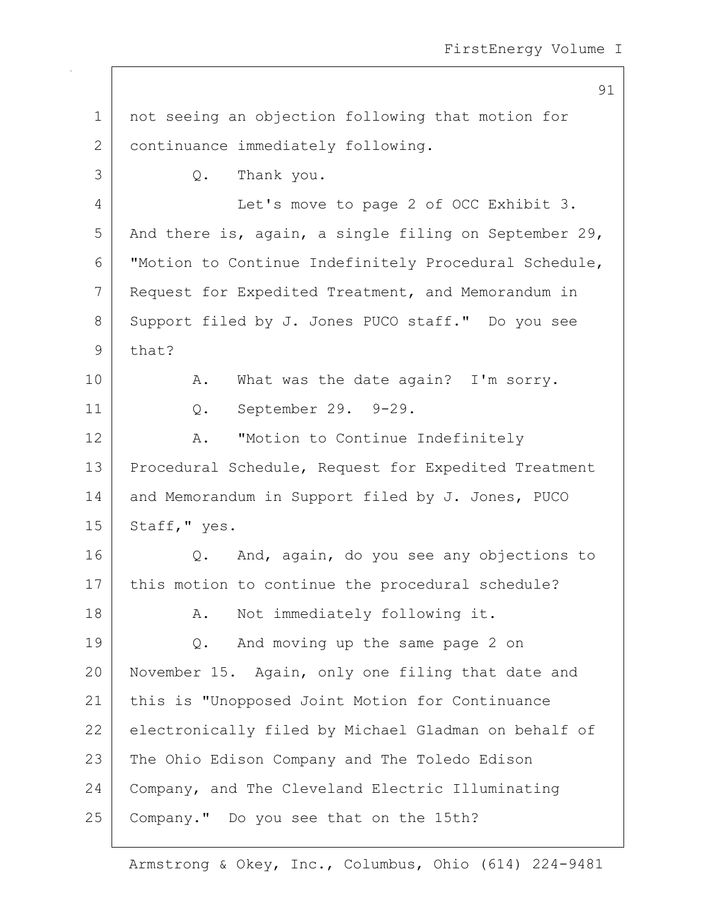91 1 not seeing an objection following that motion for 2 continuance immediately following. 3 Q. Thank you. 4 Let's move to page 2 of OCC Exhibit 3. 5 And there is, again, a single filing on September 29, 6 "Motion to Continue Indefinitely Procedural Schedule, 7 Request for Expedited Treatment, and Memorandum in 8 Support filed by J. Jones PUCO staff." Do you see 9 that? 10 | A. What was the date again? I'm sorry. 11 Q. September 29. 9-29. 12 A. "Motion to Continue Indefinitely 13 | Procedural Schedule, Request for Expedited Treatment 14 and Memorandum in Support filed by J. Jones, PUCO  $15$  Staff," yes. 16 Q. And, again, do you see any objections to 17 | this motion to continue the procedural schedule? 18 | R. Not immediately following it. 19 Q. And moving up the same page 2 on 20 November 15. Again, only one filing that date and 21 this is "Unopposed Joint Motion for Continuance 22 electronically filed by Michael Gladman on behalf of 23 The Ohio Edison Company and The Toledo Edison 24 Company, and The Cleveland Electric Illuminating 25 Company." Do you see that on the 15th?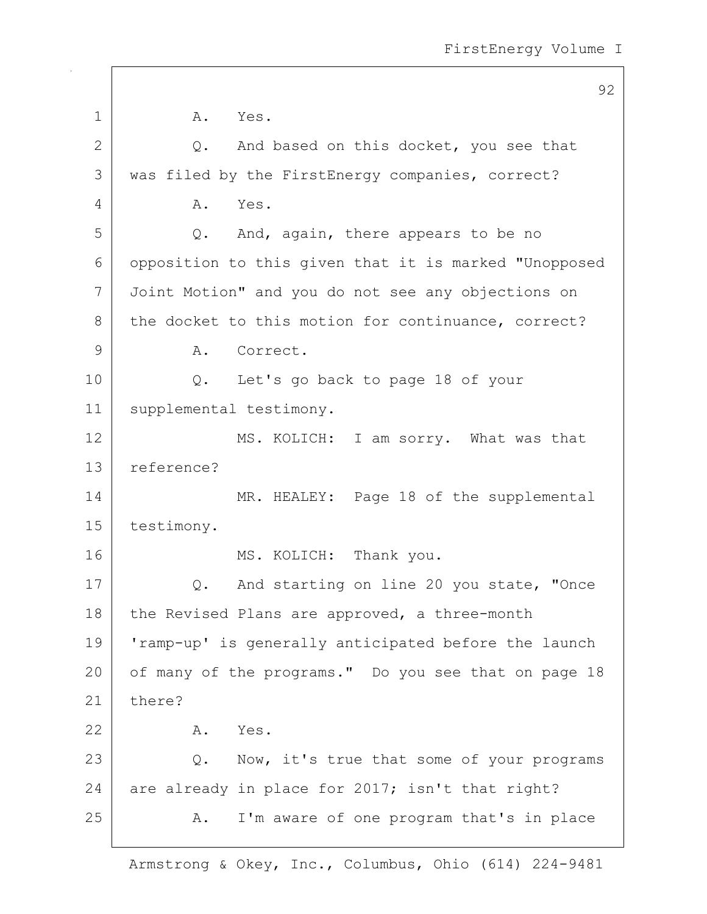92 1 A. Yes.  $2$  Q. And based on this docket, you see that 3 | was filed by the FirstEnergy companies, correct? 4 A. Yes. 5 Q. And, again, there appears to be no 6 opposition to this given that it is marked "Unopposed 7 Joint Motion" and you do not see any objections on 8 the docket to this motion for continuance, correct? 9 A. Correct. 10 Q. Let's go back to page 18 of your 11 | supplemental testimony. 12 MS. KOLICH: I am sorry. What was that 13 reference? 14 MR. HEALEY: Page 18 of the supplemental 15 testimony. 16 MS. KOLICH: Thank you. 17 | Q. And starting on line 20 you state, "Once 18 | the Revised Plans are approved, a three-month 19 'ramp-up' is generally anticipated before the launch 20 of many of the programs." Do you see that on page 18 21 there? 22 A. Yes. 23 Q. Now, it's true that some of your programs 24 are already in place for 2017; isn't that right? 25 A. I'm aware of one program that's in place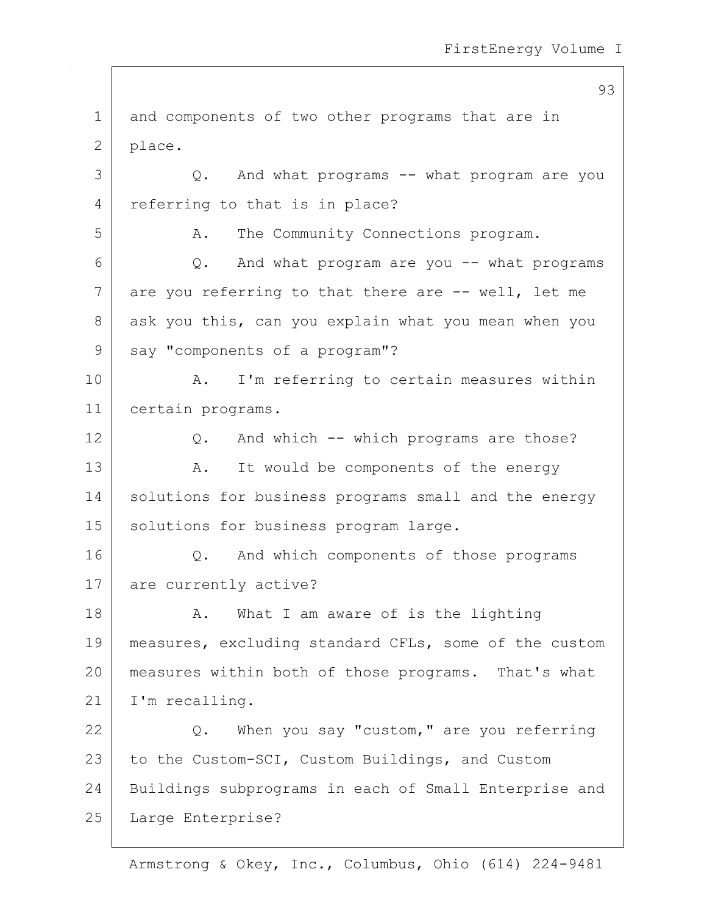93

1 and components of two other programs that are in 2 | place. 3 Q. And what programs -- what program are you 4 referring to that is in place? 5 A. The Community Connections program.  $6$  Q. And what program are you  $-$  what programs  $7$  are you referring to that there are  $-$ - well, let me 8 ask you this, can you explain what you mean when you 9 say "components of a program"? 10 | A. I'm referring to certain measures within 11 certain programs. 12 Q. And which -- which programs are those? 13 | A. It would be components of the energy 14 solutions for business programs small and the energy 15 | solutions for business program large. 16 | Q. And which components of those programs 17 are currently active? 18 | A. What I am aware of is the lighting 19 measures, excluding standard CFLs, some of the custom 20 measures within both of those programs. That's what 21 | I'm recalling. 22  $\vert$  Q. When you say "custom," are you referring 23 to the Custom-SCI, Custom Buildings, and Custom 24 Buildings subprograms in each of Small Enterprise and 25 Large Enterprise?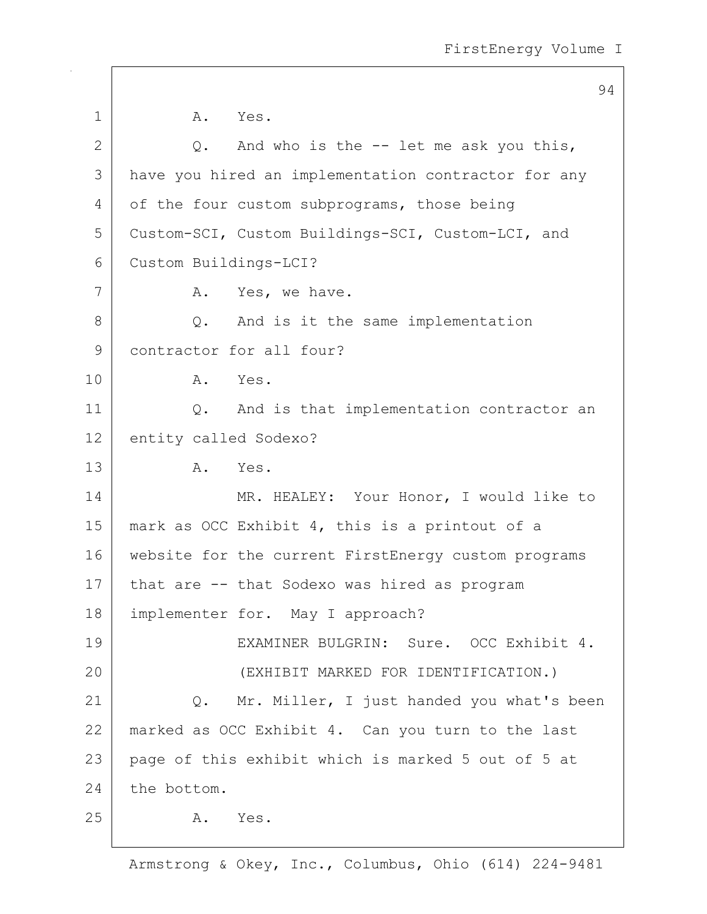|                | 94                                                  |
|----------------|-----------------------------------------------------|
| $\mathbf 1$    | A. Yes.                                             |
| $\overline{2}$ | And who is the -- let me ask you this,<br>Q.        |
| 3              | have you hired an implementation contractor for any |
| 4              | of the four custom subprograms, those being         |
| 5              | Custom-SCI, Custom Buildings-SCI, Custom-LCI, and   |
| 6              | Custom Buildings-LCI?                               |
| 7              | A.<br>Yes, we have.                                 |
| 8              | And is it the same implementation<br>Q.             |
| 9              | contractor for all four?                            |
| 10             | A. Yes.                                             |
| 11             | And is that implementation contractor an<br>Q.      |
| 12             | entity called Sodexo?                               |
| 13             | Α.<br>Yes.                                          |
| 14             | MR. HEALEY: Your Honor, I would like to             |
| 15             | mark as OCC Exhibit 4, this is a printout of a      |
| 16             | website for the current FirstEnergy custom programs |
| 17             | that are -- that Sodexo was hired as program        |
| 18             | implementer for. May I approach?                    |
| 19             | EXAMINER BULGRIN: Sure. OCC Exhibit 4.              |
| 20             | (EXHIBIT MARKED FOR IDENTIFICATION.)                |
| 21             | Q. Mr. Miller, I just handed you what's been        |
| 22             | marked as OCC Exhibit 4. Can you turn to the last   |
| 23             | page of this exhibit which is marked 5 out of 5 at  |
| 24             | the bottom.                                         |
| 25             | A.<br>Yes.                                          |
|                |                                                     |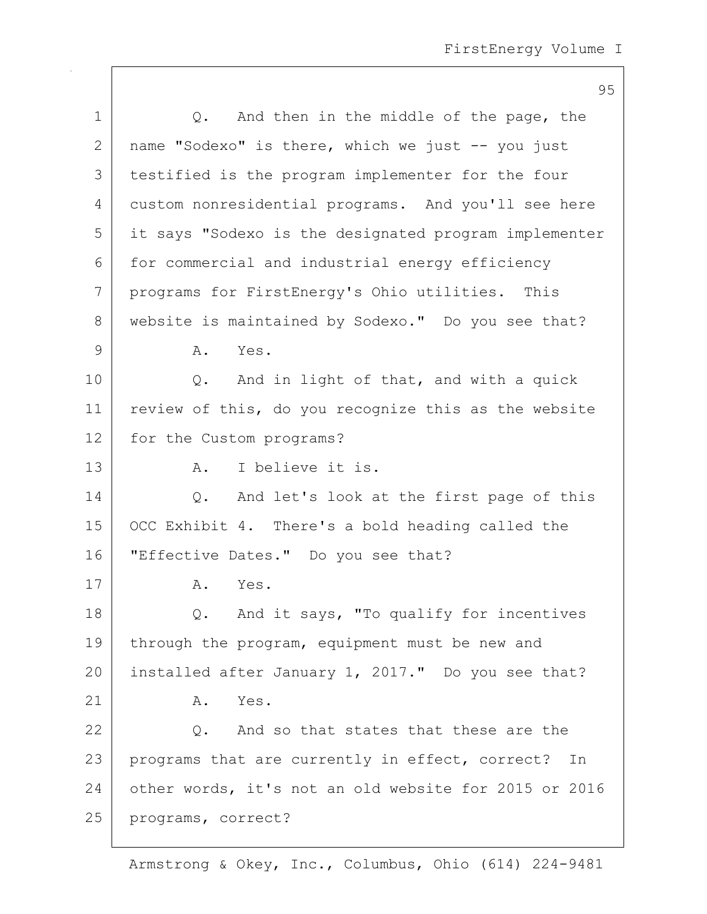|              | 95                                                    |
|--------------|-------------------------------------------------------|
| $\mathbf 1$  | And then in the middle of the page, the<br>$Q$ .      |
| $\mathbf{2}$ | name "Sodexo" is there, which we just -- you just     |
| 3            | testified is the program implementer for the four     |
| 4            | custom nonresidential programs. And you'll see here   |
| 5            | it says "Sodexo is the designated program implementer |
| 6            | for commercial and industrial energy efficiency       |
| 7            | programs for FirstEnergy's Ohio utilities. This       |
| 8            | website is maintained by Sodexo." Do you see that?    |
| $\mathsf 9$  | Yes.<br>Α.                                            |
| 10           | And in light of that, and with a quick<br>$Q$ .       |
| 11           | review of this, do you recognize this as the website  |
| 12           | for the Custom programs?                              |
| 13           | I believe it is.<br>A.                                |
| 14           | And let's look at the first page of this<br>Q.        |
| 15           | OCC Exhibit 4. There's a bold heading called the      |
| 16           | "Effective Dates." Do you see that?                   |
| 17           | Yes.<br>Α.                                            |
| 18           | Q. And it says, "To qualify for incentives            |
| 19           | through the program, equipment must be new and        |
| 20           | installed after January 1, 2017." Do you see that?    |
| 21           | Yes.<br>Α.                                            |
| 22           | Q. And so that states that these are the              |
| 23           | programs that are currently in effect, correct? In    |
| 24           | other words, it's not an old website for 2015 or 2016 |
| 25           | programs, correct?                                    |
|              |                                                       |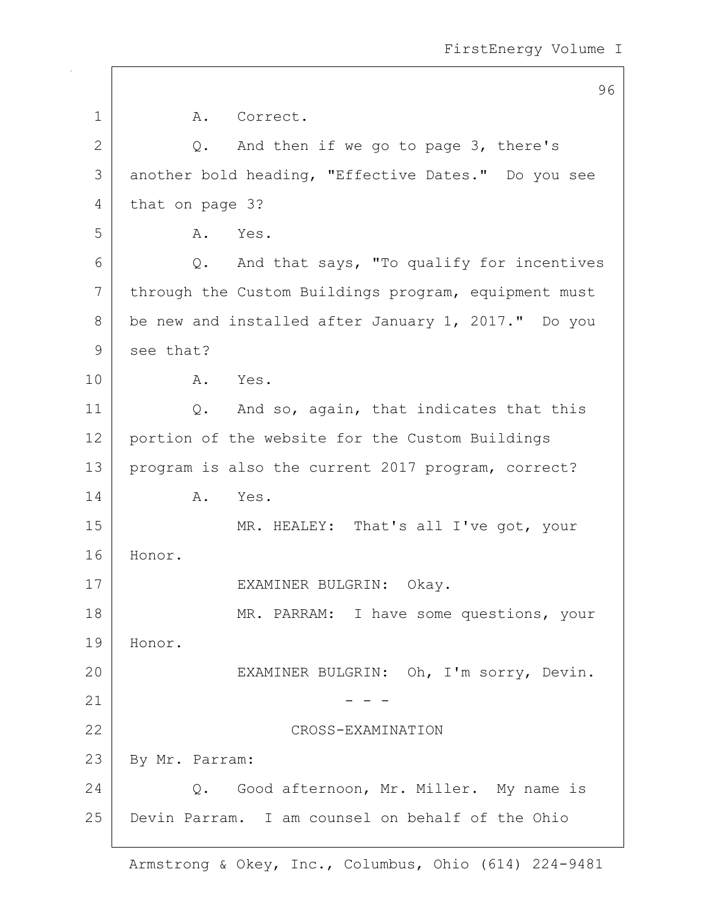|              | 96                                                   |
|--------------|------------------------------------------------------|
| $\mathbf 1$  | A. Correct.                                          |
| $\mathbf{2}$ | And then if we go to page 3, there's<br>Q.           |
| 3            | another bold heading, "Effective Dates." Do you see  |
| 4            | that on page 3?                                      |
| 5            | Yes.<br>A.                                           |
| 6            | Q. And that says, "To qualify for incentives         |
| 7            | through the Custom Buildings program, equipment must |
| 8            | be new and installed after January 1, 2017." Do you  |
| 9            | see that?                                            |
| 10           | A. Yes.                                              |
| 11           | Q. And so, again, that indicates that this           |
| 12           | portion of the website for the Custom Buildings      |
| 13           | program is also the current 2017 program, correct?   |
| 14           | Α.<br>Yes.                                           |
| 15           | MR. HEALEY: That's all I've got, your                |
| 16           | Honor.                                               |
| 17           | EXAMINER BULGRIN: Okay.                              |
| 18           | MR. PARRAM: I have some questions, your              |
| 19           | Honor.                                               |
| 20           | EXAMINER BULGRIN: Oh, I'm sorry, Devin.              |
| 21           |                                                      |
| 22           | CROSS-EXAMINATION                                    |
| 23           | By Mr. Parram:                                       |
| 24           | Q. Good afternoon, Mr. Miller. My name is            |
| 25           | Devin Parram. I am counsel on behalf of the Ohio     |
|              |                                                      |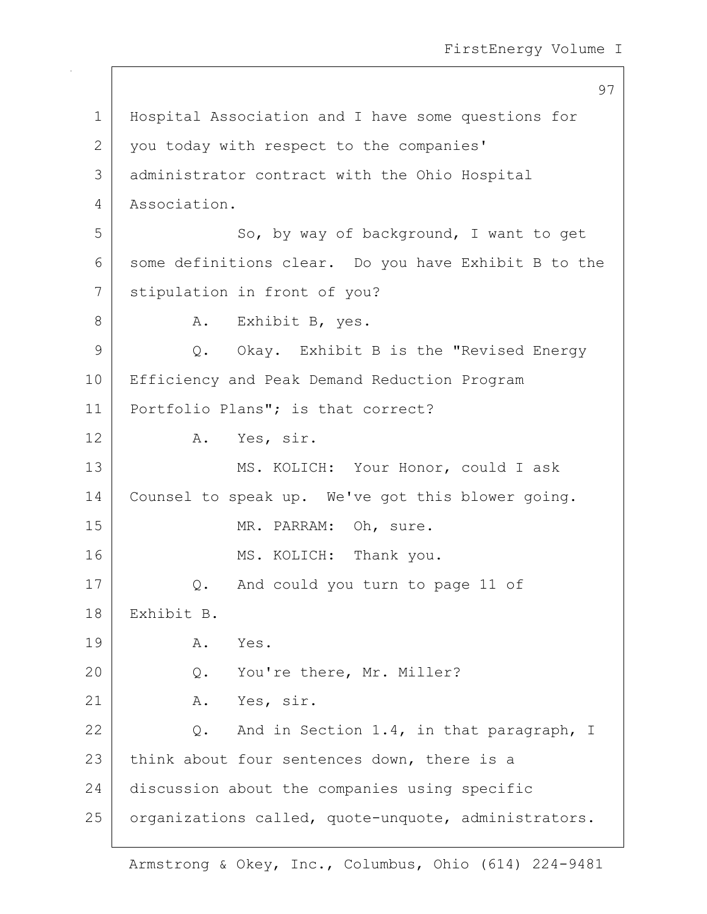```
97
1 Hospital Association and I have some questions for
2 you today with respect to the companies'
3 administrator contract with the Ohio Hospital
4 Association.
5 So, by way of background, I want to get
6 some definitions clear. Do you have Exhibit B to the
7 Stipulation in front of you?
8 | A. Exhibit B, yes.
9 Q. Okay. Exhibit B is the "Revised Energy
10 | Efficiency and Peak Demand Reduction Program
11 | Portfolio Plans"; is that correct?
12 A. Yes, sir.
13 MS. KOLICH: Your Honor, could I ask
14 Counsel to speak up. We've got this blower going.
15 MR. PARRAM: Oh, sure.
16 MS. KOLICH: Thank you.
17 Q. And could you turn to page 11 of
18 Exhibit B.
19 A. Yes.
20 Q. You're there, Mr. Miller?
21 A. Yes, sir.
22 Q. And in Section 1.4, in that paragraph, I
23 think about four sentences down, there is a
24 discussion about the companies using specific
25 | organizations called, quote-unquote, administrators.
```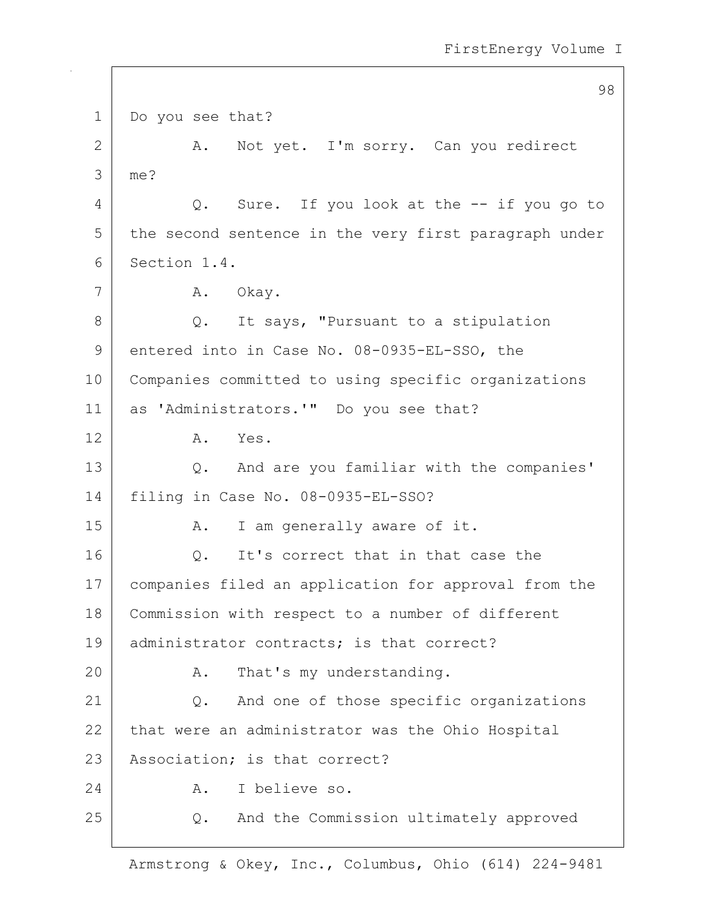98 1 Do you see that? 2 A. Not yet. I'm sorry. Can you redirect 3 me? 4 | Q. Sure. If you look at the -- if you go to 5 the second sentence in the very first paragraph under 6 Section 1.4. 7 A. Okay. 8 Q. It says, "Pursuant to a stipulation 9 entered into in Case No. 08-0935-EL-SSO, the 10 Companies committed to using specific organizations 11 as 'Administrators.'" Do you see that? 12 A. Yes. 13 Q. And are you familiar with the companies' 14 filing in Case No. 08-0935-EL-SSO? 15 | A. I am generally aware of it. 16 O. It's correct that in that case the 17 companies filed an application for approval from the 18 Commission with respect to a number of different 19 administrator contracts; is that correct? 20 A. That's my understanding. 21 Q. And one of those specific organizations 22 that were an administrator was the Ohio Hospital 23 | Association; is that correct? 24 A. I believe so. 25 Q. And the Commission ultimately approved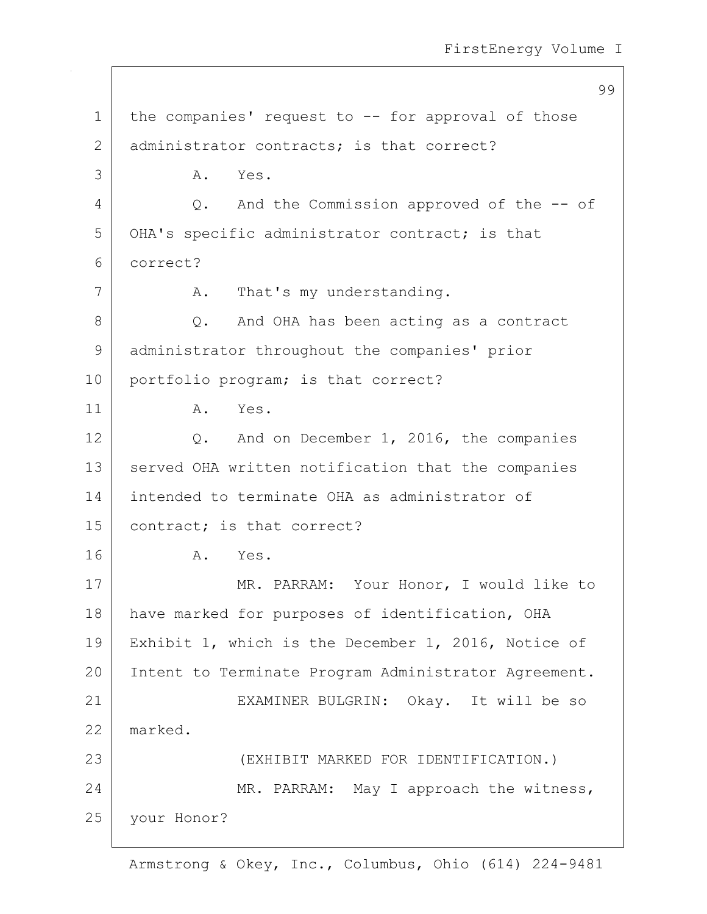99 1 | the companies' request to -- for approval of those 2 administrator contracts; is that correct? 3 A. Yes. 4 Q. And the Commission approved of the -- of 5 OHA's specific administrator contract; is that 6 correct? 7 A. That's my understanding. 8 Q. And OHA has been acting as a contract 9 administrator throughout the companies' prior 10 portfolio program; is that correct? 11 A. Yes. 12 Q. And on December 1, 2016, the companies 13 | served OHA written notification that the companies 14 intended to terminate OHA as administrator of 15 contract; is that correct? 16 A. Yes. 17 | MR. PARRAM: Your Honor, I would like to 18 | have marked for purposes of identification, OHA 19 Exhibit 1, which is the December 1, 2016, Notice of 20 | Intent to Terminate Program Administrator Agreement. 21 EXAMINER BULGRIN: Okay. It will be so 22 marked. 23 (EXHIBIT MARKED FOR IDENTIFICATION.) 24 MR. PARRAM: May I approach the witness, 25 your Honor?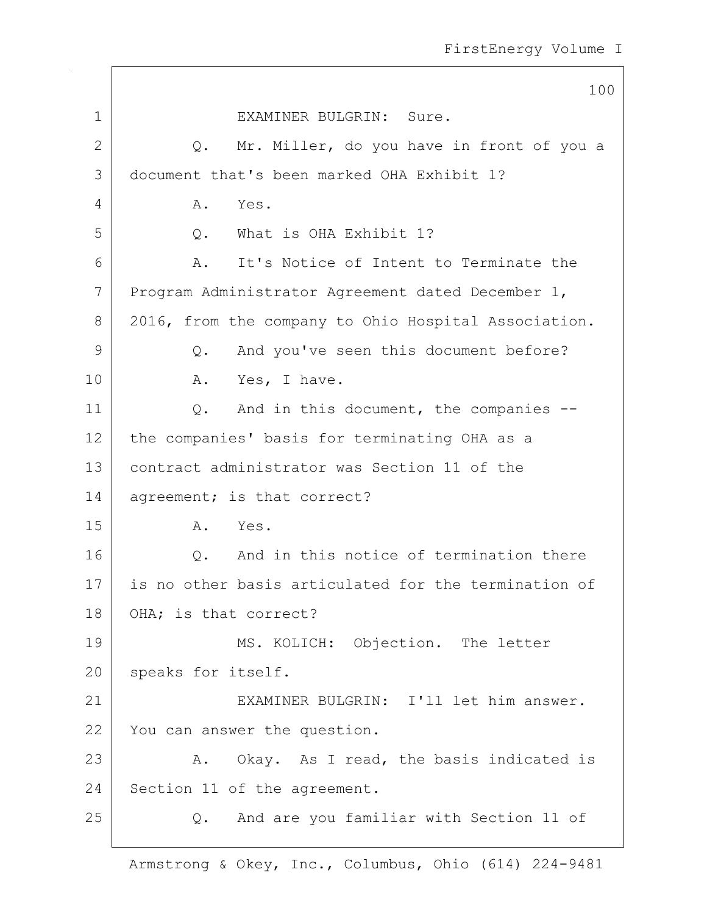|              | 100                                                  |
|--------------|------------------------------------------------------|
| $\mathbf{1}$ | EXAMINER BULGRIN: Sure.                              |
| 2            | Mr. Miller, do you have in front of you a<br>Q.      |
| 3            | document that's been marked OHA Exhibit 1?           |
| 4            | Α.<br>Yes.                                           |
| 5            | Q. What is OHA Exhibit 1?                            |
| 6            | It's Notice of Intent to Terminate the<br>A.         |
| 7            | Program Administrator Agreement dated December 1,    |
| 8            | 2016, from the company to Ohio Hospital Association. |
| 9            | And you've seen this document before?<br>Q.          |
| 10           | Yes, I have.<br>A.                                   |
| 11           | And in this document, the companies --<br>Q.         |
| 12           | the companies' basis for terminating OHA as a        |
| 13           | contract administrator was Section 11 of the         |
| 14           | agreement; is that correct?                          |
| 15           | A. Yes.                                              |
| 16           | And in this notice of termination there<br>$Q$ .     |
| 17           | is no other basis articulated for the termination of |
| 18           | OHA; is that correct?                                |
| 19           | MS. KOLICH: Objection. The letter                    |
| 20           | speaks for itself.                                   |
| 21           | EXAMINER BULGRIN: I'll let him answer.               |
| 22           | You can answer the question.                         |
| 23           | A. Okay. As I read, the basis indicated is           |
| 24           | Section 11 of the agreement.                         |
| 25           | And are you familiar with Section 11 of<br>Q.        |
|              |                                                      |

 $\sqrt{2}$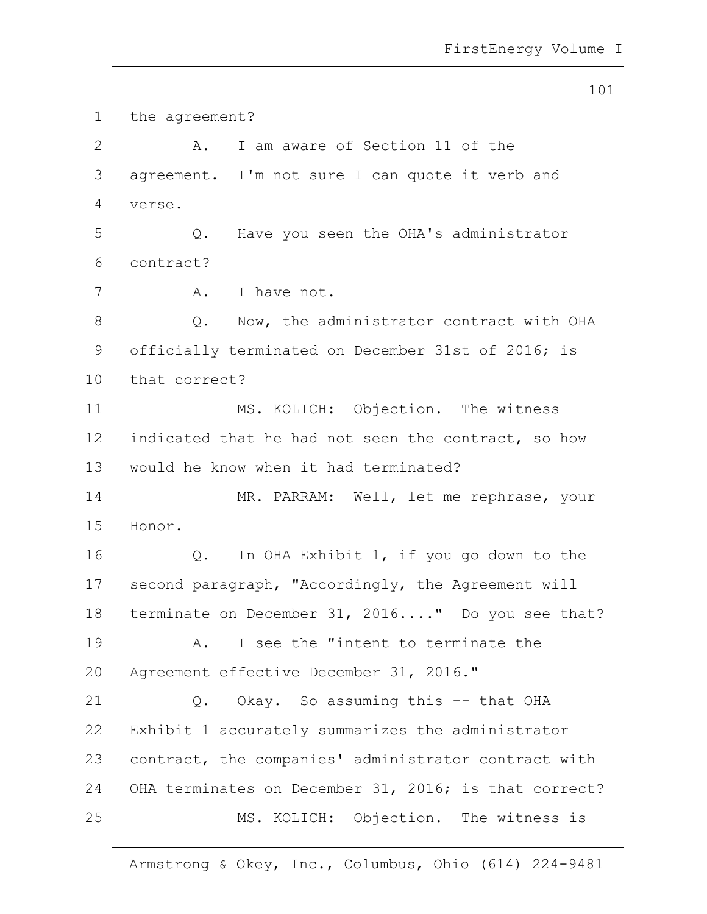101

1 the agreement? 2 A. I am aware of Section 11 of the 3 agreement. I'm not sure I can quote it verb and 4 verse. 5 Q. Have you seen the OHA's administrator 6 contract? 7 A. I have not. 8 Q. Now, the administrator contract with OHA 9 officially terminated on December 31st of 2016; is 10 that correct? 11 MS. KOLICH: Objection. The witness 12 indicated that he had not seen the contract, so how 13 would he know when it had terminated? 14 MR. PARRAM: Well, let me rephrase, your 15 Honor. 16 Q. In OHA Exhibit 1, if you go down to the 17 second paragraph, "Accordingly, the Agreement will 18 terminate on December 31, 2016...." Do you see that? 19 A. I see the "intent to terminate the 20 | Agreement effective December 31, 2016." 21 Q. Okay. So assuming this -- that OHA 22 Exhibit 1 accurately summarizes the administrator 23 | contract, the companies' administrator contract with 24 OHA terminates on December 31, 2016; is that correct? 25 MS. KOLICH: Objection. The witness is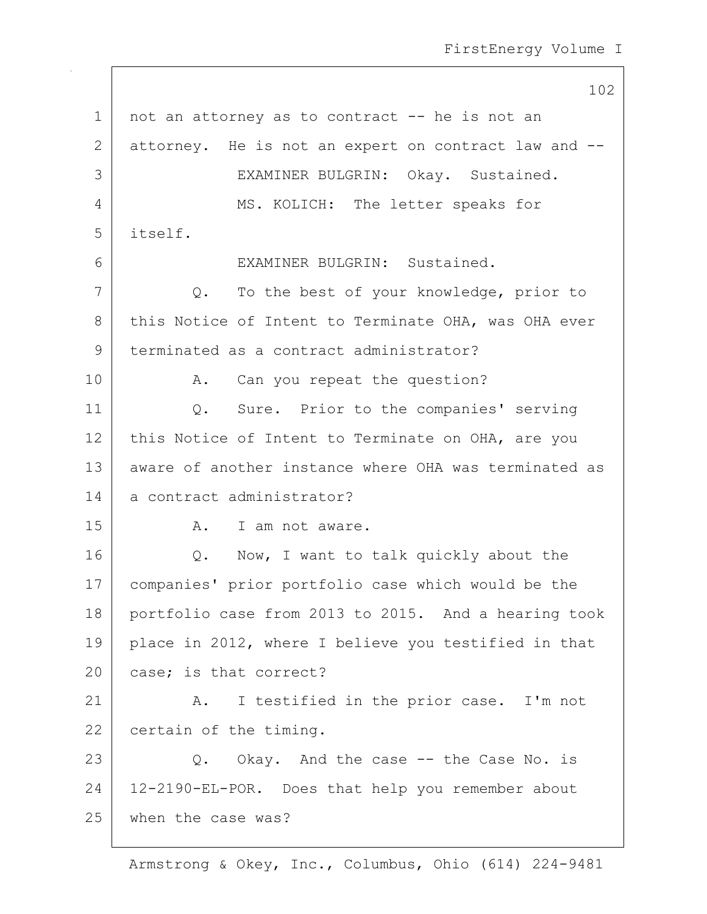102 1 | not an attorney as to contract -- he is not an 2 attorney. He is not an expert on contract law and --3 EXAMINER BULGRIN: Okay. Sustained. 4 MS. KOLICH: The letter speaks for 5 itself. 6 EXAMINER BULGRIN: Sustained. 7 Q. To the best of your knowledge, prior to 8 this Notice of Intent to Terminate OHA, was OHA ever 9 terminated as a contract administrator? 10 | A. Can you repeat the question? 11 Q. Sure. Prior to the companies' serving 12 this Notice of Intent to Terminate on OHA, are you 13 aware of another instance where OHA was terminated as 14 a contract administrator? 15 A. I am not aware. 16 | Q. Now, I want to talk quickly about the 17 companies' prior portfolio case which would be the 18 portfolio case from 2013 to 2015. And a hearing took 19 place in 2012, where I believe you testified in that 20 case; is that correct? 21 | A. I testified in the prior case. I'm not 22 certain of the timing. 23 Q. Okay. And the case -- the Case No. is 24 12-2190-EL-POR. Does that help you remember about 25 when the case was?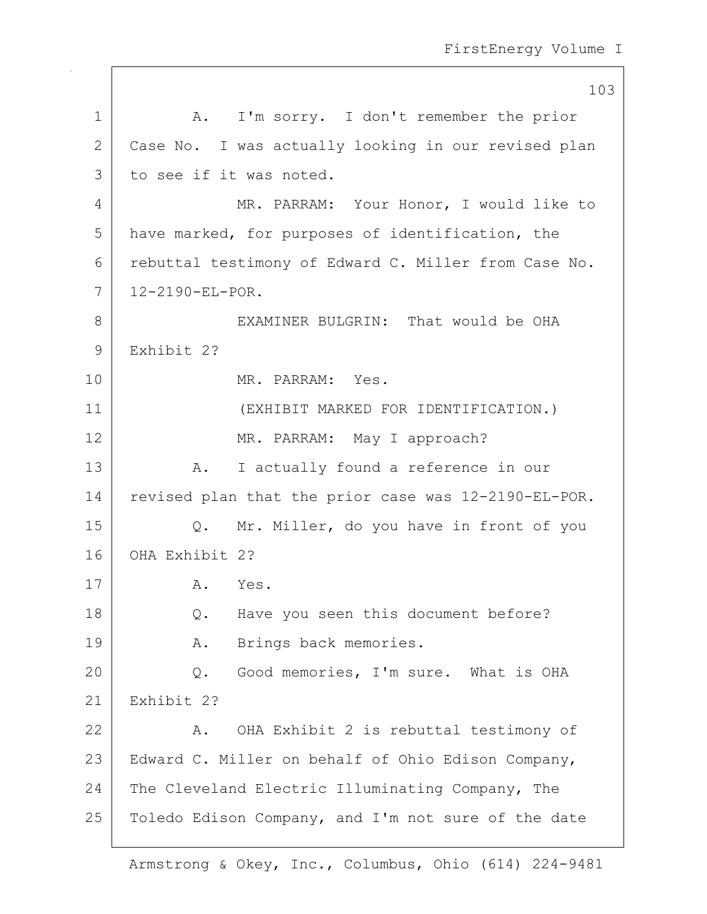|               | 103                                                  |
|---------------|------------------------------------------------------|
| 1             | I'm sorry. I don't remember the prior<br>A.          |
| 2             | Case No. I was actually looking in our revised plan  |
| 3             | to see if it was noted.                              |
| 4             | MR. PARRAM: Your Honor, I would like to              |
| 5             | have marked, for purposes of identification, the     |
| 6             | rebuttal testimony of Edward C. Miller from Case No. |
| 7             | 12-2190-EL-POR.                                      |
| 8             | EXAMINER BULGRIN: That would be OHA                  |
| $\mathcal{G}$ | Exhibit 2?                                           |
| 10            | MR. PARRAM: Yes.                                     |
| 11            | (EXHIBIT MARKED FOR IDENTIFICATION.)                 |
| 12            | MR. PARRAM: May I approach?                          |
| 13            | I actually found a reference in our<br>Α.            |
| 14            | revised plan that the prior case was 12-2190-EL-POR. |
| 15            | Mr. Miller, do you have in front of you<br>$Q$ .     |
| 16            | OHA Exhibit 2?                                       |
| 17            | A. Yes.                                              |
| 18            | Have you seen this document before?<br>Q.            |
| 19            | Brings back memories.<br>Α.                          |
| 20            | Good memories, I'm sure. What is OHA<br>Q.           |
| 21            | Exhibit 2?                                           |
| 22            | OHA Exhibit 2 is rebuttal testimony of<br>Α.         |
| 23            | Edward C. Miller on behalf of Ohio Edison Company,   |
| 24            | The Cleveland Electric Illuminating Company, The     |
| 25            | Toledo Edison Company, and I'm not sure of the date  |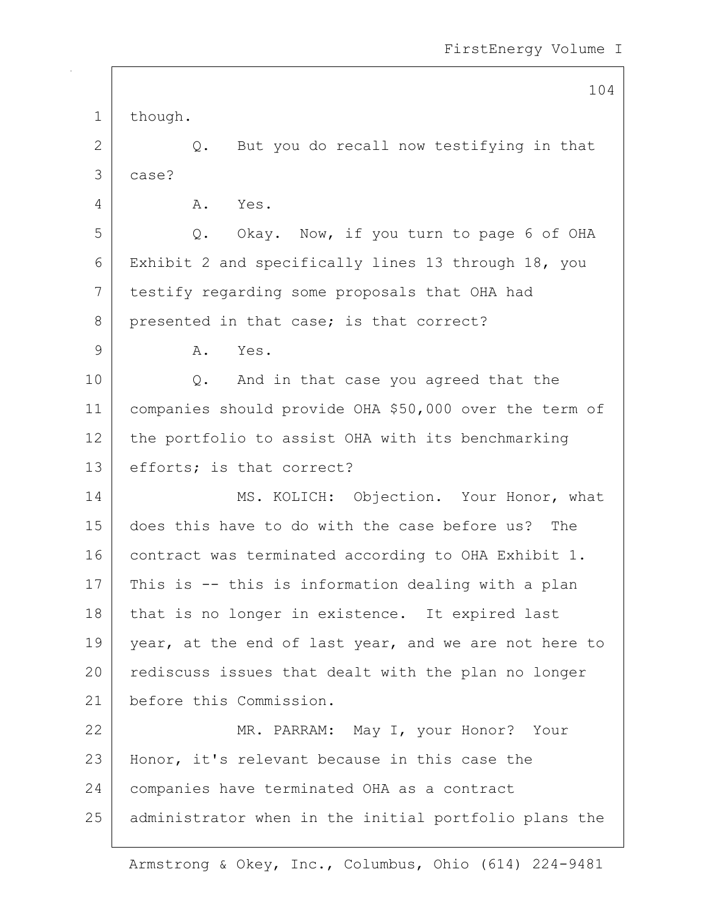104 1 though.  $2$  Q. But you do recall now testifying in that 3 case? 4 A. Yes. 5 Q. Okay. Now, if you turn to page 6 of OHA 6 Exhibit 2 and specifically lines 13 through 18, you 7 testify regarding some proposals that OHA had 8 presented in that case; is that correct? 9 A. Yes. 10 Q. And in that case you agreed that the 11 companies should provide OHA \$50,000 over the term of 12 the portfolio to assist OHA with its benchmarking 13 efforts; is that correct? 14 MS. KOLICH: Objection. Your Honor, what 15 does this have to do with the case before us? The 16 contract was terminated according to OHA Exhibit 1. 17 | This is  $-$  this is information dealing with a plan 18 that is no longer in existence. It expired last 19 year, at the end of last year, and we are not here to 20 rediscuss issues that dealt with the plan no longer 21 before this Commission. 22 MR. PARRAM: May I, your Honor? Your 23 | Honor, it's relevant because in this case the 24 companies have terminated OHA as a contract 25 administrator when in the initial portfolio plans the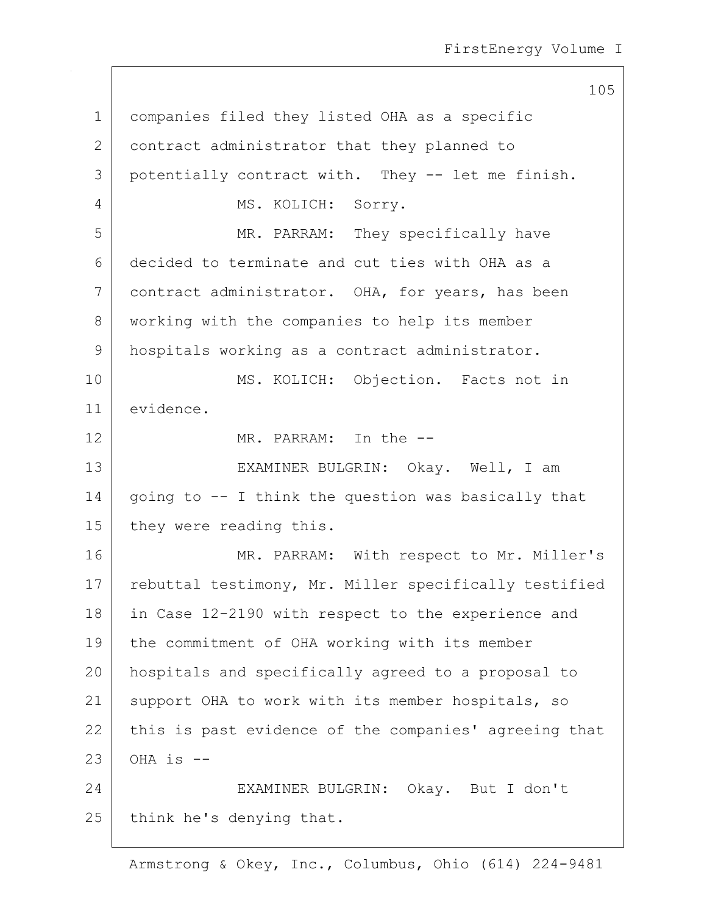105 1 companies filed they listed OHA as a specific 2 contract administrator that they planned to 3 potentially contract with. They -- let me finish. 4 MS. KOLICH: Sorry. 5 MR. PARRAM: They specifically have 6 decided to terminate and cut ties with OHA as a 7 contract administrator. OHA, for years, has been 8 | working with the companies to help its member 9 hospitals working as a contract administrator. 10 | MS. KOLICH: Objection. Facts not in 11 evidence. 12 MR. PARRAM: In the -- 13 EXAMINER BULGRIN: Okay. Well, I am 14 | going to  $-$  I think the question was basically that 15 they were reading this. 16 MR. PARRAM: With respect to Mr. Miller's 17 | rebuttal testimony, Mr. Miller specifically testified 18 | in Case 12-2190 with respect to the experience and 19 the commitment of OHA working with its member 20 hospitals and specifically agreed to a proposal to 21 | support OHA to work with its member hospitals, so 22 this is past evidence of the companies' agreeing that  $23$  OHA is  $-$ 24 EXAMINER BULGRIN: Okay. But I don't 25 think he's denying that.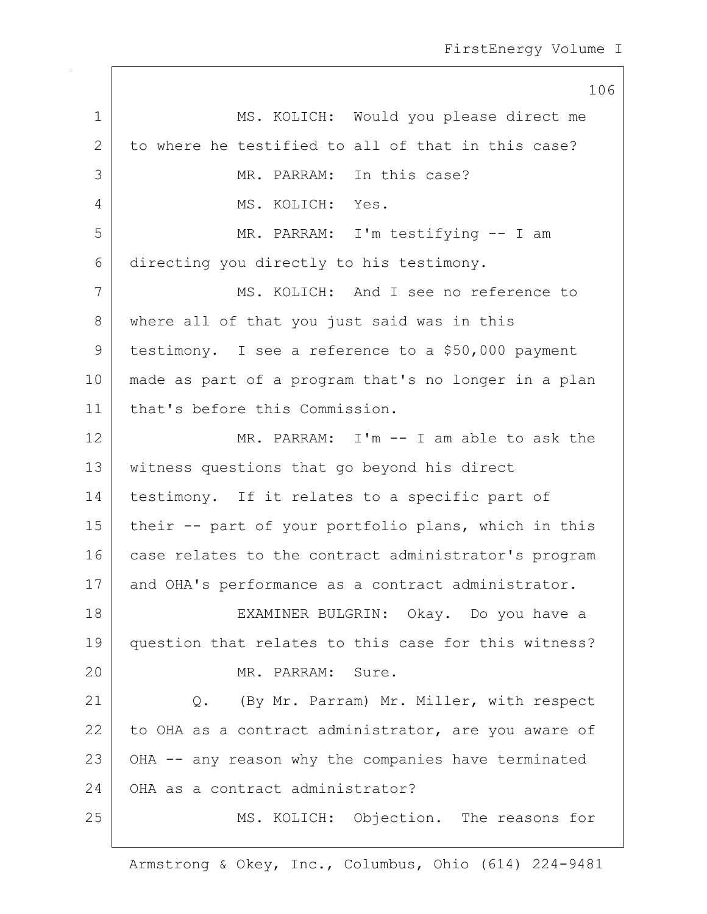|             | 106                                                  |
|-------------|------------------------------------------------------|
| $\mathbf 1$ | MS. KOLICH: Would you please direct me               |
| 2           | to where he testified to all of that in this case?   |
| 3           | MR. PARRAM: In this case?                            |
| 4           | MS. KOLICH: Yes.                                     |
| 5           | MR. PARRAM: I'm testifying -- I am                   |
| 6           | directing you directly to his testimony.             |
| 7           | MS. KOLICH: And I see no reference to                |
| 8           | where all of that you just said was in this          |
| 9           | testimony. I see a reference to a \$50,000 payment   |
| 10          | made as part of a program that's no longer in a plan |
| 11          | that's before this Commission.                       |
| 12          | MR. PARRAM: I'm -- I am able to ask the              |
| 13          | witness questions that go beyond his direct          |
| 14          | testimony. If it relates to a specific part of       |
| 15          | their -- part of your portfolio plans, which in this |
| 16          | case relates to the contract administrator's program |
| 17          | and OHA's performance as a contract administrator.   |
| 18          | EXAMINER BULGRIN: Okay. Do you have a                |
| 19          | question that relates to this case for this witness? |
| 20          | MR. PARRAM: Sure.                                    |
| 21          | (By Mr. Parram) Mr. Miller, with respect<br>Q.       |
| 22          | to OHA as a contract administrator, are you aware of |
| 23          | OHA -- any reason why the companies have terminated  |
| 24          | OHA as a contract administrator?                     |
| 25          | MS. KOLICH: Objection. The reasons for               |
|             |                                                      |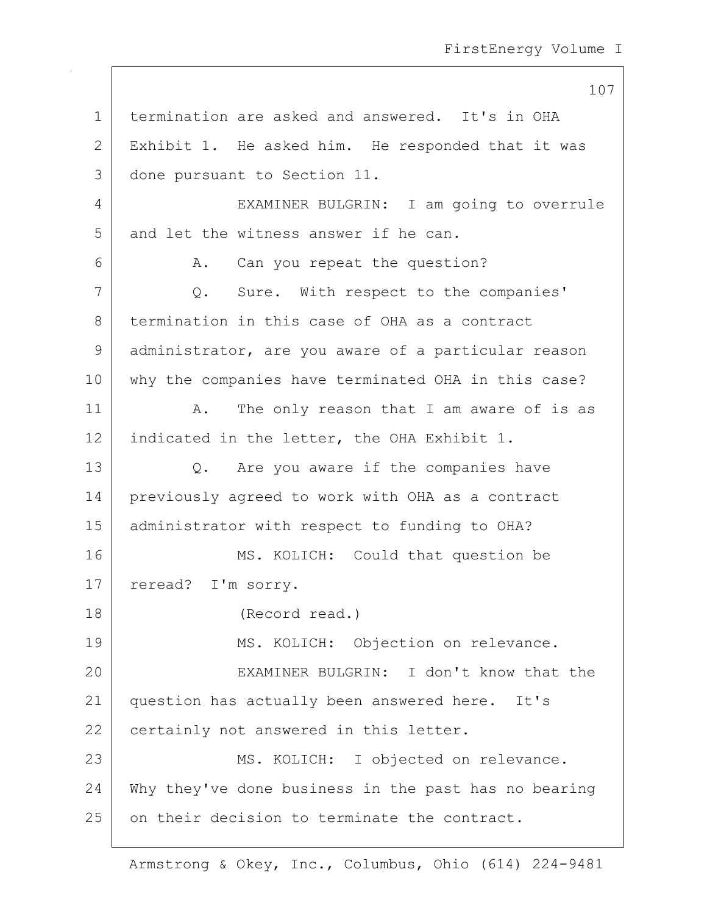107 1 termination are asked and answered. It's in OHA 2 Exhibit 1. He asked him. He responded that it was 3 done pursuant to Section 11. 4 EXAMINER BULGRIN: I am going to overrule 5 and let the witness answer if he can. 6 A. Can you repeat the question? 7 Q. Sure. With respect to the companies' 8 termination in this case of OHA as a contract 9 administrator, are you aware of a particular reason 10 why the companies have terminated OHA in this case? 11 | A. The only reason that I am aware of is as 12 indicated in the letter, the OHA Exhibit 1. 13 Q. Are you aware if the companies have 14 previously agreed to work with OHA as a contract 15 administrator with respect to funding to OHA? 16 MS. KOLICH: Could that question be 17 | reread? I'm sorry. 18 (Record read.) 19 MS. KOLICH: Objection on relevance. 20 EXAMINER BULGRIN: I don't know that the 21 question has actually been answered here. It's 22 certainly not answered in this letter. 23 | MS. KOLICH: I objected on relevance. 24 Why they've done business in the past has no bearing 25 on their decision to terminate the contract.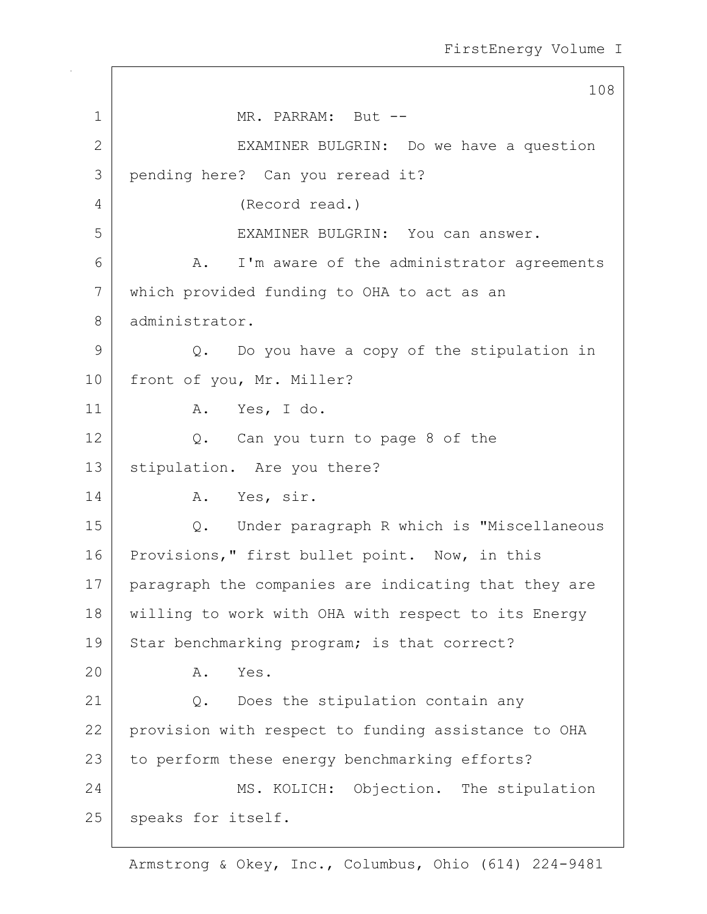108 1 MR. PARRAM: But --2 | EXAMINER BULGRIN: Do we have a question 3 pending here? Can you reread it? 4 (Record read.) 5 EXAMINER BULGRIN: You can answer. 6 A. I'm aware of the administrator agreements 7 which provided funding to OHA to act as an 8 administrator. 9 Q. Do you have a copy of the stipulation in 10 | front of you, Mr. Miller? 11 | A. Yes, I do. 12 Q. Can you turn to page 8 of the 13 | stipulation. Are you there? 14 A. Yes, sir. 15 Q. Under paragraph R which is "Miscellaneous 16 Provisions," first bullet point. Now, in this 17 paragraph the companies are indicating that they are 18 willing to work with OHA with respect to its Energy 19 Star benchmarking program; is that correct? 20 A. Yes. 21 Q. Does the stipulation contain any 22 provision with respect to funding assistance to OHA 23 to perform these energy benchmarking efforts? 24 MS. KOLICH: Objection. The stipulation 25 | speaks for itself.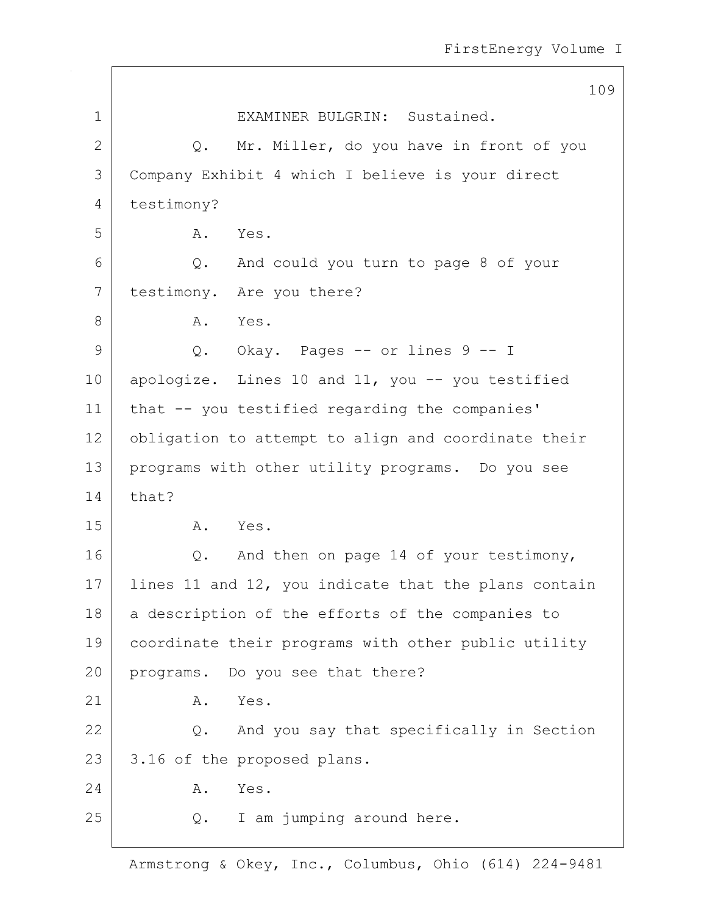|                | 109                                                  |
|----------------|------------------------------------------------------|
| $\mathbf 1$    | EXAMINER BULGRIN: Sustained.                         |
| $\mathbf{2}$   | Mr. Miller, do you have in front of you<br>Q.        |
| $\mathfrak{Z}$ | Company Exhibit 4 which I believe is your direct     |
| 4              | testimony?                                           |
| 5              | Α.<br>Yes.                                           |
| 6              | And could you turn to page 8 of your<br>Q.           |
| 7              | testimony. Are you there?                            |
| 8              | Yes.<br>A.                                           |
| 9              | Q. Okay. Pages -- or lines 9 -- I                    |
| 10             | apologize. Lines 10 and 11, you -- you testified     |
| 11             | that -- you testified regarding the companies'       |
| 12             | obligation to attempt to align and coordinate their  |
| 13             | programs with other utility programs. Do you see     |
| 14             | that?                                                |
| 15             | Yes.<br>A.                                           |
| 16             | And then on page 14 of your testimony,<br>Q.         |
| 17             | lines 11 and 12, you indicate that the plans contain |
| 18             | a description of the efforts of the companies to     |
| 19             | coordinate their programs with other public utility  |
| 20             | programs. Do you see that there?                     |
| 21             | Yes.<br>Α.                                           |
| 22             | And you say that specifically in Section<br>$Q$ .    |
| 23             | 3.16 of the proposed plans.                          |
| 24             | Yes.<br>Α.                                           |
| 25             | I am jumping around here.<br>Q.                      |

 $\sqrt{ }$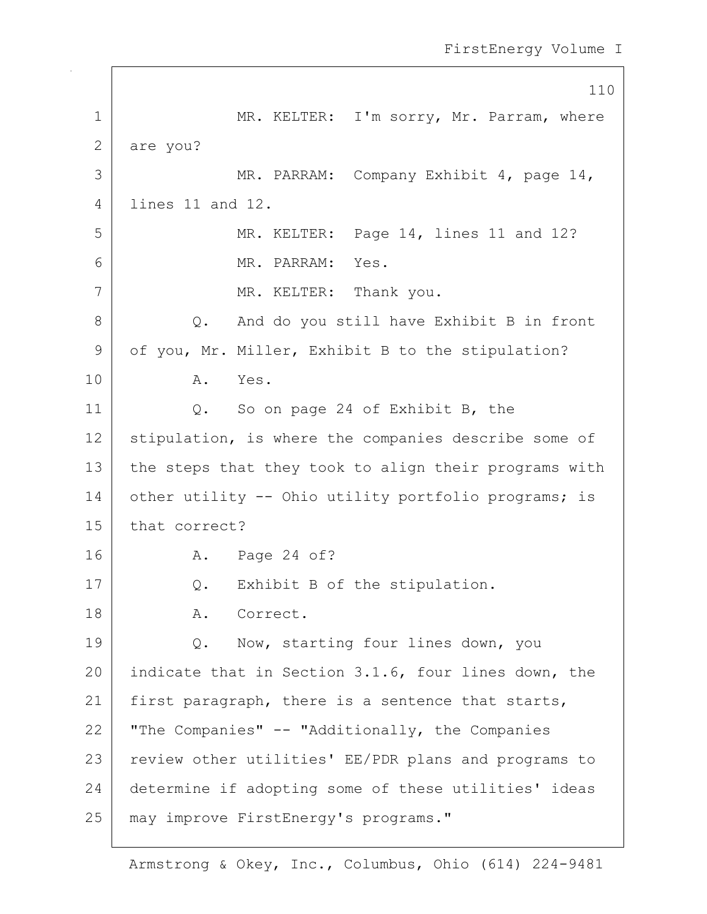110 1 MR. KELTER: I'm sorry, Mr. Parram, where 2 are you? 3 MR. PARRAM: Company Exhibit 4, page 14, 4 lines 11 and 12. 5 MR. KELTER: Page 14, lines 11 and 12? 6 MR. PARRAM: Yes. 7 | MR. KELTER: Thank you. 8 Q. And do you still have Exhibit B in front 9 of you, Mr. Miller, Exhibit B to the stipulation? 10 A. Yes. 11 | Q. So on page 24 of Exhibit B, the 12 | stipulation, is where the companies describe some of 13 the steps that they took to align their programs with 14 other utility -- Ohio utility portfolio programs; is 15 that correct? 16 A. Page 24 of? 17 | Q. Exhibit B of the stipulation. 18 | A. Correct. 19 | Q. Now, starting four lines down, you 20 indicate that in Section 3.1.6, four lines down, the 21 | first paragraph, there is a sentence that starts, 22 | "The Companies"  $-$  "Additionally, the Companies 23 | review other utilities' EE/PDR plans and programs to 24 determine if adopting some of these utilities' ideas 25 | may improve FirstEnergy's programs."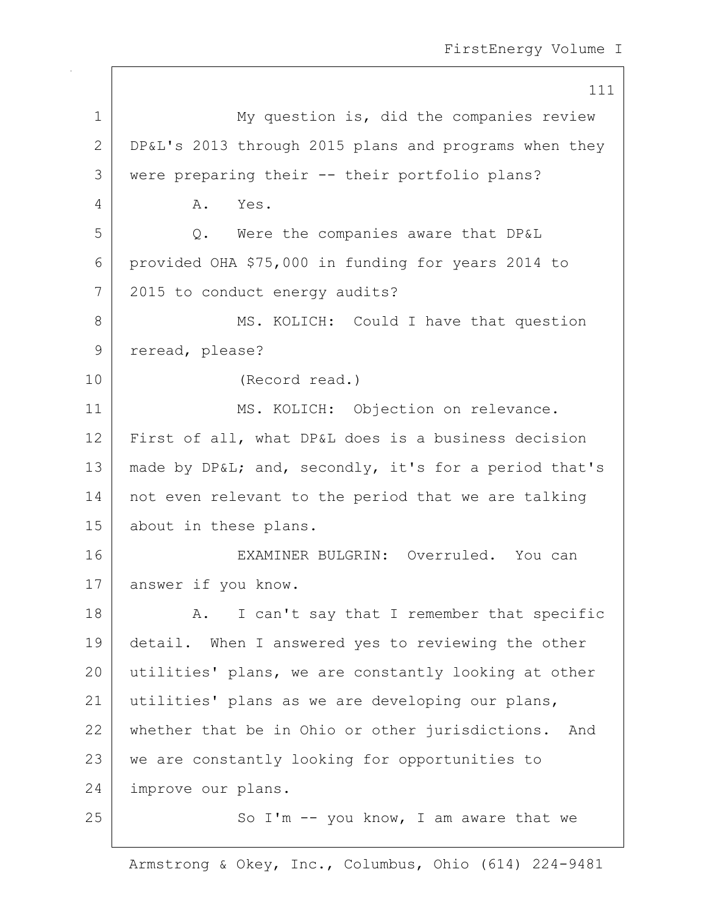111 1 My question is, did the companies review 2 DP&L's 2013 through 2015 plans and programs when they 3 were preparing their -- their portfolio plans? 4 A. Yes. 5 Q. Were the companies aware that DP&L 6 provided OHA \$75,000 in funding for years 2014 to 7 2015 to conduct energy audits? 8 MS. KOLICH: Could I have that question 9 reread, please? 10 (Record read.) 11 MS. KOLICH: Objection on relevance. 12 First of all, what DP&L does is a business decision 13 | made by DP&L; and, secondly, it's for a period that's 14 | not even relevant to the period that we are talking 15 about in these plans. 16 EXAMINER BULGRIN: Overruled. You can 17 answer if you know. 18 | A. I can't say that I remember that specific 19 detail. When I answered yes to reviewing the other 20 utilities' plans, we are constantly looking at other 21 utilities' plans as we are developing our plans, 22 whether that be in Ohio or other jurisdictions. And 23 | we are constantly looking for opportunities to 24 improve our plans.  $25$   $\vert$  So I'm  $\vert$ - you know, I am aware that we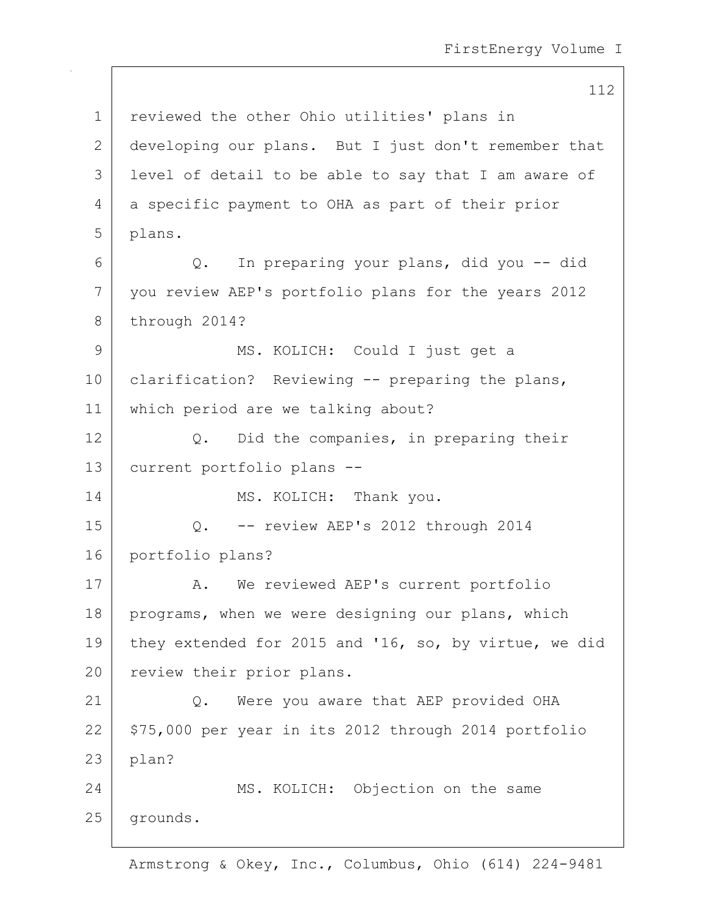112 1 | reviewed the other Ohio utilities' plans in 2 developing our plans. But I just don't remember that 3 level of detail to be able to say that I am aware of 4 a specific payment to OHA as part of their prior 5 plans. 6 Q. In preparing your plans, did you -- did 7 you review AEP's portfolio plans for the years 2012 8 through 2014? 9 | MS. KOLICH: Could I just get a 10 | clarification? Reviewing -- preparing the plans, 11 which period are we talking about? 12 Q. Did the companies, in preparing their 13 current portfolio plans -- 14 MS. KOLICH: Thank you. 15 Q. -- review AEP's 2012 through 2014 16 portfolio plans? 17 | A. We reviewed AEP's current portfolio 18 | programs, when we were designing our plans, which 19 they extended for 2015 and '16, so, by virtue, we did 20 review their prior plans. 21 | Q. Were you aware that AEP provided OHA  $22$  \$75,000 per year in its 2012 through 2014 portfolio  $23$  | plan? 24 MS. KOLICH: Objection on the same 25 grounds.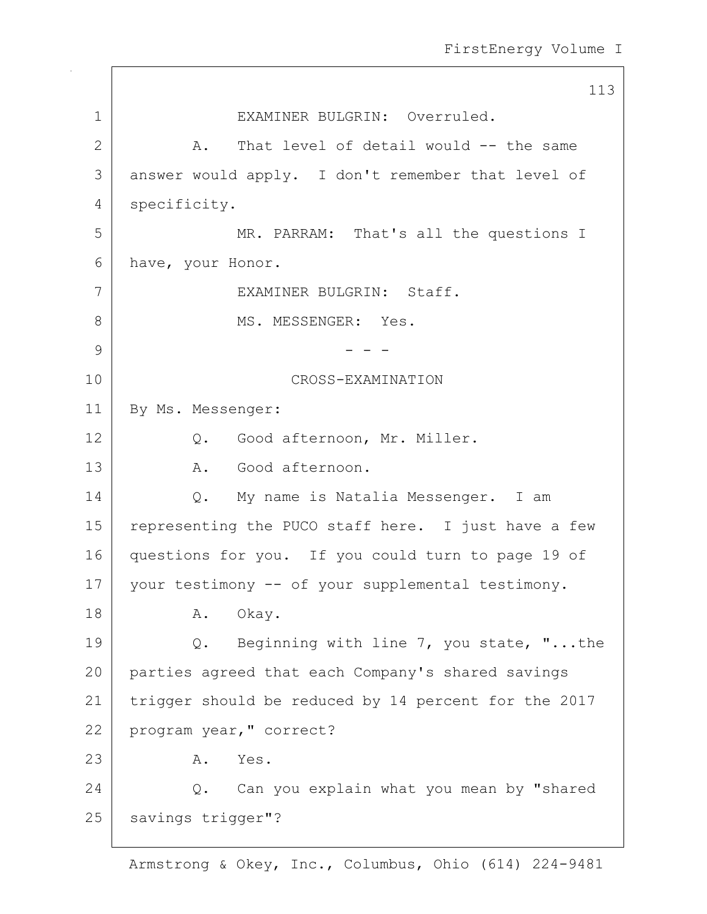113 1 EXAMINER BULGRIN: Overruled. 2 A. That level of detail would -- the same 3 answer would apply. I don't remember that level of 4 specificity. 5 MR. PARRAM: That's all the questions I 6 have, your Honor. 7 EXAMINER BULGRIN: Staff. 8 MS. MESSENGER: Yes. 9 - - - 10 CROSS-EXAMINATION 11 | By Ms. Messenger: 12 Q. Good afternoon, Mr. Miller. 13 A. Good afternoon. 14 | Q. My name is Natalia Messenger. I am 15 | representing the PUCO staff here. I just have a few 16 questions for you. If you could turn to page 19 of 17 | your testimony -- of your supplemental testimony. 18 | A. Okay. 19 | Q. Beginning with line 7, you state, "...the 20 parties agreed that each Company's shared savings 21 trigger should be reduced by 14 percent for the 2017 22 program year," correct? 23 A. Yes. 24 O. Can you explain what you mean by "shared 25 | savings trigger"?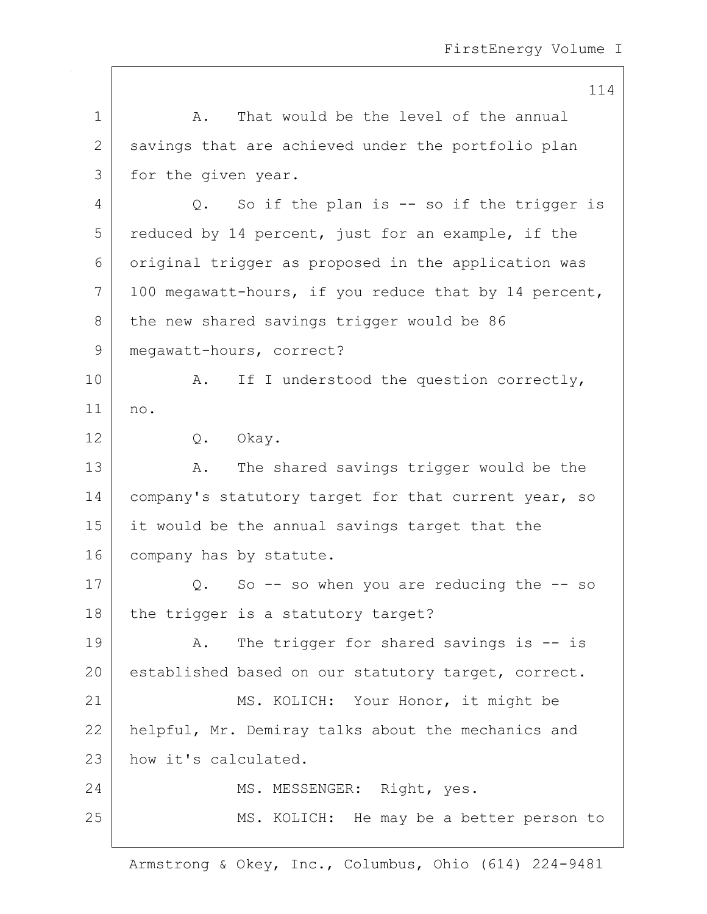114 1 A. That would be the level of the annual 2 savings that are achieved under the portfolio plan 3 | for the given year. 4 Q. So if the plan is -- so if the trigger is 5 reduced by 14 percent, just for an example, if the 6 original trigger as proposed in the application was  $7$  | 100 megawatt-hours, if you reduce that by 14 percent, 8 the new shared savings trigger would be 86 9 | megawatt-hours, correct? 10 | A. If I understood the question correctly, 11 no. 12 Q. Okay. 13 A. The shared savings trigger would be the 14 | company's statutory target for that current year, so 15 it would be the annual savings target that the 16 company has by statute.  $17$  Q. So -- so when you are reducing the -- so  $18$  the trigger is a statutory target? 19 | A. The trigger for shared savings is -- is 20 established based on our statutory target, correct. 21 | MS. KOLICH: Your Honor, it might be 22 helpful, Mr. Demiray talks about the mechanics and 23 | how it's calculated. 24 MS. MESSENGER: Right, yes. 25 | MS. KOLICH: He may be a better person to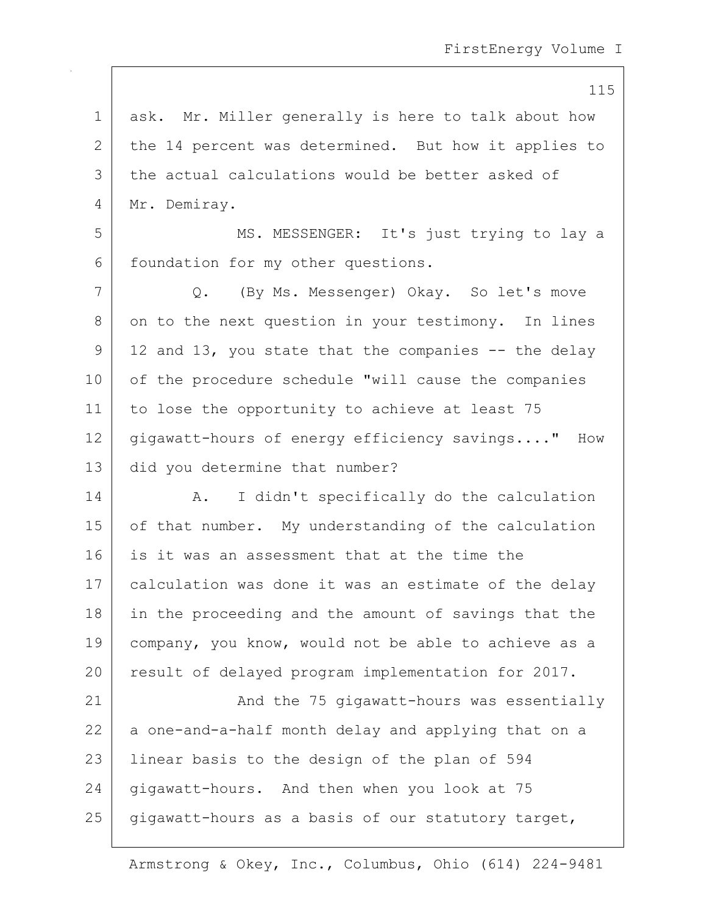1 ask. Mr. Miller generally is here to talk about how 2 the 14 percent was determined. But how it applies to 3 the actual calculations would be better asked of 4 Mr. Demiray.

5 MS. MESSENGER: It's just trying to lay a 6 | foundation for my other questions.

7 Q. (By Ms. Messenger) Okay. So let's move 8 on to the next question in your testimony. In lines  $9 \mid 12$  and 13, you state that the companies  $-$  the delay 10 of the procedure schedule "will cause the companies 11 to lose the opportunity to achieve at least 75 12 gigawatt-hours of energy efficiency savings...." How 13 did you determine that number?

14 | A. I didn't specifically do the calculation 15 of that number. My understanding of the calculation 16 is it was an assessment that at the time the 17 | calculation was done it was an estimate of the delay 18 in the proceeding and the amount of savings that the 19 company, you know, would not be able to achieve as a 20 result of delayed program implementation for 2017.

21 | And the 75 gigawatt-hours was essentially 22 a one-and-a-half month delay and applying that on a 23 | linear basis to the design of the plan of 594 24 gigawatt-hours. And then when you look at 75  $25$  gigawatt-hours as a basis of our statutory target,

Armstrong & Okey, Inc., Columbus, Ohio (614) 224-9481

115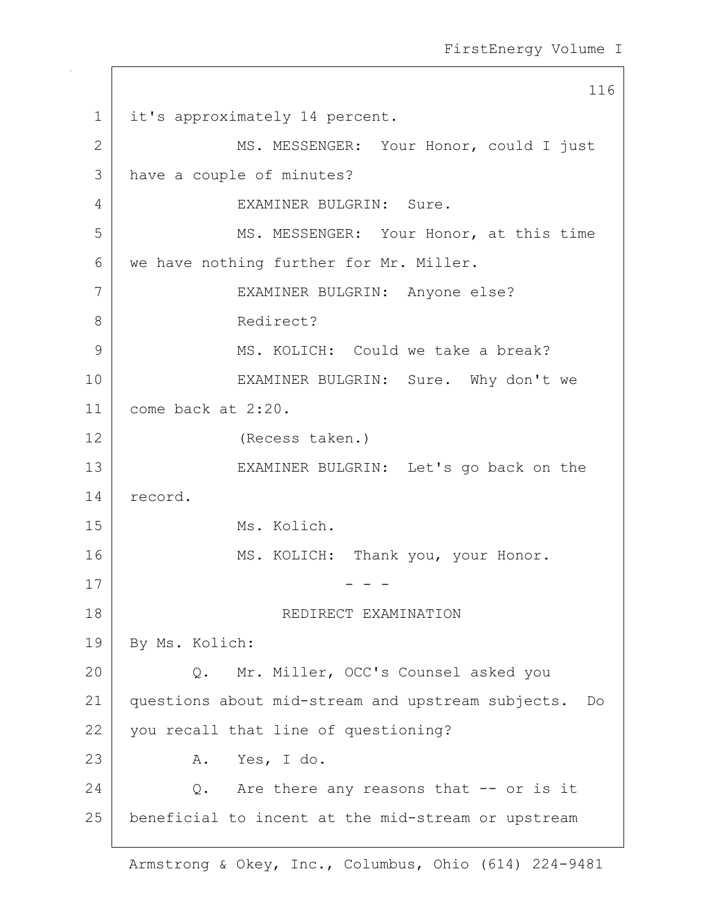116 1 | it's approximately 14 percent. 2 MS. MESSENGER: Your Honor, could I just 3 have a couple of minutes? 4 EXAMINER BULGRIN: Sure. 5 MS. MESSENGER: Your Honor, at this time 6 we have nothing further for Mr. Miller. 7 EXAMINER BULGRIN: Anyone else? 8 Redirect? 9 MS. KOLICH: Could we take a break? 10 EXAMINER BULGRIN: Sure. Why don't we 11 come back at 2:20. 12 (Recess taken.) 13 EXAMINER BULGRIN: Let's go back on the 14 record. 15 Ms. Kolich. 16 MS. KOLICH: Thank you, your Honor.  $17$   $-$  - -18 | REDIRECT EXAMINATION 19 By Ms. Kolich: 20 Q. Mr. Miller, OCC's Counsel asked you 21 questions about mid-stream and upstream subjects. Do 22 you recall that line of questioning? 23 A. Yes, I do.  $24$  O. Are there any reasons that  $-$  or is it 25 beneficial to incent at the mid-stream or upstream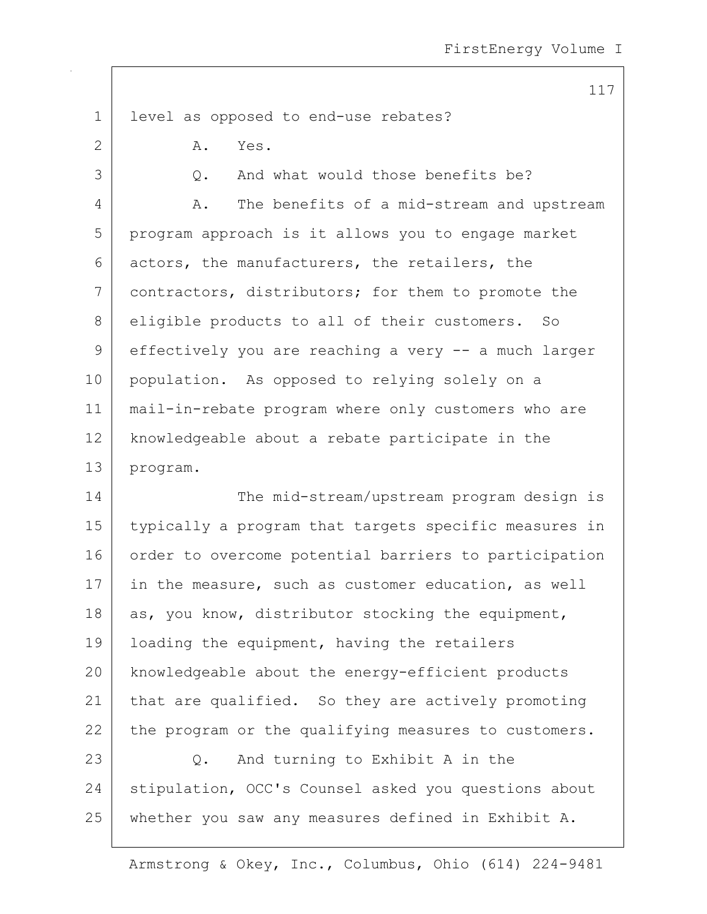117

1 level as opposed to end-use rebates? 2 A. Yes. 3 | C. And what would those benefits be? 4 A. The benefits of a mid-stream and upstream 5 program approach is it allows you to engage market 6 actors, the manufacturers, the retailers, the 7 contractors, distributors; for them to promote the 8 eligible products to all of their customers. So 9 effectively you are reaching a very -- a much larger 10 population. As opposed to relying solely on a 11 mail-in-rebate program where only customers who are 12 | knowledgeable about a rebate participate in the 13 program. 14 The mid-stream/upstream program design is 15 typically a program that targets specific measures in 16 order to overcome potential barriers to participation 17 | in the measure, such as customer education, as well 18  $\vert$  as, you know, distributor stocking the equipment, 19 | loading the equipment, having the retailers

20 knowledgeable about the energy-efficient products 21 | that are qualified. So they are actively promoting  $22$  the program or the qualifying measures to customers.

23 Q. And turning to Exhibit A in the 24 stipulation, OCC's Counsel asked you questions about 25 whether you saw any measures defined in Exhibit A.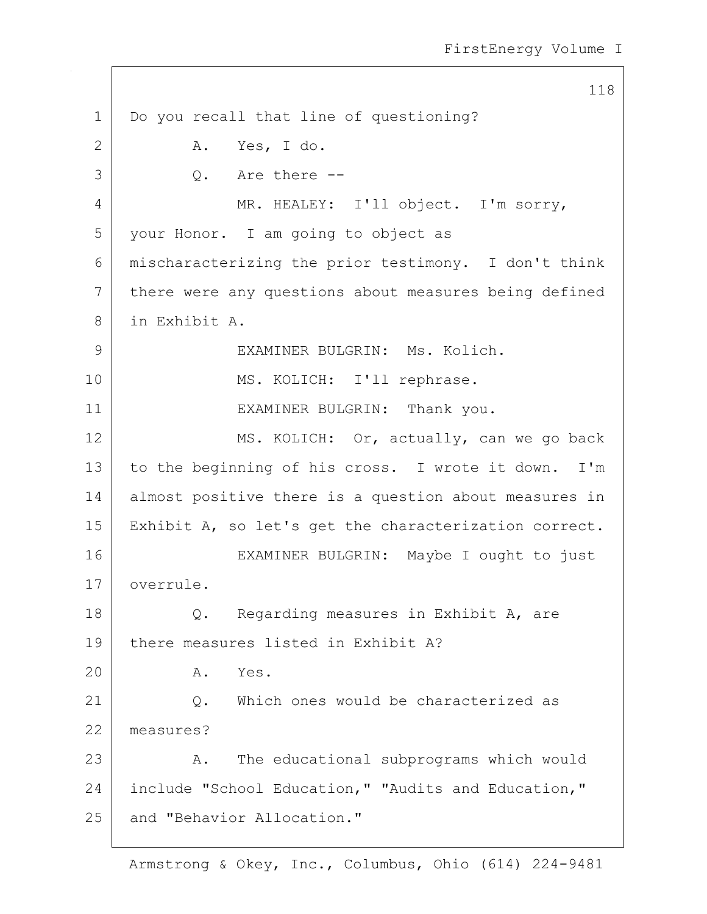118 1 Do you recall that line of questioning? 2 A. Yes, I do.  $3$  |  $\qquad \qquad$  0. Are there --4 | MR. HEALEY: I'll object. I'm sorry, 5 your Honor. I am going to object as 6 mischaracterizing the prior testimony. I don't think 7 there were any questions about measures being defined 8 in Exhibit A. 9 | EXAMINER BULGRIN: Ms. Kolich. 10 | MS. KOLICH: I'll rephrase. 11 EXAMINER BULGRIN: Thank you. 12 MS. KOLICH: Or, actually, can we go back 13 to the beginning of his cross. I wrote it down. I'm 14 almost positive there is a question about measures in 15 Exhibit A, so let's get the characterization correct. 16 EXAMINER BULGRIN: Maybe I ought to just 17 overrule. 18 Q. Regarding measures in Exhibit A, are 19 there measures listed in Exhibit A? 20 A. Yes. 21 Q. Which ones would be characterized as 22 measures? 23 A. The educational subprograms which would 24 | include "School Education," "Audits and Education," 25 and "Behavior Allocation."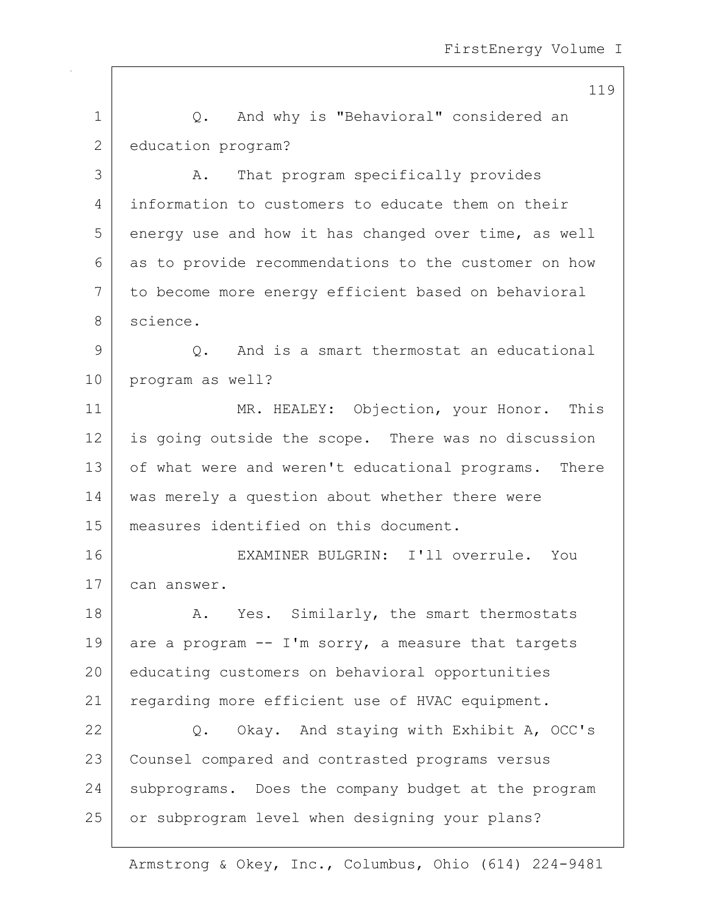1 | Q. And why is "Behavioral" considered an 2 education program? 3 A. That program specifically provides 4 information to customers to educate them on their  $5$  energy use and how it has changed over time, as well 6 as to provide recommendations to the customer on how 7 to become more energy efficient based on behavioral 8 science. 9 0. And is a smart thermostat an educational 10 program as well? 11 MR. HEALEY: Objection, your Honor. This 12 is going outside the scope. There was no discussion 13 of what were and weren't educational programs. There 14 | was merely a question about whether there were 15 measures identified on this document. 16 EXAMINER BULGRIN: I'll overrule. You 17 can answer. 18 A. Yes. Similarly, the smart thermostats 19 are a program  $-$  I'm sorry, a measure that targets 20 educating customers on behavioral opportunities 21 | regarding more efficient use of HVAC equipment. 22 Q. Okay. And staying with Exhibit A, OCC's 23 | Counsel compared and contrasted programs versus 24 subprograms. Does the company budget at the program 25 or subprogram level when designing your plans?

Armstrong & Okey, Inc., Columbus, Ohio (614) 224-9481

119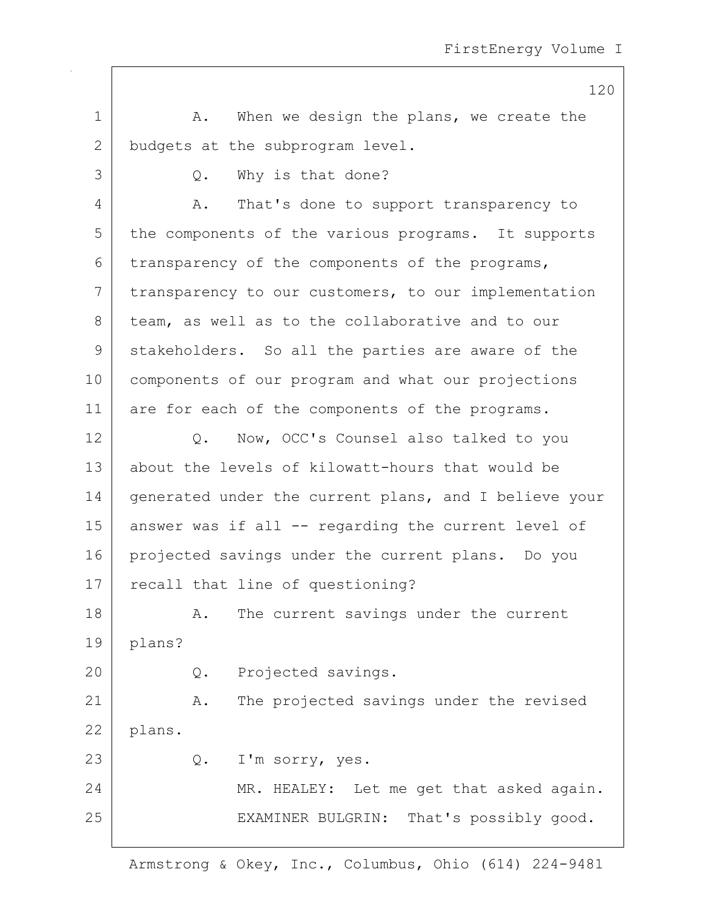120 1 A. When we design the plans, we create the 2 budgets at the subprogram level. 3 Q. Why is that done? 4 A. That's done to support transparency to 5 the components of the various programs. It supports  $6$  transparency of the components of the programs, 7 | transparency to our customers, to our implementation 8 team, as well as to the collaborative and to our 9 stakeholders. So all the parties are aware of the 10 components of our program and what our projections 11 are for each of the components of the programs. 12 Q. Now, OCC's Counsel also talked to you 13 about the levels of kilowatt-hours that would be 14 generated under the current plans, and I believe your 15 answer was if all -- regarding the current level of 16 projected savings under the current plans. Do you 17 recall that line of questioning? 18 A. The current savings under the current 19 plans? 20 Q. Projected savings. 21 | A. The projected savings under the revised 22 plans. 23 Q. I'm sorry, yes. 24 MR. HEALEY: Let me get that asked again. 25 | EXAMINER BULGRIN: That's possibly good.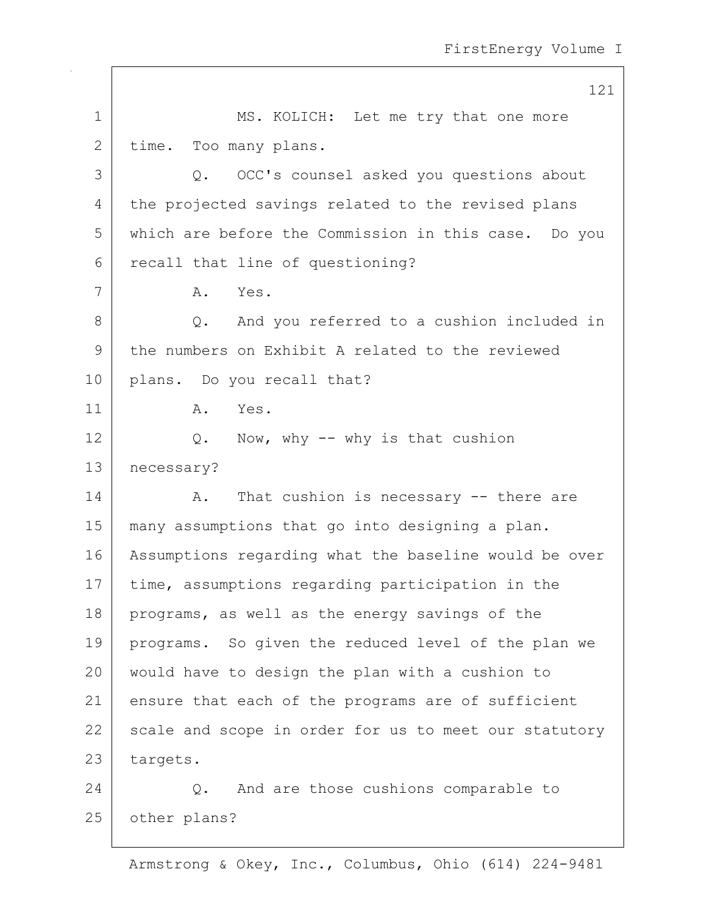|              | 121                                                   |
|--------------|-------------------------------------------------------|
| $\mathbf 1$  | MS. KOLICH: Let me try that one more                  |
| $\mathbf{2}$ | time. Too many plans.                                 |
| 3            | OCC's counsel asked you questions about<br>Q.         |
| 4            | the projected savings related to the revised plans    |
| 5            | which are before the Commission in this case. Do you  |
| 6            | recall that line of questioning?                      |
| 7            | Yes.<br>Α.                                            |
| 8            | Q. And you referred to a cushion included in          |
| 9            | the numbers on Exhibit A related to the reviewed      |
| 10           | plans. Do you recall that?                            |
| 11           | Α.<br>Yes.                                            |
| 12           | Q. Now, why -- why is that cushion                    |
| 13           | necessary?                                            |
| 14           | That cushion is necessary -- there are<br>Α.          |
| 15           | many assumptions that go into designing a plan.       |
| 16           | Assumptions regarding what the baseline would be over |
| 17           | time, assumptions regarding participation in the      |
| 18           | programs, as well as the energy savings of the        |
| 19           | programs. So given the reduced level of the plan we   |
| 20           | would have to design the plan with a cushion to       |
| 21           | ensure that each of the programs are of sufficient    |
| 22           | scale and scope in order for us to meet our statutory |
| 23           | targets.                                              |
| 24           | And are those cushions comparable to<br>Q.            |
| 25           | other plans?                                          |
|              |                                                       |

 $\overline{\phantom{a}}$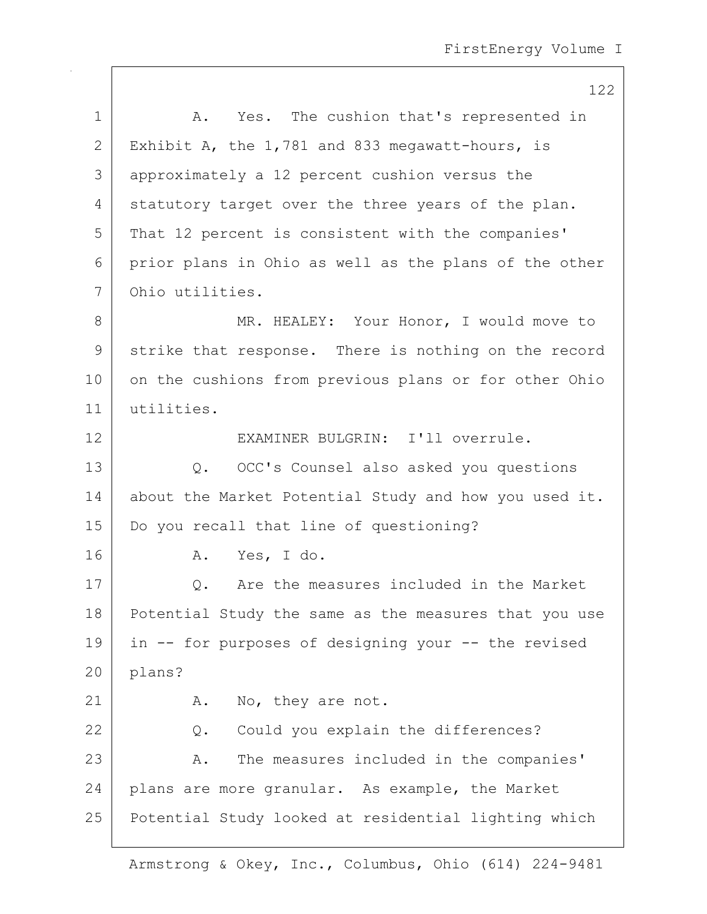|              | 122                                                   |
|--------------|-------------------------------------------------------|
| $\mathbf 1$  | A. Yes. The cushion that's represented in             |
| $\mathbf{2}$ | Exhibit A, the 1,781 and 833 megawatt-hours, is       |
| 3            | approximately a 12 percent cushion versus the         |
| 4            | statutory target over the three years of the plan.    |
| 5            | That 12 percent is consistent with the companies'     |
| 6            | prior plans in Ohio as well as the plans of the other |
| 7            | Ohio utilities.                                       |
| 8            | MR. HEALEY: Your Honor, I would move to               |
| 9            | strike that response. There is nothing on the record  |
| 10           | on the cushions from previous plans or for other Ohio |
| 11           | utilities.                                            |
| 12           | EXAMINER BULGRIN: I'll overrule.                      |
| 13           | OCC's Counsel also asked you questions<br>Q.          |
| 14           | about the Market Potential Study and how you used it. |
| 15           | Do you recall that line of questioning?               |
| 16           | Yes, I do.<br>Α.                                      |
| 17           | Q. Are the measures included in the Market            |
| 18           | Potential Study the same as the measures that you use |
| 19           | in -- for purposes of designing your -- the revised   |
| 20           | plans?                                                |
| 21           | A. No, they are not.                                  |
| 22           | Could you explain the differences?<br>Q.              |
| 23           | The measures included in the companies'<br>Α.         |
| 24           | plans are more granular. As example, the Market       |
| 25           | Potential Study looked at residential lighting which  |
|              |                                                       |

 $\mathsf{I}$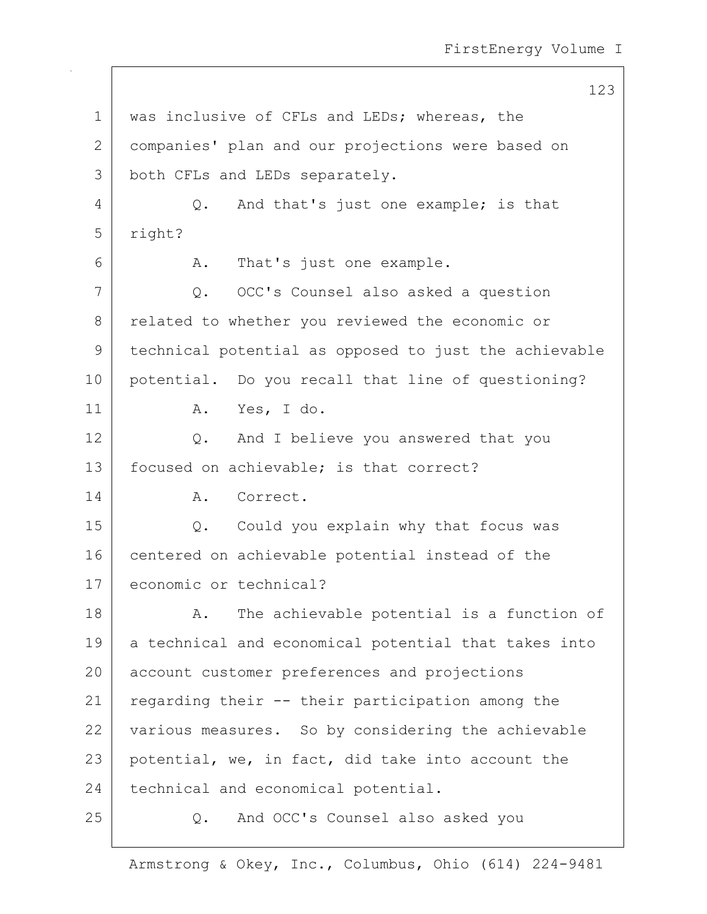123 1 | was inclusive of CFLs and LEDs; whereas, the 2 companies' plan and our projections were based on 3 both CFLs and LEDs separately. 4 Q. And that's just one example; is that 5 right? 6 A. That's just one example. 7 Q. OCC's Counsel also asked a question 8 related to whether you reviewed the economic or 9 technical potential as opposed to just the achievable 10 potential. Do you recall that line of questioning? 11 | A. Yes, I do. 12 Q. And I believe you answered that you 13 | focused on achievable; is that correct? 14 A. Correct. 15 Q. Could you explain why that focus was 16 centered on achievable potential instead of the 17 economic or technical? 18 A. The achievable potential is a function of 19 a technical and economical potential that takes into 20 account customer preferences and projections 21 | regarding their -- their participation among the 22 various measures. So by considering the achievable 23 potential, we, in fact, did take into account the 24 technical and economical potential. 25 Q. And OCC's Counsel also asked you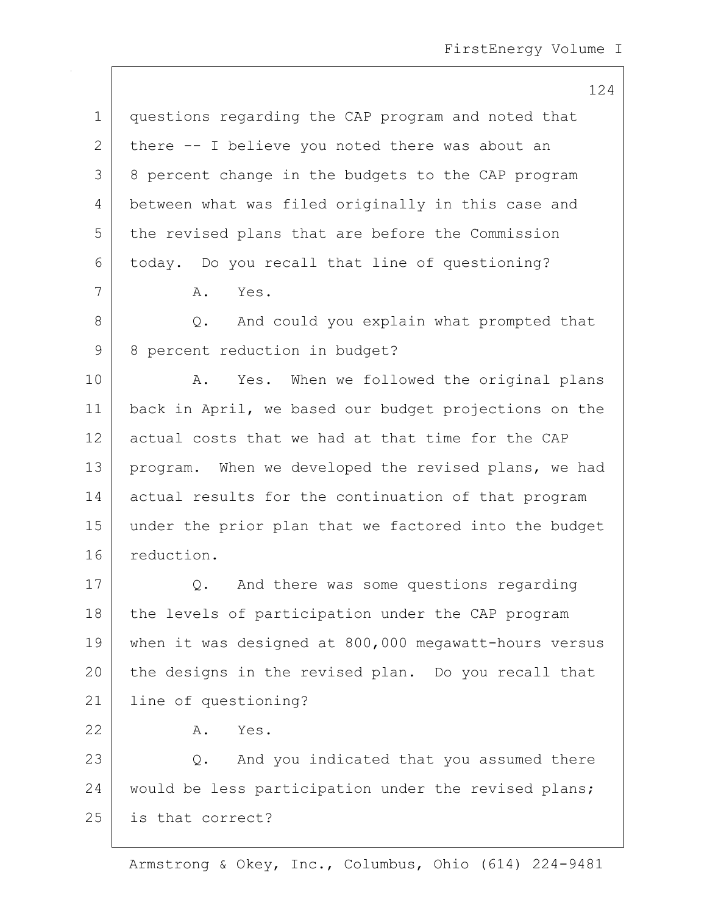124 1 questions regarding the CAP program and noted that 2 there  $-$ - I believe you noted there was about an 3 8 percent change in the budgets to the CAP program 4 between what was filed originally in this case and 5 the revised plans that are before the Commission 6 today. Do you recall that line of questioning? 7 A. Yes. 8 Q. And could you explain what prompted that 9 8 percent reduction in budget? 10 | A. Yes. When we followed the original plans 11 back in April, we based our budget projections on the 12 actual costs that we had at that time for the CAP 13 | program. When we developed the revised plans, we had 14 actual results for the continuation of that program 15 under the prior plan that we factored into the budget 16 reduction. 17 Q. And there was some questions regarding 18 the levels of participation under the CAP program 19 when it was designed at 800,000 megawatt-hours versus 20 the designs in the revised plan. Do you recall that 21 line of questioning? 22 A. Yes. 23 Q. And you indicated that you assumed there 24 would be less participation under the revised plans; 25 is that correct?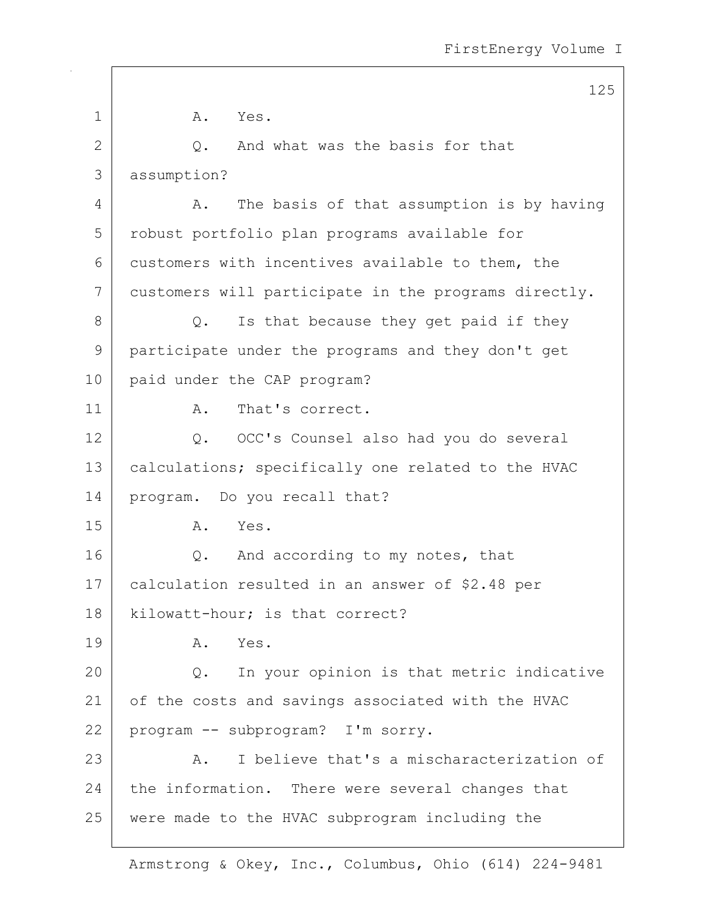|              | 125                                                  |
|--------------|------------------------------------------------------|
| $\mathbf 1$  | Α.<br>Yes.                                           |
| $\mathbf{2}$ | And what was the basis for that<br>$Q$ .             |
| 3            | assumption?                                          |
| 4            | The basis of that assumption is by having<br>Α.      |
| 5            | robust portfolio plan programs available for         |
| 6            | customers with incentives available to them, the     |
| 7            | customers will participate in the programs directly. |
| 8            | Is that because they get paid if they<br>Q.          |
| 9            | participate under the programs and they don't get    |
| 10           | paid under the CAP program?                          |
| 11           | That's correct.<br>Α.                                |
| 12           | OCC's Counsel also had you do several<br>Q.          |
| 13           | calculations; specifically one related to the HVAC   |
| 14           | program. Do you recall that?                         |
| 15           | Yes.<br>Α.                                           |
| 16           | And according to my notes, that<br>Q.                |
| 17           | calculation resulted in an answer of \$2.48 per      |
| 18           | kilowatt-hour; is that correct?                      |
| 19           | Yes.<br>Α.                                           |
| 20           | In your opinion is that metric indicative<br>Q.      |
| 21           | of the costs and savings associated with the HVAC    |
| 22           | program -- subprogram? I'm sorry.                    |
| 23           | I believe that's a mischaracterization of<br>Α.      |
| 24           | the information. There were several changes that     |
| 25           | were made to the HVAC subprogram including the       |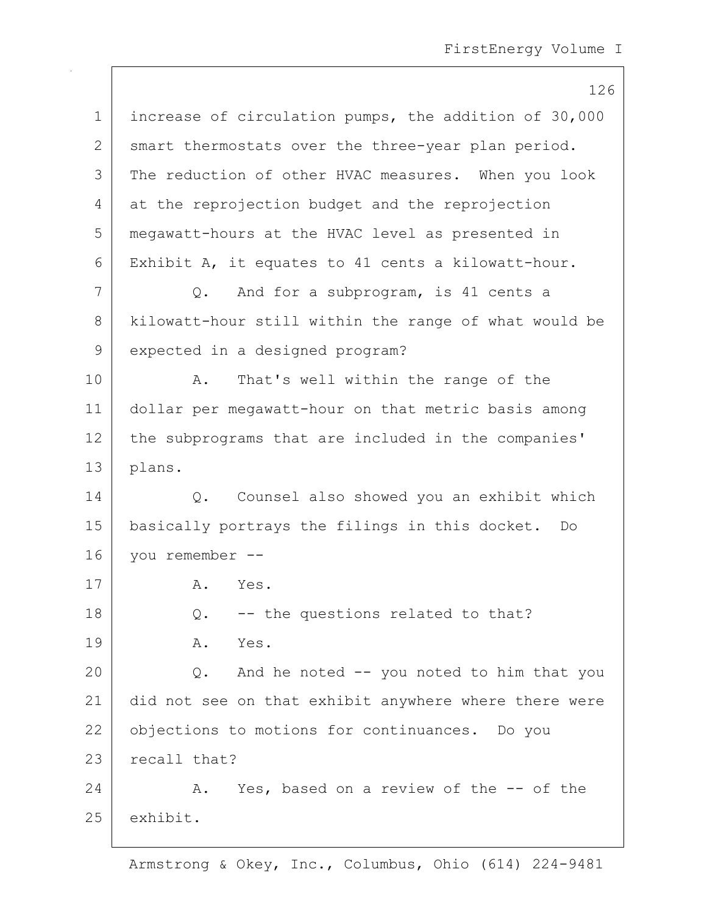|             | 126                                                   |
|-------------|-------------------------------------------------------|
| $\mathbf 1$ | increase of circulation pumps, the addition of 30,000 |
| 2           | smart thermostats over the three-year plan period.    |
| 3           | The reduction of other HVAC measures. When you look   |
| 4           | at the reprojection budget and the reprojection       |
| 5           | megawatt-hours at the HVAC level as presented in      |
| 6           | Exhibit A, it equates to 41 cents a kilowatt-hour.    |
| 7           | And for a subprogram, is 41 cents a<br>$\circ$ .      |
| 8           | kilowatt-hour still within the range of what would be |
| 9           | expected in a designed program?                       |
| 10          | That's well within the range of the<br>Α.             |
| 11          | dollar per megawatt-hour on that metric basis among   |
| 12          | the subprograms that are included in the companies'   |
| 13          | plans.                                                |
| 14          | Counsel also showed you an exhibit which<br>Q.        |
| 15          | basically portrays the filings in this docket. Do     |
| 16          | you remember --                                       |
| 17          | A.<br>Yes.                                            |
| 18          | -- the questions related to that?<br>Q.               |
| 19          | Α.<br>Yes.                                            |
| 20          | Q. And he noted -- you noted to him that you          |
| 21          | did not see on that exhibit anywhere where there were |
| 22          | objections to motions for continuances. Do you        |
| 23          | recall that?                                          |
| 24          | A. Yes, based on a review of the -- of the            |
| 25          | exhibit.                                              |
|             |                                                       |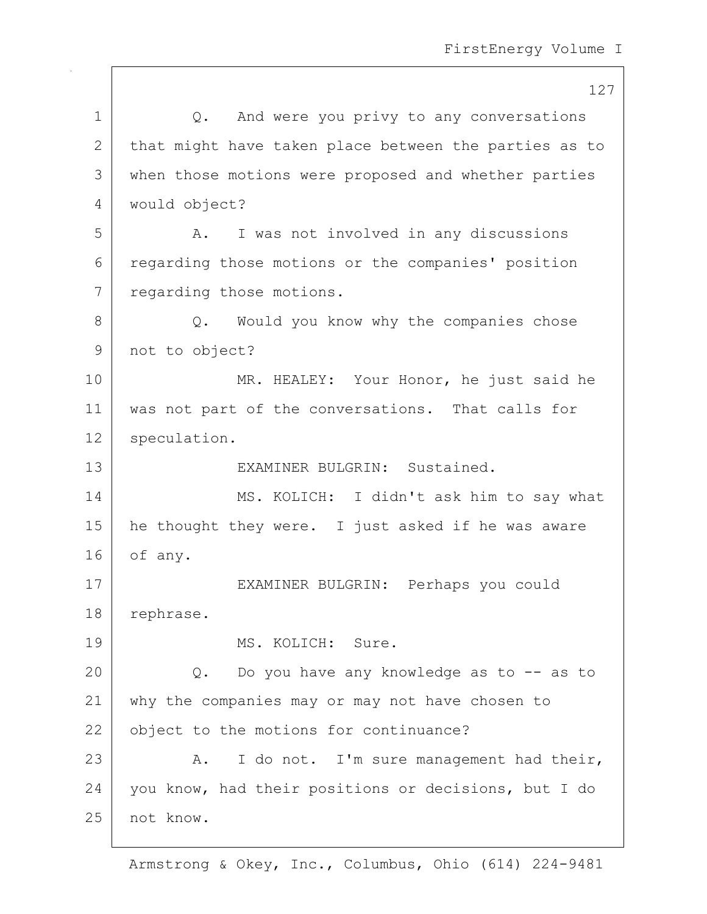127 1 | Q. And were you privy to any conversations 2 that might have taken place between the parties as to 3 when those motions were proposed and whether parties 4 would object? 5 A. I was not involved in any discussions 6 regarding those motions or the companies' position 7 regarding those motions. 8 Q. Would you know why the companies chose 9 not to object? 10 MR. HEALEY: Your Honor, he just said he 11 was not part of the conversations. That calls for 12 speculation. 13 EXAMINER BULGRIN: Sustained. 14 MS. KOLICH: I didn't ask him to say what 15 | he thought they were. I just asked if he was aware 16 of any. 17 EXAMINER BULGRIN: Perhaps you could 18 rephrase. 19 MS. KOLICH: Sure. 20 Q. Do you have any knowledge as to -- as to 21 why the companies may or may not have chosen to 22 object to the motions for continuance? 23  $\vert$  A. I do not. I'm sure management had their, 24 vou know, had their positions or decisions, but I do 25 not know.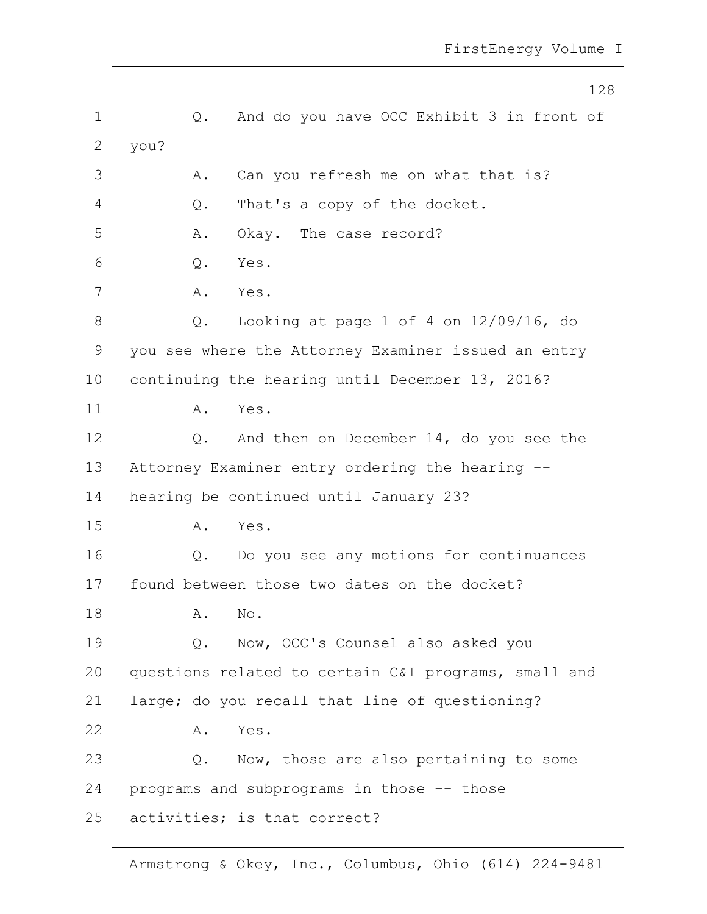|              | 128                                                    |
|--------------|--------------------------------------------------------|
| 1            | And do you have OCC Exhibit 3 in front of<br>Q.        |
| $\mathbf{2}$ | you?                                                   |
| 3            | Can you refresh me on what that is?<br>Α.              |
| 4            | That's a copy of the docket.<br>Q.                     |
| 5            | Α.<br>Okay. The case record?                           |
| 6            | Q.<br>Yes.                                             |
| 7            | A. Yes.                                                |
| 8            | Looking at page $1$ of $4$ on $12/09/16$ , do<br>$Q$ . |
| 9            | you see where the Attorney Examiner issued an entry    |
| 10           | continuing the hearing until December 13, 2016?        |
| 11           | Yes.<br>Α.                                             |
| 12           | And then on December 14, do you see the<br>Q.          |
| 13           | Attorney Examiner entry ordering the hearing --        |
| 14           | hearing be continued until January 23?                 |
| 15           | Yes.<br>Α.                                             |
| 16           | Do you see any motions for continuances<br>Q.          |
| 17           | found between those two dates on the docket?           |
| 18           | Α.<br>No.                                              |
| 19           | Now, OCC's Counsel also asked you<br>Q.                |
| 20           | questions related to certain C&I programs, small and   |
| 21           | large; do you recall that line of questioning?         |
| 22           | Yes.<br>Α.                                             |
| 23           | Q. Now, those are also pertaining to some              |
| 24           | programs and subprograms in those -- those             |
| 25           | activities; is that correct?                           |

 $\mathsf{I}$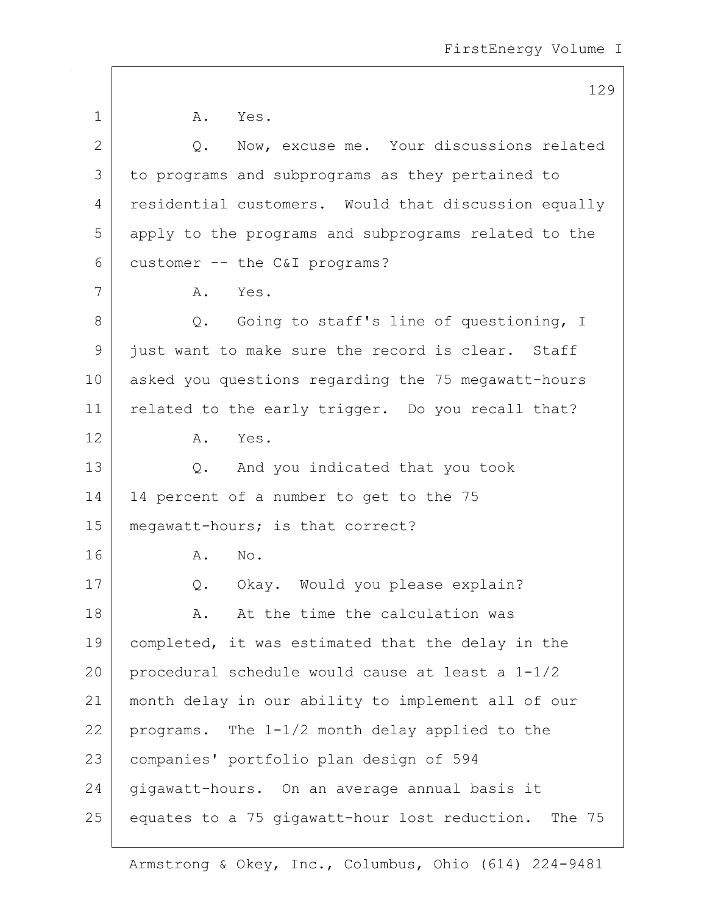|    | 129                                                     |
|----|---------------------------------------------------------|
| 1  | A. Yes.                                                 |
| 2  | Now, excuse me. Your discussions related<br>Q.          |
| 3  | to programs and subprograms as they pertained to        |
| 4  | residential customers. Would that discussion equally    |
| 5  | apply to the programs and subprograms related to the    |
| 6  | customer -- the C&I programs?                           |
| 7  | Yes.<br>Α.                                              |
| 8  | Q. Going to staff's line of questioning, I              |
| 9  | just want to make sure the record is clear. Staff       |
| 10 | asked you questions regarding the 75 megawatt-hours     |
| 11 | related to the early trigger. Do you recall that?       |
| 12 | Yes.<br>A.                                              |
| 13 | And you indicated that you took<br>Q.                   |
| 14 | 14 percent of a number to get to the 75                 |
| 15 | megawatt-hours; is that correct?                        |
| 16 | No.<br>Α.                                               |
| 17 | Q. Okay. Would you please explain?                      |
| 18 | At the time the calculation was<br>Α.                   |
| 19 | completed, it was estimated that the delay in the       |
| 20 | procedural schedule would cause at least a 1-1/2        |
| 21 | month delay in our ability to implement all of our      |
| 22 | programs. The 1-1/2 month delay applied to the          |
| 23 | companies' portfolio plan design of 594                 |
| 24 | gigawatt-hours. On an average annual basis it           |
| 25 | equates to a 75 gigawatt-hour lost reduction.<br>The 75 |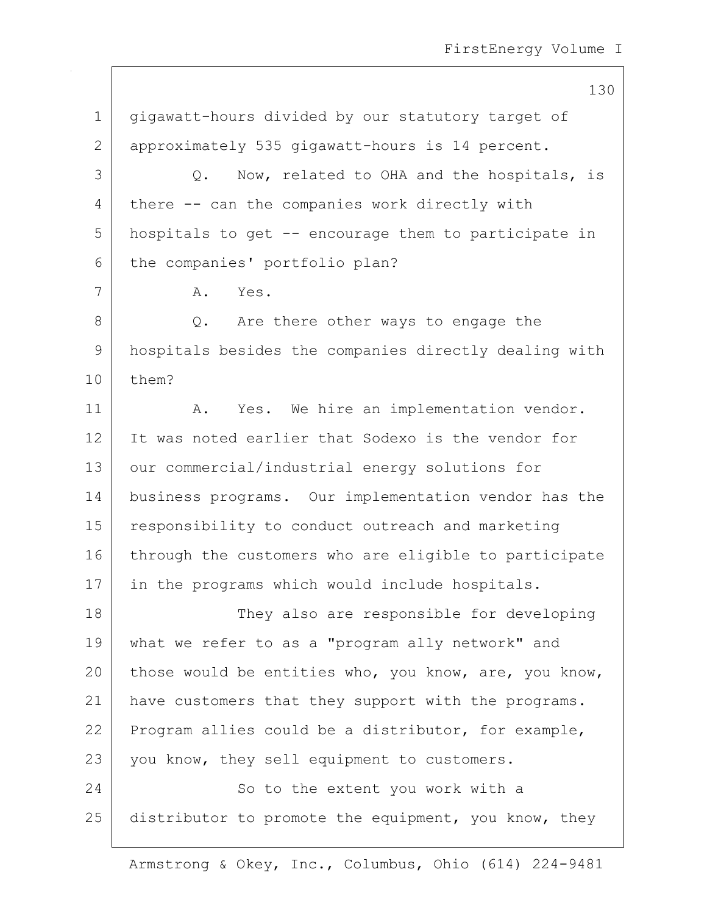130

| $\mathbf 1$ | gigawatt-hours divided by our statutory target of     |
|-------------|-------------------------------------------------------|
| 2           | approximately 535 gigawatt-hours is 14 percent.       |
| 3           | Now, related to OHA and the hospitals, is<br>Q.       |
| 4           | there -- can the companies work directly with         |
| 5           | hospitals to get -- encourage them to participate in  |
| 6           | the companies' portfolio plan?                        |
| 7           | Yes.<br>Α.                                            |
| $8\,$       | Q. Are there other ways to engage the                 |
| 9           | hospitals besides the companies directly dealing with |
| 10          | them?                                                 |
| 11          | Yes. We hire an implementation vendor.<br>A.          |
| 12          | It was noted earlier that Sodexo is the vendor for    |
| 13          | our commercial/industrial energy solutions for        |
| 14          | business programs. Our implementation vendor has the  |
| 15          | responsibility to conduct outreach and marketing      |
| 16          | through the customers who are eligible to participate |
| 17          | in the programs which would include hospitals.        |
| 18          | They also are responsible for developing              |
| 19          | what we refer to as a "program ally network" and      |
| 20          | those would be entities who, you know, are, you know, |
| 21          | have customers that they support with the programs.   |
| 22          | Program allies could be a distributor, for example,   |
| 23          | you know, they sell equipment to customers.           |
| 24          | So to the extent you work with a                      |
| 25          | distributor to promote the equipment, you know, they  |
|             |                                                       |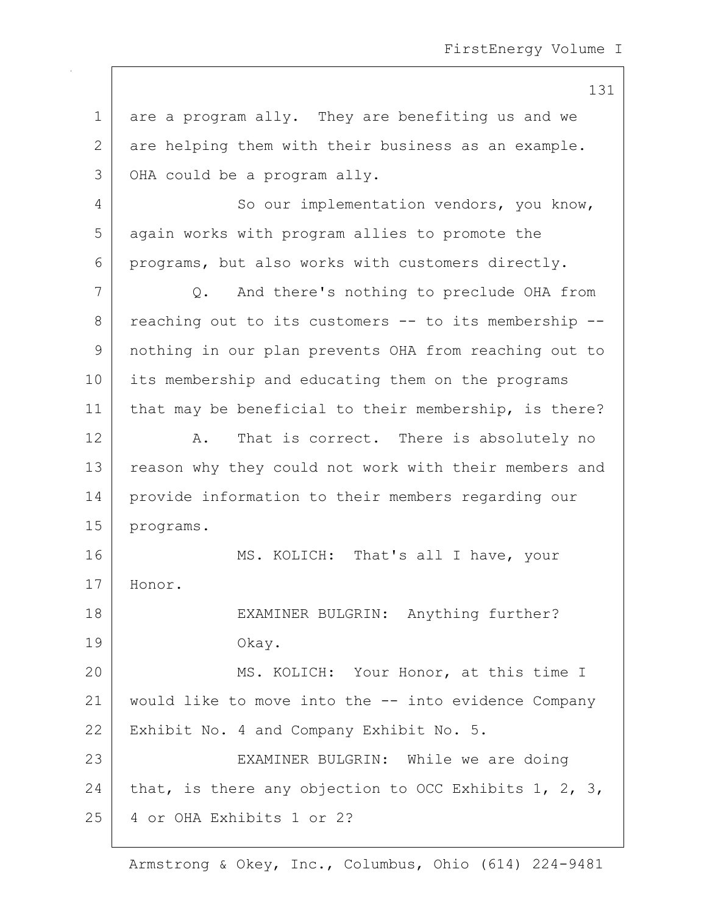131

1 are a program ally. They are benefiting us and we 2 are helping them with their business as an example. 3 OHA could be a program ally. 4 So our implementation vendors, you know, 5 again works with program allies to promote the 6 programs, but also works with customers directly. 7 Q. And there's nothing to preclude OHA from  $8$  reaching out to its customers  $-$  to its membership  $-$ 9 nothing in our plan prevents OHA from reaching out to 10 its membership and educating them on the programs 11 | that may be beneficial to their membership, is there? 12 A. That is correct. There is absolutely no 13 reason why they could not work with their members and 14 provide information to their members regarding our 15 programs. 16 MS. KOLICH: That's all I have, your 17 Honor. 18 | EXAMINER BULGRIN: Anything further? 19 Okay. 20 MS. KOLICH: Your Honor, at this time I 21 would like to move into the -- into evidence Company 22 | Exhibit No. 4 and Company Exhibit No. 5. 23 | EXAMINER BULGRIN: While we are doing 24 that, is there any objection to OCC Exhibits 1, 2, 3, 25 4 or OHA Exhibits 1 or 2?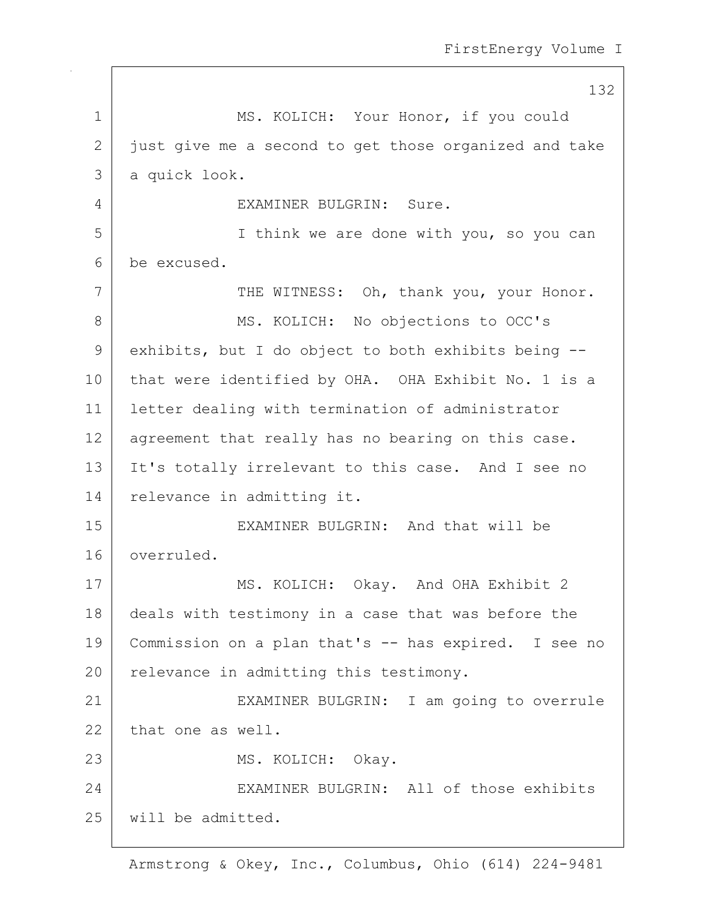132 1 MS. KOLICH: Your Honor, if you could 2 just give me a second to get those organized and take 3 a quick look. 4 EXAMINER BULGRIN: Sure. 5 I think we are done with you, so you can 6 be excused. 7 THE WITNESS: Oh, thank you, your Honor. 8 | MS. KOLICH: No objections to OCC's 9 exhibits, but I do object to both exhibits being --10 that were identified by OHA. OHA Exhibit No. 1 is a 11 letter dealing with termination of administrator 12 agreement that really has no bearing on this case. 13 It's totally irrelevant to this case. And I see no 14 | relevance in admitting it. 15 | EXAMINER BULGRIN: And that will be 16 overruled. 17 MS. KOLICH: Okay. And OHA Exhibit 2 18 deals with testimony in a case that was before the 19 Commission on a plan that's -- has expired. I see no 20 relevance in admitting this testimony. 21 EXAMINER BULGRIN: I am going to overrule 22 that one as well. 23 | MS. KOLICH: Okay. 24 EXAMINER BULGRIN: All of those exhibits 25 will be admitted.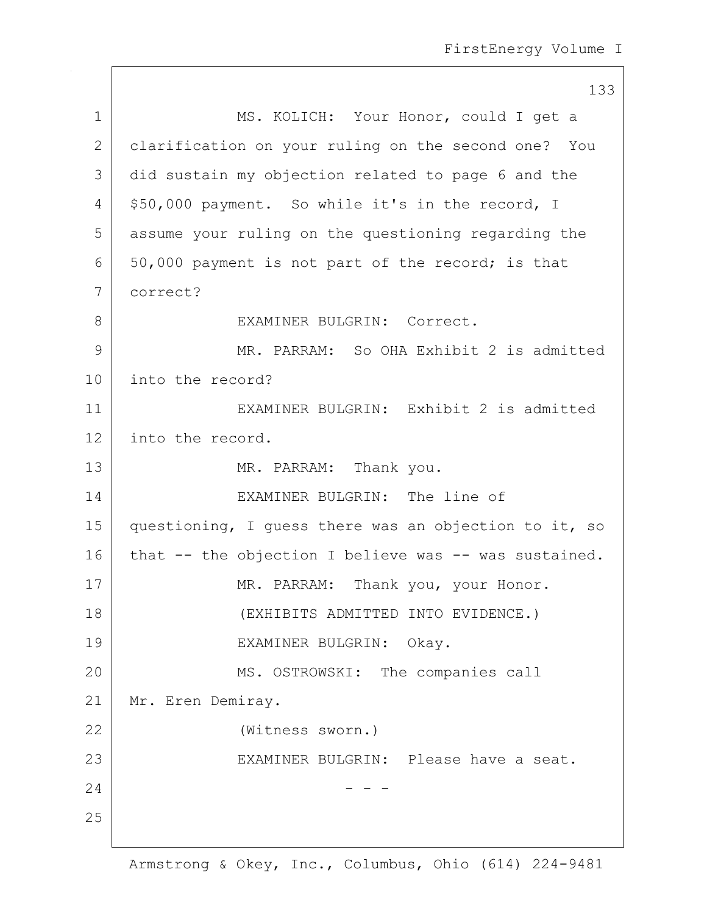|             | 133                                                   |
|-------------|-------------------------------------------------------|
| $\mathbf 1$ | MS. KOLICH: Your Honor, could I get a                 |
| 2           | clarification on your ruling on the second one? You   |
| 3           | did sustain my objection related to page 6 and the    |
| 4           | \$50,000 payment. So while it's in the record, I      |
| 5           | assume your ruling on the questioning regarding the   |
| 6           | 50,000 payment is not part of the record; is that     |
| 7           | correct?                                              |
| 8           | EXAMINER BULGRIN: Correct.                            |
| 9           | MR. PARRAM: So OHA Exhibit 2 is admitted              |
| 10          | into the record?                                      |
| 11          | EXAMINER BULGRIN: Exhibit 2 is admitted               |
| 12          | into the record.                                      |
| 13          | MR. PARRAM: Thank you.                                |
| 14          | EXAMINER BULGRIN: The line of                         |
| 15          | questioning, I guess there was an objection to it, so |
| 16          | that -- the objection I believe was -- was sustained. |
| 17          | MR. PARRAM: Thank you, your Honor.                    |
| 18          | (EXHIBITS ADMITTED INTO EVIDENCE.)                    |
| 19          | EXAMINER BULGRIN:<br>Okay.                            |
| 20          | MS. OSTROWSKI: The companies call                     |
| 21          | Mr. Eren Demiray.                                     |
| 22          | (Witness sworn.)                                      |
| 23          | EXAMINER BULGRIN: Please have a seat.                 |
| 24          |                                                       |
| 25          |                                                       |
|             |                                                       |

 $\mathsf{I}$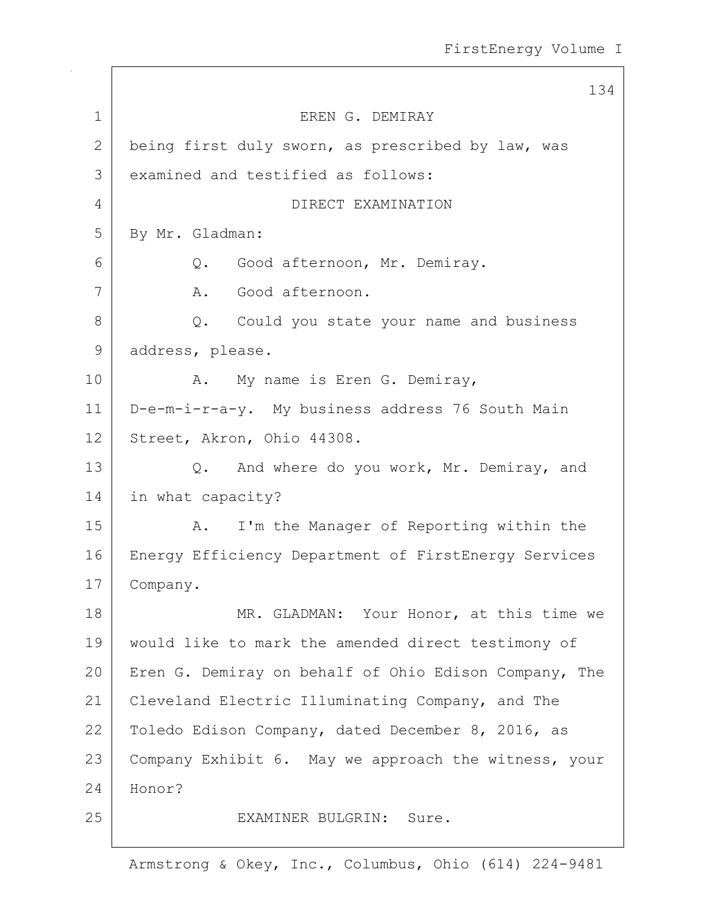134 1 EREN G. DEMIRAY 2 being first duly sworn, as prescribed by law, was 3 examined and testified as follows: 4 DIRECT EXAMINATION 5 By Mr. Gladman: 6 Q. Good afternoon, Mr. Demiray. 7 A. Good afternoon. 8 Q. Could you state your name and business 9 address, please. 10 | A. My name is Eren G. Demiray, 11 D-e-m-i-r-a-y. My business address 76 South Main 12 Street, Akron, Ohio 44308. 13 Q. And where do you work, Mr. Demiray, and 14 in what capacity? 15 | A. I'm the Manager of Reporting within the 16 | Energy Efficiency Department of FirstEnergy Services 17 Company. 18 MR. GLADMAN: Your Honor, at this time we 19 would like to mark the amended direct testimony of 20 Eren G. Demiray on behalf of Ohio Edison Company, The 21 Cleveland Electric Illuminating Company, and The 22 Toledo Edison Company, dated December 8, 2016, as 23 | Company Exhibit 6. May we approach the witness, your 24 Honor? 25 EXAMINER BULGRIN: Sure.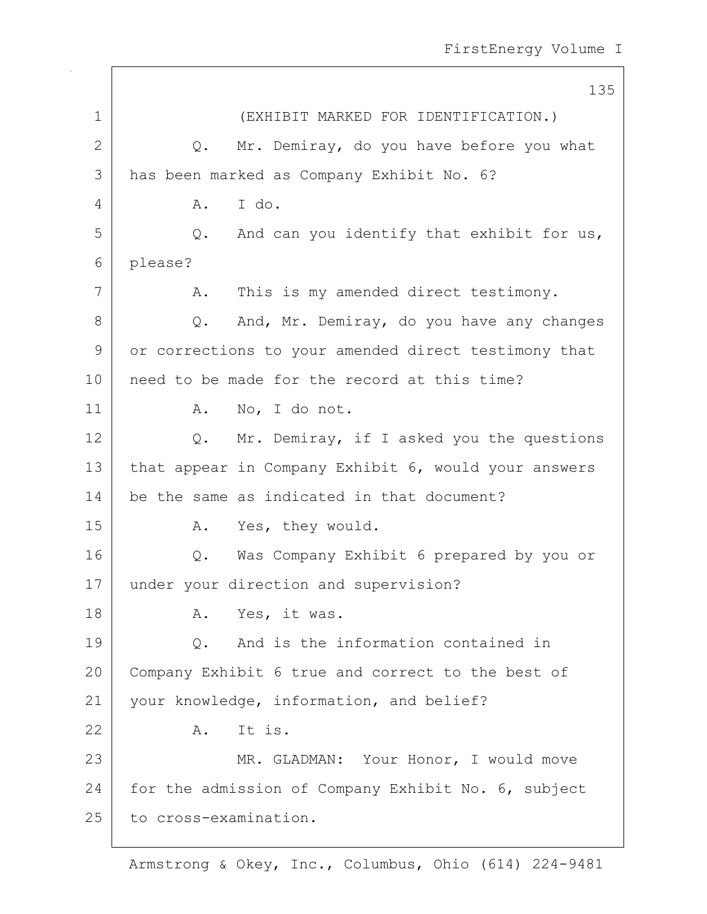|             | 135                                                  |
|-------------|------------------------------------------------------|
| $\mathbf 1$ | (EXHIBIT MARKED FOR IDENTIFICATION.)                 |
| 2           | Mr. Demiray, do you have before you what<br>Q.       |
| 3           | has been marked as Company Exhibit No. 6?            |
| 4           | I do.<br>Α.                                          |
| 5           | Q. And can you identify that exhibit for us,         |
| 6           | please?                                              |
| 7           | This is my amended direct testimony.<br>Α.           |
| 8           | And, Mr. Demiray, do you have any changes<br>Q.      |
| 9           | or corrections to your amended direct testimony that |
| 10          | need to be made for the record at this time?         |
| 11          | No, I do not.<br>Α.                                  |
| 12          | Q. Mr. Demiray, if I asked you the questions         |
| 13          | that appear in Company Exhibit 6, would your answers |
| 14          | be the same as indicated in that document?           |
| 15          | Yes, they would.<br>A.                               |
| 16          | Q. Was Company Exhibit 6 prepared by you or          |
| 17          | under your direction and supervision?                |
| 18          | A. Yes, it was.                                      |
| 19          | And is the information contained in<br>Q.            |
| 20          | Company Exhibit 6 true and correct to the best of    |
| 21          | your knowledge, information, and belief?             |
| 22          | It is.<br>A.                                         |
| 23          | MR. GLADMAN: Your Honor, I would move                |
| 24          | for the admission of Company Exhibit No. 6, subject  |
| 25          | to cross-examination.                                |

 $\Gamma$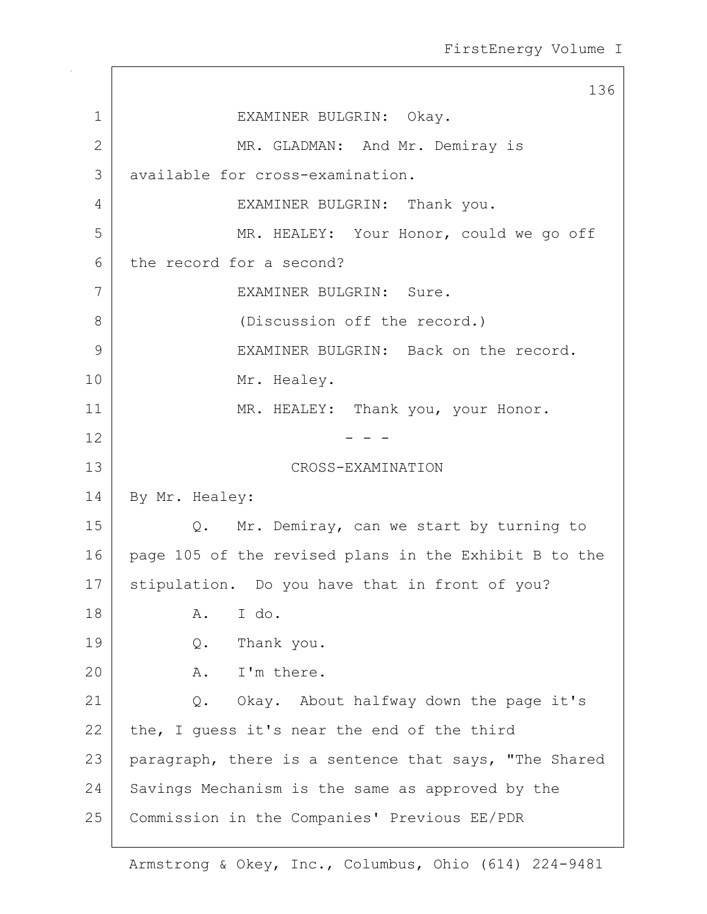136 1 EXAMINER BULGRIN: Okay. 2 MR. GLADMAN: And Mr. Demiray is 3 available for cross-examination. 4 EXAMINER BULGRIN: Thank you. 5 MR. HEALEY: Your Honor, could we go off 6 the record for a second? 7 EXAMINER BULGRIN: Sure. 8 (Discussion off the record.) 9 EXAMINER BULGRIN: Back on the record. 10 Mr. Healey. 11 | MR. HEALEY: Thank you, your Honor.  $12$  - - -13 CROSS-EXAMINATION 14 By Mr. Healey: 15 | Q. Mr. Demiray, can we start by turning to 16 page 105 of the revised plans in the Exhibit B to the 17 Stipulation. Do you have that in front of you? 18 A. I do. 19 Q. Thank you. 20 A. I'm there. 21 Q. Okay. About halfway down the page it's 22 the, I guess it's near the end of the third 23 paragraph, there is a sentence that says, "The Shared 24 Savings Mechanism is the same as approved by the 25 Commission in the Companies' Previous EE/PDR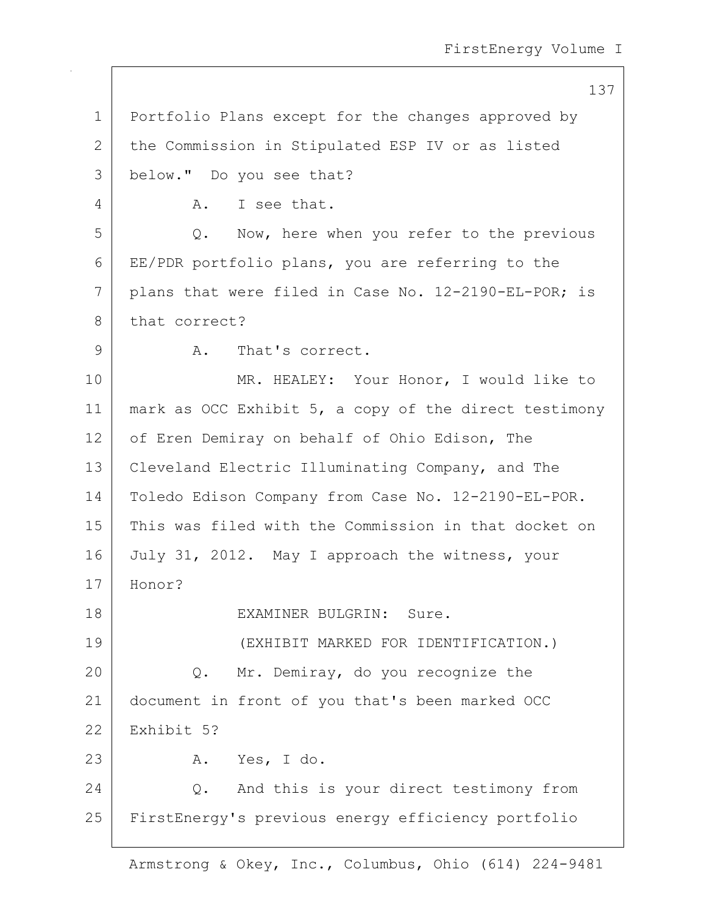137

1 Portfolio Plans except for the changes approved by 2 the Commission in Stipulated ESP IV or as listed 3 below." Do you see that? 4 A. I see that. 5 Q. Now, here when you refer to the previous 6 EE/PDR portfolio plans, you are referring to the 7 plans that were filed in Case No. 12-2190-EL-POR; is 8 that correct? 9 A. That's correct. 10 MR. HEALEY: Your Honor, I would like to

11 | mark as OCC Exhibit 5, a copy of the direct testimony 12 of Eren Demiray on behalf of Ohio Edison, The 13 Cleveland Electric Illuminating Company, and The 14 Toledo Edison Company from Case No. 12-2190-EL-POR. 15 This was filed with the Commission in that docket on 16 July 31, 2012. May I approach the witness, your 17 Honor? 18 EXAMINER BULGRIN: Sure. 19 (EXHIBIT MARKED FOR IDENTIFICATION.) 20 Q. Mr. Demiray, do you recognize the 21 document in front of you that's been marked OCC 22 Exhibit 5? 23 A. Yes, I do. 24 O. And this is your direct testimony from 25 FirstEnergy's previous energy efficiency portfolio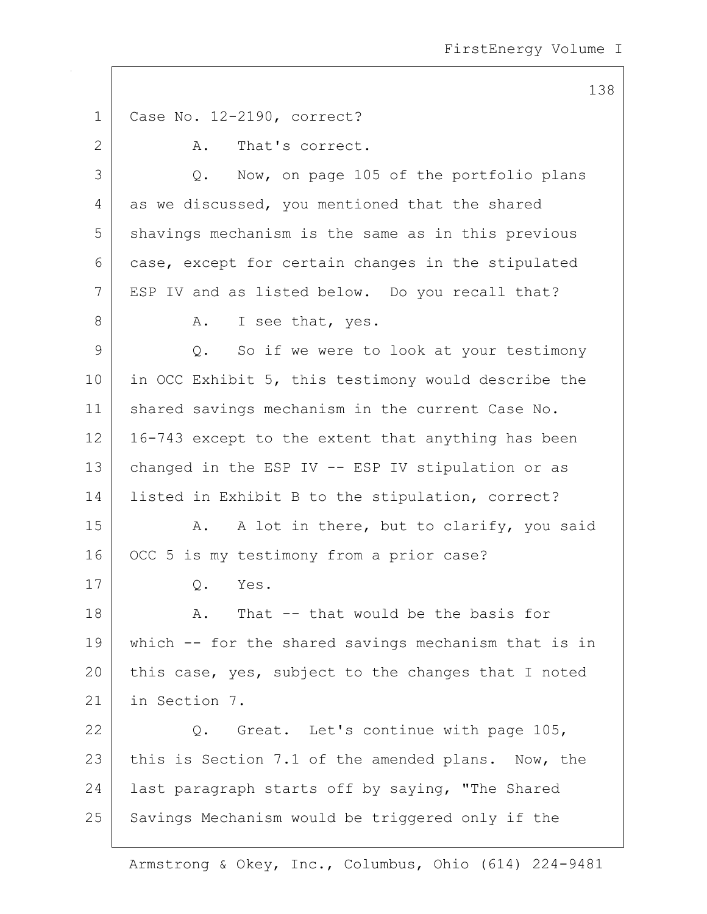138 1 Case No. 12-2190, correct? 2 A. That's correct. 3 Q. Now, on page 105 of the portfolio plans 4 as we discussed, you mentioned that the shared 5 shavings mechanism is the same as in this previous 6 case, except for certain changes in the stipulated 7 | ESP IV and as listed below. Do you recall that? 8 A. I see that, yes. 9 Q. So if we were to look at your testimony 10 in OCC Exhibit 5, this testimony would describe the 11 | shared savings mechanism in the current Case No.  $12$  | 16-743 except to the extent that anything has been 13 changed in the ESP IV -- ESP IV stipulation or as 14 listed in Exhibit B to the stipulation, correct? 15 | A. A lot in there, but to clarify, you said 16 OCC 5 is my testimony from a prior case? 17 Q. Yes. 18 A. That -- that would be the basis for 19 which -- for the shared savings mechanism that is in 20 this case, yes, subject to the changes that I noted 21 in Section 7. 22 Q. Great. Let's continue with page 105, 23 this is Section 7.1 of the amended plans. Now, the 24 | last paragraph starts off by saying, "The Shared 25 Savings Mechanism would be triggered only if the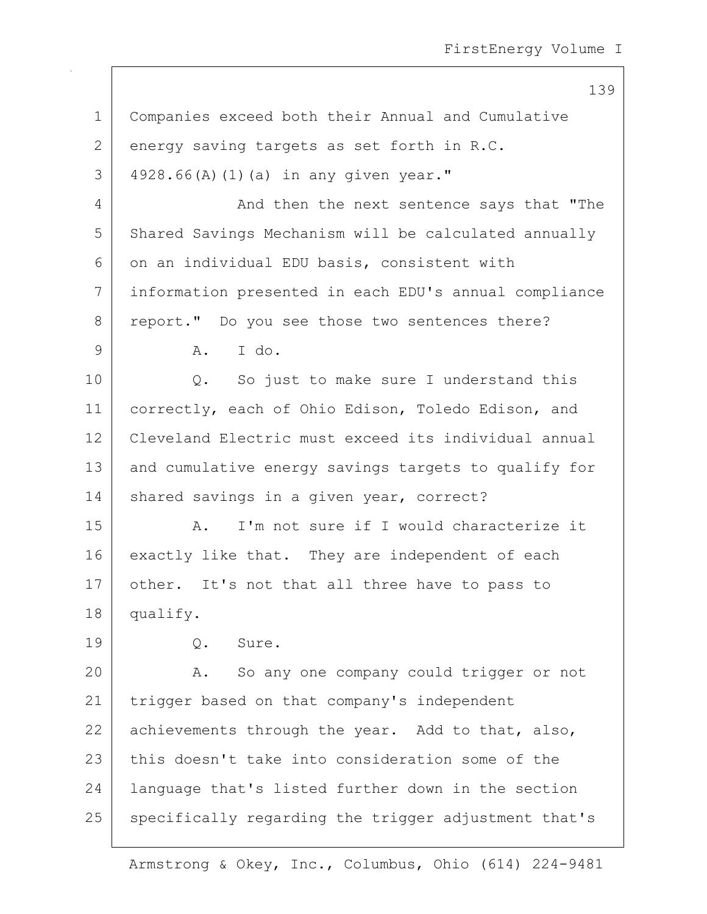139

| $\mathbf 1$  | Companies exceed both their Annual and Cumulative     |
|--------------|-------------------------------------------------------|
| $\mathbf{2}$ | energy saving targets as set forth in R.C.            |
| 3            | 4928.66(A) (1) (a) in any given year."                |
| 4            | And then the next sentence says that "The             |
| 5            | Shared Savings Mechanism will be calculated annually  |
| 6            | on an individual EDU basis, consistent with           |
| 7            | information presented in each EDU's annual compliance |
| 8            | report." Do you see those two sentences there?        |
| 9            | I do.<br>A.                                           |
| 10           | Q. So just to make sure I understand this             |
| 11           | correctly, each of Ohio Edison, Toledo Edison, and    |
| 12           | Cleveland Electric must exceed its individual annual  |
| 13           | and cumulative energy savings targets to qualify for  |
| 14           | shared savings in a given year, correct?              |
| 15           | I'm not sure if I would characterize it<br>Α.         |
| 16           | exactly like that. They are independent of each       |
| 17           | other. It's not that all three have to pass to        |
| 18           | qualify.                                              |
| 19           | Q.<br>Sure.                                           |
| 20           | So any one company could trigger or not<br>Α.         |
| 21           | trigger based on that company's independent           |
| 22           | achievements through the year. Add to that, also,     |
| 23           | this doesn't take into consideration some of the      |
| 24           | language that's listed further down in the section    |
| 25           | specifically regarding the trigger adjustment that's  |
|              |                                                       |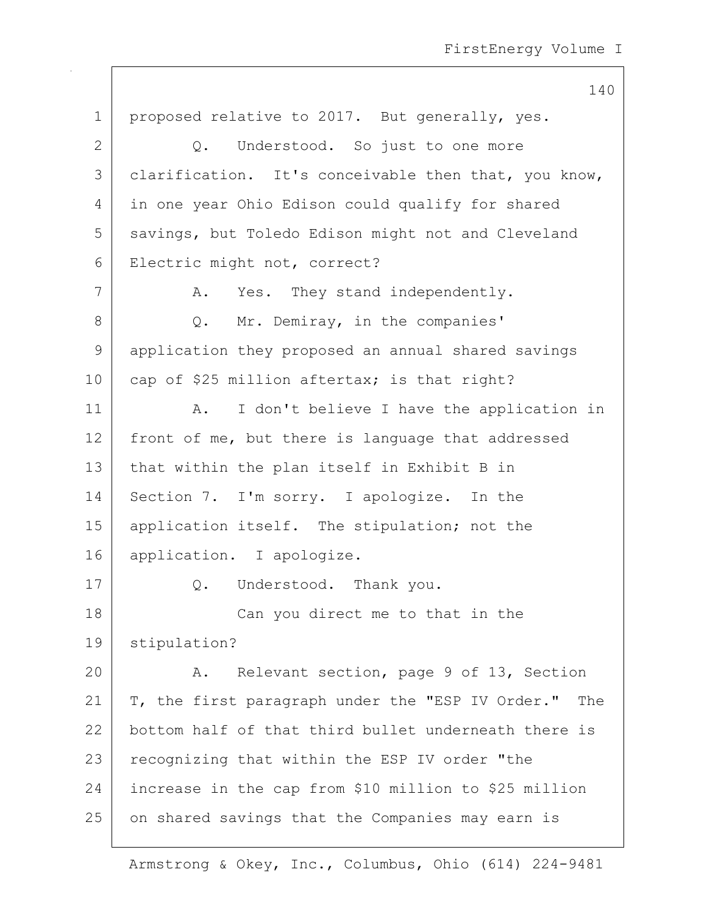140 1 | proposed relative to 2017. But generally, yes. 2 Q. Understood. So just to one more 3 | clarification. It's conceivable then that, you know, 4 in one year Ohio Edison could qualify for shared 5 savings, but Toledo Edison might not and Cleveland 6 Electric might not, correct? 7 A. Yes. They stand independently. 8 Q. Mr. Demiray, in the companies' 9 application they proposed an annual shared savings 10 cap of \$25 million aftertax; is that right? 11 | A. I don't believe I have the application in 12 front of me, but there is language that addressed 13 that within the plan itself in Exhibit B in 14 Section 7. I'm sorry. I apologize. In the 15 | application itself. The stipulation; not the 16 application. I apologize. 17 | O. Understood. Thank you. 18 | Can you direct me to that in the 19 stipulation? 20 A. Relevant section, page 9 of 13, Section 21 | T, the first paragraph under the "ESP IV Order." The 22 bottom half of that third bullet underneath there is 23 recognizing that within the ESP IV order "the 24 increase in the cap from \$10 million to \$25 million 25 on shared savings that the Companies may earn is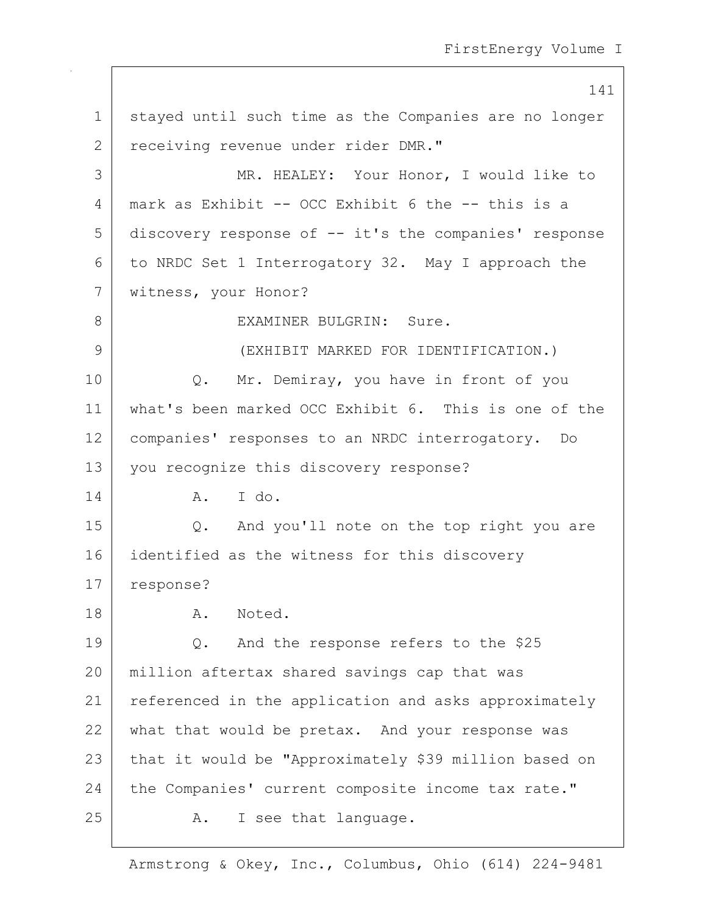141 1 | stayed until such time as the Companies are no longer 2 receiving revenue under rider DMR." 3 MR. HEALEY: Your Honor, I would like to 4 mark as Exhibit -- OCC Exhibit 6 the -- this is a 5 discovery response of -- it's the companies' response 6 to NRDC Set 1 Interrogatory 32. May I approach the 7 | witness, your Honor? 8 EXAMINER BULGRIN: Sure. 9 (EXHIBIT MARKED FOR IDENTIFICATION.) 10 | Q. Mr. Demiray, you have in front of you 11 what's been marked OCC Exhibit 6. This is one of the 12 companies' responses to an NRDC interrogatory. Do 13 you recognize this discovery response? 14 A. I do. 15 Q. And you'll note on the top right you are 16 identified as the witness for this discovery 17 response? 18 A. Noted. 19 Q. And the response refers to the \$25 20 million aftertax shared savings cap that was 21 | referenced in the application and asks approximately 22 what that would be pretax. And your response was 23 | that it would be "Approximately \$39 million based on 24 the Companies' current composite income tax rate." 25 A. I see that language.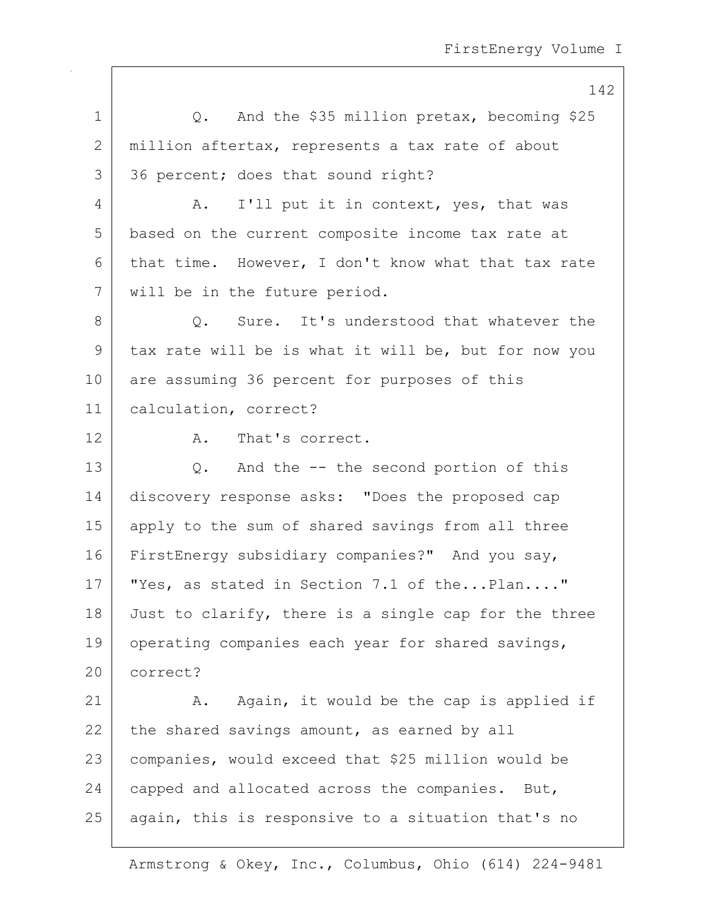142 1 O. And the \$35 million pretax, becoming \$25 2 million aftertax, represents a tax rate of about 3 36 percent; does that sound right? 4 A. I'll put it in context, yes, that was 5 based on the current composite income tax rate at 6 that time. However, I don't know what that tax rate 7 will be in the future period. 8 | C. Sure. It's understood that whatever the 9 tax rate will be is what it will be, but for now you 10 are assuming 36 percent for purposes of this 11 calculation, correct? 12 A. That's correct. 13 Q. And the -- the second portion of this 14 discovery response asks: "Does the proposed cap 15 apply to the sum of shared savings from all three 16 FirstEnergy subsidiary companies?" And you say, 17 | "Yes, as stated in Section 7.1 of the...Plan...." 18 Just to clarify, there is a single cap for the three 19 | operating companies each year for shared savings, 20 correct? 21 | A. Again, it would be the cap is applied if 22 the shared savings amount, as earned by all 23 companies, would exceed that \$25 million would be  $24$  capped and allocated across the companies. But, 25 | again, this is responsive to a situation that's no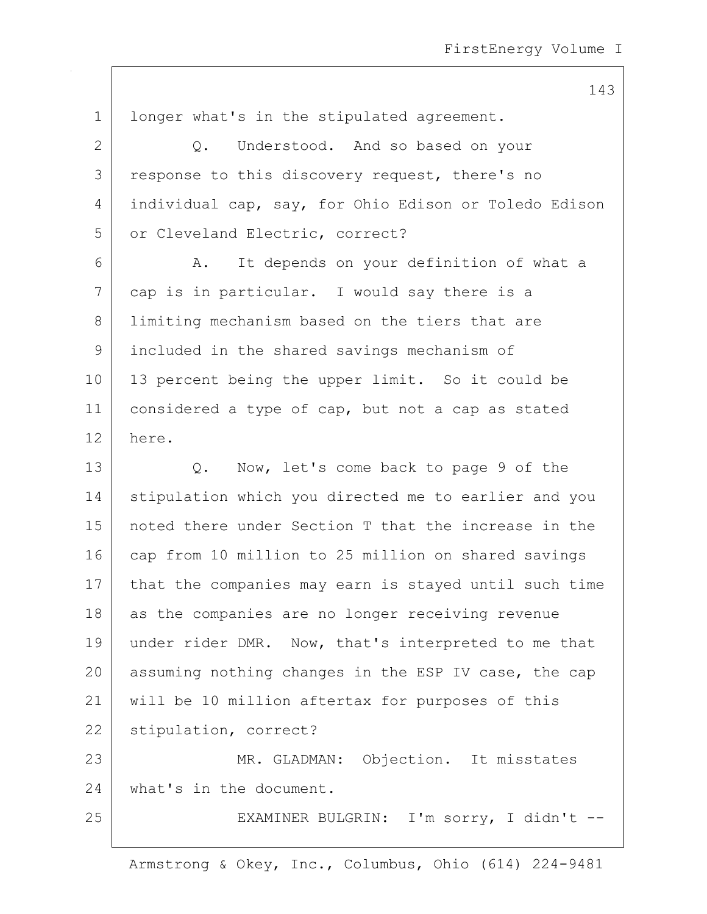1 | longer what's in the stipulated agreement. 2 Q. Understood. And so based on your 3 response to this discovery request, there's no 4 individual cap, say, for Ohio Edison or Toledo Edison 5 or Cleveland Electric, correct? 6 A. It depends on your definition of what a 7 cap is in particular. I would say there is a 8 I limiting mechanism based on the tiers that are 9 included in the shared savings mechanism of 10 | 13 percent being the upper limit. So it could be 11 | considered a type of cap, but not a cap as stated 12 here. 13 Q. Now, let's come back to page 9 of the 14 stipulation which you directed me to earlier and you 15 noted there under Section T that the increase in the 16 cap from 10 million to 25 million on shared savings 17 that the companies may earn is stayed until such time 18 as the companies are no longer receiving revenue 19 under rider DMR. Now, that's interpreted to me that 20 assuming nothing changes in the ESP IV case, the cap 21 will be 10 million aftertax for purposes of this 22 stipulation, correct? 23 | MR. GLADMAN: Objection. It misstates 24 what's in the document. 25 | EXAMINER BULGRIN: I'm sorry, I didn't --

Armstrong & Okey, Inc., Columbus, Ohio (614) 224-9481

## 143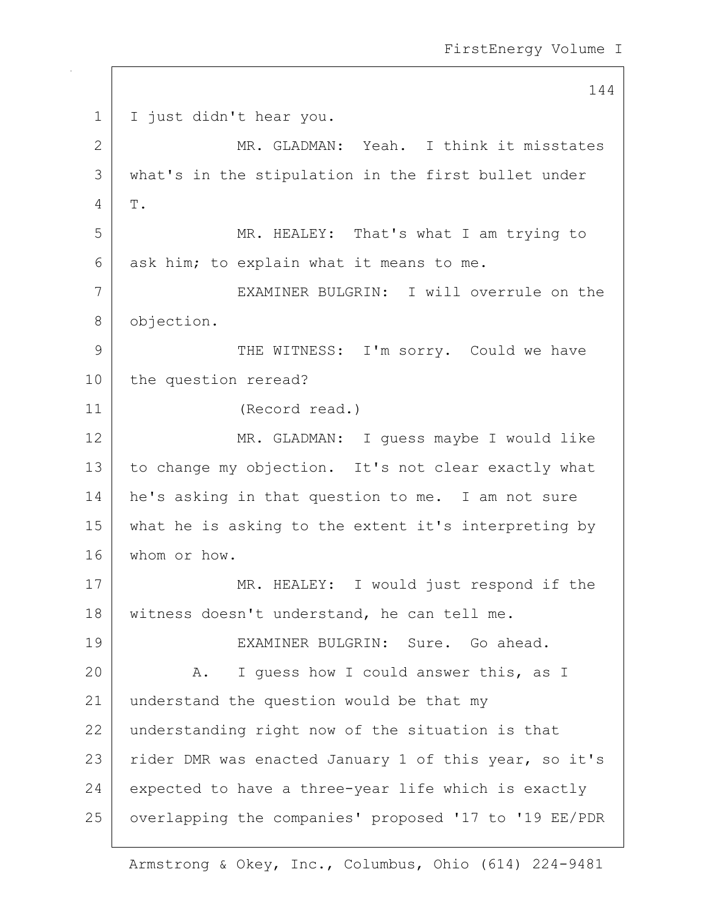144 1 I just didn't hear you. 2 MR. GLADMAN: Yeah. I think it misstates 3 what's in the stipulation in the first bullet under  $4$  T. 5 MR. HEALEY: That's what I am trying to  $6$  ask him; to explain what it means to me. 7 EXAMINER BULGRIN: I will overrule on the 8 objection. 9 THE WITNESS: I'm sorry. Could we have 10 the question reread? 11 (Record read.) 12 MR. GLADMAN: I quess maybe I would like 13 to change my objection. It's not clear exactly what 14 he's asking in that question to me. I am not sure 15 what he is asking to the extent it's interpreting by 16 whom or how. 17 | MR. HEALEY: I would just respond if the 18 witness doesn't understand, he can tell me. 19 EXAMINER BULGRIN: Sure. Go ahead. 20 A. I guess how I could answer this, as I 21 understand the question would be that my 22 understanding right now of the situation is that 23 | rider DMR was enacted January 1 of this year, so it's 24 expected to have a three-year life which is exactly 25 overlapping the companies' proposed '17 to '19 EE/PDR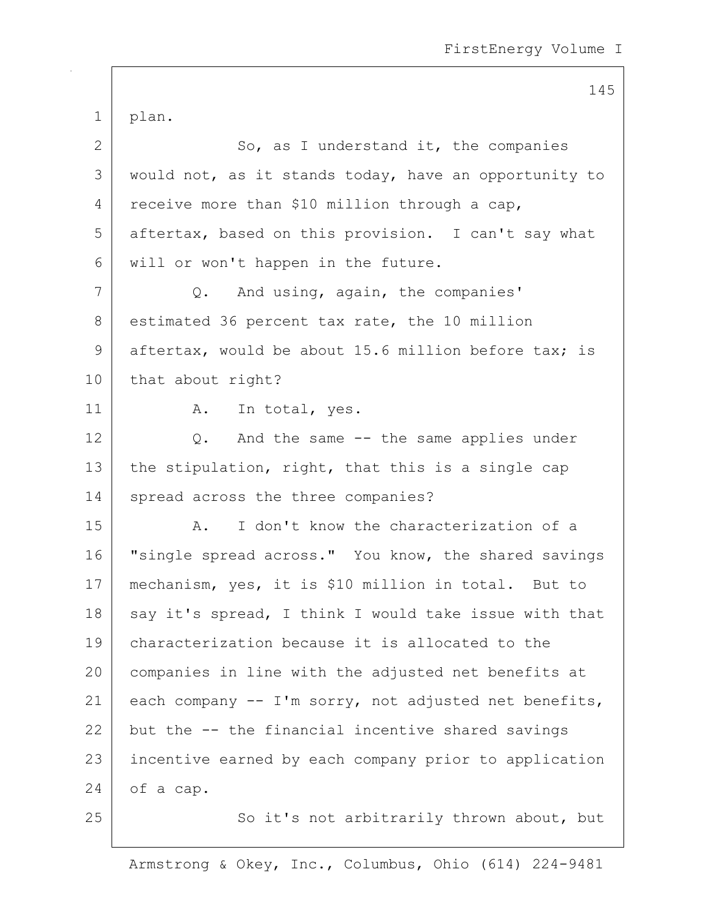145 1 plan. 2 So, as I understand it, the companies 3 | would not, as it stands today, have an opportunity to 4 receive more than \$10 million through a cap, 5 aftertax, based on this provision. I can't say what 6 will or won't happen in the future. 7 Q. And using, again, the companies' 8 estimated 36 percent tax rate, the 10 million 9 aftertax, would be about 15.6 million before tax; is 10 | that about right? 11 | A. In total, yes. 12 Q. And the same -- the same applies under 13 the stipulation, right, that this is a single cap 14 spread across the three companies? 15 | A. I don't know the characterization of a 16 | "single spread across." You know, the shared savings 17 | mechanism, yes, it is \$10 million in total. But to  $18$  say it's spread, I think I would take issue with that 19 characterization because it is allocated to the 20 companies in line with the adjusted net benefits at 21 each company  $-$  I'm sorry, not adjusted net benefits,  $22$  but the  $-$ - the financial incentive shared savings 23 | incentive earned by each company prior to application 24 of a cap. 25 | So it's not arbitrarily thrown about, but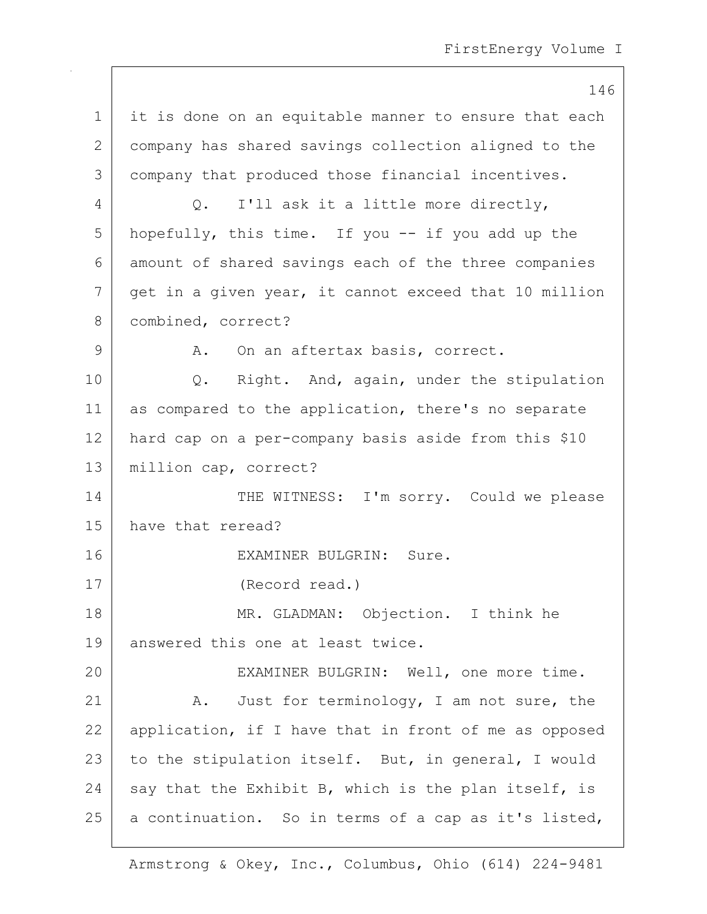146 1 | it is done on an equitable manner to ensure that each 2 company has shared savings collection aligned to the 3 company that produced those financial incentives. 4 Q. I'll ask it a little more directly, 5 hopefully, this time. If you -- if you add up the 6 amount of shared savings each of the three companies 7 get in a given year, it cannot exceed that 10 million 8 | combined, correct? 9 A. On an aftertax basis, correct. 10 | Q. Right. And, again, under the stipulation 11 as compared to the application, there's no separate 12 hard cap on a per-company basis aside from this \$10 13 | million cap, correct? 14 THE WITNESS: I'm sorry. Could we please 15 have that reread? 16 EXAMINER BULGRIN: Sure. 17 (Record read.) 18 | MR. GLADMAN: Objection. I think he 19 answered this one at least twice. 20 EXAMINER BULGRIN: Well, one more time. 21 A. Just for terminology, I am not sure, the 22 | application, if I have that in front of me as opposed 23 to the stipulation itself. But, in general, I would 24 say that the Exhibit B, which is the plan itself, is  $25$  a continuation. So in terms of a cap as it's listed,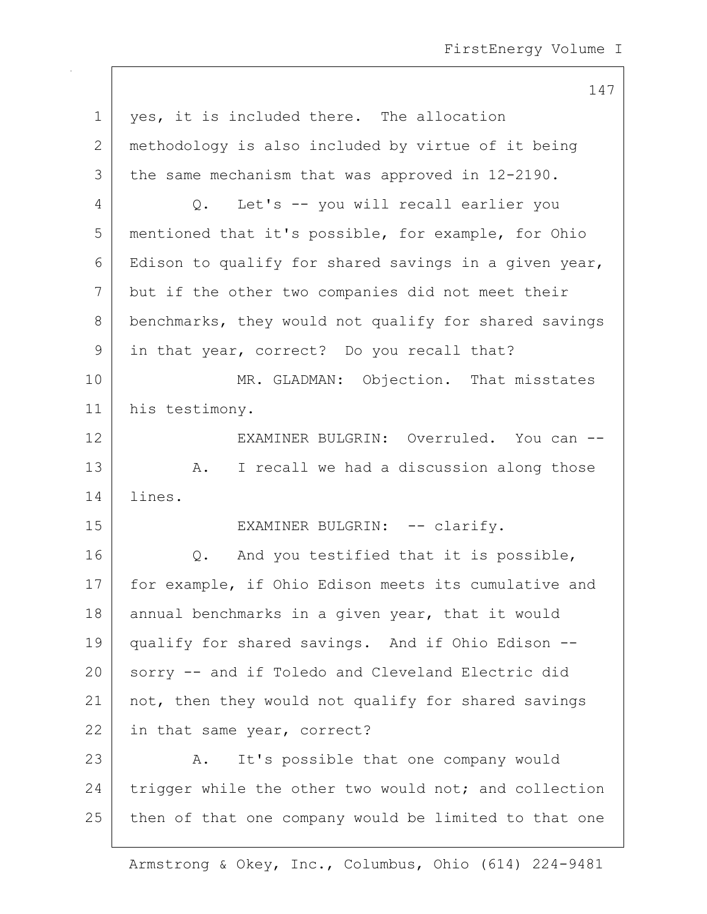147

1 | yes, it is included there. The allocation 2 methodology is also included by virtue of it being 3 the same mechanism that was approved in 12-2190. 4 Q. Let's -- you will recall earlier you 5 mentioned that it's possible, for example, for Ohio 6 Edison to qualify for shared savings in a given year, 7 but if the other two companies did not meet their 8 benchmarks, they would not qualify for shared savings 9 in that year, correct? Do you recall that? 10 MR. GLADMAN: Objection. That misstates 11 his testimony. 12 EXAMINER BULGRIN: Overruled. You can --13 | A. I recall we had a discussion along those 14 lines. 15 | EXAMINER BULGRIN: -- clarify. 16 | Q. And you testified that it is possible, 17 | for example, if Ohio Edison meets its cumulative and 18 annual benchmarks in a given year, that it would 19 qualify for shared savings. And if Ohio Edison -- 20 sorry -- and if Toledo and Cleveland Electric did 21 | not, then they would not qualify for shared savings 22 in that same year, correct? 23 A. It's possible that one company would 24 trigger while the other two would not; and collection  $25$  then of that one company would be limited to that one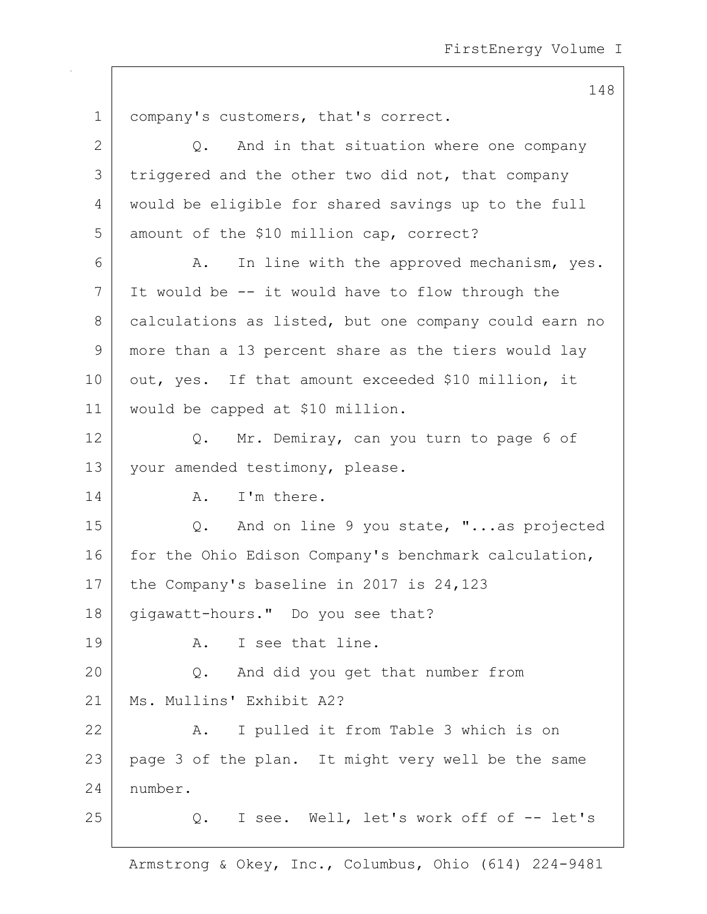148 1 company's customers, that's correct. 2 Q. And in that situation where one company 3 triggered and the other two did not, that company 4 would be eligible for shared savings up to the full 5 amount of the \$10 million cap, correct? 6 A. In line with the approved mechanism, yes.  $7$  It would be  $-$  it would have to flow through the 8 calculations as listed, but one company could earn no 9 more than a 13 percent share as the tiers would lay 10 | out, yes. If that amount exceeded \$10 million, it 11 would be capped at \$10 million. 12 Q. Mr. Demiray, can you turn to page 6 of 13 | your amended testimony, please. 14 A. I'm there. 15 Q. And on line 9 you state, "...as projected 16 for the Ohio Edison Company's benchmark calculation, 17 the Company's baseline in 2017 is 24,123 18 gigawatt-hours." Do you see that? 19 | A. I see that line. 20 Q. And did you get that number from 21 | Ms. Mullins' Exhibit A2? 22 A. I pulled it from Table 3 which is on 23 | page 3 of the plan. It might very well be the same 24 number. 25 Q. I see. Well, let's work off of -- let's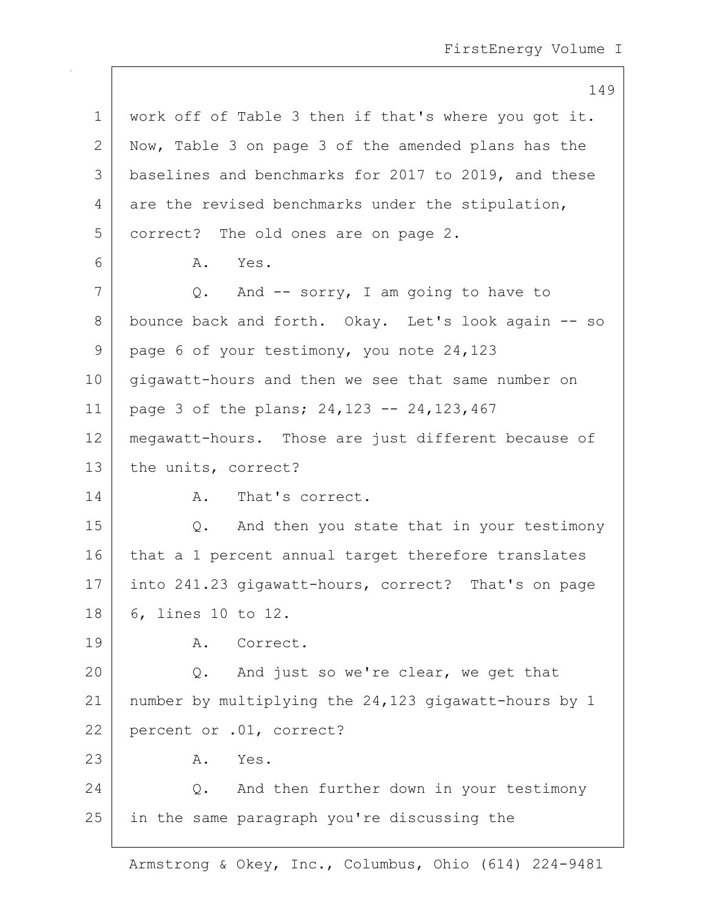|              | 149                                                  |
|--------------|------------------------------------------------------|
| $\mathbf 1$  | work off of Table 3 then if that's where you got it. |
| $\mathbf{2}$ | Now, Table 3 on page 3 of the amended plans has the  |
| 3            | baselines and benchmarks for 2017 to 2019, and these |
| 4            | are the revised benchmarks under the stipulation,    |
| 5            | correct? The old ones are on page 2.                 |
| 6            | Yes.<br>Α.                                           |
| 7            | Q. And -- sorry, I am going to have to               |
| 8            | bounce back and forth. Okay. Let's look again -- so  |
| 9            | page 6 of your testimony, you note 24,123            |
| 10           | gigawatt-hours and then we see that same number on   |
| 11           | page 3 of the plans; 24, 123 -- 24, 123, 467         |
| 12           | megawatt-hours. Those are just different because of  |
| 13           | the units, correct?                                  |
| 14           | That's correct.<br>Α.                                |
| 15           | Q. And then you state that in your testimony         |
| 16           | that a 1 percent annual target therefore translates  |
| 17           | into 241.23 gigawatt-hours, correct? That's on page  |
| 18           | 6, lines 10 to 12.                                   |
| 19           | Correct.<br>Α.                                       |
| 20           | And just so we're clear, we get that<br>Q.           |
| 21           | number by multiplying the 24,123 gigawatt-hours by 1 |
| 22           | percent or .01, correct?                             |
| 23           | Yes.<br>Α.                                           |
| 24           | Q. And then further down in your testimony           |
| 25           | in the same paragraph you're discussing the          |

 $\mathbf{I}$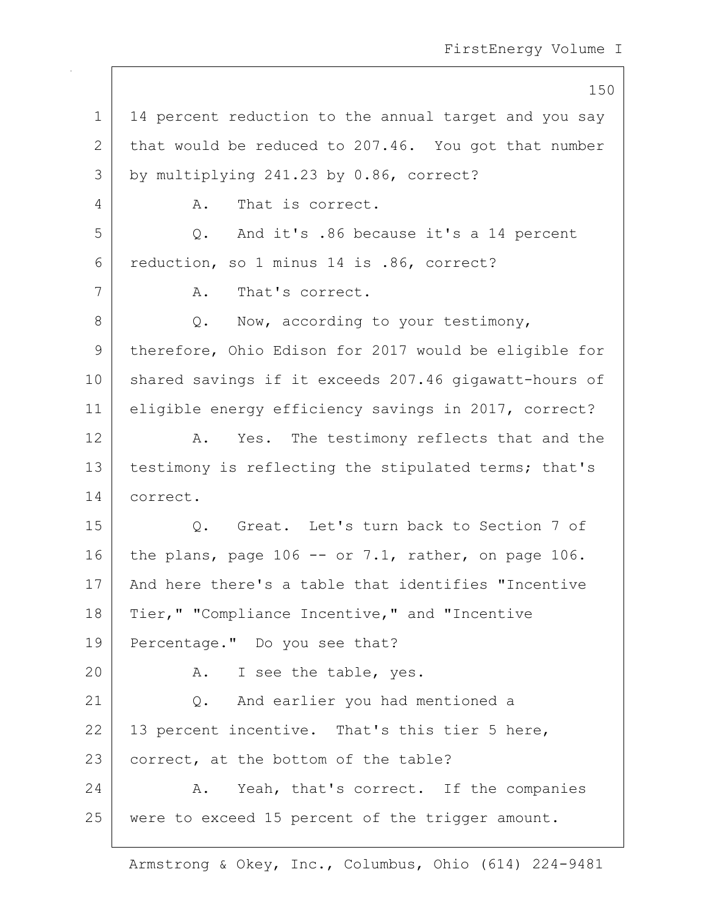150 1 | 14 percent reduction to the annual target and you say 2 that would be reduced to 207.46. You got that number 3 by multiplying 241.23 by 0.86, correct? 4 A. That is correct. 5 Q. And it's .86 because it's a 14 percent 6 reduction, so 1 minus 14 is .86, correct? 7 A. That's correct.  $8$  Q. Now, according to your testimony, 9 | therefore, Ohio Edison for 2017 would be eligible for 10 | shared savings if it exceeds 207.46 gigawatt-hours of 11 eligible energy efficiency savings in 2017, correct? 12 A. Yes. The testimony reflects that and the 13 | testimony is reflecting the stipulated terms; that's 14 correct. 15 Q. Great. Let's turn back to Section 7 of 16 the plans, page 106 -- or 7.1, rather, on page 106. 17 | And here there's a table that identifies "Incentive 18 | Tier, " "Compliance Incentive, " and "Incentive 19 Percentage." Do you see that? 20 A. I see the table, yes. 21 | Q. And earlier you had mentioned a  $22$  | 13 percent incentive. That's this tier 5 here, 23 correct, at the bottom of the table? 24 A. Yeah, that's correct. If the companies 25 were to exceed 15 percent of the trigger amount.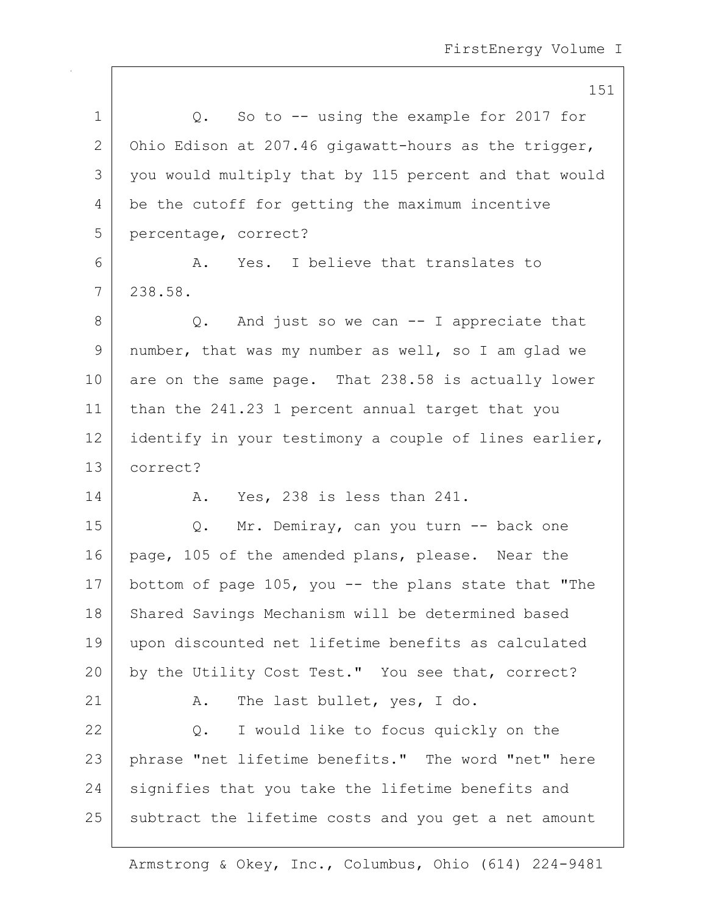|                 | 151                                                     |
|-----------------|---------------------------------------------------------|
| $\mathbf 1$     | So to $-$ using the example for 2017 for<br>$Q$ .       |
| 2               | Ohio Edison at 207.46 gigawatt-hours as the trigger,    |
| 3               | you would multiply that by 115 percent and that would   |
| 4               | be the cutoff for getting the maximum incentive         |
| 5               | percentage, correct?                                    |
| 6               | Yes. I believe that translates to<br>A.                 |
| 7               | 238.58.                                                 |
| 8               | $Q.$ And just so we can $-$ I appreciate that           |
| 9               | number, that was my number as well, so I am glad we     |
| 10 <sub>o</sub> | are on the same page. That 238.58 is actually lower     |
| 11              | than the 241.23 1 percent annual target that you        |
| 12              | identify in your testimony a couple of lines earlier,   |
| 13              | correct?                                                |
| 14              | A. Yes, 238 is less than 241.                           |
| 15              | Mr. Demiray, can you turn -- back one<br>Q.             |
| 16              | page, 105 of the amended plans, please. Near the        |
| 17              | bottom of page $105$ , you -- the plans state that "The |
| 18              | Shared Savings Mechanism will be determined based       |
| 19              | upon discounted net lifetime benefits as calculated     |
| 20              | by the Utility Cost Test." You see that, correct?       |
| 21              | The last bullet, yes, I do.<br>Α.                       |
| 22              | Q. I would like to focus quickly on the                 |
| 23              | phrase "net lifetime benefits." The word "net" here     |
| 24              | signifies that you take the lifetime benefits and       |
| 25              | subtract the lifetime costs and you get a net amount    |
|                 |                                                         |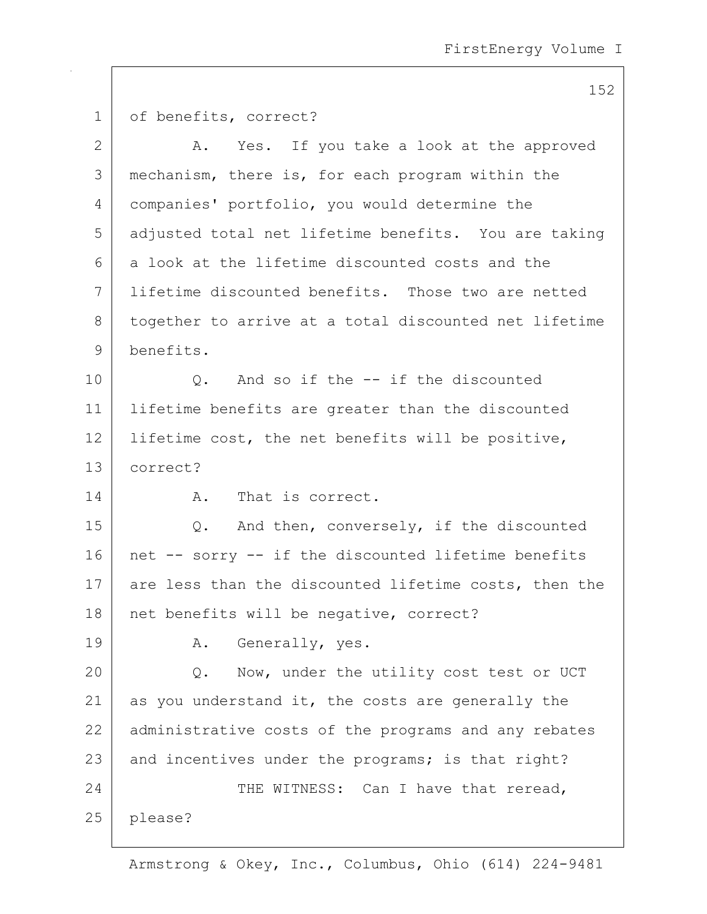| $\mathbf 1$  | of benefits, correct?                                 |
|--------------|-------------------------------------------------------|
| $\mathbf{2}$ | A. Yes. If you take a look at the approved            |
| 3            | mechanism, there is, for each program within the      |
| 4            | companies' portfolio, you would determine the         |
| 5            | adjusted total net lifetime benefits. You are taking  |
| 6            | a look at the lifetime discounted costs and the       |
| 7            | lifetime discounted benefits. Those two are netted    |
| 8            | together to arrive at a total discounted net lifetime |
| 9            | benefits.                                             |
| 10           | Q. And so if the -- if the discounted                 |
| 11           | lifetime benefits are greater than the discounted     |
| 12           | lifetime cost, the net benefits will be positive,     |
| 13           | correct?                                              |
| 14           | That is correct.<br>Α.                                |
| 15           | Q. And then, conversely, if the discounted            |
| 16           | net -- sorry -- if the discounted lifetime benefits   |
| 17           | are less than the discounted lifetime costs, then the |
| 18           | net benefits will be negative, correct?               |
| 19           | Generally, yes.<br>Α.                                 |
| 20           | Now, under the utility cost test or UCT<br>Q.         |
| 21           | as you understand it, the costs are generally the     |
| 22           | administrative costs of the programs and any rebates  |
| 23           | and incentives under the programs; is that right?     |
| 24           | THE WITNESS: Can I have that reread,                  |
| 25           | please?                                               |
|              |                                                       |

Armstrong & Okey, Inc., Columbus, Ohio (614) 224-9481

152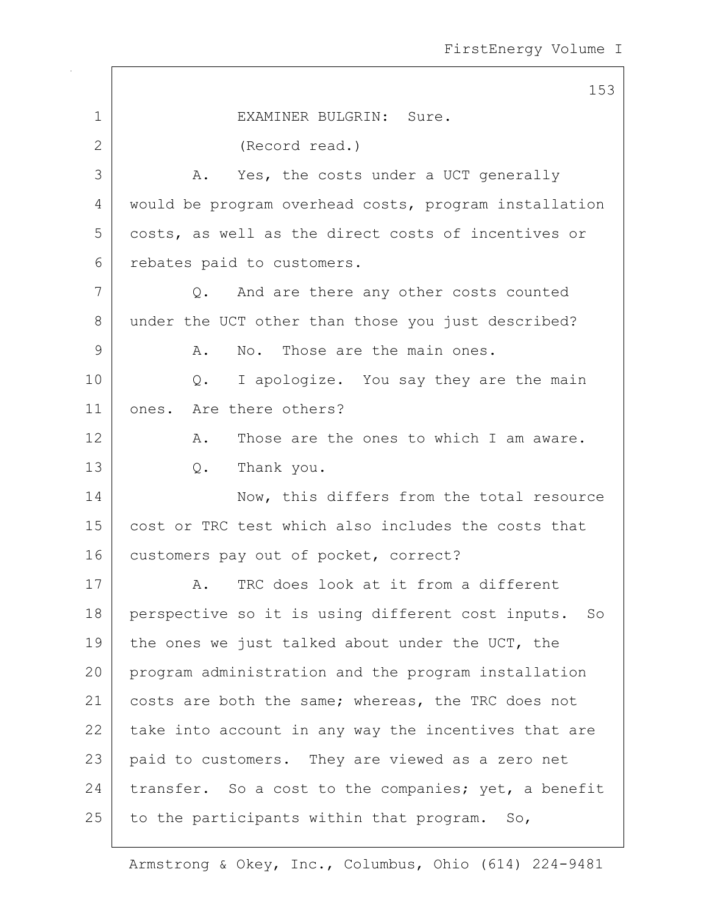153 1 EXAMINER BULGRIN: Sure. 2 (Record read.) 3 A. Yes, the costs under a UCT generally 4 would be program overhead costs, program installation 5 costs, as well as the direct costs of incentives or 6 rebates paid to customers.  $7$  Q. And are there any other costs counted 8 under the UCT other than those you just described? 9 A. No. Those are the main ones. 10 Q. I apologize. You say they are the main 11 ones. Are there others? 12 A. Those are the ones to which I am aware. 13 Q. Thank you. 14 Now, this differs from the total resource 15 cost or TRC test which also includes the costs that 16 customers pay out of pocket, correct? 17 A. TRC does look at it from a different 18 perspective so it is using different cost inputs. So 19 the ones we just talked about under the UCT, the 20 program administration and the program installation 21 | costs are both the same; whereas, the TRC does not  $22$  take into account in any way the incentives that are 23 paid to customers. They are viewed as a zero net 24 transfer. So a cost to the companies; yet, a benefit  $25$  to the participants within that program. So,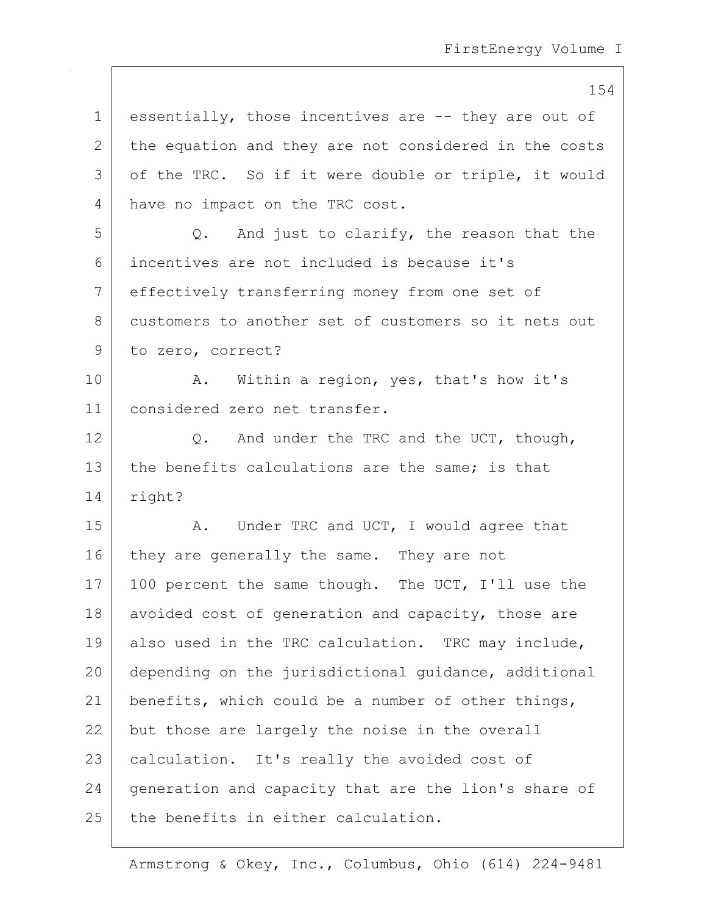1 essentially, those incentives are -- they are out of 2 the equation and they are not considered in the costs 3 | of the TRC. So if it were double or triple, it would 4 have no impact on the TRC cost.  $5$  Q. And just to clarify, the reason that the 6 incentives are not included is because it's 7 effectively transferring money from one set of 8 customers to another set of customers so it nets out 9 to zero, correct? 10 | A. Within a region, yes, that's how it's 11 considered zero net transfer. 12  $\bigcirc$ . And under the TRC and the UCT, though, 13 the benefits calculations are the same; is that 14 right? 15 A. Under TRC and UCT, I would agree that 16 they are generally the same. They are not 17 | 100 percent the same though. The UCT, I'll use the 18 avoided cost of generation and capacity, those are 19 also used in the TRC calculation. TRC may include, 20 depending on the jurisdictional quidance, additional 21 | benefits, which could be a number of other things, 22 but those are largely the noise in the overall 23 | calculation. It's really the avoided cost of 24 generation and capacity that are the lion's share of 25 the benefits in either calculation.

Armstrong & Okey, Inc., Columbus, Ohio (614) 224-9481

### 154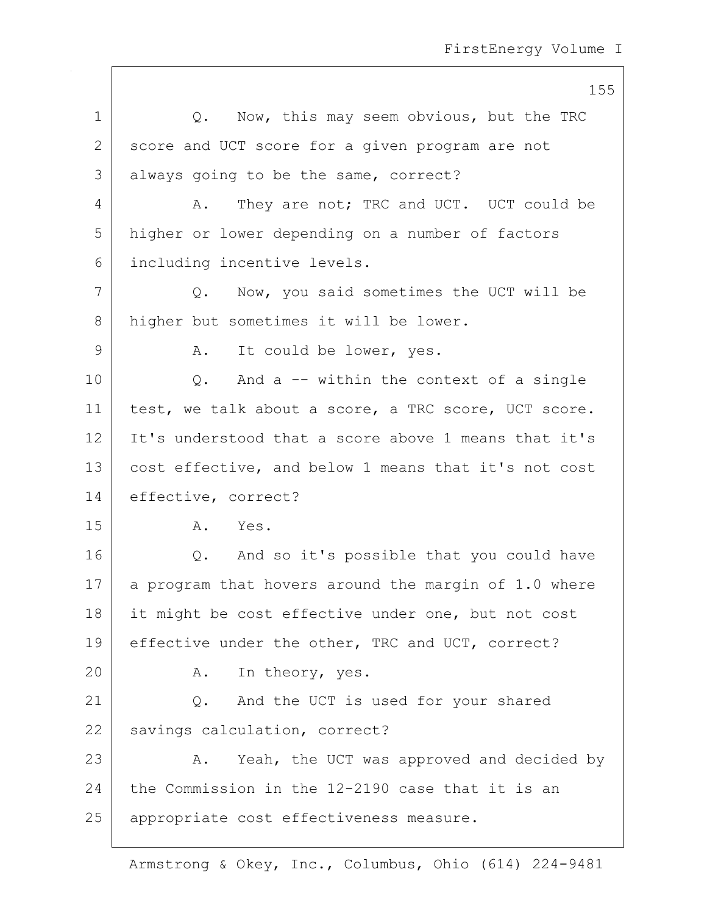155 1 0. Now, this may seem obvious, but the TRC 2 score and UCT score for a given program are not 3 always going to be the same, correct? 4 A. They are not; TRC and UCT. UCT could be 5 higher or lower depending on a number of factors 6 including incentive levels. 7 Q. Now, you said sometimes the UCT will be 8 higher but sometimes it will be lower. 9 | A. It could be lower, yes. 10 | C. And a -- within the context of a single 11 test, we talk about a score, a TRC score, UCT score. 12 It's understood that a score above 1 means that it's 13 cost effective, and below 1 means that it's not cost 14 effective, correct? 15 A. Yes. 16 | Q. And so it's possible that you could have  $17$  a program that hovers around the margin of 1.0 where 18 it might be cost effective under one, but not cost 19 effective under the other, TRC and UCT, correct? 20 A. In theory, yes. 21 Q. And the UCT is used for your shared 22 savings calculation, correct? 23 A. Yeah, the UCT was approved and decided by 24 the Commission in the 12-2190 case that it is an 25 | appropriate cost effectiveness measure.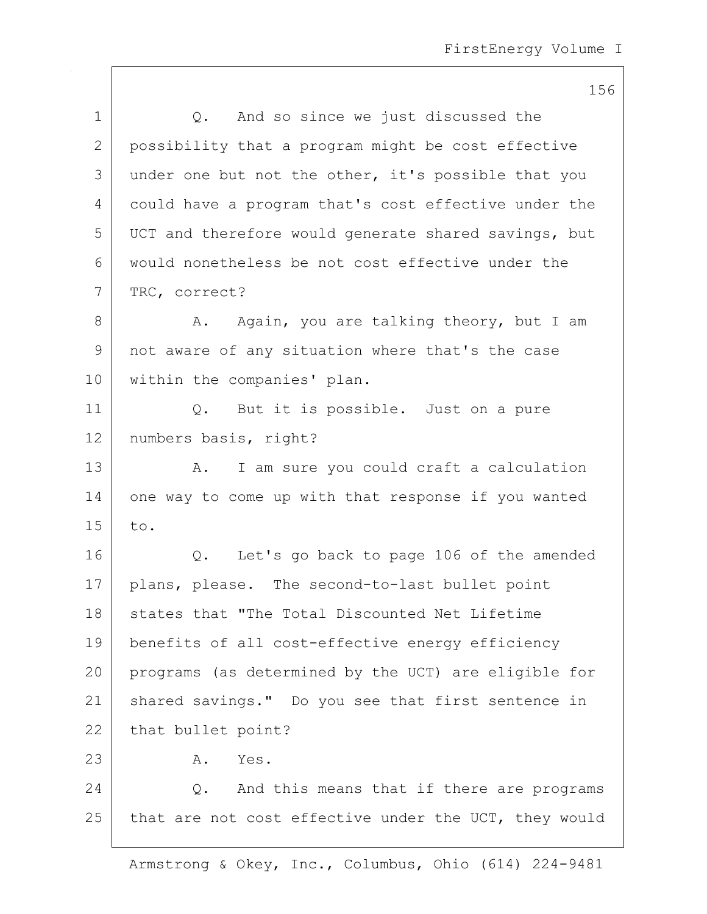156 1 1 Q. And so since we just discussed the 2 possibility that a program might be cost effective  $3$  under one but not the other, it's possible that you 4 could have a program that's cost effective under the 5 UCT and therefore would generate shared savings, but 6 would nonetheless be not cost effective under the 7 TRC, correct? 8 A. Again, you are talking theory, but I am 9 not aware of any situation where that's the case 10 | within the companies' plan. 11 | Q. But it is possible. Just on a pure 12 | numbers basis, right? 13 | A. I am sure you could craft a calculation 14 one way to come up with that response if you wanted  $15$  to. 16 Q. Let's go back to page 106 of the amended 17 | plans, please. The second-to-last bullet point 18 states that "The Total Discounted Net Lifetime 19 benefits of all cost-effective energy efficiency 20 programs (as determined by the UCT) are eligible for 21 | shared savings." Do you see that first sentence in 22 | that bullet point? 23 A. Yes. 24 O. And this means that if there are programs 25 that are not cost effective under the UCT, they would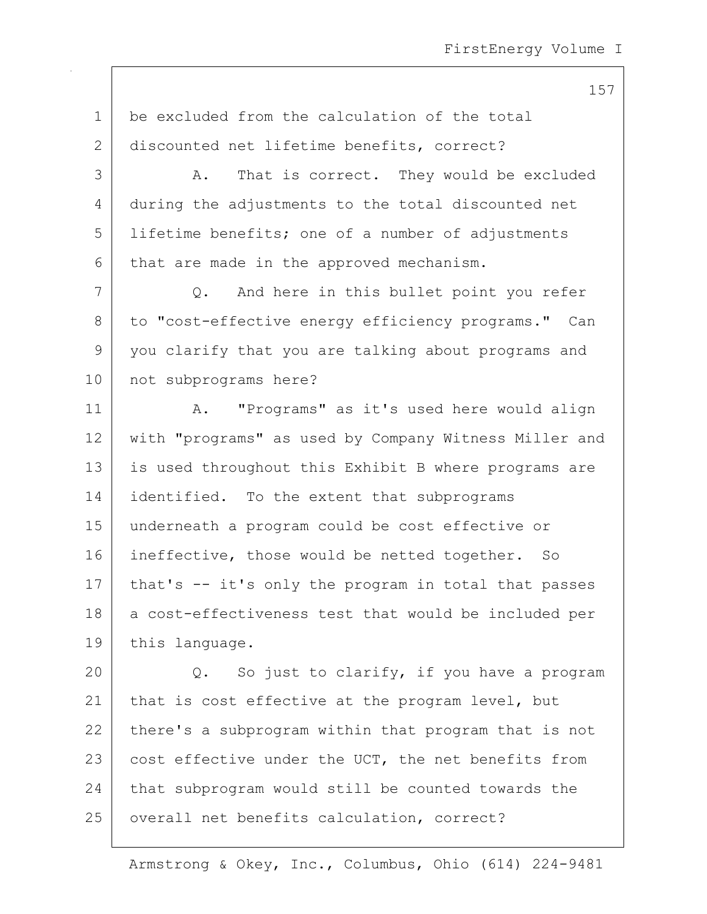157

1 be excluded from the calculation of the total 2 discounted net lifetime benefits, correct? 3 A. That is correct. They would be excluded 4 during the adjustments to the total discounted net 5 lifetime benefits; one of a number of adjustments  $6$  that are made in the approved mechanism. 7 Q. And here in this bullet point you refer 8 to "cost-effective energy efficiency programs." Can 9 | you clarify that you are talking about programs and 10 not subprograms here? 11 | A. "Programs" as it's used here would align 12 with "programs" as used by Company Witness Miller and 13 | is used throughout this Exhibit B where programs are 14 | identified. To the extent that subprograms 15 underneath a program could be cost effective or 16 ineffective, those would be netted together. So 17 | that's -- it's only the program in total that passes 18 | a cost-effectiveness test that would be included per 19 this language. 20 Q. So just to clarify, if you have a program 21 | that is cost effective at the program level, but 22 there's a subprogram within that program that is not 23  $\vert$  cost effective under the UCT, the net benefits from 24 that subprogram would still be counted towards the 25 | overall net benefits calculation, correct?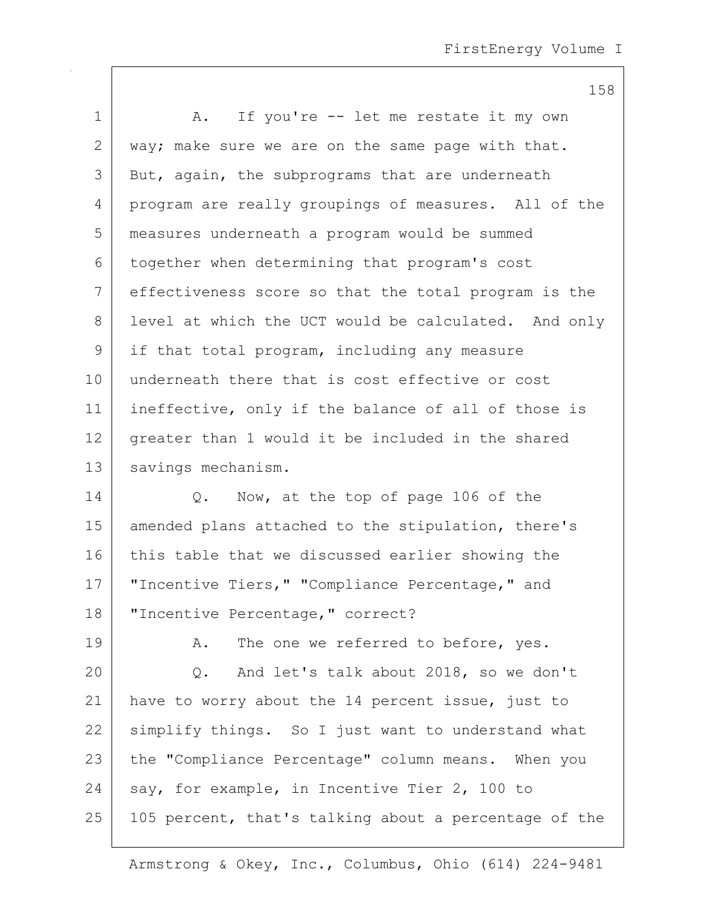| $\mathbf 1$  | A. If you're -- let me restate it my own             |
|--------------|------------------------------------------------------|
| $\mathbf{2}$ | way; make sure we are on the same page with that.    |
| 3            | But, again, the subprograms that are underneath      |
| 4            | program are really groupings of measures. All of the |
| 5            | measures underneath a program would be summed        |
| 6            | together when determining that program's cost        |
| 7            | effectiveness score so that the total program is the |
| 8            | level at which the UCT would be calculated. And only |
| 9            | if that total program, including any measure         |
| 10           | underneath there that is cost effective or cost      |
| 11           | ineffective, only if the balance of all of those is  |
| 12           | greater than 1 would it be included in the shared    |
| 13           | savings mechanism.                                   |
|              |                                                      |

14 Q. Now, at the top of page 106 of the 15 | amended plans attached to the stipulation, there's 16 this table that we discussed earlier showing the 17 | "Incentive Tiers," "Compliance Percentage," and 18 | "Incentive Percentage," correct?

19 | A. The one we referred to before, yes. 20 Q. And let's talk about 2018, so we don't 21 have to worry about the 14 percent issue, just to 22 simplify things. So I just want to understand what 23 the "Compliance Percentage" column means. When you 24 say, for example, in Incentive Tier 2, 100 to 25 | 105 percent, that's talking about a percentage of the

Armstrong & Okey, Inc., Columbus, Ohio (614) 224-9481

#### 158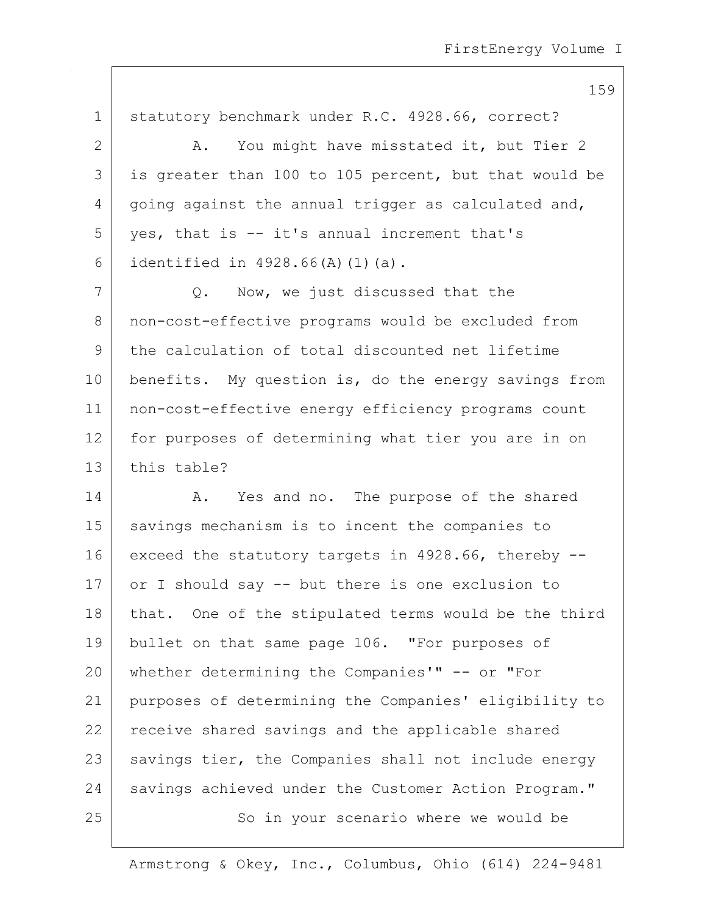159

1 statutory benchmark under R.C. 4928.66, correct? 2 | A. You might have misstated it, but Tier 2 3 is greater than 100 to 105 percent, but that would be  $4 \mid$  going against the annual trigger as calculated and,  $5$  yes, that is  $-$  it's annual increment that's 6 identified in  $4928.66(A)(1)(a)$ . 7 Q. Now, we just discussed that the 8 non-cost-effective programs would be excluded from 9 the calculation of total discounted net lifetime 10 benefits. My question is, do the energy savings from 11 non-cost-effective energy efficiency programs count 12 for purposes of determining what tier you are in on  $13$  this table? 14 A. Yes and no. The purpose of the shared 15 | savings mechanism is to incent the companies to 16 exceed the statutory targets in 4928.66, thereby --17 or I should say -- but there is one exclusion to 18 | that. One of the stipulated terms would be the third 19 bullet on that same page 106. "For purposes of 20 whether determining the Companies'" -- or "For 21 purposes of determining the Companies' eligibility to 22 receive shared savings and the applicable shared

23 | savings tier, the Companies shall not include energy 24 savings achieved under the Customer Action Program."

25 | So in your scenario where we would be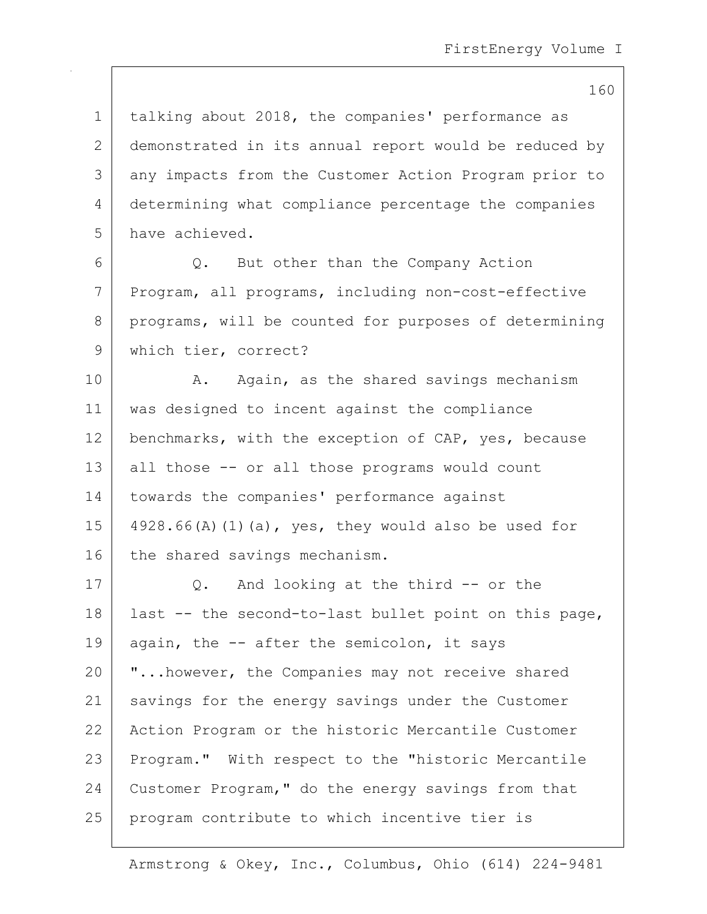1 | talking about 2018, the companies' performance as 2 demonstrated in its annual report would be reduced by 3 any impacts from the Customer Action Program prior to 4 determining what compliance percentage the companies 5 have achieved. 6 Q. But other than the Company Action 7 Program, all programs, including non-cost-effective 8 programs, will be counted for purposes of determining 9 | which tier, correct? 10 | A. Again, as the shared savings mechanism 11 was designed to incent against the compliance 12 | benchmarks, with the exception of CAP, yes, because 13 all those -- or all those programs would count 14 | towards the companies' performance against 15  $\vert$  4928.66(A)(1)(a), yes, they would also be used for 16 the shared savings mechanism. 17 Q. And looking at the third -- or the 18 | last -- the second-to-last bullet point on this page, 19 again, the  $-$  after the semicolon, it says 20 **"...however, the Companies may not receive shared** 21 | savings for the energy savings under the Customer 22 | Action Program or the historic Mercantile Customer 23 | Program." With respect to the "historic Mercantile 24 Customer Program," do the energy savings from that

25 program contribute to which incentive tier is

Armstrong & Okey, Inc., Columbus, Ohio (614) 224-9481

160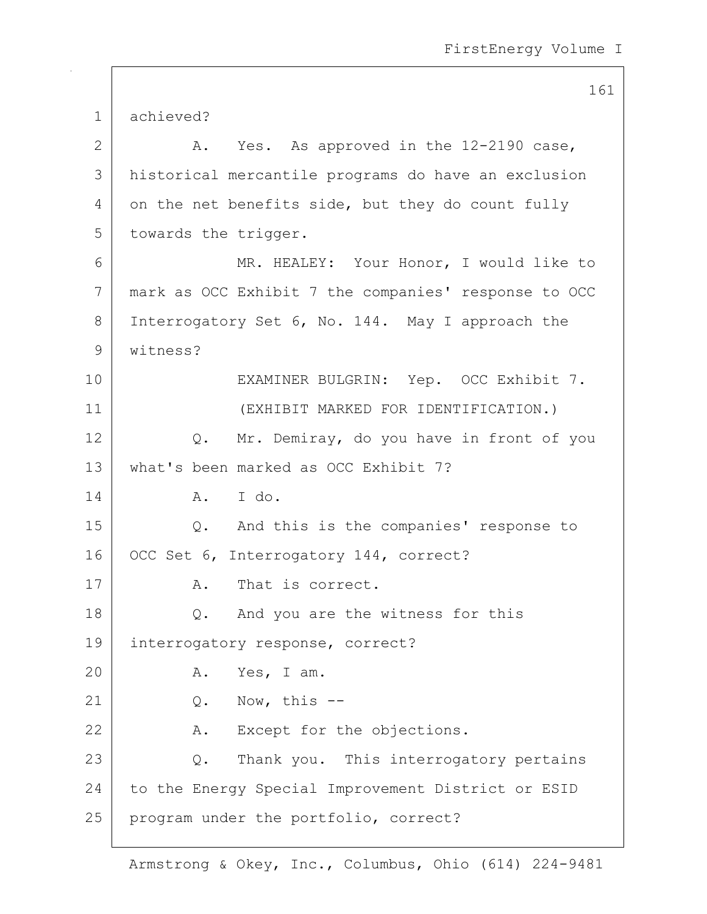161 1 achieved? 2  $\vert$  A. Yes. As approved in the 12-2190 case, 3 historical mercantile programs do have an exclusion 4 on the net benefits side, but they do count fully 5 towards the trigger. 6 MR. HEALEY: Your Honor, I would like to 7 mark as OCC Exhibit 7 the companies' response to OCC 8 Interrogatory Set 6, No. 144. May I approach the 9 witness? 10 | EXAMINER BULGRIN: Yep. OCC Exhibit 7. 11 (EXHIBIT MARKED FOR IDENTIFICATION.) 12 Q. Mr. Demiray, do you have in front of you 13 what's been marked as OCC Exhibit 7? 14 A. I do. 15 Q. And this is the companies' response to 16 | OCC Set 6, Interrogatory 144, correct? 17 A. That is correct. 18 Q. And you are the witness for this 19 interrogatory response, correct? 20 A. Yes, I am. 21 | Q. Now, this --22 A. Except for the objections. 23 Q. Thank you. This interrogatory pertains 24 to the Energy Special Improvement District or ESID 25 | program under the portfolio, correct?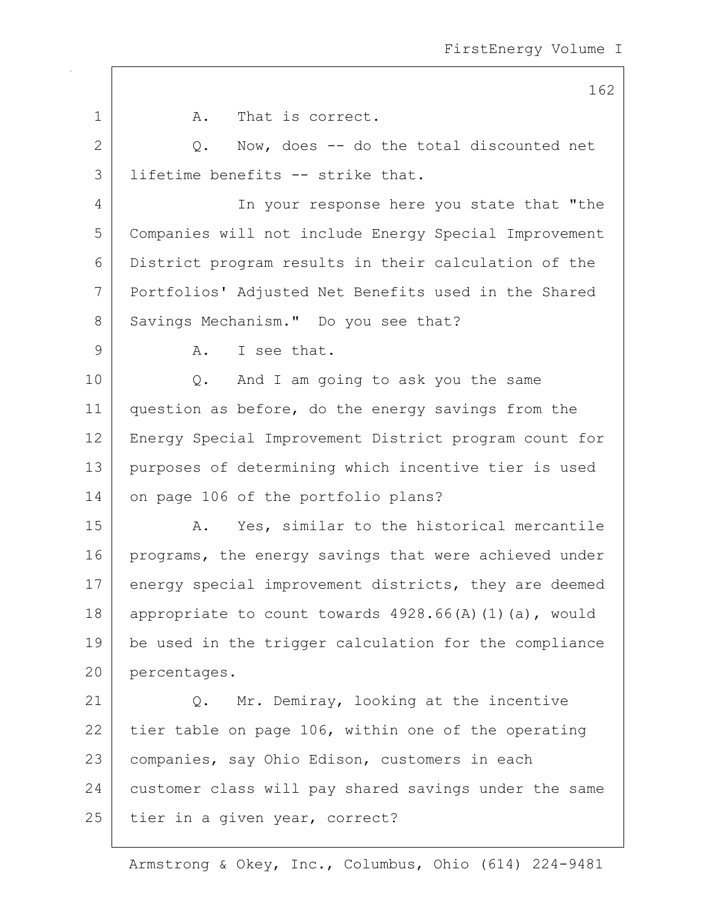|                | ᆂ◡▵                                                   |
|----------------|-------------------------------------------------------|
| 1              | That is correct.<br>Α.                                |
| $\overline{2}$ | Now, does $-$ do the total discounted net<br>Q.       |
| 3              | lifetime benefits -- strike that.                     |
| 4              | In your response here you state that "the             |
| 5              | Companies will not include Energy Special Improvement |
| 6              | District program results in their calculation of the  |
| 7              | Portfolios' Adjusted Net Benefits used in the Shared  |
| 8              | Savings Mechanism." Do you see that?                  |
| $\mathsf 9$    | I see that.<br>Α.                                     |
| 10             | And I am going to ask you the same<br>Q.              |
| 11             | question as before, do the energy savings from the    |
| 12             | Energy Special Improvement District program count for |
| 13             | purposes of determining which incentive tier is used  |
| 14             | on page 106 of the portfolio plans?                   |
| 15             | Yes, similar to the historical mercantile<br>Α.       |
| 16             | programs, the energy savings that were achieved under |
| 17             | energy special improvement districts, they are deemed |
| $18\,$         | appropriate to count towards 4928.66(A)(1)(a), would  |
| 19             | be used in the trigger calculation for the compliance |
| 20             | percentages.                                          |
| 21             | Mr. Demiray, looking at the incentive<br>Q.           |
| 22             | tier table on page 106, within one of the operating   |
| 23             | companies, say Ohio Edison, customers in each         |
| 24             | customer class will pay shared savings under the same |
| 25             | tier in a given year, correct?                        |
|                |                                                       |

Armstrong & Okey, Inc., Columbus, Ohio (614) 224-9481

### 162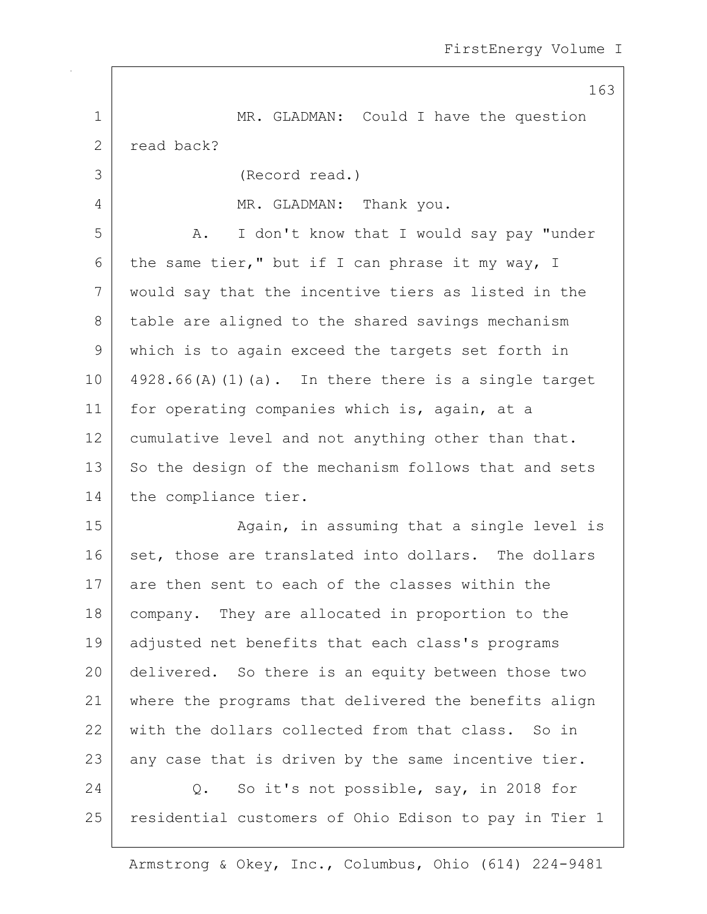163 1 MR. GLADMAN: Could I have the question 2 read back? 3 (Record read.) 4 MR. GLADMAN: Thank you. 5 A. I don't know that I would say pay "under 6 the same tier," but if I can phrase it my way, I 7 would say that the incentive tiers as listed in the 8 table are aligned to the shared savings mechanism 9 which is to again exceed the targets set forth in  $10$  | 4928.66(A)(1)(a). In there there is a single target 11 | for operating companies which is, again, at a 12 cumulative level and not anything other than that. 13 So the design of the mechanism follows that and sets 14 the compliance tier. 15 | Ragain, in assuming that a single level is 16 set, those are translated into dollars. The dollars 17 are then sent to each of the classes within the 18 | company. They are allocated in proportion to the 19 adjusted net benefits that each class's programs 20 delivered. So there is an equity between those two 21 where the programs that delivered the benefits align 22 with the dollars collected from that class. So in  $23$  any case that is driven by the same incentive tier. 24 O. So it's not possible, say, in 2018 for 25 | residential customers of Ohio Edison to pay in Tier 1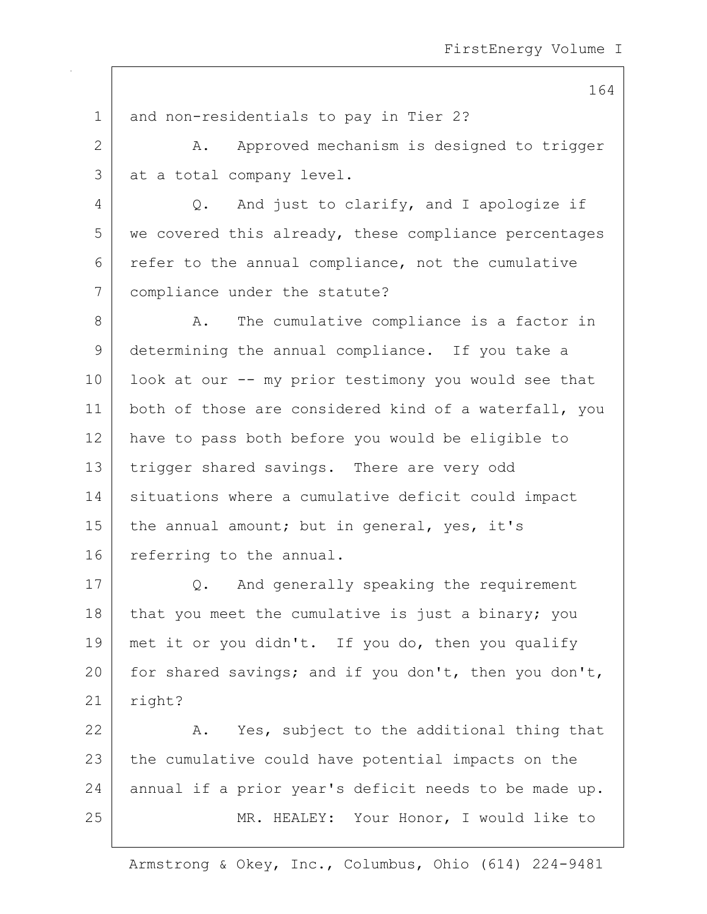164 1 and non-residentials to pay in Tier 2? 2 A. Approved mechanism is designed to trigger  $3$  at a total company level. 4 Q. And just to clarify, and I apologize if 5 we covered this already, these compliance percentages  $6$  refer to the annual compliance, not the cumulative 7 compliance under the statute? 8 A. The cumulative compliance is a factor in 9 determining the annual compliance. If you take a 10 | look at our -- my prior testimony you would see that 11 both of those are considered kind of a waterfall, you 12 have to pass both before you would be eligible to 13 trigger shared savings. There are very odd 14 | situations where a cumulative deficit could impact 15 | the annual amount; but in general, yes, it's 16 referring to the annual. 17 Q. And generally speaking the requirement 18 that you meet the cumulative is just a binary; you 19 met it or you didn't. If you do, then you qualify 20 for shared savings; and if you don't, then you don't, 21 | right? 22 A. Yes, subject to the additional thing that 23 the cumulative could have potential impacts on the 24 annual if a prior year's deficit needs to be made up.

25 | MR. HEALEY: Your Honor, I would like to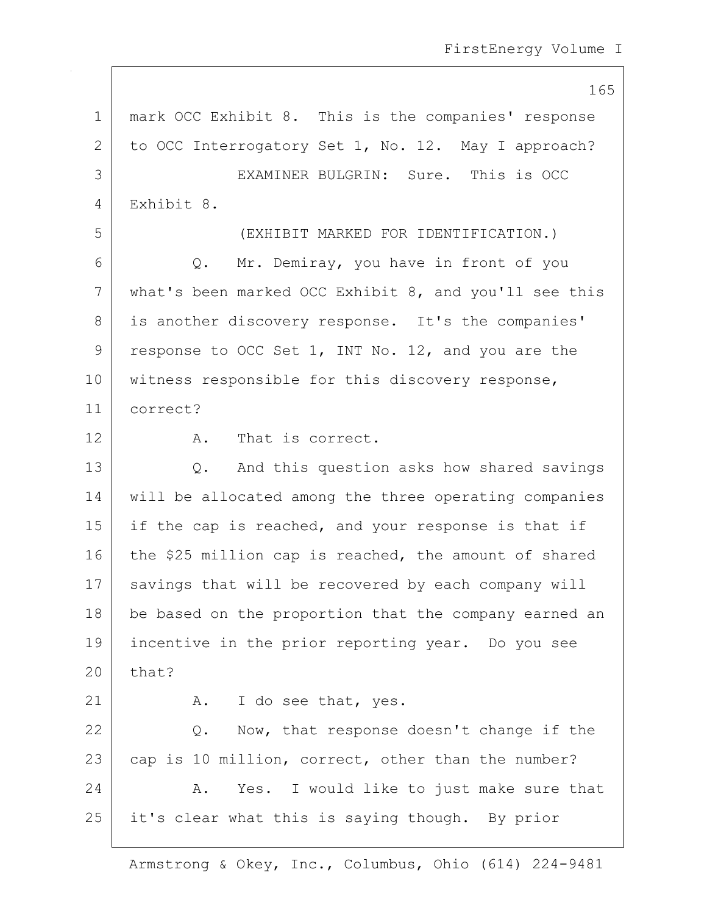165

| $\mathbf 1$ | mark OCC Exhibit 8. This is the companies' response   |
|-------------|-------------------------------------------------------|
| 2           | to OCC Interrogatory Set 1, No. 12. May I approach?   |
| 3           | EXAMINER BULGRIN: Sure. This is OCC                   |
| 4           | Exhibit 8.                                            |
| 5           | (EXHIBIT MARKED FOR IDENTIFICATION.)                  |
| 6           | Q. Mr. Demiray, you have in front of you              |
| 7           | what's been marked OCC Exhibit 8, and you'll see this |
| 8           | is another discovery response. It's the companies'    |
| 9           | response to OCC Set 1, INT No. 12, and you are the    |
| 10          | witness responsible for this discovery response,      |
| 11          | correct?                                              |
| 12          | That is correct.<br>Α.                                |
| 13          | Q. And this question asks how shared savings          |
| 14          | will be allocated among the three operating companies |
| 15          | if the cap is reached, and your response is that if   |
| 16          | the \$25 million cap is reached, the amount of shared |
| 17          | savings that will be recovered by each company will   |
| 18          | be based on the proportion that the company earned an |
| 19          | incentive in the prior reporting year. Do you see     |
| 20          | that?                                                 |
| 21          | I do see that, yes.<br>A.                             |
| 22          | Now, that response doesn't change if the<br>Q.        |
| 23          | cap is 10 million, correct, other than the number?    |
| 24          | Yes. I would like to just make sure that<br>Α.        |
| 25          | it's clear what this is saying though. By prior       |
|             |                                                       |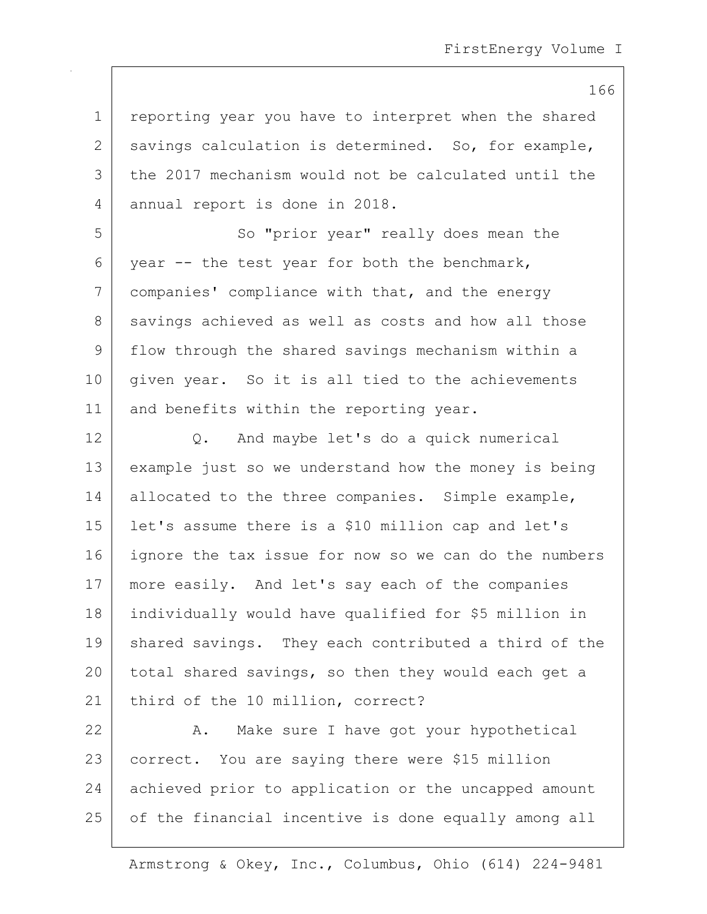1 | reporting year you have to interpret when the shared 2 savings calculation is determined. So, for example, 3 the 2017 mechanism would not be calculated until the 4 annual report is done in 2018.

5 So "prior year" really does mean the 6 year  $-$  the test year for both the benchmark, 7 companies' compliance with that, and the energy 8 savings achieved as well as costs and how all those 9 | flow through the shared savings mechanism within a 10 | given year. So it is all tied to the achievements 11 and benefits within the reporting year.

12 Q. And maybe let's do a quick numerical 13 example just so we understand how the money is being 14 allocated to the three companies. Simple example, 15 let's assume there is a \$10 million cap and let's 16 ignore the tax issue for now so we can do the numbers 17 | more easily. And let's say each of the companies 18 individually would have qualified for \$5 million in 19 | shared savings. They each contributed a third of the 20 total shared savings, so then they would each get a 21 | third of the 10 million, correct?

22 A. Make sure I have got your hypothetical 23 correct. You are saying there were \$15 million 24 achieved prior to application or the uncapped amount 25 | of the financial incentive is done equally among all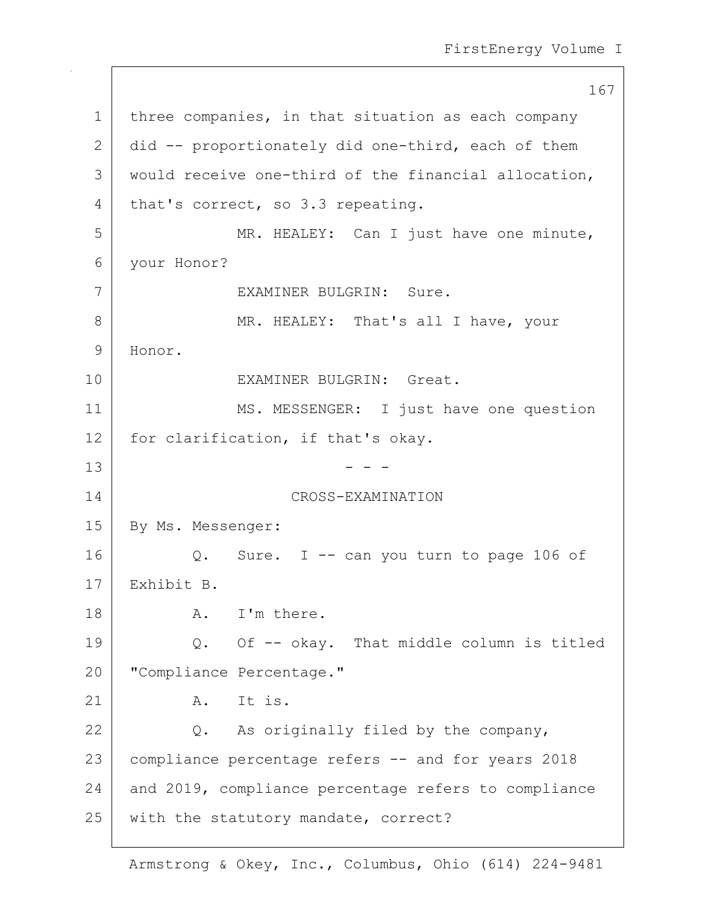167 1 | three companies, in that situation as each company 2 did -- proportionately did one-third, each of them 3 | would receive one-third of the financial allocation, 4 that's correct, so 3.3 repeating. 5 MR. HEALEY: Can I just have one minute, 6 your Honor? 7 EXAMINER BULGRIN: Sure. 8 MR. HEALEY: That's all I have, your 9 Honor. 10 EXAMINER BULGRIN: Great. 11 | MS. MESSENGER: I just have one question 12 for clarification, if that's okay.  $13$  - - -14 CROSS-EXAMINATION 15 | By Ms. Messenger: 16  $\vert$  Q. Sure. I -- can you turn to page 106 of 17 Exhibit B. 18 A. I'm there. 19 Q. Of -- okay. That middle column is titled 20 | "Compliance Percentage."  $21$  A. Ttis. 22 Q. As originally filed by the company, 23 compliance percentage refers -- and for years 2018 24 and 2019, compliance percentage refers to compliance 25 | with the statutory mandate, correct?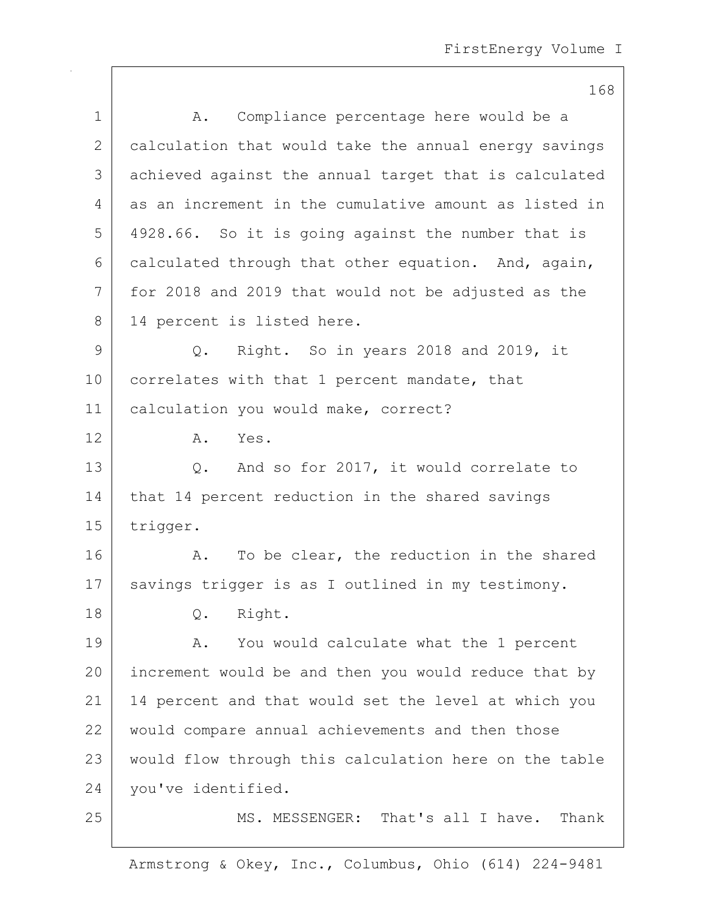|              | 168                                                   |
|--------------|-------------------------------------------------------|
| $\mathbf 1$  | Compliance percentage here would be a<br>Α.           |
| $\mathbf{2}$ | calculation that would take the annual energy savings |
| 3            | achieved against the annual target that is calculated |
| 4            | as an increment in the cumulative amount as listed in |
| 5            | 4928.66. So it is going against the number that is    |
| 6            | calculated through that other equation. And, again,   |
| 7            | for 2018 and 2019 that would not be adjusted as the   |
| 8            | 14 percent is listed here.                            |
| 9            | Q. Right. So in years 2018 and 2019, it               |
| 10           | correlates with that 1 percent mandate, that          |
| 11           | calculation you would make, correct?                  |
| 12           | Α.<br>Yes.                                            |
| 13           | And so for 2017, it would correlate to<br>Q.          |
| 14           | that 14 percent reduction in the shared savings       |
| 15           | trigger.                                              |
| 16           | To be clear, the reduction in the shared<br>Α.        |
| 17           | savings trigger is as I outlined in my testimony.     |
| 18           | Right.<br>Q.                                          |
| 19           | You would calculate what the 1 percent<br>Α.          |
| 20           | increment would be and then you would reduce that by  |
| 21           | 14 percent and that would set the level at which you  |
| 22           | would compare annual achievements and then those      |
| 23           | would flow through this calculation here on the table |
| 24           | you've identified.                                    |
| 25           | MS. MESSENGER: That's all I have.<br>Thank            |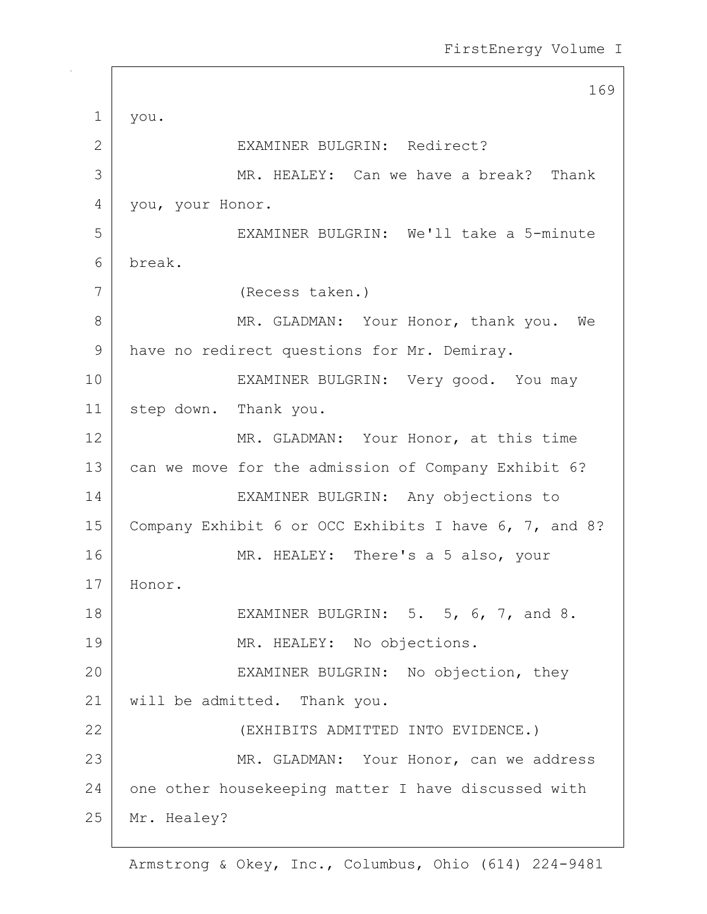|             | 169                                                   |
|-------------|-------------------------------------------------------|
| $\mathbf 1$ | you.                                                  |
| 2           | EXAMINER BULGRIN: Redirect?                           |
| 3           | MR. HEALEY: Can we have a break? Thank                |
| 4           | you, your Honor.                                      |
| 5           | EXAMINER BULGRIN: We'll take a 5-minute               |
| 6           | break.                                                |
| 7           | (Recess taken.)                                       |
| 8           | MR. GLADMAN: Your Honor, thank you. We                |
| 9           | have no redirect questions for Mr. Demiray.           |
| 10          | EXAMINER BULGRIN: Very good. You may                  |
| 11          | step down. Thank you.                                 |
| 12          | MR. GLADMAN: Your Honor, at this time                 |
| 13          | can we move for the admission of Company Exhibit 6?   |
| 14          | EXAMINER BULGRIN: Any objections to                   |
| 15          | Company Exhibit 6 or OCC Exhibits I have 6, 7, and 8? |
| 16          | MR. HEALEY: There's a 5 also, your                    |
| 17          | Honor.                                                |
| 18          | EXAMINER BULGRIN: 5. 5, 6, 7, and 8.                  |
| 19          | MR. HEALEY: No objections.                            |
| 20          | EXAMINER BULGRIN: No objection, they                  |
| 21          | will be admitted. Thank you.                          |
| 22          | (EXHIBITS ADMITTED INTO EVIDENCE.)                    |
| 23          | MR. GLADMAN: Your Honor, can we address               |
| 24          | one other housekeeping matter I have discussed with   |
| 25          | Mr. Healey?                                           |
|             |                                                       |

 $\Gamma$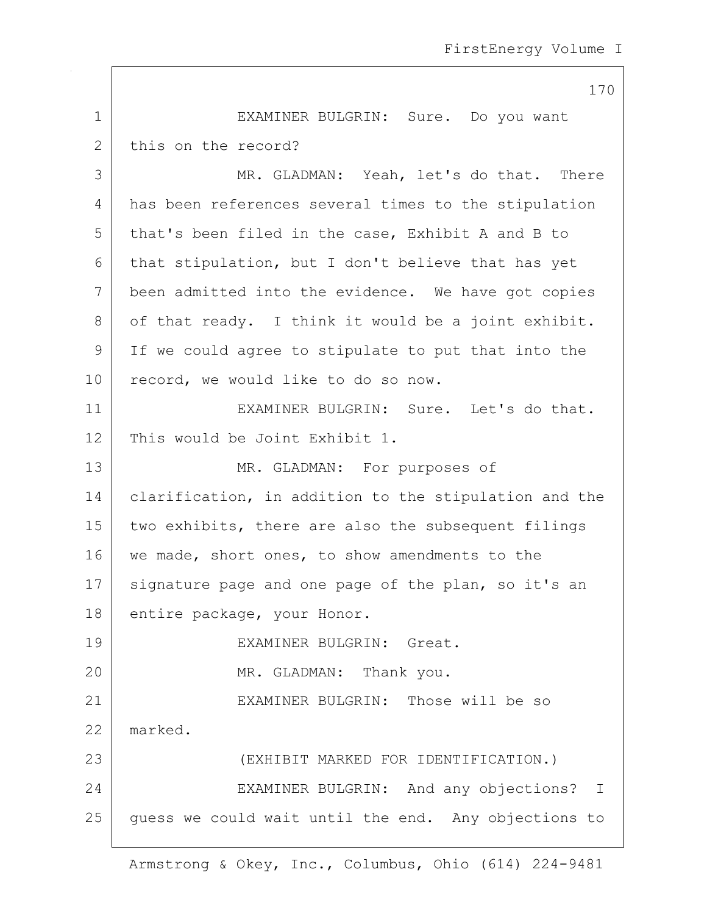|              | 170                                                   |
|--------------|-------------------------------------------------------|
| $\mathbf 1$  | EXAMINER BULGRIN: Sure. Do you want                   |
| $\mathbf{2}$ | this on the record?                                   |
| 3            | MR. GLADMAN: Yeah, let's do that. There               |
| 4            | has been references several times to the stipulation  |
| 5            | that's been filed in the case, Exhibit A and B to     |
| 6            | that stipulation, but I don't believe that has yet    |
| 7            | been admitted into the evidence. We have got copies   |
| 8            | of that ready. I think it would be a joint exhibit.   |
| 9            | If we could agree to stipulate to put that into the   |
| 10           | record, we would like to do so now.                   |
| 11           | EXAMINER BULGRIN: Sure. Let's do that.                |
| 12           | This would be Joint Exhibit 1.                        |
| 13           | MR. GLADMAN: For purposes of                          |
| 14           | clarification, in addition to the stipulation and the |
| 15           | two exhibits, there are also the subsequent filings   |
| 16           | we made, short ones, to show amendments to the        |
| 17           | signature page and one page of the plan, so it's an   |
| 18           | entire package, your Honor.                           |
| 19           | EXAMINER BULGRIN: Great.                              |
| 20           | MR. GLADMAN: Thank you.                               |
| 21           | EXAMINER BULGRIN: Those will be so                    |
| 22           | marked.                                               |
| 23           | (EXHIBIT MARKED FOR IDENTIFICATION.)                  |
| 24           | EXAMINER BULGRIN: And any objections? I               |
| 25           | guess we could wait until the end. Any objections to  |
|              |                                                       |

 $\mathbf{I}$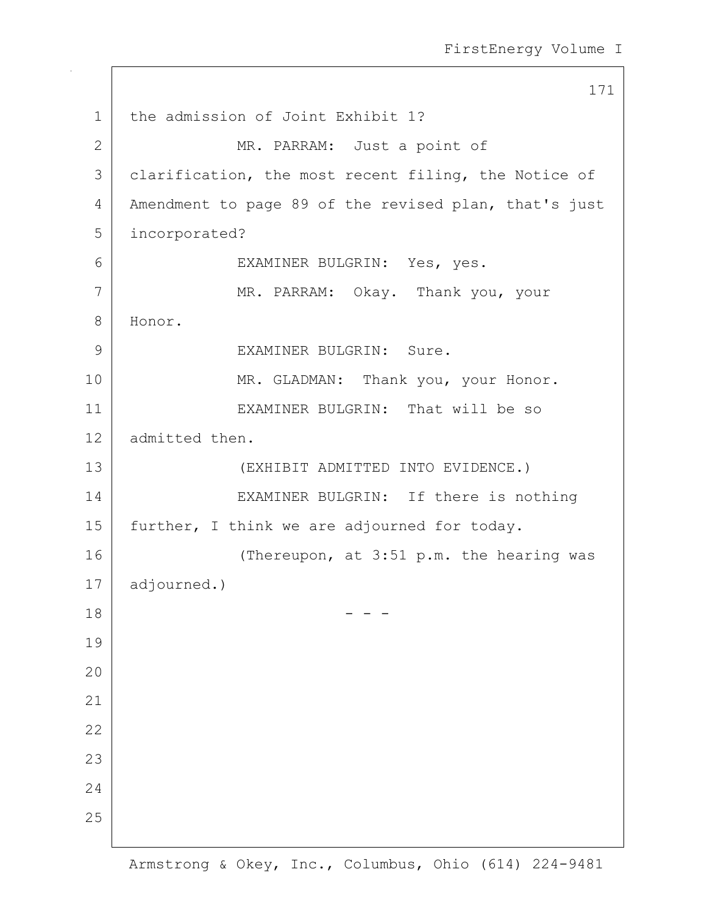171 1 the admission of Joint Exhibit 1? 2 MR. PARRAM: Just a point of 3 | clarification, the most recent filing, the Notice of 4 | Amendment to page 89 of the revised plan, that's just 5 incorporated? 6 EXAMINER BULGRIN: Yes, yes. 7 MR. PARRAM: Okay. Thank you, your 8 Honor. 9 EXAMINER BULGRIN: Sure. 10 MR. GLADMAN: Thank you, your Honor. 11 EXAMINER BULGRIN: That will be so 12 admitted then. 13 (EXHIBIT ADMITTED INTO EVIDENCE.) 14 EXAMINER BULGRIN: If there is nothing 15 further, I think we are adjourned for today. 16 (Thereupon, at 3:51 p.m. the hearing was 17 adjourned.)  $18$  - - -19 20 21 22 23 24 25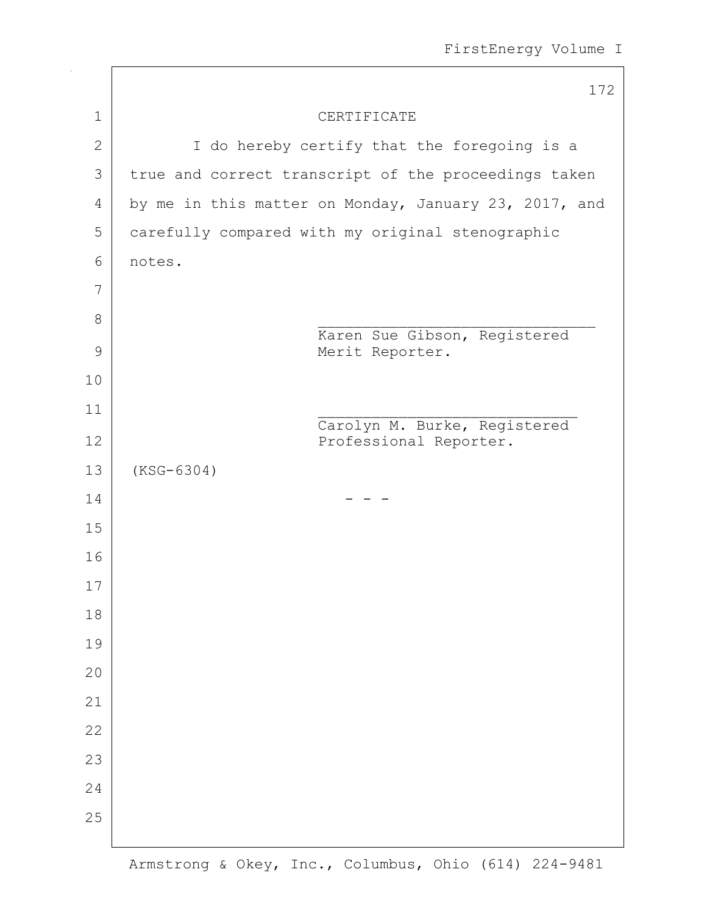|                | 172                                                    |
|----------------|--------------------------------------------------------|
| $\mathbf 1$    | CERTIFICATE                                            |
| $\mathbf{2}$   | I do hereby certify that the foregoing is a            |
| $\mathfrak{Z}$ | true and correct transcript of the proceedings taken   |
| 4              | by me in this matter on Monday, January 23, 2017, and  |
| 5              | carefully compared with my original stenographic       |
| 6              | notes.                                                 |
| 7              |                                                        |
| 8              |                                                        |
| $\mathcal{G}$  | Karen Sue Gibson, Registered<br>Merit Reporter.        |
| 10             |                                                        |
| 11             |                                                        |
| 12             | Carolyn M. Burke, Registered<br>Professional Reporter. |
| 13             | $(KSG-6304)$                                           |
| 14             |                                                        |
| 15             |                                                        |
| 16             |                                                        |
| 17             |                                                        |
| 18             |                                                        |
| 19             |                                                        |
| 20             |                                                        |
| 21             |                                                        |
| 22             |                                                        |
| 23             |                                                        |
| 24             |                                                        |
| 25             |                                                        |
|                |                                                        |